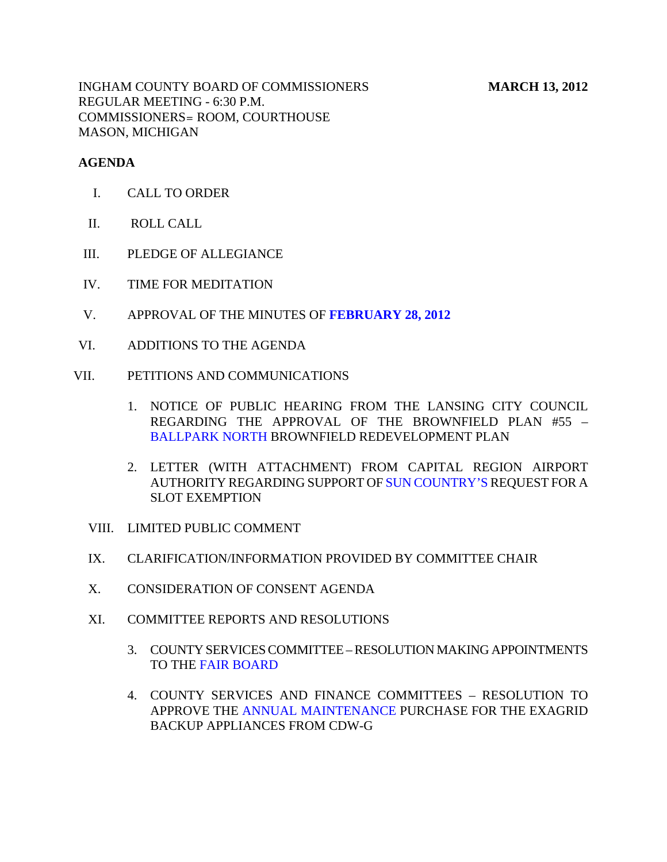### **AGENDA**

- I. CALL TO ORDER
- II. ROLL CALL
- III. PLEDGE OF ALLEGIANCE
- IV. TIME FOR MEDITATION
- V. APPROVAL OF THE MINUTES OF **[FEBRUARY 28, 2012](#page-5-0)**
- VI. ADDITIONS TO THE AGENDA
- VII. PETITIONS AND COMMUNICATIONS
	- 1. NOTICE OF PUBLIC HEARING FROM THE LANSING CITY COUNCIL REGARDING THE APPROVAL OF THE BROWNFIELD PLAN #55 – [BALLPARK NORTH B](#page-48-0)ROWNFIELD REDEVELOPMENT PLAN
	- 2. LETTER (WITH ATTACHMENT) FROM CAPITAL REGION AIRPORT AUTHORITY REGARDING SUPPORT OF [SUN COUNTRY'S REQ](#page-49-0)UEST FOR A SLOT EXEMPTION
	- VIII. LIMITED PUBLIC COMMENT
	- IX. CLARIFICATION/INFORMATION PROVIDED BY COMMITTEE CHAIR
	- X. CONSIDERATION OF CONSENT AGENDA
	- XI. COMMITTEE REPORTS AND RESOLUTIONS
		- 3. COUNTY SERVICES COMMITTEE RESOLUTION MAKING APPOINTMENTS TO THE [FAIR BOARD](#page-55-0)
		- 4. COUNTY SERVICES AND FINANCE COMMITTEES RESOLUTION TO APPROVE TH[E ANNUAL MAINTENANCE PU](#page-56-0)RCHASE FOR THE EXAGRID BACKUP APPLIANCES FROM CDW-G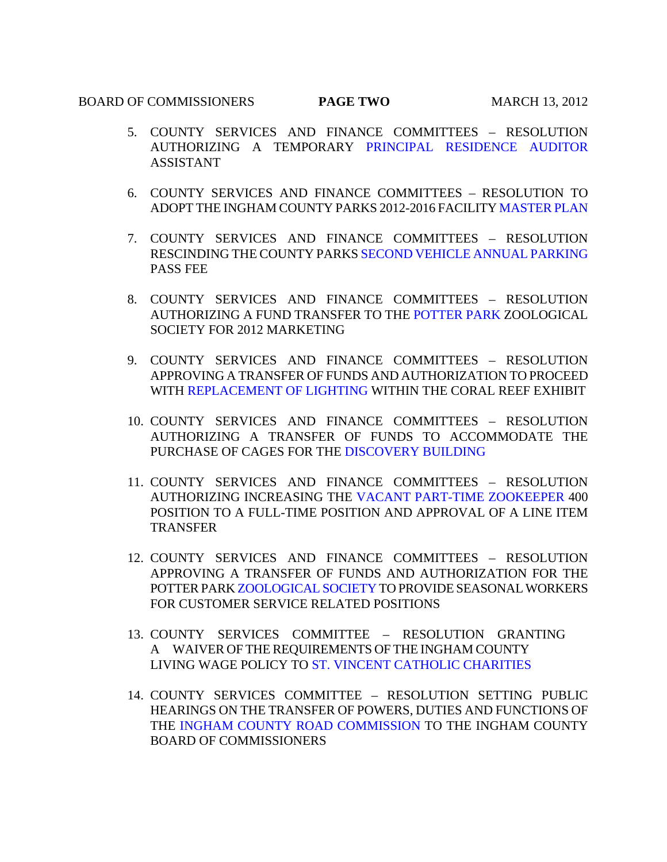#### **BOARD OF COMMISSIONERS PAGE TWO** MARCH 13, 2012

- 5. COUNTY SERVICES AND FINANCE COMMITTEES RESOLUTION AUTHORIZING A TEMPORARY [PRINCIPAL RESIDENCE AUDITOR](#page-57-0) ASSISTANT
- 6. COUNTY SERVICES AND FINANCE COMMITTEES RESOLUTION TO ADOPT THE INGHAM COUNTY PARKS 2012-2016 FACILIT[Y MASTER PLAN](#page-58-0)
- 7. COUNTY SERVICES AND FINANCE COMMITTEES RESOLUTION RESCINDING THE COUNTY P[ARKS SECOND VEHICLE ANNUAL PARKING](#page-59-0) PASS FEE
- 8. COUNTY SERVICES AND FINANCE COMMITTEES RESOLUTION AUTHORIZING A FUND TRANSFER TO TH[E POTTER PARK ZOO](#page-60-0)LOGICAL SOCIETY FOR 2012 MARKETING
- 9. COUNTY SERVICES AND FINANCE COMMITTEES RESOLUTION APPROVING A TRANSFER OF FUNDS AND AUTHORIZATION TO PROCEED WIT[H REPLACEMENT OF LIGHTING WITHI](#page-61-0)N THE CORAL REEF EXHIBIT
- 10. COUNTY SERVICES AND FINANCE COMMITTEES RESOLUTION AUTHORIZING A TRANSF[ER OF FUNDS TO ACCOMM](#page-62-0)ODATE THE PURCHASE OF CAGES FOR THE DISCOVERY BUILDING
- 11. COUNTY SERVICES AND FINANCE COMMITTEES RESOLUTION AUTHORIZING INCREASING T[HE VACANT PART-TIME ZOOKEEPER 400](#page-63-0) POSITION TO A FULL-TIME POSITION AND APPROVAL OF A LINE ITEM TRANSFER
- 12. COUNTY SERVICES AND FINANCE COMMITTEES RESOLUTION APPROVING A TRANSFER OF FUNDS AND AUTHORIZATION FOR THE POTTER PA[RK ZOOLOGICAL SOCIETY TO PR](#page-64-0)OVIDE SEASONAL WORKERS FOR CUSTOMER SERVICE RELATED POSITIONS
- 13. COUNTY SERVICES COMMITTEE RESOLUTION GRANTING A WAIVER OF THE REQUIREMENTS OF THE INGHAM COUNTY LIVING WAGE POLICY [TO ST. VINCENT CATHOLIC CHARITIES](#page-66-0)
- 14. COUNTY SERVICES COMMITTEE RESOLUTION SETTING PUBLIC HEARINGS ON THE TRANSFER OF POWERS, DUTIES AND FUNCTIONS OF [THE INGHAM COUNTY ROAD COMMISSION TO T](#page-67-0)HE INGHAM COUNTY BOARD OF COMMISSIONERS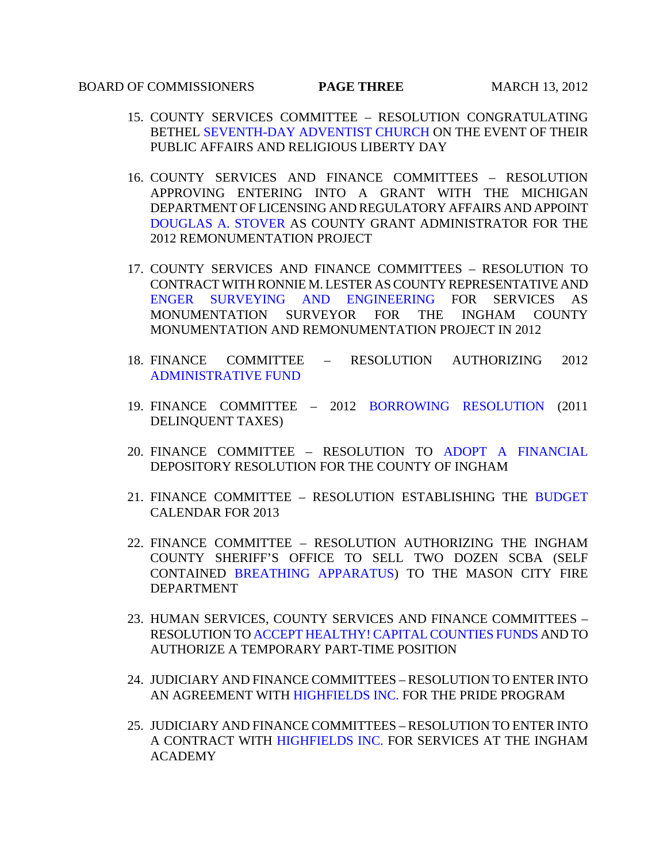### **BOARD OF COMMISSIONERS PAGE THREE** MARCH 13, 2012

- 15. COUNTY SERVICES COMMITTEE RESOLUTION CONGRATULATING BET[HEL SEVENTH-DAY ADVENTIST CHURCH O](#page-68-0)N THE EVENT OF THEIR PUBLIC AFFAIRS AND RELIGIOUS LIBERTY DAY
- 16. COUNTY SERVICES AND FINANCE COMMITTEES RESOLUTION APPROVING ENTERING INTO A GRANT WITH THE MICHIGAN DEPARTMENT OF LICENSING AND REGULATORY AFFAIRS AND APPOINT [DOUGLAS A. STOVER AS](#page-69-0) COUNTY GRANT ADMINISTRATOR FOR THE 2012 REMONUMENTATION PROJECT
- 17. COUNTY SERVICES AND FINANCE COMMITTEES RESOLUTION TO CONTRACT WITH RONNIE M. LESTER AS COUNTY REPRESENTATIVE AND [ENGER SURVEYING AND ENGINEERING FOR](#page-70-0) SERVICES AS MONUMENTATION SURVEYOR FOR THE INGHAM COUNTY MONUMENTATION AND REMONUMENTATION PROJECT IN 2012
- 18. FINANCE COMMITTEE RESOLUTION AUTHORIZING 2012 [ADMINISTRATIVE FUND](#page-72-0)
- 19. FINANCE COMMITTEE 2012 [BORROWING RESOLUTION](#page-74-0) (2011 DELINQUENT TAXES)
- 20. FINANCE COMMITTEE RESOLUTION TO [ADOPT A FINANCIAL](#page-103-0) DEPOSITORY RESOLUTION FOR THE COUNTY OF INGHAM
- 21. FINANCE COMMITTEE RESOLUTION ESTABLISHING THE [BUDGET](#page-105-0)  CALENDAR FOR 2013
- 22. FINANCE COMMITTEE RESOLUTION AUTHORIZING THE INGHAM COUNTY SHERIFF'S OFFICE TO SELL TWO DOZEN SCBA (SELF CONTAINED [BREATHING APPARATUS\) T](#page-107-0)O THE MASON CITY FIRE DEPARTMENT
- 23. HUMAN SERVICES, COUNTY SERVICES AND FINANCE COMMITTEES RESOLUTION [TO ACCEPT HEALTHY! CAPITAL COUNTIES FUNDS AND](#page-108-0) TO AUTHORIZE A TEMPORARY PART-TIME POSITION
- 24. JUDICIARY AND FINANCE COMMITTEES RESOLUTION TO ENTER INTO AN AGREEMENT [WITH HIGHFIELDS INC. FOR T](#page-110-0)HE PRIDE PROGRAM
- 25. JUDICIARY AND FINANCE COMMITTEES RESOLUTION TO ENTER INTO A CONTRACT WIT[H HIGHFIELDS INC. FOR](#page-111-0) SERVICES AT THE INGHAM ACADEMY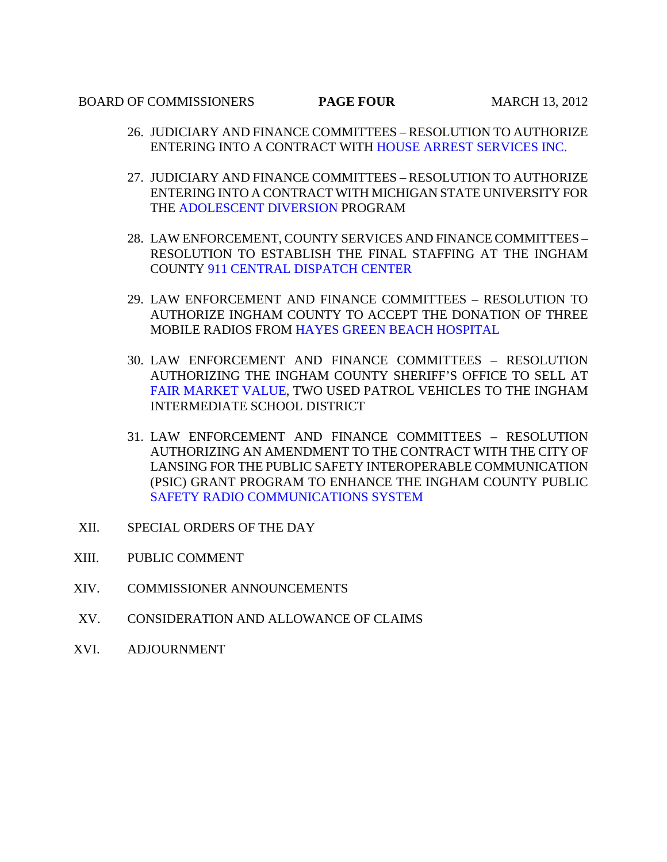#### **BOARD OF COMMISSIONERS PAGE FOUR** MARCH 13, 2012

- 26. JUDICIARY AND FINANCE COMMITTEES RESOLUTION TO AUTHORIZE ENTERING INTO A CONTRACT W[ITH HOUSE ARREST SERVICES INC.](#page-112-0)
- 27. JUDICIARY AND FINANCE COMMITTEES RESOLUTION TO AUTHORIZE ENTERING INTO A CONTRACT WITH MICHIGAN STATE UNIVERSITY FOR T[HE ADOLESCENT DIVERSION PROGRAM](#page-113-0)
- 28. LAW ENFORCEMENT, COUNTY SERVICES AND FINANCE COMMITTEES RESOLU[TION TO ESTABLISH THE FINAL ST](#page-114-0)AFFING AT THE INGHAM COUNTY 911 CENTRAL DISPATCH CENTER
- 29. LAW ENFORCEMENT AND FINANCE COMMITTEES RESOLUTION TO AUTHORIZE INGHAM COUNTY TO ACCEPT THE DONATION OF THREE MOBILE RADIOS FRO[M HAYES GREEN BEACH HOSPITAL](#page-116-0)
- 30. LAW ENFORCEMENT AND FINANCE COMMITTEES RESOLUTION AUTHORIZING THE INGHAM COUNTY SHERIFF'S OFFICE TO SELL AT [FAIR MARKET VALUE, TWO](#page-117-0) USED PATROL VEHICLES TO THE INGHAM INTERMEDIATE SCHOOL DISTRICT
- 31. LAW ENFORCEMENT AND FINANCE COMMITTEES RESOLUTION AUTHORIZING AN AMENDMENT TO THE CONTRACT WITH THE CITY OF LANSING FOR THE PUBLIC SAFETY INTEROPERABLE COMMUNICATION (PSIC) GRANT PROGRAM TO ENHANCE THE INGHAM COUNTY PUBLIC [SAFETY RADIO COMMUNICATIONS SYSTEM](#page-118-0)
- XII. SPECIAL ORDERS OF THE DAY
- XIII. PUBLIC COMMENT
- XIV. COMMISSIONER ANNOUNCEMENTS
- XV. CONSIDERATION AND ALLOWANCE OF CLAIMS
- XVI. ADJOURNMENT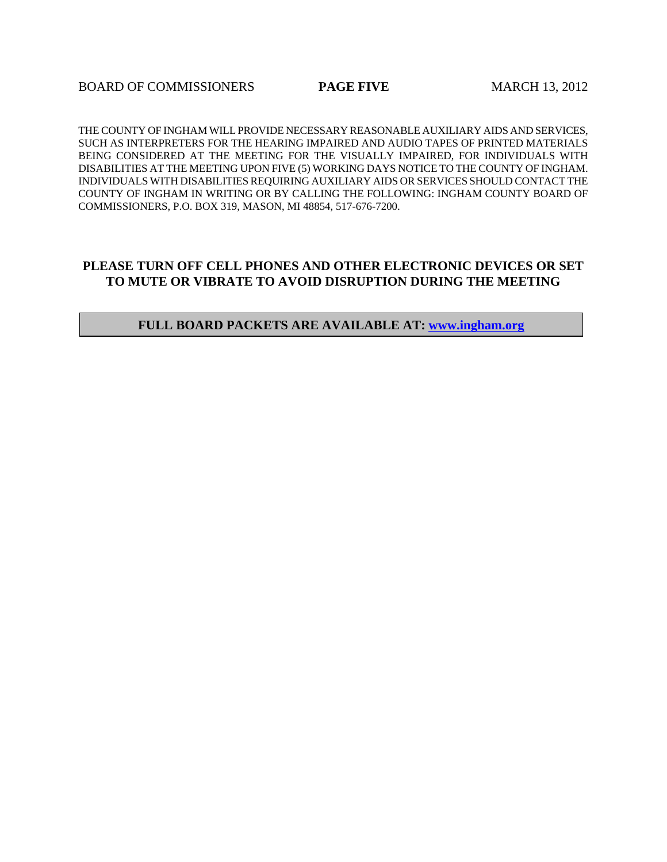**BOARD OF COMMISSIONERS PAGE FIVE MARCH 13, 2012** 

THE COUNTY OF INGHAM WILL PROVIDE NECESSARY REASONABLE AUXILIARY AIDS AND SERVICES, SUCH AS INTERPRETERS FOR THE HEARING IMPAIRED AND AUDIO TAPES OF PRINTED MATERIALS BEING CONSIDERED AT THE MEETING FOR THE VISUALLY IMPAIRED, FOR INDIVIDUALS WITH DISABILITIES AT THE MEETING UPON FIVE (5) WORKING DAYS NOTICE TO THE COUNTY OF INGHAM. INDIVIDUALS WITH DISABILITIES REQUIRING AUXILIARY AIDS OR SERVICES SHOULD CONTACT THE COUNTY OF INGHAM IN WRITING OR BY CALLING THE FOLLOWING: INGHAM COUNTY BOARD OF COMMISSIONERS, P.O. BOX 319, MASON, MI 48854, 517-676-7200.

### **PLEASE TURN OFF CELL PHONES AND OTHER ELECTRONIC DEVICES OR SET TO MUTE OR VIBRATE TO AVOID DISRUPTION DURING THE MEETING**

#### **FULL BOARD PACKETS ARE AVAILABLE AT: www.ingham.org**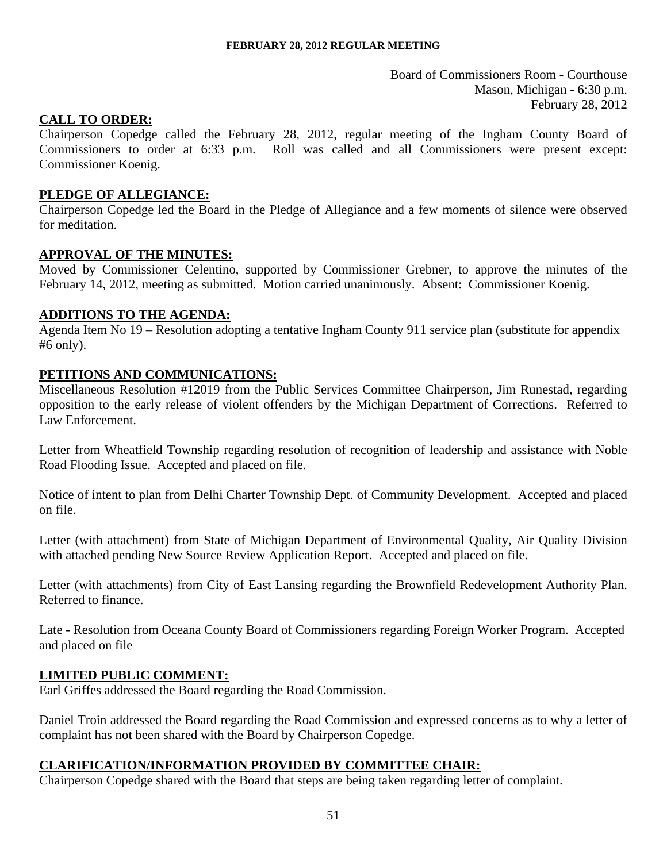Board of Commissioners Room - Courthouse Mason, Michigan - 6:30 p.m. February 28, 2012

### <span id="page-5-0"></span>**CALL TO ORDER:**

Chairperson Copedge called the February 28, 2012, regular meeting of the Ingham County Board of Commissioners to order at 6:33 p.m. Roll was called and all Commissioners were present except: Commissioner Koenig.

### **PLEDGE OF ALLEGIANCE:**

Chairperson Copedge led the Board in the Pledge of Allegiance and a few moments of silence were observed for meditation.

#### **APPROVAL OF THE MINUTES:**

Moved by Commissioner Celentino, supported by Commissioner Grebner, to approve the minutes of the February 14, 2012, meeting as submitted. Motion carried unanimously. Absent: Commissioner Koenig.

#### **ADDITIONS TO THE AGENDA:**

Agenda Item No 19 – Resolution adopting a tentative Ingham County 911 service plan (substitute for appendix #6 only).

#### **PETITIONS AND COMMUNICATIONS:**

Miscellaneous Resolution #12019 from the Public Services Committee Chairperson, Jim Runestad, regarding opposition to the early release of violent offenders by the Michigan Department of Corrections. Referred to Law Enforcement.

Letter from Wheatfield Township regarding resolution of recognition of leadership and assistance with Noble Road Flooding Issue. Accepted and placed on file.

Notice of intent to plan from Delhi Charter Township Dept. of Community Development. Accepted and placed on file.

Letter (with attachment) from State of Michigan Department of Environmental Quality, Air Quality Division with attached pending New Source Review Application Report. Accepted and placed on file.

Letter (with attachments) from City of East Lansing regarding the Brownfield Redevelopment Authority Plan. Referred to finance.

Late - Resolution from Oceana County Board of Commissioners regarding Foreign Worker Program. Accepted and placed on file

#### **LIMITED PUBLIC COMMENT:**

Earl Griffes addressed the Board regarding the Road Commission.

Daniel Troin addressed the Board regarding the Road Commission and expressed concerns as to why a letter of complaint has not been shared with the Board by Chairperson Copedge.

### **CLARIFICATION/INFORMATION PROVIDED BY COMMITTEE CHAIR:**

Chairperson Copedge shared with the Board that steps are being taken regarding letter of complaint.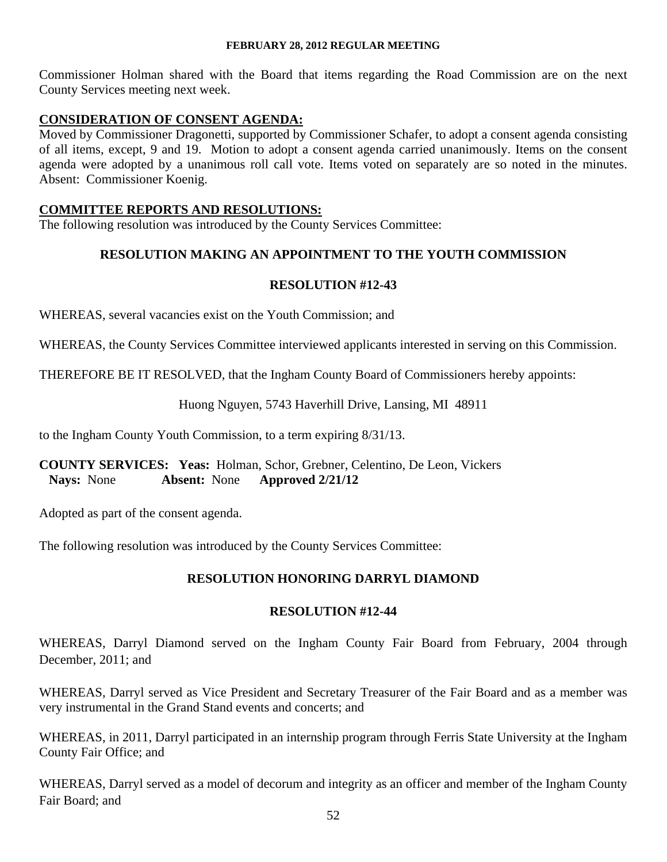Commissioner Holman shared with the Board that items regarding the Road Commission are on the next County Services meeting next week.

## **CONSIDERATION OF CONSENT AGENDA:**

Moved by Commissioner Dragonetti, supported by Commissioner Schafer, to adopt a consent agenda consisting of all items, except, 9 and 19. Motion to adopt a consent agenda carried unanimously. Items on the consent agenda were adopted by a unanimous roll call vote. Items voted on separately are so noted in the minutes. Absent: Commissioner Koenig.

### **COMMITTEE REPORTS AND RESOLUTIONS:**

The following resolution was introduced by the County Services Committee:

## **RESOLUTION MAKING AN APPOINTMENT TO THE YOUTH COMMISSION**

## **RESOLUTION #12-43**

WHEREAS, several vacancies exist on the Youth Commission; and

WHEREAS, the County Services Committee interviewed applicants interested in serving on this Commission.

THEREFORE BE IT RESOLVED, that the Ingham County Board of Commissioners hereby appoints:

### Huong Nguyen, 5743 Haverhill Drive, Lansing, MI 48911

to the Ingham County Youth Commission, to a term expiring 8/31/13.

### **COUNTY SERVICES: Yeas:** Holman, Schor, Grebner, Celentino, De Leon, Vickers  **Nays:** None **Absent:** None **Approved 2/21/12**

Adopted as part of the consent agenda.

The following resolution was introduced by the County Services Committee:

### **RESOLUTION HONORING DARRYL DIAMOND**

### **RESOLUTION #12-44**

WHEREAS, Darryl Diamond served on the Ingham County Fair Board from February, 2004 through December, 2011; and

WHEREAS, Darryl served as Vice President and Secretary Treasurer of the Fair Board and as a member was very instrumental in the Grand Stand events and concerts; and

WHEREAS, in 2011, Darryl participated in an internship program through Ferris State University at the Ingham County Fair Office; and

WHEREAS, Darryl served as a model of decorum and integrity as an officer and member of the Ingham County Fair Board; and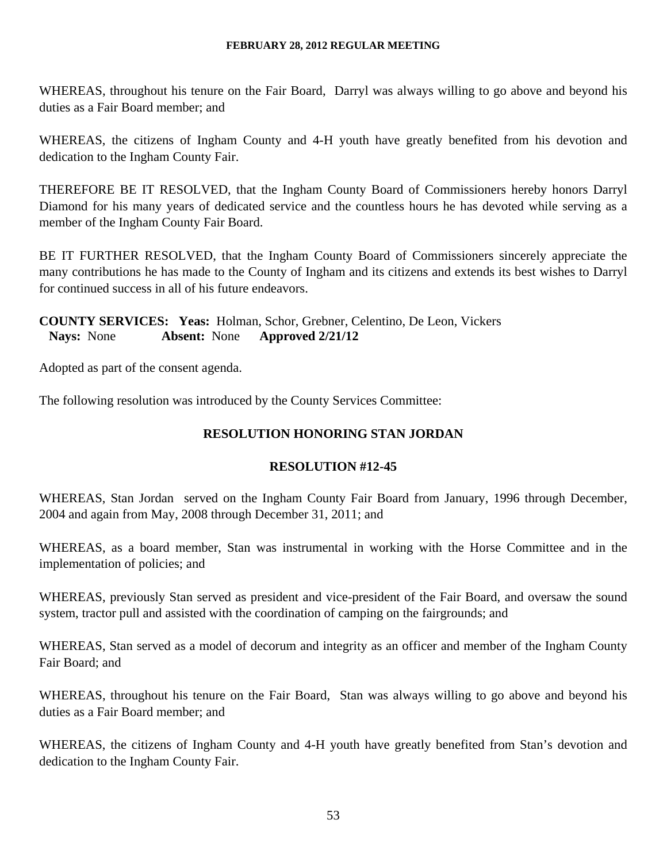WHEREAS, throughout his tenure on the Fair Board, Darryl was always willing to go above and beyond his duties as a Fair Board member; and

WHEREAS, the citizens of Ingham County and 4-H youth have greatly benefited from his devotion and dedication to the Ingham County Fair.

THEREFORE BE IT RESOLVED, that the Ingham County Board of Commissioners hereby honors Darryl Diamond for his many years of dedicated service and the countless hours he has devoted while serving as a member of the Ingham County Fair Board.

BE IT FURTHER RESOLVED, that the Ingham County Board of Commissioners sincerely appreciate the many contributions he has made to the County of Ingham and its citizens and extends its best wishes to Darryl for continued success in all of his future endeavors.

# **COUNTY SERVICES: Yeas:** Holman, Schor, Grebner, Celentino, De Leon, Vickers  **Nays:** None **Absent:** None **Approved 2/21/12**

Adopted as part of the consent agenda.

The following resolution was introduced by the County Services Committee:

# **RESOLUTION HONORING STAN JORDAN**

# **RESOLUTION #12-45**

WHEREAS, Stan Jordan served on the Ingham County Fair Board from January, 1996 through December, 2004 and again from May, 2008 through December 31, 2011; and

WHEREAS, as a board member, Stan was instrumental in working with the Horse Committee and in the implementation of policies; and

WHEREAS, previously Stan served as president and vice-president of the Fair Board, and oversaw the sound system, tractor pull and assisted with the coordination of camping on the fairgrounds; and

WHEREAS, Stan served as a model of decorum and integrity as an officer and member of the Ingham County Fair Board; and

WHEREAS, throughout his tenure on the Fair Board, Stan was always willing to go above and beyond his duties as a Fair Board member; and

WHEREAS, the citizens of Ingham County and 4-H youth have greatly benefited from Stan's devotion and dedication to the Ingham County Fair.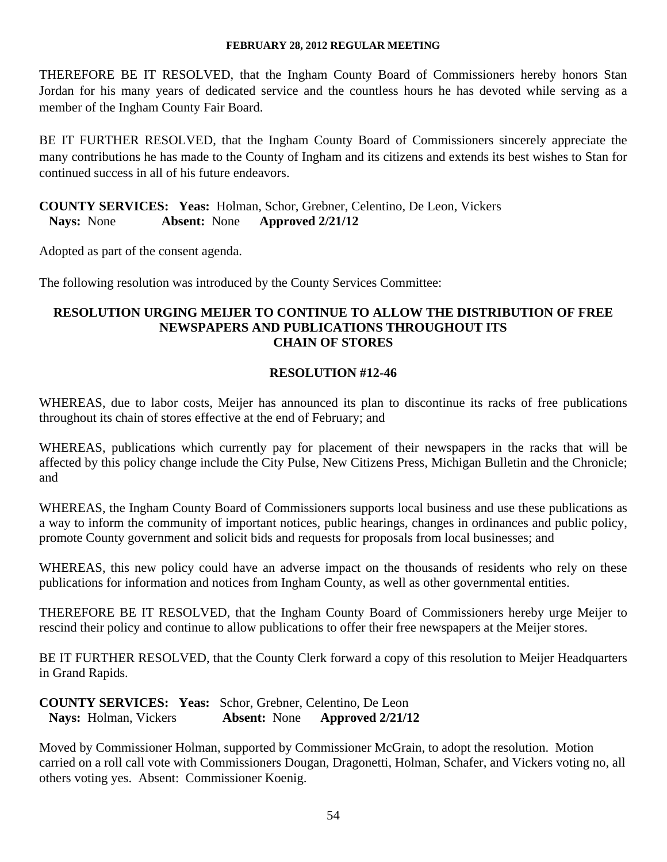THEREFORE BE IT RESOLVED, that the Ingham County Board of Commissioners hereby honors Stan Jordan for his many years of dedicated service and the countless hours he has devoted while serving as a member of the Ingham County Fair Board.

BE IT FURTHER RESOLVED, that the Ingham County Board of Commissioners sincerely appreciate the many contributions he has made to the County of Ingham and its citizens and extends its best wishes to Stan for continued success in all of his future endeavors.

**COUNTY SERVICES: Yeas:** Holman, Schor, Grebner, Celentino, De Leon, Vickers  **Nays:** None **Absent:** None **Approved 2/21/12** 

Adopted as part of the consent agenda.

The following resolution was introduced by the County Services Committee:

## **RESOLUTION URGING MEIJER TO CONTINUE TO ALLOW THE DISTRIBUTION OF FREE NEWSPAPERS AND PUBLICATIONS THROUGHOUT ITS CHAIN OF STORES**

# **RESOLUTION #12-46**

WHEREAS, due to labor costs, Meijer has announced its plan to discontinue its racks of free publications throughout its chain of stores effective at the end of February; and

WHEREAS, publications which currently pay for placement of their newspapers in the racks that will be affected by this policy change include the City Pulse, New Citizens Press, Michigan Bulletin and the Chronicle; and

WHEREAS, the Ingham County Board of Commissioners supports local business and use these publications as a way to inform the community of important notices, public hearings, changes in ordinances and public policy, promote County government and solicit bids and requests for proposals from local businesses; and

WHEREAS, this new policy could have an adverse impact on the thousands of residents who rely on these publications for information and notices from Ingham County, as well as other governmental entities.

THEREFORE BE IT RESOLVED, that the Ingham County Board of Commissioners hereby urge Meijer to rescind their policy and continue to allow publications to offer their free newspapers at the Meijer stores.

BE IT FURTHER RESOLVED, that the County Clerk forward a copy of this resolution to Meijer Headquarters in Grand Rapids.

**COUNTY SERVICES: Yeas:** Schor, Grebner, Celentino, De Leon  **Nays:** Holman, Vickers **Absent:** None **Approved 2/21/12** 

Moved by Commissioner Holman, supported by Commissioner McGrain, to adopt the resolution. Motion carried on a roll call vote with Commissioners Dougan, Dragonetti, Holman, Schafer, and Vickers voting no, all others voting yes. Absent: Commissioner Koenig.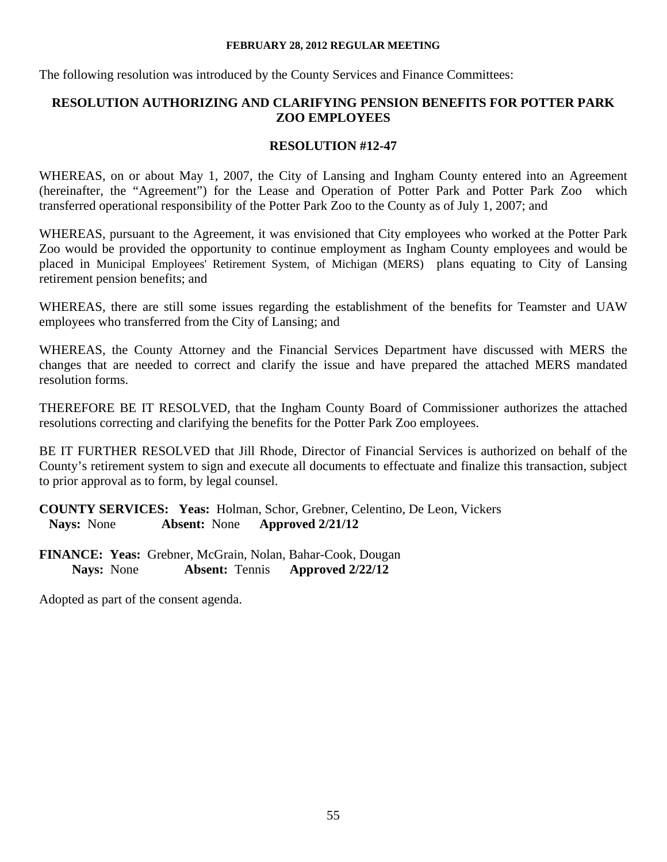The following resolution was introduced by the County Services and Finance Committees:

# **RESOLUTION AUTHORIZING AND CLARIFYING PENSION BENEFITS FOR POTTER PARK ZOO EMPLOYEES**

# **RESOLUTION #12-47**

WHEREAS, on or about May 1, 2007, the City of Lansing and Ingham County entered into an Agreement (hereinafter, the "Agreement") for the Lease and Operation of Potter Park and Potter Park Zoo which transferred operational responsibility of the Potter Park Zoo to the County as of July 1, 2007; and

WHEREAS, pursuant to the Agreement, it was envisioned that City employees who worked at the Potter Park Zoo would be provided the opportunity to continue employment as Ingham County employees and would be placed in Municipal Employees' Retirement System, of Michigan (MERS) plans equating to City of Lansing retirement pension benefits; and

WHEREAS, there are still some issues regarding the establishment of the benefits for Teamster and UAW employees who transferred from the City of Lansing; and

WHEREAS, the County Attorney and the Financial Services Department have discussed with MERS the changes that are needed to correct and clarify the issue and have prepared the attached MERS mandated resolution forms.

THEREFORE BE IT RESOLVED, that the Ingham County Board of Commissioner authorizes the attached resolutions correcting and clarifying the benefits for the Potter Park Zoo employees.

BE IT FURTHER RESOLVED that Jill Rhode, Director of Financial Services is authorized on behalf of the County's retirement system to sign and execute all documents to effectuate and finalize this transaction, subject to prior approval as to form, by legal counsel.

**COUNTY SERVICES: Yeas:** Holman, Schor, Grebner, Celentino, De Leon, Vickers  **Nays:** None **Absent:** None **Approved 2/21/12** 

**FINANCE: Yeas:** Grebner, McGrain, Nolan, Bahar-Cook, Dougan  **Nays:** None **Absent:** Tennis **Approved 2/22/12** 

Adopted as part of the consent agenda.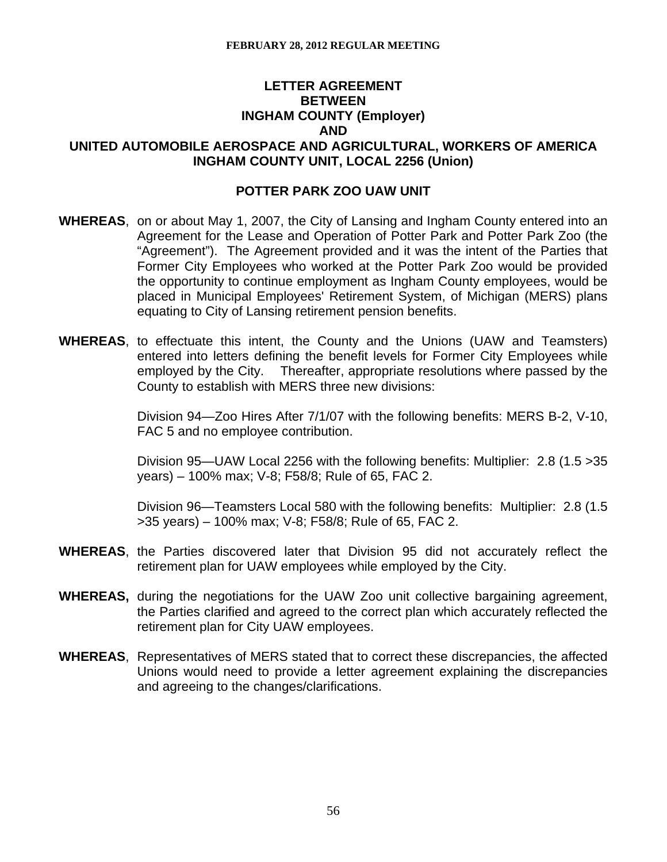# **LETTER AGREEMENT BETWEEN INGHAM COUNTY (Employer) AND**

**UNITED AUTOMOBILE AEROSPACE AND AGRICULTURAL, WORKERS OF AMERICA INGHAM COUNTY UNIT, LOCAL 2256 (Union)** 

## **POTTER PARK ZOO UAW UNIT**

- **WHEREAS**, on or about May 1, 2007, the City of Lansing and Ingham County entered into an Agreement for the Lease and Operation of Potter Park and Potter Park Zoo (the "Agreement"). The Agreement provided and it was the intent of the Parties that Former City Employees who worked at the Potter Park Zoo would be provided the opportunity to continue employment as Ingham County employees, would be placed in Municipal Employees' Retirement System, of Michigan (MERS) plans equating to City of Lansing retirement pension benefits.
- **WHEREAS**, to effectuate this intent, the County and the Unions (UAW and Teamsters) entered into letters defining the benefit levels for Former City Employees while employed by the City. Thereafter, appropriate resolutions where passed by the County to establish with MERS three new divisions:

Division 94—Zoo Hires After 7/1/07 with the following benefits: MERS B-2, V-10, FAC 5 and no employee contribution.

Division 95—UAW Local 2256 with the following benefits: Multiplier: 2.8 (1.5 >35 years) – 100% max; V-8; F58/8; Rule of 65, FAC 2.

Division 96—Teamsters Local 580 with the following benefits: Multiplier: 2.8 (1.5 >35 years) – 100% max; V-8; F58/8; Rule of 65, FAC 2.

- **WHEREAS**, the Parties discovered later that Division 95 did not accurately reflect the retirement plan for UAW employees while employed by the City.
- **WHEREAS,** during the negotiations for the UAW Zoo unit collective bargaining agreement, the Parties clarified and agreed to the correct plan which accurately reflected the retirement plan for City UAW employees.
- **WHEREAS**, Representatives of MERS stated that to correct these discrepancies, the affected Unions would need to provide a letter agreement explaining the discrepancies and agreeing to the changes/clarifications.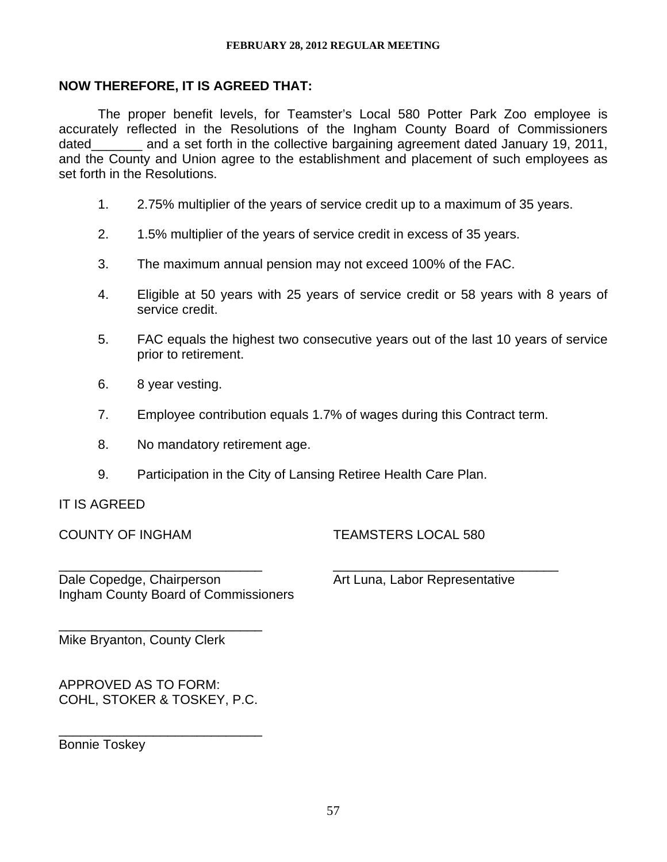# **NOW THEREFORE, IT IS AGREED THAT:**

The proper benefit levels, for Teamster's Local 580 Potter Park Zoo employee is accurately reflected in the Resolutions of the Ingham County Board of Commissioners dated and a set forth in the collective bargaining agreement dated January 19, 2011, and the County and Union agree to the establishment and placement of such employees as set forth in the Resolutions.

- 1. 2.75% multiplier of the years of service credit up to a maximum of 35 years.
- 2. 1.5% multiplier of the years of service credit in excess of 35 years.
- 3. The maximum annual pension may not exceed 100% of the FAC.
- 4. Eligible at 50 years with 25 years of service credit or 58 years with 8 years of service credit.
- 5. FAC equals the highest two consecutive years out of the last 10 years of service prior to retirement.
- 6. 8 year vesting.
- 7. Employee contribution equals 1.7% of wages during this Contract term.
- 8. No mandatory retirement age.
- 9. Participation in the City of Lansing Retiree Health Care Plan.

# IT IS AGREED

COUNTY OF INGHAM TEAMSTERS LOCAL 580

\_\_\_\_\_\_\_\_\_\_\_\_\_\_\_\_\_\_\_\_\_\_\_\_\_\_\_\_ \_\_\_\_\_\_\_\_\_\_\_\_\_\_\_\_\_\_\_\_\_\_\_\_\_\_\_\_\_\_\_ Dale Copedge, Chairperson **Art Luna, Labor Representative** Ingham County Board of Commissioners

\_\_\_\_\_\_\_\_\_\_\_\_\_\_\_\_\_\_\_\_\_\_\_\_\_\_\_\_ Mike Bryanton, County Clerk

APPROVED AS TO FORM: COHL, STOKER & TOSKEY, P.C.

\_\_\_\_\_\_\_\_\_\_\_\_\_\_\_\_\_\_\_\_\_\_\_\_\_\_\_\_

Bonnie Toskey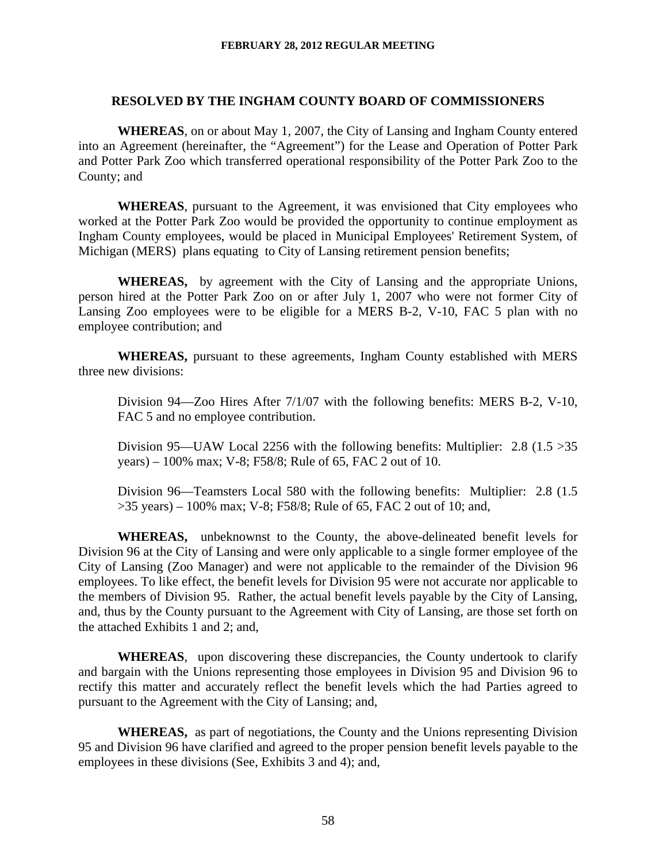#### **RESOLVED BY THE INGHAM COUNTY BOARD OF COMMISSIONERS**

**WHEREAS**, on or about May 1, 2007, the City of Lansing and Ingham County entered into an Agreement (hereinafter, the "Agreement") for the Lease and Operation of Potter Park and Potter Park Zoo which transferred operational responsibility of the Potter Park Zoo to the County; and

**WHEREAS**, pursuant to the Agreement, it was envisioned that City employees who worked at the Potter Park Zoo would be provided the opportunity to continue employment as Ingham County employees, would be placed in Municipal Employees' Retirement System, of Michigan (MERS) plans equating to City of Lansing retirement pension benefits;

**WHEREAS,** by agreement with the City of Lansing and the appropriate Unions, person hired at the Potter Park Zoo on or after July 1, 2007 who were not former City of Lansing Zoo employees were to be eligible for a MERS B-2, V-10, FAC 5 plan with no employee contribution; and

**WHEREAS,** pursuant to these agreements, Ingham County established with MERS three new divisions:

Division 94—Zoo Hires After 7/1/07 with the following benefits: MERS B-2, V-10, FAC 5 and no employee contribution.

Division 95—UAW Local 2256 with the following benefits: Multiplier:  $2.8$  (1.5  $>35$ ) years) – 100% max; V-8; F58/8; Rule of 65, FAC 2 out of 10.

Division 96—Teamsters Local 580 with the following benefits: Multiplier: 2.8 (1.5 >35 years) – 100% max; V-8; F58/8; Rule of 65, FAC 2 out of 10; and,

**WHEREAS,** unbeknownst to the County, the above-delineated benefit levels for Division 96 at the City of Lansing and were only applicable to a single former employee of the City of Lansing (Zoo Manager) and were not applicable to the remainder of the Division 96 employees. To like effect, the benefit levels for Division 95 were not accurate nor applicable to the members of Division 95. Rather, the actual benefit levels payable by the City of Lansing, and, thus by the County pursuant to the Agreement with City of Lansing, are those set forth on the attached Exhibits 1 and 2; and,

**WHEREAS**, upon discovering these discrepancies, the County undertook to clarify and bargain with the Unions representing those employees in Division 95 and Division 96 to rectify this matter and accurately reflect the benefit levels which the had Parties agreed to pursuant to the Agreement with the City of Lansing; and,

**WHEREAS,** as part of negotiations, the County and the Unions representing Division 95 and Division 96 have clarified and agreed to the proper pension benefit levels payable to the employees in these divisions (See, Exhibits 3 and 4); and,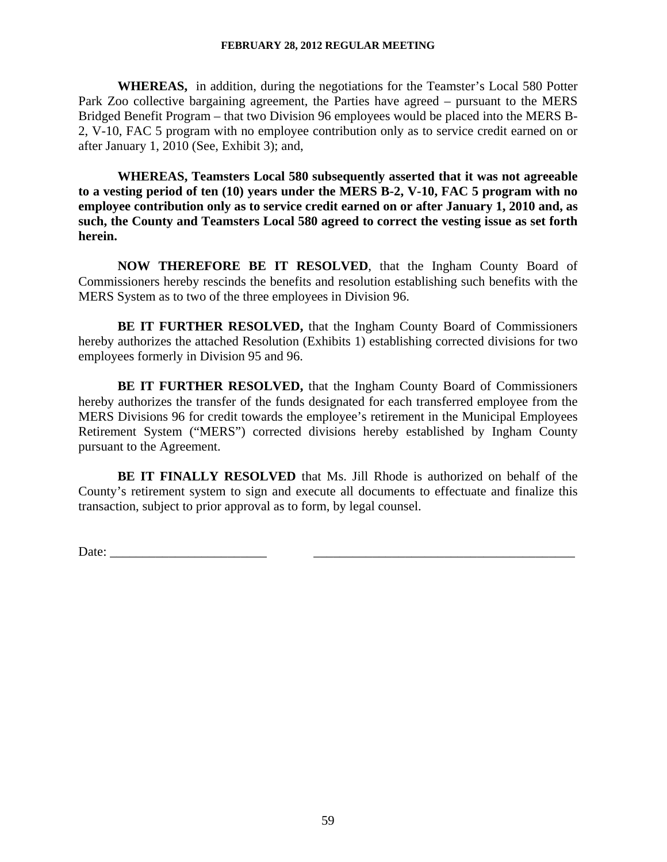**WHEREAS,** in addition, during the negotiations for the Teamster's Local 580 Potter Park Zoo collective bargaining agreement, the Parties have agreed – pursuant to the MERS Bridged Benefit Program – that two Division 96 employees would be placed into the MERS B-2, V-10, FAC 5 program with no employee contribution only as to service credit earned on or after January 1, 2010 (See, Exhibit 3); and,

**WHEREAS, Teamsters Local 580 subsequently asserted that it was not agreeable to a vesting period of ten (10) years under the MERS B-2, V-10, FAC 5 program with no employee contribution only as to service credit earned on or after January 1, 2010 and, as such, the County and Teamsters Local 580 agreed to correct the vesting issue as set forth herein.** 

**NOW THEREFORE BE IT RESOLVED**, that the Ingham County Board of Commissioners hereby rescinds the benefits and resolution establishing such benefits with the MERS System as to two of the three employees in Division 96.

**BE IT FURTHER RESOLVED,** that the Ingham County Board of Commissioners hereby authorizes the attached Resolution (Exhibits 1) establishing corrected divisions for two employees formerly in Division 95 and 96.

**BE IT FURTHER RESOLVED,** that the Ingham County Board of Commissioners hereby authorizes the transfer of the funds designated for each transferred employee from the MERS Divisions 96 for credit towards the employee's retirement in the Municipal Employees Retirement System ("MERS") corrected divisions hereby established by Ingham County pursuant to the Agreement.

**BE IT FINALLY RESOLVED** that Ms. Jill Rhode is authorized on behalf of the County's retirement system to sign and execute all documents to effectuate and finalize this transaction, subject to prior approval as to form, by legal counsel.

Date: \_\_\_\_\_\_\_\_\_\_\_\_\_\_\_\_\_\_\_\_\_\_\_\_ \_\_\_\_\_\_\_\_\_\_\_\_\_\_\_\_\_\_\_\_\_\_\_\_\_\_\_\_\_\_\_\_\_\_\_\_\_\_\_\_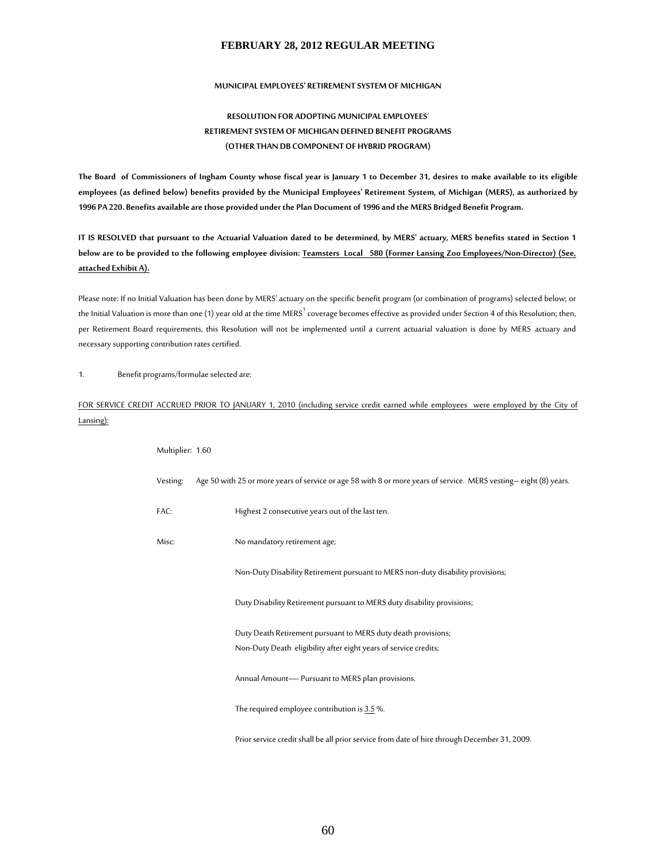#### **MUNICIPAL EMPLOYEES' RETIREMENT SYSTEM OF MICHIGAN**

#### **RESOLUTION FOR ADOPTING MUNICIPAL EMPLOYEES**' **RETIREMENT SYSTEM OF MICHIGAN DEFINED BENEFIT PROGRAMS (OTHER THAN DB COMPONENT OF HYBRID PROGRAM)**

**The Board of Commissioners of Ingham County whose fiscal year is January 1 to December 31, desires to make available to its eligible employees (as defined below) benefits provided by the Municipal Employees' Retirement System, of Michigan (MERS), as authorized by 1996 PA 220. Benefits available are those provided under the Plan Document of 1996 and the MERS Bridged Benefit Program.** 

**IT IS RESOLVED that pursuant to the Actuarial Valuation dated to be determined, by MERS' actuary, MERS benefits stated in Section 1 below are to be provided to the following employee division: Teamsters Local 580 (Former Lansing Zoo Employees/Non-Director) (See, attached Exhibit A).**

Please note: If no Initial Valuation has been done by MERS' actuary on the specific benefit program (or combination of programs) selected below; or the Initial Valuation is more than one (1) year old at the time MERS $^1$ coverage becomes effective as provided under Section 4 of this Resolution; then, per Retirement Board requirements, this Resolution will not be implemented until a current actuarial valuation is done by MERS<sup>'</sup> actuary and necessary supporting contribution rates certified.

1. Benefit programs/formulae selected are:

#### FOR SERVICE CREDIT ACCRUED PRIOR TO JANUARY 1, 2010 (including service credit earned while employees were employed by the City of Lansing):

| Multiplier: 1.60 |                                                                                                                  |
|------------------|------------------------------------------------------------------------------------------------------------------|
| Vesting:         | Age 50 with 25 or more years of service or age 58 with 8 or more years of service. MERS vesting-eight (8) years. |
| FAC:             | Highest 2 consecutive years out of the last ten.                                                                 |
| Misc:            | No mandatory retirement age;                                                                                     |
|                  | Non-Duty Disability Retirement pursuant to MERS non-duty disability provisions;                                  |
|                  | Duty Disability Retirement pursuant to MERS duty disability provisions;                                          |
|                  | Duty Death Retirement pursuant to MERS duty death provisions;                                                    |
|                  | Non-Duty Death eligibility after eight years of service credits;                                                 |
|                  | Annual Amount-Pursuant to MERS plan provisions.                                                                  |
|                  | The required employee contribution is 3.5 %.                                                                     |
|                  | Prior service credit shall be all prior service from date of hire through December 31, 2009.                     |
|                  |                                                                                                                  |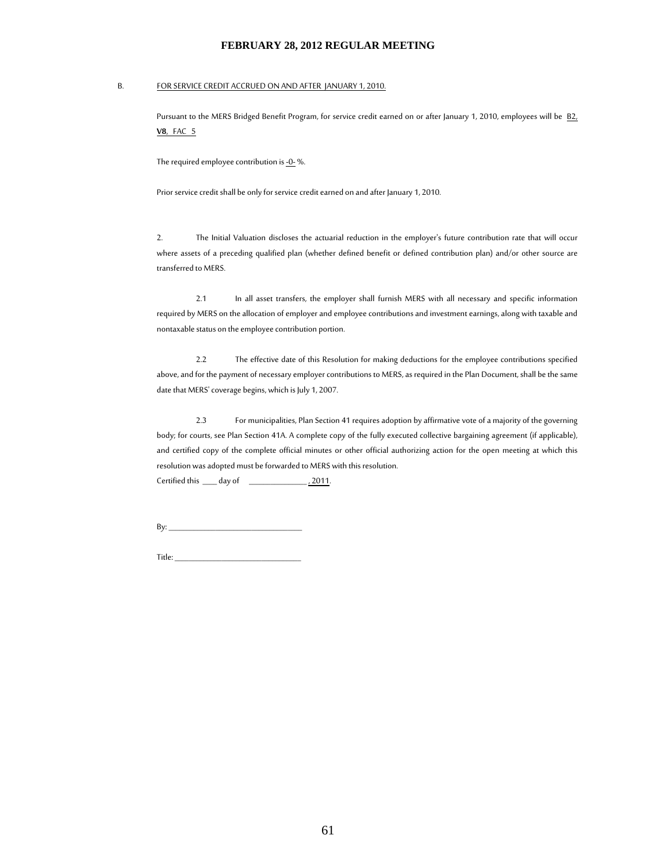#### B. FOR SERVICE CREDIT ACCRUED ON AND AFTER JANUARY 1, 2010.

Pursuant to the MERS Bridged Benefit Program, for service credit earned on or after January 1, 2010, employees will be B2, **V8**, FAC 5

The required employee contribution is  $-0$ - %.

Prior service credit shall be only for service credit earned on and after January 1, 2010.

2. The Initial Valuation discloses the actuarial reduction in the employer's future contribution rate that will occur where assets of a preceding qualified plan (whether defined benefit or defined contribution plan) and/or other source are transferred to MERS.

2.1 In all asset transfers, the employer shall furnish MERS with all necessary and specific information required by MERS on the allocation of employer and employee contributions and investment earnings, along with taxable and nontaxable status on the employee contribution portion.

2.2 The effective date of this Resolution for making deductions for the employee contributions specified above, and for the payment of necessary employer contributions to MERS, as required in the Plan Document, shall be the same date that MERS' coverage begins, which is July 1, 2007.

2.3 For municipalities, Plan Section 41 requires adoption by affirmative vote of a majority of the governing body; for courts, see Plan Section 41A. A complete copy of the fully executed collective bargaining agreement (if applicable), and certified copy of the complete official minutes or other official authorizing action for the open meeting at which this resolution was adopted must be forwarded to MERS with this resolution. Certified this \_\_\_\_ day of \_\_\_\_\_\_\_\_\_\_\_\_\_\_\_\_\_\_\_\_\_, 2011.

 $By:$ 

Title: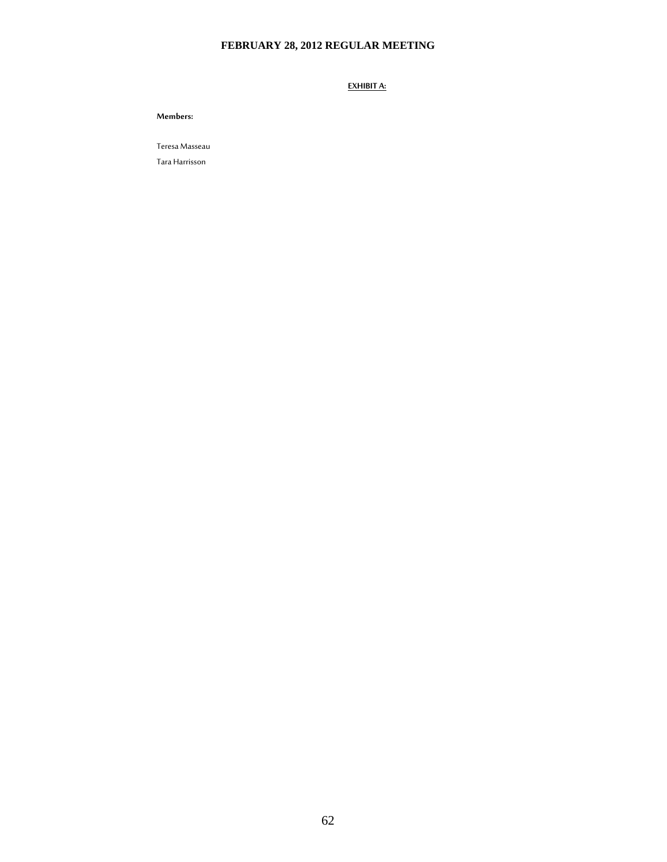**EXHIBIT A:**

**Members:** 

Teresa Masseau

Tara Harrisson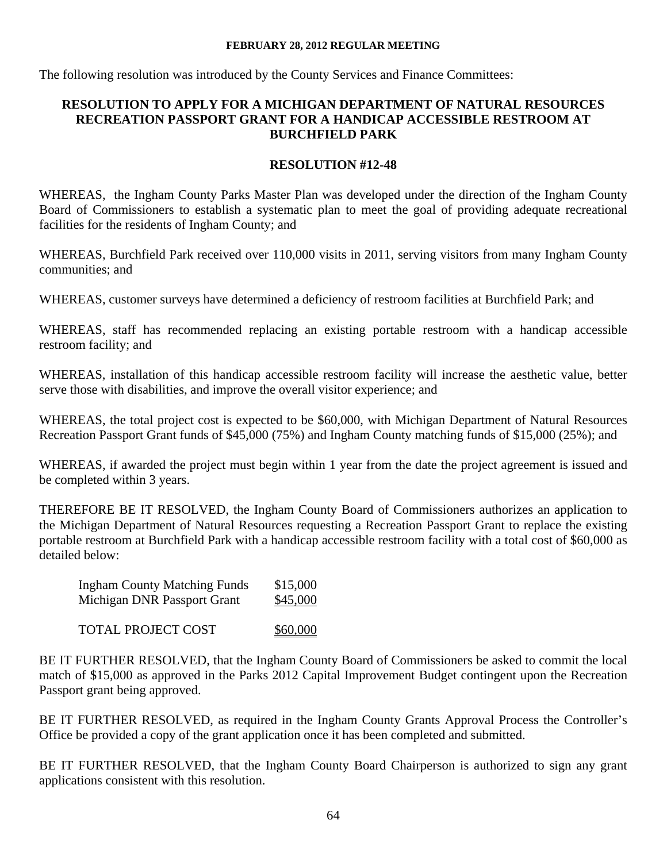The following resolution was introduced by the County Services and Finance Committees:

# **RESOLUTION TO APPLY FOR A MICHIGAN DEPARTMENT OF NATURAL RESOURCES RECREATION PASSPORT GRANT FOR A HANDICAP ACCESSIBLE RESTROOM AT BURCHFIELD PARK**

# **RESOLUTION #12-48**

WHEREAS, the Ingham County Parks Master Plan was developed under the direction of the Ingham County Board of Commissioners to establish a systematic plan to meet the goal of providing adequate recreational facilities for the residents of Ingham County; and

WHEREAS, Burchfield Park received over 110,000 visits in 2011, serving visitors from many Ingham County communities; and

WHEREAS, customer surveys have determined a deficiency of restroom facilities at Burchfield Park; and

WHEREAS, staff has recommended replacing an existing portable restroom with a handicap accessible restroom facility; and

WHEREAS, installation of this handicap accessible restroom facility will increase the aesthetic value, better serve those with disabilities, and improve the overall visitor experience; and

WHEREAS, the total project cost is expected to be \$60,000, with Michigan Department of Natural Resources Recreation Passport Grant funds of \$45,000 (75%) and Ingham County matching funds of \$15,000 (25%); and

WHEREAS, if awarded the project must begin within 1 year from the date the project agreement is issued and be completed within 3 years.

THEREFORE BE IT RESOLVED, the Ingham County Board of Commissioners authorizes an application to the Michigan Department of Natural Resources requesting a Recreation Passport Grant to replace the existing portable restroom at Burchfield Park with a handicap accessible restroom facility with a total cost of \$60,000 as detailed below:

| <b>Ingham County Matching Funds</b> | \$15,000 |
|-------------------------------------|----------|
| Michigan DNR Passport Grant         | \$45,000 |
|                                     |          |

TOTAL PROJECT COST \$60,000

BE IT FURTHER RESOLVED, that the Ingham County Board of Commissioners be asked to commit the local match of \$15,000 as approved in the Parks 2012 Capital Improvement Budget contingent upon the Recreation Passport grant being approved.

BE IT FURTHER RESOLVED, as required in the Ingham County Grants Approval Process the Controller's Office be provided a copy of the grant application once it has been completed and submitted.

BE IT FURTHER RESOLVED, that the Ingham County Board Chairperson is authorized to sign any grant applications consistent with this resolution.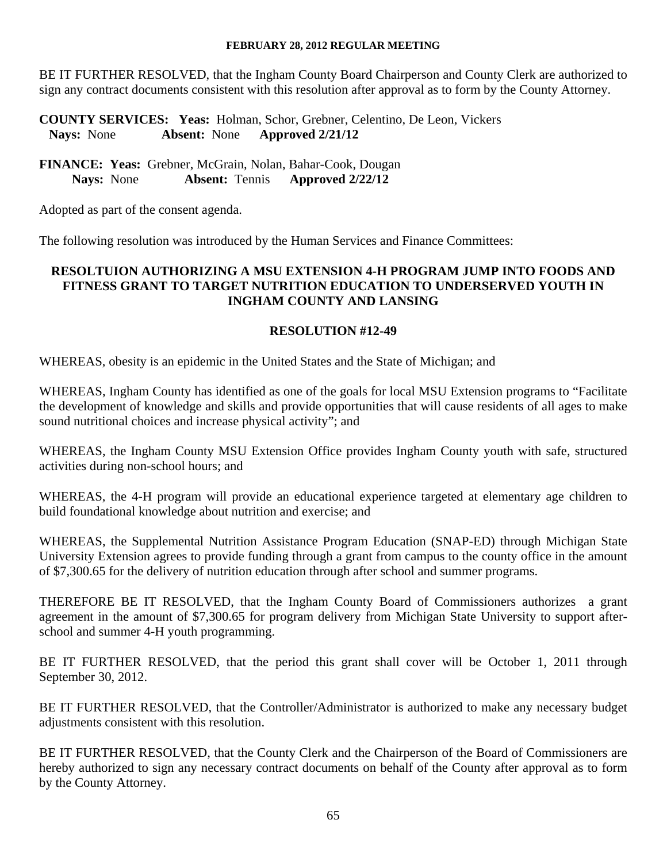BE IT FURTHER RESOLVED, that the Ingham County Board Chairperson and County Clerk are authorized to sign any contract documents consistent with this resolution after approval as to form by the County Attorney.

**COUNTY SERVICES: Yeas:** Holman, Schor, Grebner, Celentino, De Leon, Vickers  **Nays:** None **Absent:** None **Approved 2/21/12** 

**FINANCE: Yeas:** Grebner, McGrain, Nolan, Bahar-Cook, Dougan  **Nays:** None **Absent:** Tennis **Approved 2/22/12** 

Adopted as part of the consent agenda.

The following resolution was introduced by the Human Services and Finance Committees:

### **RESOLTUION AUTHORIZING A MSU EXTENSION 4-H PROGRAM JUMP INTO FOODS AND FITNESS GRANT TO TARGET NUTRITION EDUCATION TO UNDERSERVED YOUTH IN INGHAM COUNTY AND LANSING**

### **RESOLUTION #12-49**

WHEREAS, obesity is an epidemic in the United States and the State of Michigan; and

WHEREAS, Ingham County has identified as one of the goals for local MSU Extension programs to "Facilitate the development of knowledge and skills and provide opportunities that will cause residents of all ages to make sound nutritional choices and increase physical activity"; and

WHEREAS, the Ingham County MSU Extension Office provides Ingham County youth with safe, structured activities during non-school hours; and

WHEREAS, the 4-H program will provide an educational experience targeted at elementary age children to build foundational knowledge about nutrition and exercise; and

WHEREAS, the Supplemental Nutrition Assistance Program Education (SNAP-ED) through Michigan State University Extension agrees to provide funding through a grant from campus to the county office in the amount of \$7,300.65 for the delivery of nutrition education through after school and summer programs.

THEREFORE BE IT RESOLVED, that the Ingham County Board of Commissioners authorizes a grant agreement in the amount of \$7,300.65 for program delivery from Michigan State University to support afterschool and summer 4-H youth programming.

BE IT FURTHER RESOLVED, that the period this grant shall cover will be October 1, 2011 through September 30, 2012.

BE IT FURTHER RESOLVED, that the Controller/Administrator is authorized to make any necessary budget adjustments consistent with this resolution.

BE IT FURTHER RESOLVED, that the County Clerk and the Chairperson of the Board of Commissioners are hereby authorized to sign any necessary contract documents on behalf of the County after approval as to form by the County Attorney.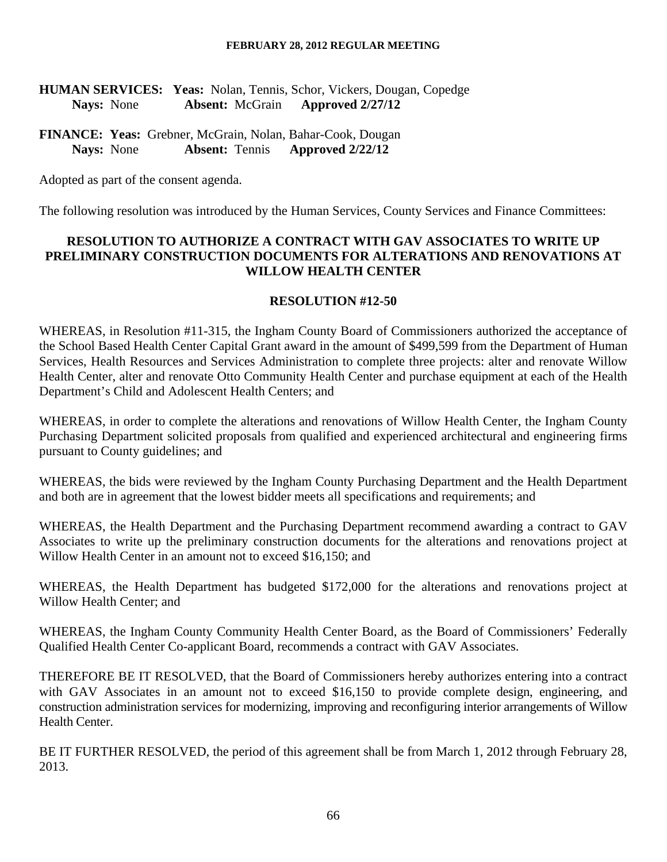# **HUMAN SERVICES: Yeas:** Nolan, Tennis, Schor, Vickers, Dougan, Copedge  **Nays:** None **Absent:** McGrain **Approved 2/27/12**

**FINANCE: Yeas:** Grebner, McGrain, Nolan, Bahar-Cook, Dougan  **Nays:** None **Absent:** Tennis **Approved 2/22/12** 

Adopted as part of the consent agenda.

The following resolution was introduced by the Human Services, County Services and Finance Committees:

## **RESOLUTION TO AUTHORIZE A CONTRACT WITH GAV ASSOCIATES TO WRITE UP PRELIMINARY CONSTRUCTION DOCUMENTS FOR ALTERATIONS AND RENOVATIONS AT WILLOW HEALTH CENTER**

#### **RESOLUTION #12-50**

WHEREAS, in Resolution #11-315, the Ingham County Board of Commissioners authorized the acceptance of the School Based Health Center Capital Grant award in the amount of \$499,599 from the Department of Human Services, Health Resources and Services Administration to complete three projects: alter and renovate Willow Health Center, alter and renovate Otto Community Health Center and purchase equipment at each of the Health Department's Child and Adolescent Health Centers; and

WHEREAS, in order to complete the alterations and renovations of Willow Health Center, the Ingham County Purchasing Department solicited proposals from qualified and experienced architectural and engineering firms pursuant to County guidelines; and

WHEREAS, the bids were reviewed by the Ingham County Purchasing Department and the Health Department and both are in agreement that the lowest bidder meets all specifications and requirements; and

WHEREAS, the Health Department and the Purchasing Department recommend awarding a contract to GAV Associates to write up the preliminary construction documents for the alterations and renovations project at Willow Health Center in an amount not to exceed \$16,150; and

WHEREAS, the Health Department has budgeted \$172,000 for the alterations and renovations project at Willow Health Center; and

WHEREAS, the Ingham County Community Health Center Board, as the Board of Commissioners' Federally Qualified Health Center Co-applicant Board, recommends a contract with GAV Associates.

THEREFORE BE IT RESOLVED, that the Board of Commissioners hereby authorizes entering into a contract with GAV Associates in an amount not to exceed \$16,150 to provide complete design, engineering, and construction administration services for modernizing, improving and reconfiguring interior arrangements of Willow Health Center.

BE IT FURTHER RESOLVED, the period of this agreement shall be from March 1, 2012 through February 28, 2013.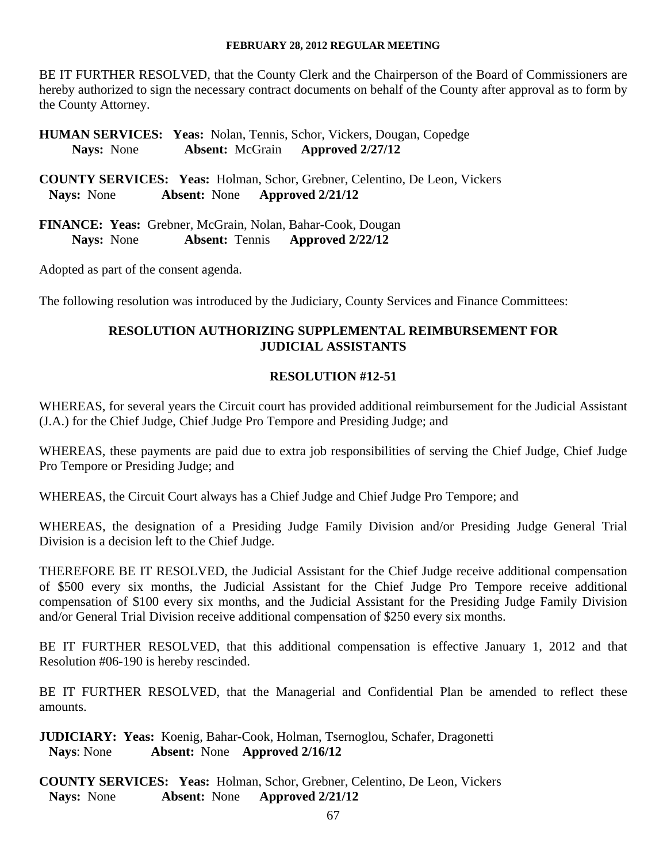BE IT FURTHER RESOLVED, that the County Clerk and the Chairperson of the Board of Commissioners are hereby authorized to sign the necessary contract documents on behalf of the County after approval as to form by the County Attorney.

**HUMAN SERVICES: Yeas:** Nolan, Tennis, Schor, Vickers, Dougan, Copedge  **Nays:** None **Absent:** McGrain **Approved 2/27/12** 

**COUNTY SERVICES: Yeas:** Holman, Schor, Grebner, Celentino, De Leon, Vickers  **Nays:** None **Absent:** None **Approved 2/21/12** 

**FINANCE: Yeas:** Grebner, McGrain, Nolan, Bahar-Cook, Dougan  **Nays:** None **Absent:** Tennis **Approved 2/22/12** 

Adopted as part of the consent agenda.

The following resolution was introduced by the Judiciary, County Services and Finance Committees:

# **RESOLUTION AUTHORIZING SUPPLEMENTAL REIMBURSEMENT FOR JUDICIAL ASSISTANTS**

## **RESOLUTION #12-51**

WHEREAS, for several years the Circuit court has provided additional reimbursement for the Judicial Assistant (J.A.) for the Chief Judge, Chief Judge Pro Tempore and Presiding Judge; and

WHEREAS, these payments are paid due to extra job responsibilities of serving the Chief Judge, Chief Judge Pro Tempore or Presiding Judge; and

WHEREAS, the Circuit Court always has a Chief Judge and Chief Judge Pro Tempore; and

WHEREAS, the designation of a Presiding Judge Family Division and/or Presiding Judge General Trial Division is a decision left to the Chief Judge.

THEREFORE BE IT RESOLVED, the Judicial Assistant for the Chief Judge receive additional compensation of \$500 every six months, the Judicial Assistant for the Chief Judge Pro Tempore receive additional compensation of \$100 every six months, and the Judicial Assistant for the Presiding Judge Family Division and/or General Trial Division receive additional compensation of \$250 every six months.

BE IT FURTHER RESOLVED, that this additional compensation is effective January 1, 2012 and that Resolution #06-190 is hereby rescinded.

BE IT FURTHER RESOLVED, that the Managerial and Confidential Plan be amended to reflect these amounts.

**JUDICIARY: Yeas:** Koenig, Bahar-Cook, Holman, Tsernoglou, Schafer, Dragonetti **Nays**: None **Absent:** None **Approved 2/16/12** 

**COUNTY SERVICES: Yeas:** Holman, Schor, Grebner, Celentino, De Leon, Vickers  **Nays:** None **Absent:** None **Approved 2/21/12**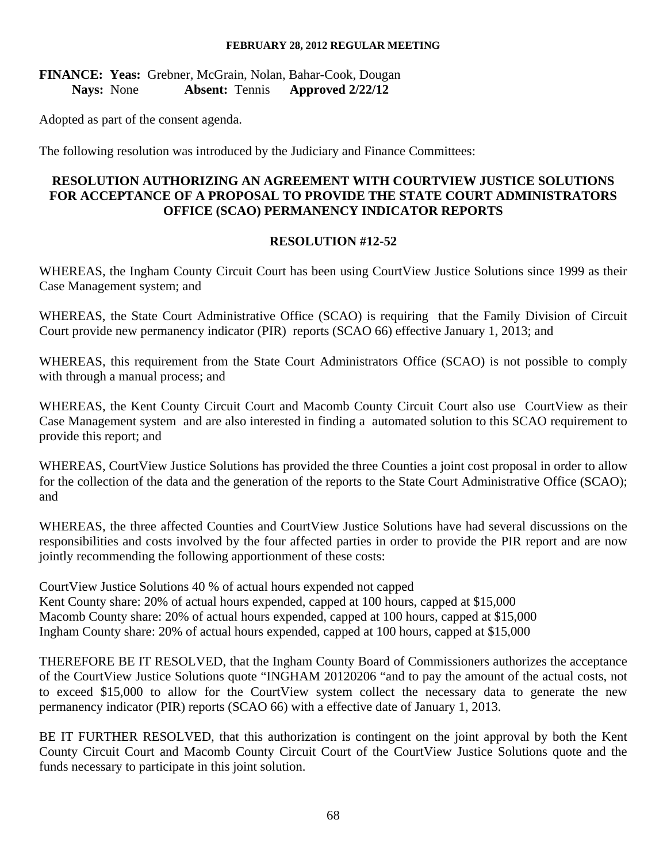# **FINANCE: Yeas:** Grebner, McGrain, Nolan, Bahar-Cook, Dougan  **Nays:** None **Absent:** Tennis **Approved 2/22/12**

Adopted as part of the consent agenda.

The following resolution was introduced by the Judiciary and Finance Committees:

# **RESOLUTION AUTHORIZING AN AGREEMENT WITH COURTVIEW JUSTICE SOLUTIONS FOR ACCEPTANCE OF A PROPOSAL TO PROVIDE THE STATE COURT ADMINISTRATORS OFFICE (SCAO) PERMANENCY INDICATOR REPORTS**

### **RESOLUTION #12-52**

WHEREAS, the Ingham County Circuit Court has been using CourtView Justice Solutions since 1999 as their Case Management system; and

WHEREAS, the State Court Administrative Office (SCAO) is requiring that the Family Division of Circuit Court provide new permanency indicator (PIR) reports (SCAO 66) effective January 1, 2013; and

WHEREAS, this requirement from the State Court Administrators Office (SCAO) is not possible to comply with through a manual process; and

WHEREAS, the Kent County Circuit Court and Macomb County Circuit Court also use CourtView as their Case Management system and are also interested in finding a automated solution to this SCAO requirement to provide this report; and

WHEREAS, CourtView Justice Solutions has provided the three Counties a joint cost proposal in order to allow for the collection of the data and the generation of the reports to the State Court Administrative Office (SCAO); and

WHEREAS, the three affected Counties and CourtView Justice Solutions have had several discussions on the responsibilities and costs involved by the four affected parties in order to provide the PIR report and are now jointly recommending the following apportionment of these costs:

CourtView Justice Solutions 40 % of actual hours expended not capped Kent County share: 20% of actual hours expended, capped at 100 hours, capped at \$15,000 Macomb County share: 20% of actual hours expended, capped at 100 hours, capped at \$15,000 Ingham County share: 20% of actual hours expended, capped at 100 hours, capped at \$15,000

THEREFORE BE IT RESOLVED, that the Ingham County Board of Commissioners authorizes the acceptance of the CourtView Justice Solutions quote "INGHAM 20120206 "and to pay the amount of the actual costs, not to exceed \$15,000 to allow for the CourtView system collect the necessary data to generate the new permanency indicator (PIR) reports (SCAO 66) with a effective date of January 1, 2013.

BE IT FURTHER RESOLVED, that this authorization is contingent on the joint approval by both the Kent County Circuit Court and Macomb County Circuit Court of the CourtView Justice Solutions quote and the funds necessary to participate in this joint solution.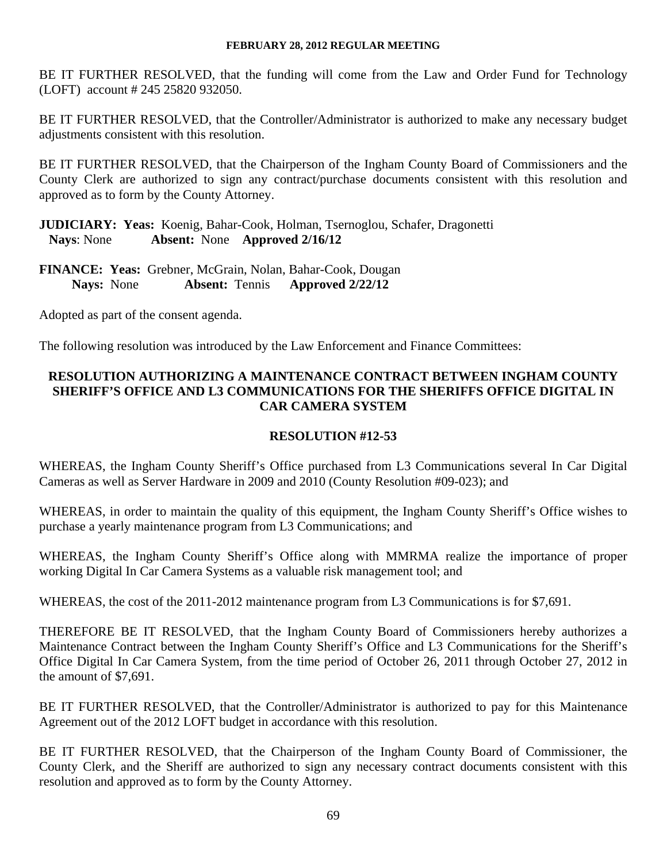BE IT FURTHER RESOLVED, that the funding will come from the Law and Order Fund for Technology (LOFT) account # 245 25820 932050.

BE IT FURTHER RESOLVED, that the Controller/Administrator is authorized to make any necessary budget adjustments consistent with this resolution.

BE IT FURTHER RESOLVED, that the Chairperson of the Ingham County Board of Commissioners and the County Clerk are authorized to sign any contract/purchase documents consistent with this resolution and approved as to form by the County Attorney.

**JUDICIARY: Yeas:** Koenig, Bahar-Cook, Holman, Tsernoglou, Schafer, Dragonetti **Nays**: None **Absent:** None **Approved 2/16/12** 

**FINANCE: Yeas:** Grebner, McGrain, Nolan, Bahar-Cook, Dougan  **Nays:** None **Absent:** Tennis **Approved 2/22/12** 

Adopted as part of the consent agenda.

The following resolution was introduced by the Law Enforcement and Finance Committees:

# **RESOLUTION AUTHORIZING A MAINTENANCE CONTRACT BETWEEN INGHAM COUNTY SHERIFF'S OFFICE AND L3 COMMUNICATIONS FOR THE SHERIFFS OFFICE DIGITAL IN CAR CAMERA SYSTEM**

# **RESOLUTION #12-53**

WHEREAS, the Ingham County Sheriff's Office purchased from L3 Communications several In Car Digital Cameras as well as Server Hardware in 2009 and 2010 (County Resolution #09-023); and

WHEREAS, in order to maintain the quality of this equipment, the Ingham County Sheriff's Office wishes to purchase a yearly maintenance program from L3 Communications; and

WHEREAS, the Ingham County Sheriff's Office along with MMRMA realize the importance of proper working Digital In Car Camera Systems as a valuable risk management tool; and

WHEREAS, the cost of the 2011-2012 maintenance program from L3 Communications is for \$7,691.

THEREFORE BE IT RESOLVED, that the Ingham County Board of Commissioners hereby authorizes a Maintenance Contract between the Ingham County Sheriff's Office and L3 Communications for the Sheriff's Office Digital In Car Camera System, from the time period of October 26, 2011 through October 27, 2012 in the amount of \$7,691.

BE IT FURTHER RESOLVED, that the Controller/Administrator is authorized to pay for this Maintenance Agreement out of the 2012 LOFT budget in accordance with this resolution.

BE IT FURTHER RESOLVED, that the Chairperson of the Ingham County Board of Commissioner, the County Clerk, and the Sheriff are authorized to sign any necessary contract documents consistent with this resolution and approved as to form by the County Attorney.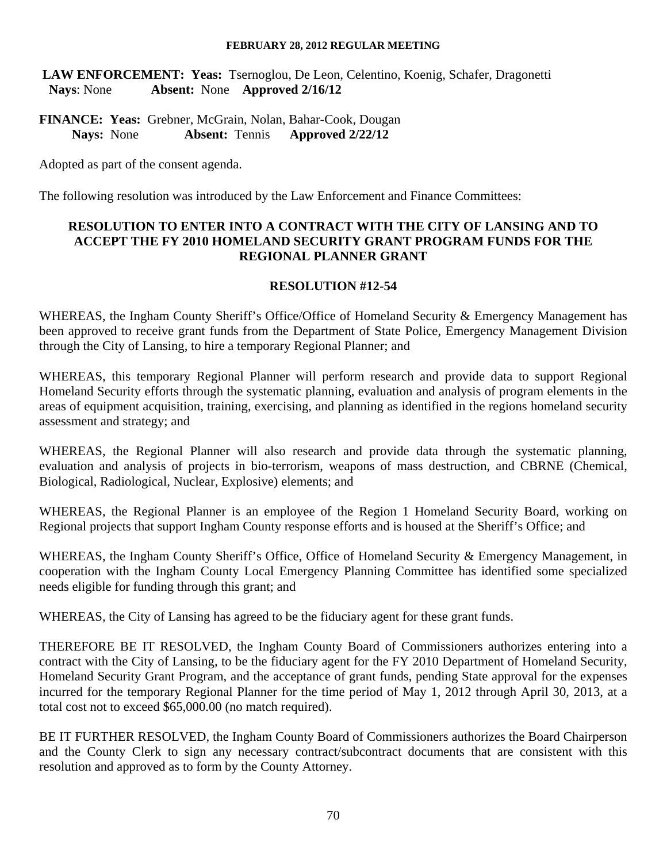**LAW ENFORCEMENT: Yeas:** Tsernoglou, De Leon, Celentino, Koenig, Schafer, Dragonetti **Nays**: None **Absent:** None **Approved 2/16/12** 

**FINANCE: Yeas:** Grebner, McGrain, Nolan, Bahar-Cook, Dougan  **Nays:** None **Absent:** Tennis **Approved 2/22/12** 

Adopted as part of the consent agenda.

The following resolution was introduced by the Law Enforcement and Finance Committees:

## **RESOLUTION TO ENTER INTO A CONTRACT WITH THE CITY OF LANSING AND TO ACCEPT THE FY 2010 HOMELAND SECURITY GRANT PROGRAM FUNDS FOR THE REGIONAL PLANNER GRANT**

### **RESOLUTION #12-54**

WHEREAS, the Ingham County Sheriff's Office/Office of Homeland Security & Emergency Management has been approved to receive grant funds from the Department of State Police, Emergency Management Division through the City of Lansing, to hire a temporary Regional Planner; and

WHEREAS, this temporary Regional Planner will perform research and provide data to support Regional Homeland Security efforts through the systematic planning, evaluation and analysis of program elements in the areas of equipment acquisition, training, exercising, and planning as identified in the regions homeland security assessment and strategy; and

WHEREAS, the Regional Planner will also research and provide data through the systematic planning, evaluation and analysis of projects in bio-terrorism, weapons of mass destruction, and CBRNE (Chemical, Biological, Radiological, Nuclear, Explosive) elements; and

WHEREAS, the Regional Planner is an employee of the Region 1 Homeland Security Board, working on Regional projects that support Ingham County response efforts and is housed at the Sheriff's Office; and

WHEREAS, the Ingham County Sheriff's Office, Office of Homeland Security & Emergency Management, in cooperation with the Ingham County Local Emergency Planning Committee has identified some specialized needs eligible for funding through this grant; and

WHEREAS, the City of Lansing has agreed to be the fiduciary agent for these grant funds.

THEREFORE BE IT RESOLVED, the Ingham County Board of Commissioners authorizes entering into a contract with the City of Lansing, to be the fiduciary agent for the FY 2010 Department of Homeland Security, Homeland Security Grant Program, and the acceptance of grant funds, pending State approval for the expenses incurred for the temporary Regional Planner for the time period of May 1, 2012 through April 30, 2013, at a total cost not to exceed \$65,000.00 (no match required).

BE IT FURTHER RESOLVED, the Ingham County Board of Commissioners authorizes the Board Chairperson and the County Clerk to sign any necessary contract/subcontract documents that are consistent with this resolution and approved as to form by the County Attorney.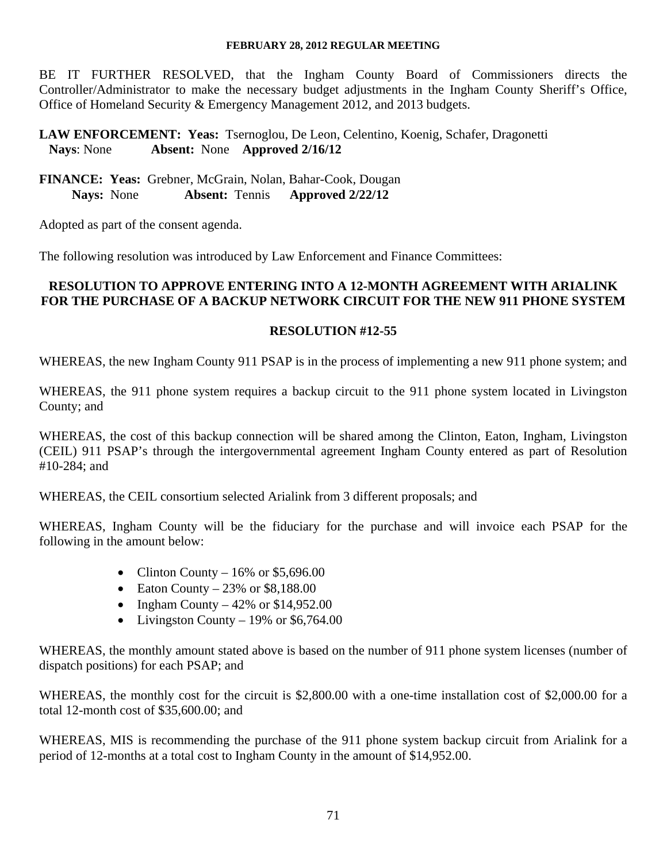BE IT FURTHER RESOLVED, that the Ingham County Board of Commissioners directs the Controller/Administrator to make the necessary budget adjustments in the Ingham County Sheriff's Office, Office of Homeland Security & Emergency Management 2012, and 2013 budgets.

# **LAW ENFORCEMENT: Yeas:** Tsernoglou, De Leon, Celentino, Koenig, Schafer, Dragonetti **Nays**: None **Absent:** None **Approved 2/16/12**

**FINANCE: Yeas:** Grebner, McGrain, Nolan, Bahar-Cook, Dougan  **Nays:** None **Absent:** Tennis **Approved 2/22/12** 

Adopted as part of the consent agenda.

The following resolution was introduced by Law Enforcement and Finance Committees:

#### **RESOLUTION TO APPROVE ENTERING INTO A 12-MONTH AGREEMENT WITH ARIALINK FOR THE PURCHASE OF A BACKUP NETWORK CIRCUIT FOR THE NEW 911 PHONE SYSTEM**

### **RESOLUTION #12-55**

WHEREAS, the new Ingham County 911 PSAP is in the process of implementing a new 911 phone system; and

WHEREAS, the 911 phone system requires a backup circuit to the 911 phone system located in Livingston County; and

WHEREAS, the cost of this backup connection will be shared among the Clinton, Eaton, Ingham, Livingston (CEIL) 911 PSAP's through the intergovernmental agreement Ingham County entered as part of Resolution #10-284; and

WHEREAS, the CEIL consortium selected Arialink from 3 different proposals; and

WHEREAS, Ingham County will be the fiduciary for the purchase and will invoice each PSAP for the following in the amount below:

- Clinton County  $16\%$  or \$5,696.00
- Eaton County  $-23\%$  or \$8,188.00
- Ingham County  $-42\%$  or \$14,952.00
- Livingston County 19% or  $$6,764.00$

WHEREAS, the monthly amount stated above is based on the number of 911 phone system licenses (number of dispatch positions) for each PSAP; and

WHEREAS, the monthly cost for the circuit is \$2,800.00 with a one-time installation cost of \$2,000.00 for a total 12-month cost of \$35,600.00; and

WHEREAS, MIS is recommending the purchase of the 911 phone system backup circuit from Arialink for a period of 12-months at a total cost to Ingham County in the amount of \$14,952.00.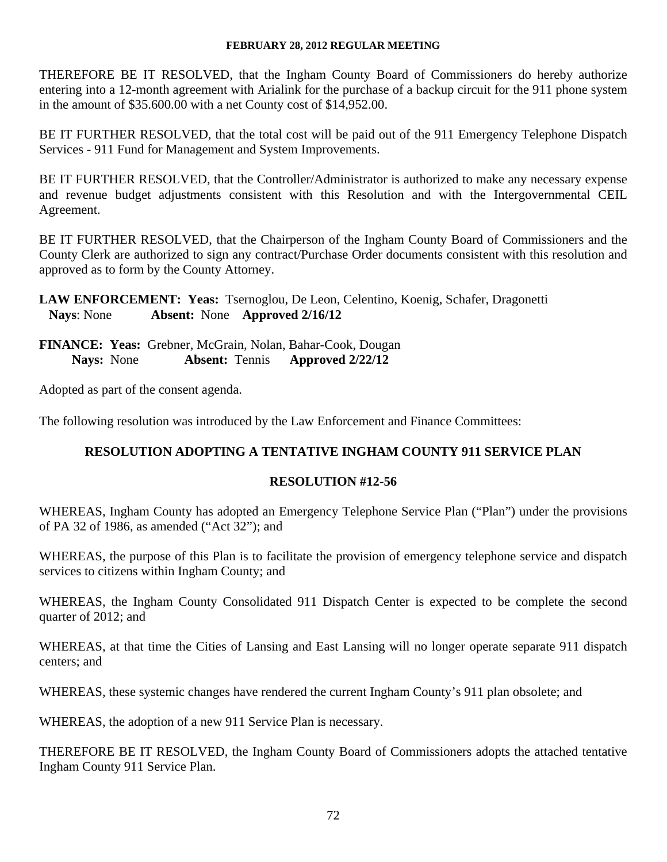THEREFORE BE IT RESOLVED, that the Ingham County Board of Commissioners do hereby authorize entering into a 12-month agreement with Arialink for the purchase of a backup circuit for the 911 phone system in the amount of \$35.600.00 with a net County cost of \$14,952.00.

BE IT FURTHER RESOLVED, that the total cost will be paid out of the 911 Emergency Telephone Dispatch Services - 911 Fund for Management and System Improvements.

BE IT FURTHER RESOLVED, that the Controller/Administrator is authorized to make any necessary expense and revenue budget adjustments consistent with this Resolution and with the Intergovernmental CEIL Agreement.

BE IT FURTHER RESOLVED, that the Chairperson of the Ingham County Board of Commissioners and the County Clerk are authorized to sign any contract/Purchase Order documents consistent with this resolution and approved as to form by the County Attorney.

**LAW ENFORCEMENT: Yeas:** Tsernoglou, De Leon, Celentino, Koenig, Schafer, Dragonetti **Nays**: None **Absent:** None **Approved 2/16/12** 

**FINANCE: Yeas:** Grebner, McGrain, Nolan, Bahar-Cook, Dougan  **Nays:** None **Absent:** Tennis **Approved 2/22/12** 

Adopted as part of the consent agenda.

The following resolution was introduced by the Law Enforcement and Finance Committees:

# **RESOLUTION ADOPTING A TENTATIVE INGHAM COUNTY 911 SERVICE PLAN**

# **RESOLUTION #12-56**

WHEREAS, Ingham County has adopted an Emergency Telephone Service Plan ("Plan") under the provisions of PA 32 of 1986, as amended ("Act 32"); and

WHEREAS, the purpose of this Plan is to facilitate the provision of emergency telephone service and dispatch services to citizens within Ingham County; and

WHEREAS, the Ingham County Consolidated 911 Dispatch Center is expected to be complete the second quarter of 2012; and

WHEREAS, at that time the Cities of Lansing and East Lansing will no longer operate separate 911 dispatch centers; and

WHEREAS, these systemic changes have rendered the current Ingham County's 911 plan obsolete; and

WHEREAS, the adoption of a new 911 Service Plan is necessary.

THEREFORE BE IT RESOLVED, the Ingham County Board of Commissioners adopts the attached tentative Ingham County 911 Service Plan.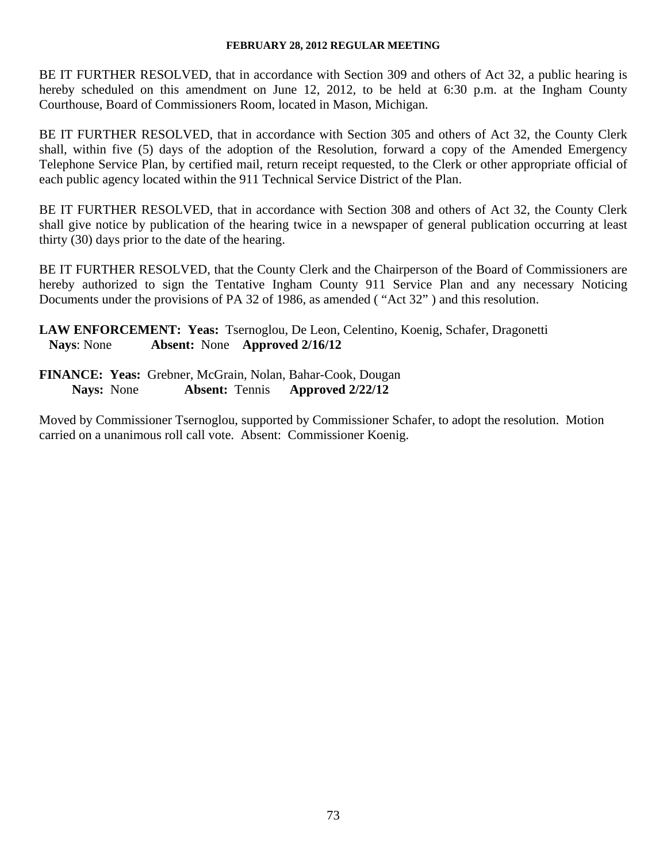BE IT FURTHER RESOLVED, that in accordance with Section 309 and others of Act 32, a public hearing is hereby scheduled on this amendment on June 12, 2012, to be held at 6:30 p.m. at the Ingham County Courthouse, Board of Commissioners Room, located in Mason, Michigan.

BE IT FURTHER RESOLVED, that in accordance with Section 305 and others of Act 32, the County Clerk shall, within five (5) days of the adoption of the Resolution, forward a copy of the Amended Emergency Telephone Service Plan, by certified mail, return receipt requested, to the Clerk or other appropriate official of each public agency located within the 911 Technical Service District of the Plan.

BE IT FURTHER RESOLVED, that in accordance with Section 308 and others of Act 32, the County Clerk shall give notice by publication of the hearing twice in a newspaper of general publication occurring at least thirty (30) days prior to the date of the hearing.

BE IT FURTHER RESOLVED, that the County Clerk and the Chairperson of the Board of Commissioners are hereby authorized to sign the Tentative Ingham County 911 Service Plan and any necessary Noticing Documents under the provisions of PA 32 of 1986, as amended ( "Act 32" ) and this resolution.

**LAW ENFORCEMENT: Yeas:** Tsernoglou, De Leon, Celentino, Koenig, Schafer, Dragonetti **Nays**: None **Absent:** None **Approved 2/16/12** 

**FINANCE: Yeas:** Grebner, McGrain, Nolan, Bahar-Cook, Dougan  **Nays:** None **Absent:** Tennis **Approved 2/22/12** 

Moved by Commissioner Tsernoglou, supported by Commissioner Schafer, to adopt the resolution. Motion carried on a unanimous roll call vote. Absent: Commissioner Koenig.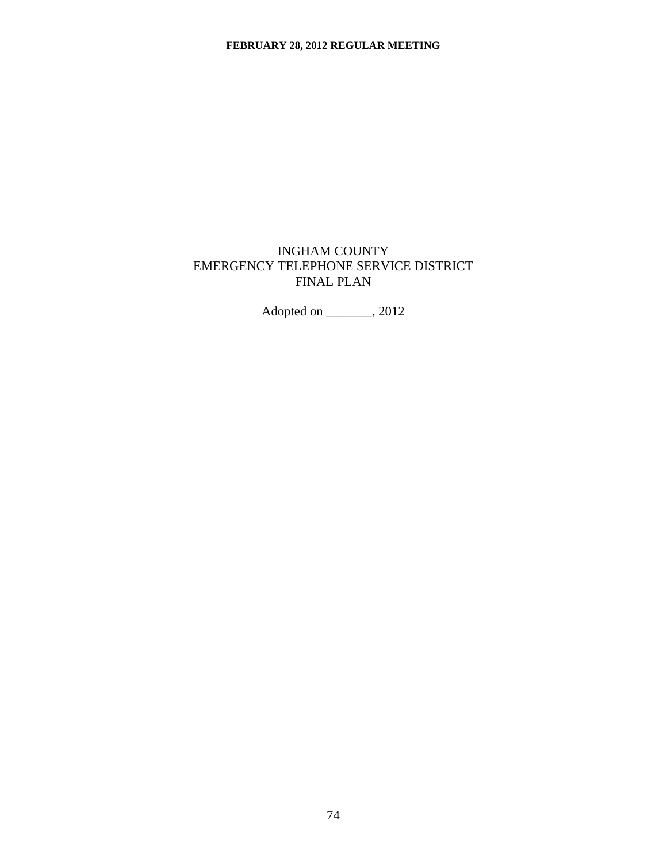# INGHAM COUNTY EMERGENCY TELEPHONE SERVICE DISTRICT FINAL PLAN

Adopted on \_\_\_\_\_\_\_, 2012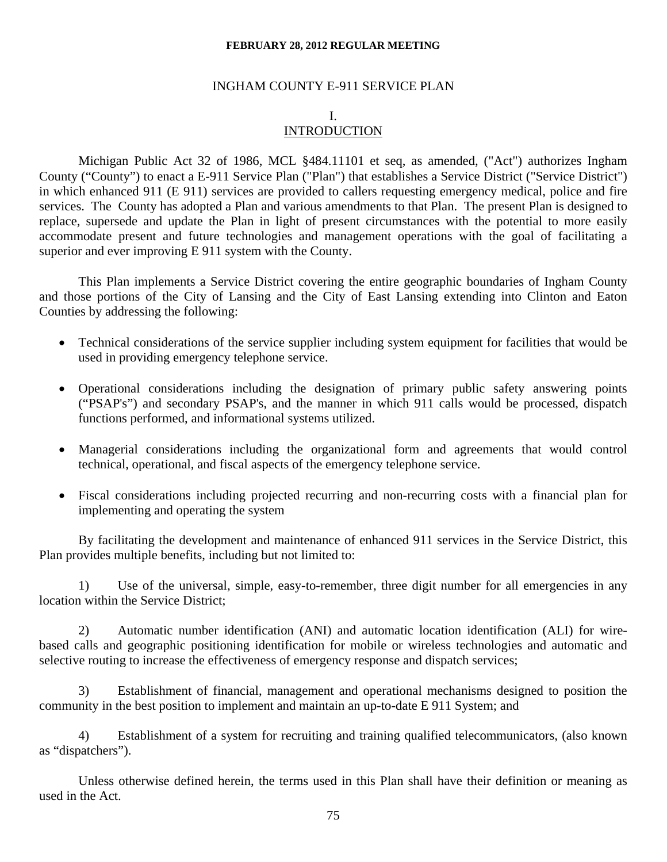#### INGHAM COUNTY E-911 SERVICE PLAN

#### I. **INTRODUCTION**

Michigan Public Act 32 of 1986, MCL §484.11101 et seq, as amended, ("Act") authorizes Ingham County ("County") to enact a E-911 Service Plan ("Plan") that establishes a Service District ("Service District") in which enhanced 911 (E 911) services are provided to callers requesting emergency medical, police and fire services. The County has adopted a Plan and various amendments to that Plan. The present Plan is designed to replace, supersede and update the Plan in light of present circumstances with the potential to more easily accommodate present and future technologies and management operations with the goal of facilitating a superior and ever improving E 911 system with the County.

 This Plan implements a Service District covering the entire geographic boundaries of Ingham County and those portions of the City of Lansing and the City of East Lansing extending into Clinton and Eaton Counties by addressing the following:

- Technical considerations of the service supplier including system equipment for facilities that would be used in providing emergency telephone service.
- Operational considerations including the designation of primary public safety answering points ("PSAP's") and secondary PSAP's, and the manner in which 911 calls would be processed, dispatch functions performed, and informational systems utilized.
- Managerial considerations including the organizational form and agreements that would control technical, operational, and fiscal aspects of the emergency telephone service.
- Fiscal considerations including projected recurring and non-recurring costs with a financial plan for implementing and operating the system

 By facilitating the development and maintenance of enhanced 911 services in the Service District, this Plan provides multiple benefits, including but not limited to:

1) Use of the universal, simple, easy-to-remember, three digit number for all emergencies in any location within the Service District;

2) Automatic number identification (ANI) and automatic location identification (ALI) for wirebased calls and geographic positioning identification for mobile or wireless technologies and automatic and selective routing to increase the effectiveness of emergency response and dispatch services;

3) Establishment of financial, management and operational mechanisms designed to position the community in the best position to implement and maintain an up-to-date E 911 System; and

4) Establishment of a system for recruiting and training qualified telecommunicators, (also known as "dispatchers").

Unless otherwise defined herein, the terms used in this Plan shall have their definition or meaning as used in the Act.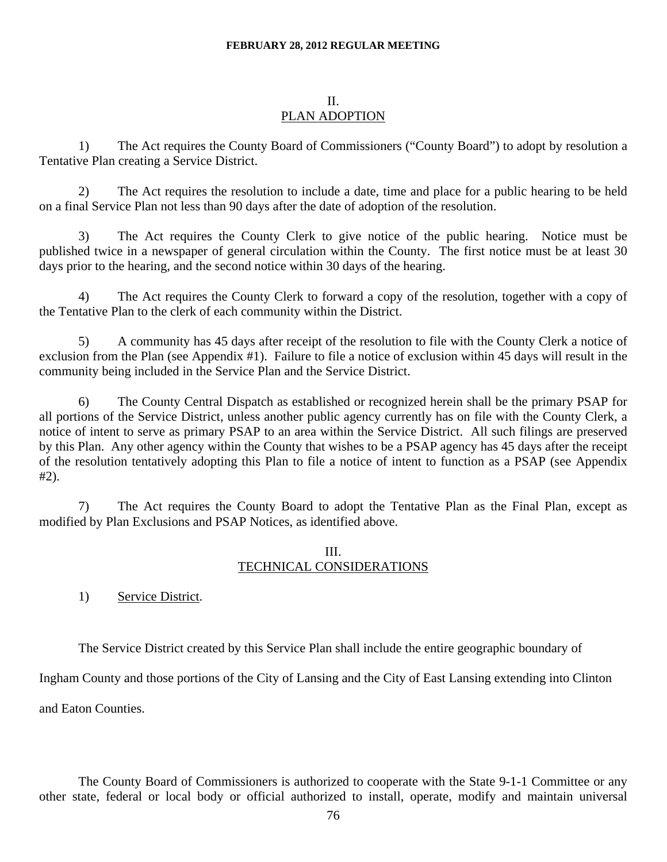#### II.

### PLAN ADOPTION

1) The Act requires the County Board of Commissioners ("County Board") to adopt by resolution a Tentative Plan creating a Service District.

2) The Act requires the resolution to include a date, time and place for a public hearing to be held on a final Service Plan not less than 90 days after the date of adoption of the resolution.

3) The Act requires the County Clerk to give notice of the public hearing. Notice must be published twice in a newspaper of general circulation within the County. The first notice must be at least 30 days prior to the hearing, and the second notice within 30 days of the hearing.

4) The Act requires the County Clerk to forward a copy of the resolution, together with a copy of the Tentative Plan to the clerk of each community within the District.

5) A community has 45 days after receipt of the resolution to file with the County Clerk a notice of exclusion from the Plan (see Appendix #1). Failure to file a notice of exclusion within 45 days will result in the community being included in the Service Plan and the Service District.

6) The County Central Dispatch as established or recognized herein shall be the primary PSAP for all portions of the Service District, unless another public agency currently has on file with the County Clerk, a notice of intent to serve as primary PSAP to an area within the Service District. All such filings are preserved by this Plan. Any other agency within the County that wishes to be a PSAP agency has 45 days after the receipt of the resolution tentatively adopting this Plan to file a notice of intent to function as a PSAP (see Appendix #2).

7) The Act requires the County Board to adopt the Tentative Plan as the Final Plan, except as modified by Plan Exclusions and PSAP Notices, as identified above.

### III. TECHNICAL CONSIDERATIONS

1) Service District.

The Service District created by this Service Plan shall include the entire geographic boundary of

Ingham County and those portions of the City of Lansing and the City of East Lansing extending into Clinton

and Eaton Counties.

The County Board of Commissioners is authorized to cooperate with the State 9-1-1 Committee or any other state, federal or local body or official authorized to install, operate, modify and maintain universal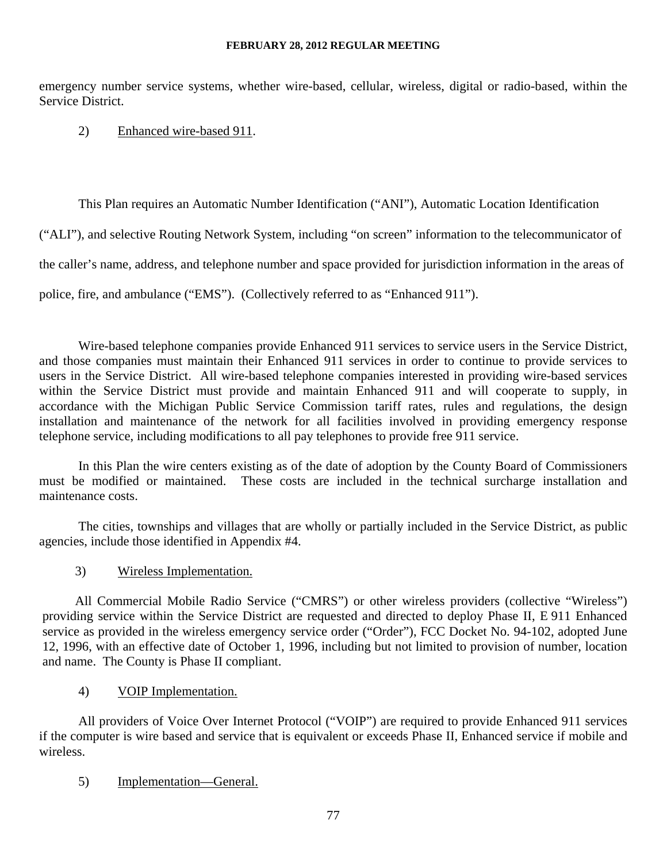emergency number service systems, whether wire-based, cellular, wireless, digital or radio-based, within the Service District.

# 2) Enhanced wire-based 911.

This Plan requires an Automatic Number Identification ("ANI"), Automatic Location Identification

("ALI"), and selective Routing Network System, including "on screen" information to the telecommunicator of

the caller's name, address, and telephone number and space provided for jurisdiction information in the areas of

police, fire, and ambulance ("EMS"). (Collectively referred to as "Enhanced 911").

Wire-based telephone companies provide Enhanced 911 services to service users in the Service District, and those companies must maintain their Enhanced 911 services in order to continue to provide services to users in the Service District. All wire-based telephone companies interested in providing wire-based services within the Service District must provide and maintain Enhanced 911 and will cooperate to supply, in accordance with the Michigan Public Service Commission tariff rates, rules and regulations, the design installation and maintenance of the network for all facilities involved in providing emergency response telephone service, including modifications to all pay telephones to provide free 911 service.

 In this Plan the wire centers existing as of the date of adoption by the County Board of Commissioners must be modified or maintained. These costs are included in the technical surcharge installation and maintenance costs.

 The cities, townships and villages that are wholly or partially included in the Service District, as public agencies, include those identified in Appendix #4.

3) Wireless Implementation.

All Commercial Mobile Radio Service ("CMRS") or other wireless providers (collective "Wireless") providing service within the Service District are requested and directed to deploy Phase II, E 911 Enhanced service as provided in the wireless emergency service order ("Order"), FCC Docket No. 94-102, adopted June 12, 1996, with an effective date of October 1, 1996, including but not limited to provision of number, location and name. The County is Phase II compliant.

4) VOIP Implementation.

All providers of Voice Over Internet Protocol ("VOIP") are required to provide Enhanced 911 services if the computer is wire based and service that is equivalent or exceeds Phase II, Enhanced service if mobile and wireless.

5) Implementation—General.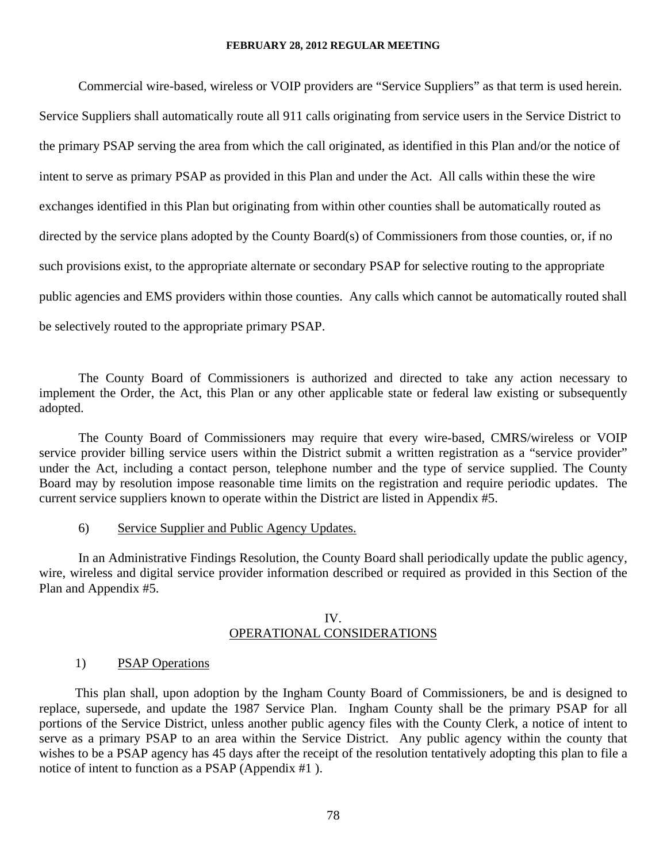Commercial wire-based, wireless or VOIP providers are "Service Suppliers" as that term is used herein. Service Suppliers shall automatically route all 911 calls originating from service users in the Service District to the primary PSAP serving the area from which the call originated, as identified in this Plan and/or the notice of intent to serve as primary PSAP as provided in this Plan and under the Act. All calls within these the wire exchanges identified in this Plan but originating from within other counties shall be automatically routed as directed by the service plans adopted by the County Board(s) of Commissioners from those counties, or, if no such provisions exist, to the appropriate alternate or secondary PSAP for selective routing to the appropriate public agencies and EMS providers within those counties. Any calls which cannot be automatically routed shall be selectively routed to the appropriate primary PSAP.

The County Board of Commissioners is authorized and directed to take any action necessary to implement the Order, the Act, this Plan or any other applicable state or federal law existing or subsequently adopted.

The County Board of Commissioners may require that every wire-based, CMRS/wireless or VOIP service provider billing service users within the District submit a written registration as a "service provider" under the Act, including a contact person, telephone number and the type of service supplied. The County Board may by resolution impose reasonable time limits on the registration and require periodic updates. The current service suppliers known to operate within the District are listed in Appendix #5.

6) Service Supplier and Public Agency Updates.

 In an Administrative Findings Resolution, the County Board shall periodically update the public agency, wire, wireless and digital service provider information described or required as provided in this Section of the Plan and Appendix #5.

#### IV. OPERATIONAL CONSIDERATIONS

#### 1) PSAP Operations

This plan shall, upon adoption by the Ingham County Board of Commissioners, be and is designed to replace, supersede, and update the 1987 Service Plan. Ingham County shall be the primary PSAP for all portions of the Service District, unless another public agency files with the County Clerk, a notice of intent to serve as a primary PSAP to an area within the Service District. Any public agency within the county that wishes to be a PSAP agency has 45 days after the receipt of the resolution tentatively adopting this plan to file a notice of intent to function as a PSAP (Appendix #1 ).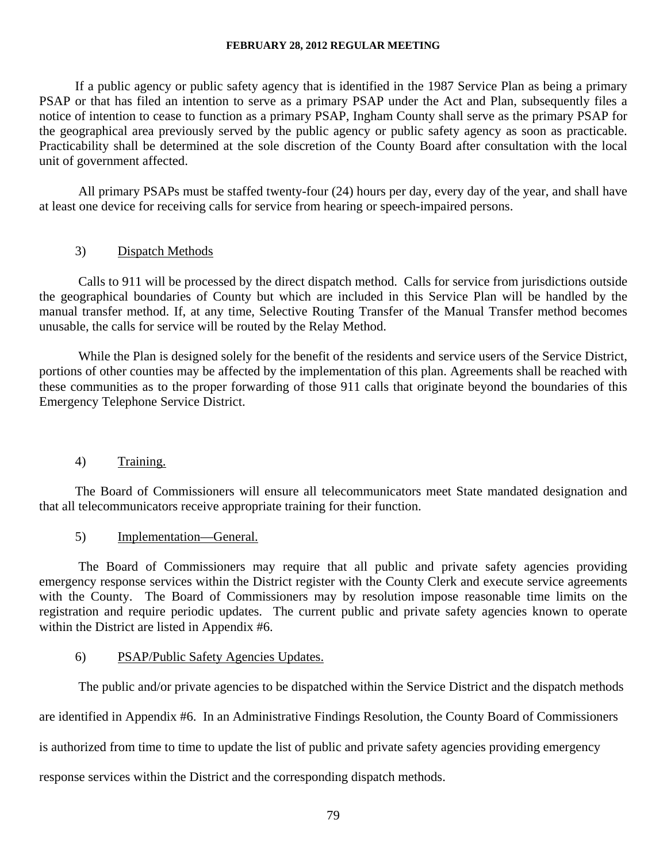If a public agency or public safety agency that is identified in the 1987 Service Plan as being a primary PSAP or that has filed an intention to serve as a primary PSAP under the Act and Plan, subsequently files a notice of intention to cease to function as a primary PSAP, Ingham County shall serve as the primary PSAP for the geographical area previously served by the public agency or public safety agency as soon as practicable. Practicability shall be determined at the sole discretion of the County Board after consultation with the local unit of government affected.

All primary PSAPs must be staffed twenty-four (24) hours per day, every day of the year, and shall have at least one device for receiving calls for service from hearing or speech-impaired persons.

## 3) Dispatch Methods

Calls to 911 will be processed by the direct dispatch method. Calls for service from jurisdictions outside the geographical boundaries of County but which are included in this Service Plan will be handled by the manual transfer method. If, at any time, Selective Routing Transfer of the Manual Transfer method becomes unusable, the calls for service will be routed by the Relay Method.

 While the Plan is designed solely for the benefit of the residents and service users of the Service District, portions of other counties may be affected by the implementation of this plan. Agreements shall be reached with these communities as to the proper forwarding of those 911 calls that originate beyond the boundaries of this Emergency Telephone Service District.

### 4) Training.

The Board of Commissioners will ensure all telecommunicators meet State mandated designation and that all telecommunicators receive appropriate training for their function.

### 5) Implementation—General.

The Board of Commissioners may require that all public and private safety agencies providing emergency response services within the District register with the County Clerk and execute service agreements with the County. The Board of Commissioners may by resolution impose reasonable time limits on the registration and require periodic updates. The current public and private safety agencies known to operate within the District are listed in Appendix #6.

### 6) PSAP/Public Safety Agencies Updates.

The public and/or private agencies to be dispatched within the Service District and the dispatch methods

are identified in Appendix #6. In an Administrative Findings Resolution, the County Board of Commissioners

is authorized from time to time to update the list of public and private safety agencies providing emergency

response services within the District and the corresponding dispatch methods.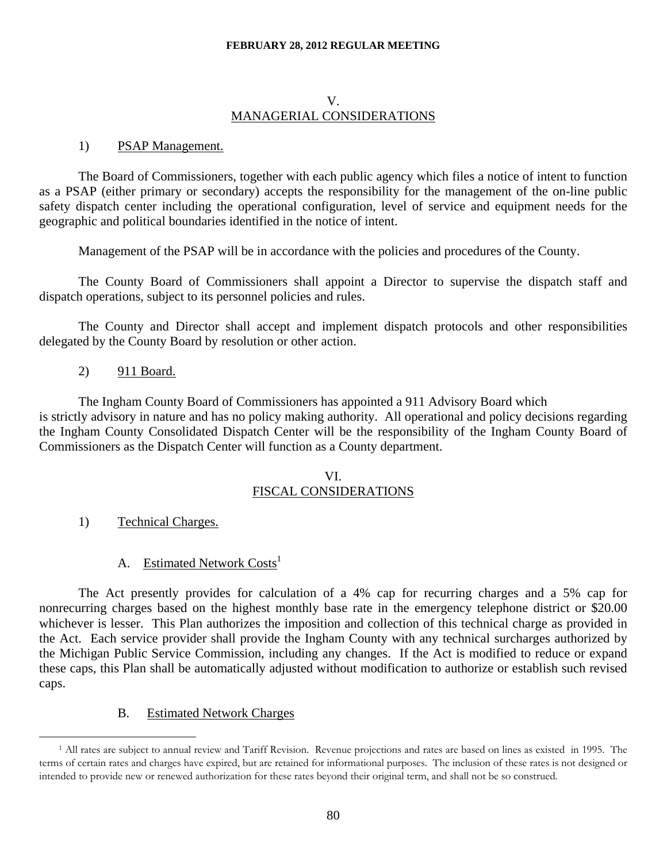## V. MANAGERIAL CONSIDERATIONS

### 1) PSAP Management.

The Board of Commissioners, together with each public agency which files a notice of intent to function as a PSAP (either primary or secondary) accepts the responsibility for the management of the on-line public safety dispatch center including the operational configuration, level of service and equipment needs for the geographic and political boundaries identified in the notice of intent.

Management of the PSAP will be in accordance with the policies and procedures of the County.

 The County Board of Commissioners shall appoint a Director to supervise the dispatch staff and dispatch operations, subject to its personnel policies and rules.

The County and Director shall accept and implement dispatch protocols and other responsibilities delegated by the County Board by resolution or other action.

2) 911 Board.

The Ingham County Board of Commissioners has appointed a 911 Advisory Board which is strictly advisory in nature and has no policy making authority. All operational and policy decisions regarding the Ingham County Consolidated Dispatch Center will be the responsibility of the Ingham County Board of Commissioners as the Dispatch Center will function as a County department.

### VI. FISCAL CONSIDERATIONS

1) Technical Charges.

 $\overline{a}$ 

A. Estimated Network Costs<sup>1</sup>

The Act presently provides for calculation of a 4% cap for recurring charges and a 5% cap for nonrecurring charges based on the highest monthly base rate in the emergency telephone district or \$20.00 whichever is lesser. This Plan authorizes the imposition and collection of this technical charge as provided in the Act. Each service provider shall provide the Ingham County with any technical surcharges authorized by the Michigan Public Service Commission, including any changes. If the Act is modified to reduce or expand these caps, this Plan shall be automatically adjusted without modification to authorize or establish such revised caps.

B. Estimated Network Charges

<sup>1</sup> All rates are subject to annual review and Tariff Revision. Revenue projections and rates are based on lines as existed in 1995. The terms of certain rates and charges have expired, but are retained for informational purposes. The inclusion of these rates is not designed or intended to provide new or renewed authorization for these rates beyond their original term, and shall not be so construed.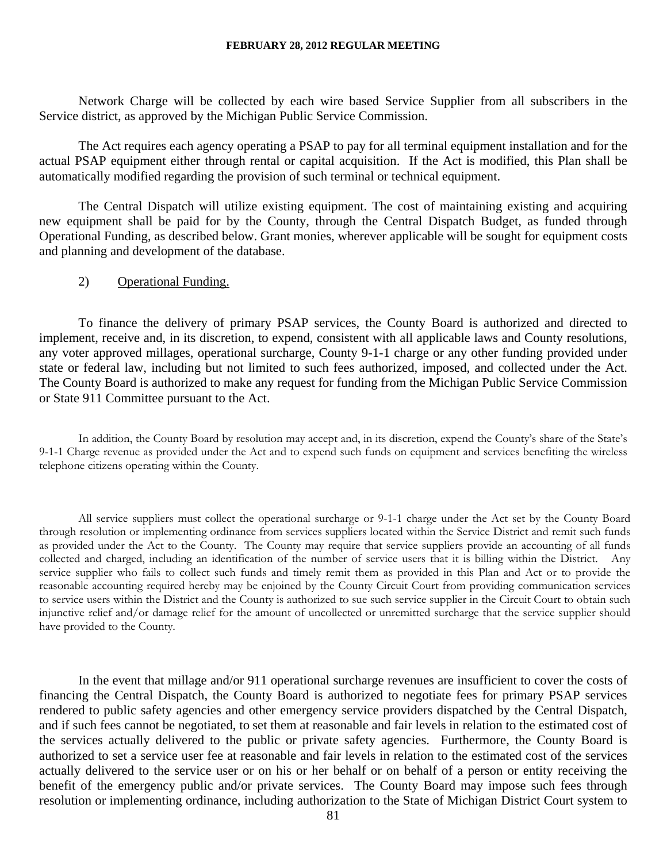Network Charge will be collected by each wire based Service Supplier from all subscribers in the Service district, as approved by the Michigan Public Service Commission.

 The Act requires each agency operating a PSAP to pay for all terminal equipment installation and for the actual PSAP equipment either through rental or capital acquisition. If the Act is modified, this Plan shall be automatically modified regarding the provision of such terminal or technical equipment.

 The Central Dispatch will utilize existing equipment. The cost of maintaining existing and acquiring new equipment shall be paid for by the County, through the Central Dispatch Budget, as funded through Operational Funding, as described below. Grant monies, wherever applicable will be sought for equipment costs and planning and development of the database.

### 2) Operational Funding.

To finance the delivery of primary PSAP services, the County Board is authorized and directed to implement, receive and, in its discretion, to expend, consistent with all applicable laws and County resolutions, any voter approved millages, operational surcharge, County 9-1-1 charge or any other funding provided under state or federal law, including but not limited to such fees authorized, imposed, and collected under the Act. The County Board is authorized to make any request for funding from the Michigan Public Service Commission or State 911 Committee pursuant to the Act.

 In addition, the County Board by resolution may accept and, in its discretion, expend the County's share of the State's 9-1-1 Charge revenue as provided under the Act and to expend such funds on equipment and services benefiting the wireless telephone citizens operating within the County.

 All service suppliers must collect the operational surcharge or 9-1-1 charge under the Act set by the County Board through resolution or implementing ordinance from services suppliers located within the Service District and remit such funds as provided under the Act to the County. The County may require that service suppliers provide an accounting of all funds collected and charged, including an identification of the number of service users that it is billing within the District. Any service supplier who fails to collect such funds and timely remit them as provided in this Plan and Act or to provide the reasonable accounting required hereby may be enjoined by the County Circuit Court from providing communication services to service users within the District and the County is authorized to sue such service supplier in the Circuit Court to obtain such injunctive relief and/or damage relief for the amount of uncollected or unremitted surcharge that the service supplier should have provided to the County.

In the event that millage and/or 911 operational surcharge revenues are insufficient to cover the costs of financing the Central Dispatch, the County Board is authorized to negotiate fees for primary PSAP services rendered to public safety agencies and other emergency service providers dispatched by the Central Dispatch, and if such fees cannot be negotiated, to set them at reasonable and fair levels in relation to the estimated cost of the services actually delivered to the public or private safety agencies. Furthermore, the County Board is authorized to set a service user fee at reasonable and fair levels in relation to the estimated cost of the services actually delivered to the service user or on his or her behalf or on behalf of a person or entity receiving the benefit of the emergency public and/or private services. The County Board may impose such fees through resolution or implementing ordinance, including authorization to the State of Michigan District Court system to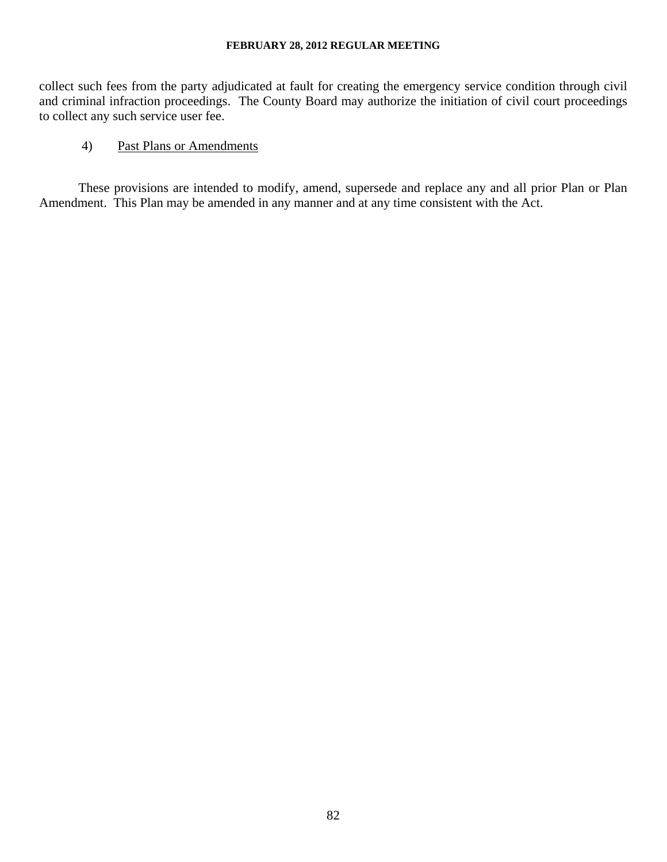collect such fees from the party adjudicated at fault for creating the emergency service condition through civil and criminal infraction proceedings. The County Board may authorize the initiation of civil court proceedings to collect any such service user fee.

# 4) Past Plans or Amendments

These provisions are intended to modify, amend, supersede and replace any and all prior Plan or Plan Amendment. This Plan may be amended in any manner and at any time consistent with the Act.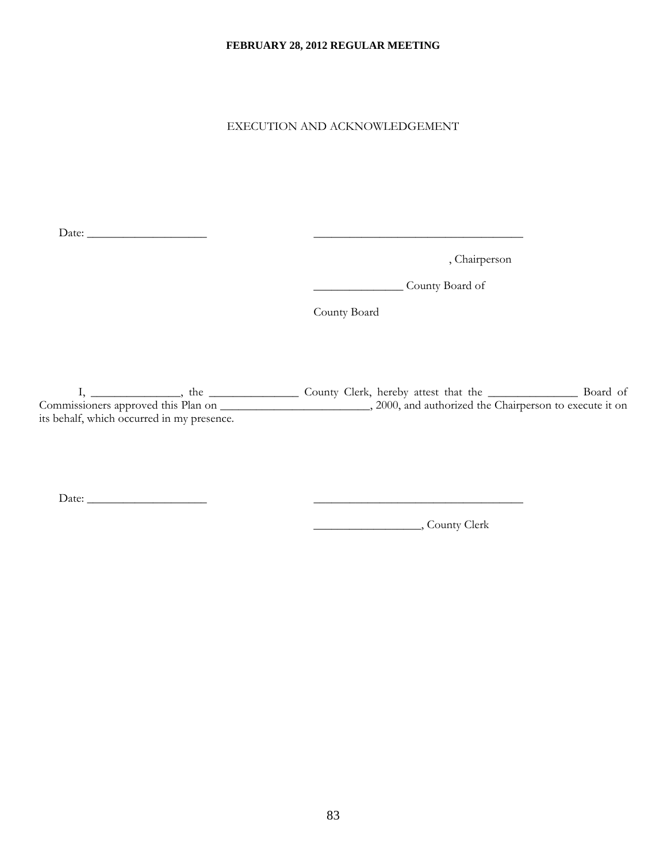EXECUTION AND ACKNOWLEDGEMENT

Date: \_\_\_\_\_\_\_\_\_\_\_\_\_\_\_\_\_\_\_\_ \_\_\_\_\_\_\_\_\_\_\_\_\_\_\_\_\_\_\_\_\_\_\_\_\_\_\_\_\_\_\_\_\_\_\_

, Chairperson

\_\_\_\_\_\_\_\_\_\_\_\_\_\_\_ County Board of

County Board

I, \_\_\_\_\_\_\_\_\_\_\_\_\_, the \_\_\_\_\_\_\_\_\_\_\_\_\_\_\_\_ County Clerk, hereby attest that the \_\_\_\_\_\_\_\_\_\_\_\_\_\_\_\_\_\_\_\_ Board of Commissioners approved this Plan on \_\_\_\_\_\_\_\_\_\_\_\_\_\_\_\_\_\_\_\_\_\_\_\_\_, 2000, and authorized the Chairperson to execute it on its behalf, which occurred in my presence.

Date: \_\_\_\_\_\_\_\_\_\_\_\_\_\_\_\_\_\_\_\_ \_\_\_\_\_\_\_\_\_\_\_\_\_\_\_\_\_\_\_\_\_\_\_\_\_\_\_\_\_\_\_\_\_\_\_

\_\_\_\_\_\_\_\_\_\_\_\_\_\_\_\_\_\_, County Clerk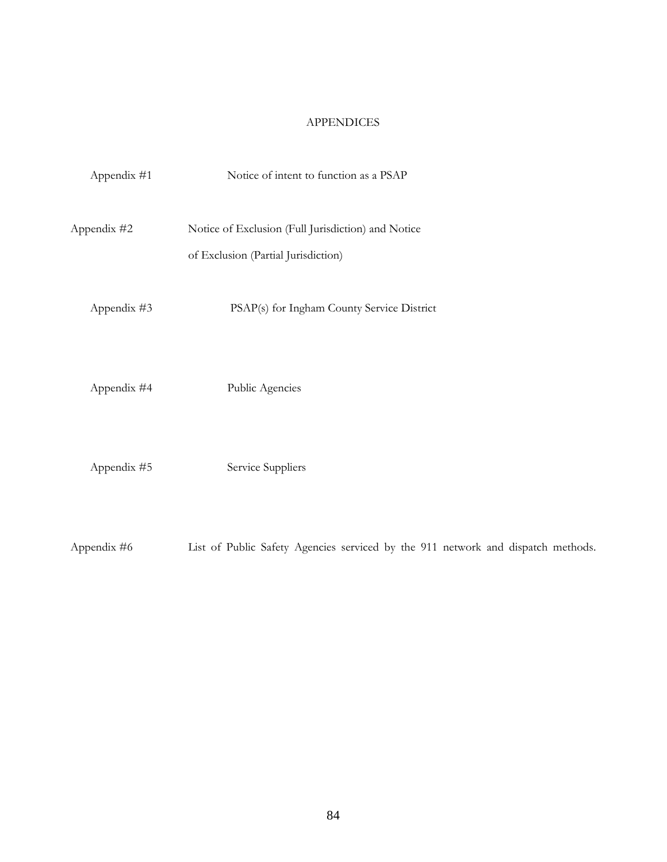# APPENDICES

| Appendix #1 | Notice of intent to function as a PSAP                                                    |
|-------------|-------------------------------------------------------------------------------------------|
| Appendix #2 | Notice of Exclusion (Full Jurisdiction) and Notice<br>of Exclusion (Partial Jurisdiction) |
| Appendix #3 | PSAP(s) for Ingham County Service District                                                |
| Appendix #4 | Public Agencies                                                                           |
| Appendix #5 | Service Suppliers                                                                         |
| Appendix #6 | List of Public Safety Agencies serviced by the 911 network and dispatch methods.          |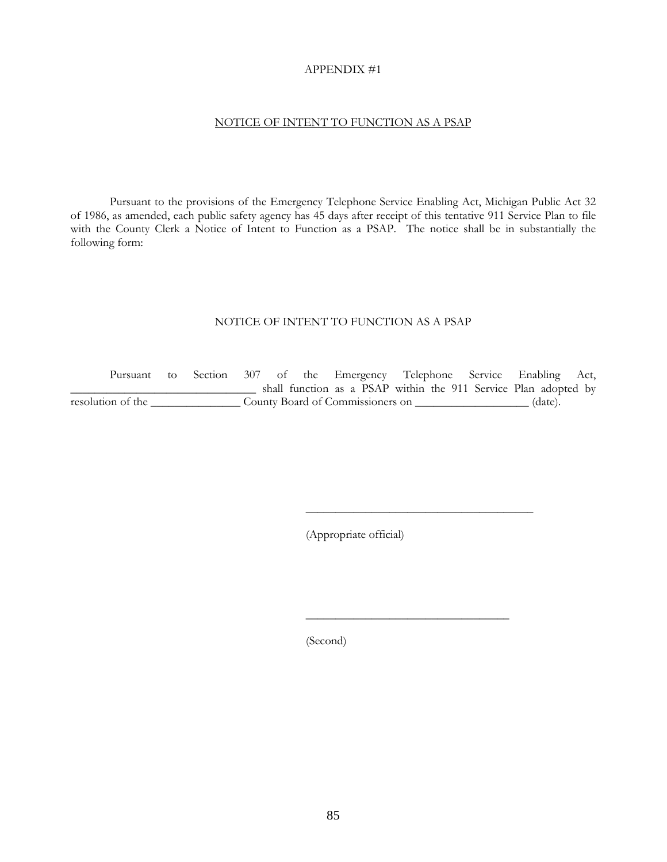#### APPENDIX #1

#### NOTICE OF INTENT TO FUNCTION AS A PSAP

Pursuant to the provisions of the Emergency Telephone Service Enabling Act, Michigan Public Act 32 of 1986, as amended, each public safety agency has 45 days after receipt of this tentative 911 Service Plan to file with the County Clerk a Notice of Intent to Function as a PSAP. The notice shall be in substantially the following form:

#### NOTICE OF INTENT TO FUNCTION AS A PSAP

 Pursuant to Section 307 of the Emergency Telephone Service Enabling Act, \_\_\_\_\_\_\_\_\_\_\_\_\_\_\_\_\_\_\_\_\_\_\_\_\_\_\_\_\_\_\_ shall function as a PSAP within the 911 Service Plan adopted by resolution of the County Board of Commissioners on County Board of Commissioners on County Board of Commissioners on County Board of Commissioners on County Board of Commissioners on County Board of Commissioners on County

(Appropriate official)

(Second)

 $\frac{1}{\sqrt{2}}$  ,  $\frac{1}{\sqrt{2}}$  ,  $\frac{1}{\sqrt{2}}$  ,  $\frac{1}{\sqrt{2}}$  ,  $\frac{1}{\sqrt{2}}$  ,  $\frac{1}{\sqrt{2}}$  ,  $\frac{1}{\sqrt{2}}$  ,  $\frac{1}{\sqrt{2}}$  ,  $\frac{1}{\sqrt{2}}$  ,  $\frac{1}{\sqrt{2}}$  ,  $\frac{1}{\sqrt{2}}$  ,  $\frac{1}{\sqrt{2}}$  ,  $\frac{1}{\sqrt{2}}$  ,  $\frac{1}{\sqrt{2}}$  ,  $\frac{1}{\sqrt{2}}$ 

 $\overline{\phantom{a}}$  , and the contract of the contract of the contract of the contract of the contract of the contract of the contract of the contract of the contract of the contract of the contract of the contract of the contrac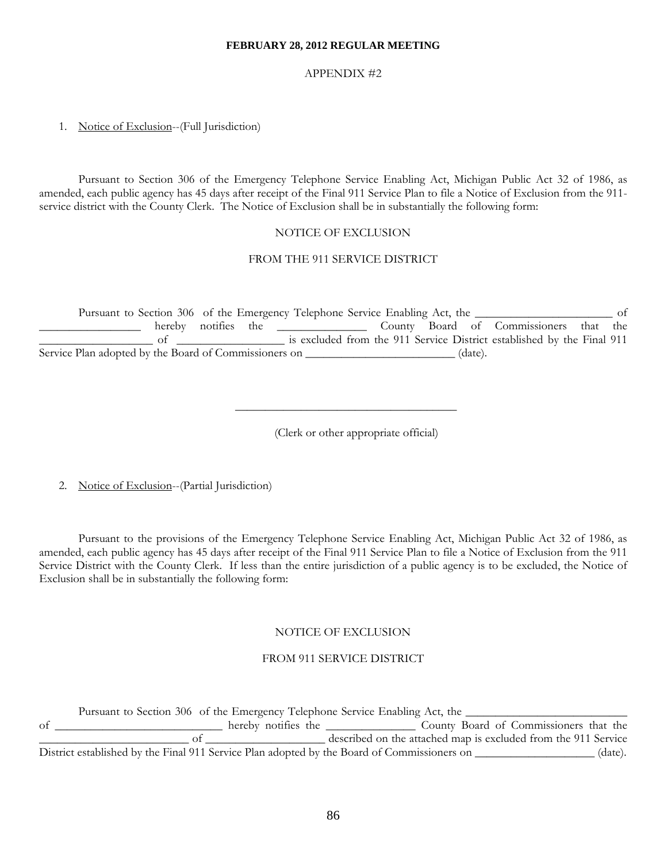#### APPENDIX #2

#### 1. Notice of Exclusion--(Full Jurisdiction)

 Pursuant to Section 306 of the Emergency Telephone Service Enabling Act, Michigan Public Act 32 of 1986, as amended, each public agency has 45 days after receipt of the Final 911 Service Plan to file a Notice of Exclusion from the 911 service district with the County Clerk. The Notice of Exclusion shall be in substantially the following form:

#### NOTICE OF EXCLUSION

#### FROM THE 911 SERVICE DISTRICT

Pursuant to Section 306 of the Emergency Telephone Service Enabling Act, the \_\_\_\_\_\_\_\_\_\_\_\_\_\_\_\_\_\_\_\_\_\_ of \_\_\_\_\_\_\_\_\_\_\_\_\_\_\_\_\_ hereby notifies the \_\_\_\_\_\_\_\_\_\_\_\_\_\_\_ County Board of Commissioners that the \_\_\_\_\_\_\_\_\_\_\_\_\_\_\_\_\_\_\_ of \_\_\_\_\_\_\_\_\_\_\_\_\_\_\_\_\_\_ is excluded from the 911 Service District established by the Final 911 Service Plan adopted by the Board of Commissioners on \_\_\_\_\_\_\_\_\_\_\_\_\_\_\_\_\_\_\_\_\_\_\_\_\_ (date).

 $\frac{1}{2}$  ,  $\frac{1}{2}$  ,  $\frac{1}{2}$  ,  $\frac{1}{2}$  ,  $\frac{1}{2}$  ,  $\frac{1}{2}$  ,  $\frac{1}{2}$  ,  $\frac{1}{2}$  ,  $\frac{1}{2}$  ,  $\frac{1}{2}$  ,  $\frac{1}{2}$  ,  $\frac{1}{2}$  ,  $\frac{1}{2}$  ,  $\frac{1}{2}$  ,  $\frac{1}{2}$  ,  $\frac{1}{2}$  ,  $\frac{1}{2}$  ,  $\frac{1}{2}$  ,  $\frac{1$ 

(Clerk or other appropriate official)

2. Notice of Exclusion--(Partial Jurisdiction)

 Pursuant to the provisions of the Emergency Telephone Service Enabling Act, Michigan Public Act 32 of 1986, as amended, each public agency has 45 days after receipt of the Final 911 Service Plan to file a Notice of Exclusion from the 911 Service District with the County Clerk. If less than the entire jurisdiction of a public agency is to be excluded, the Notice of Exclusion shall be in substantially the following form:

#### NOTICE OF EXCLUSION

#### FROM 911 SERVICE DISTRICT

Pursuant to Section 306 of the Emergency Telephone Service Enabling Act, the of \_\_\_\_\_\_\_\_\_\_\_\_\_\_\_\_\_\_\_\_\_\_\_\_\_\_ hereby notifies the \_\_\_\_\_\_\_\_\_\_\_\_\_\_\_\_\_ County Board of Commissioners that the \_\_\_\_\_\_\_\_\_\_\_\_\_\_\_\_\_\_\_\_\_\_\_\_\_ of \_\_\_\_\_\_\_\_\_\_\_\_\_\_\_\_\_\_\_\_ described on the attached map is excluded from the 911 Service District established by the Final 911 Service Plan adopted by the Board of Commissioners on \_\_\_\_\_\_\_\_\_\_\_\_\_\_\_\_\_ (date).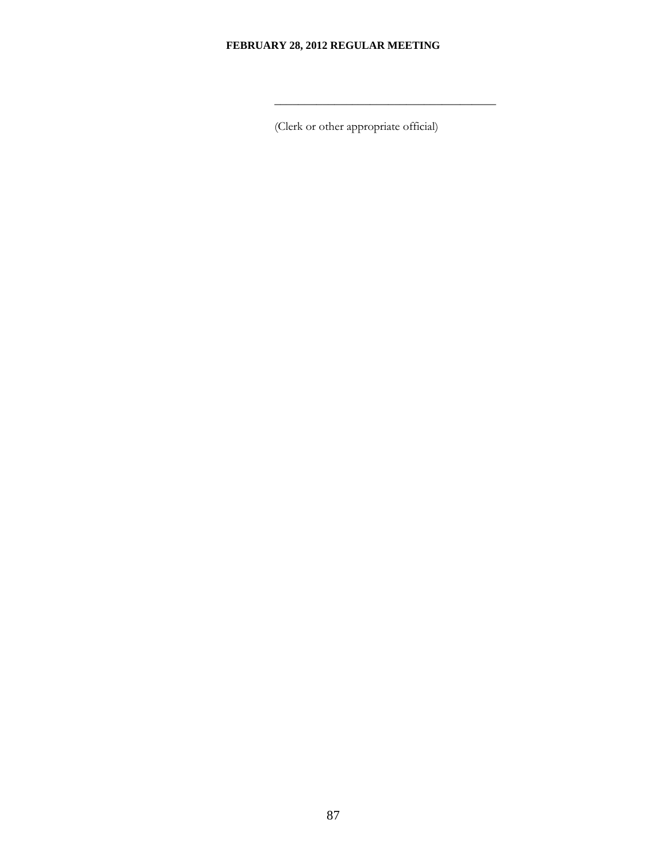$\frac{1}{\sqrt{2}}$  ,  $\frac{1}{\sqrt{2}}$  ,  $\frac{1}{\sqrt{2}}$  ,  $\frac{1}{\sqrt{2}}$  ,  $\frac{1}{\sqrt{2}}$  ,  $\frac{1}{\sqrt{2}}$  ,  $\frac{1}{\sqrt{2}}$  ,  $\frac{1}{\sqrt{2}}$  ,  $\frac{1}{\sqrt{2}}$  ,  $\frac{1}{\sqrt{2}}$  ,  $\frac{1}{\sqrt{2}}$  ,  $\frac{1}{\sqrt{2}}$  ,  $\frac{1}{\sqrt{2}}$  ,  $\frac{1}{\sqrt{2}}$  ,  $\frac{1}{\sqrt{2}}$ 

(Clerk or other appropriate official)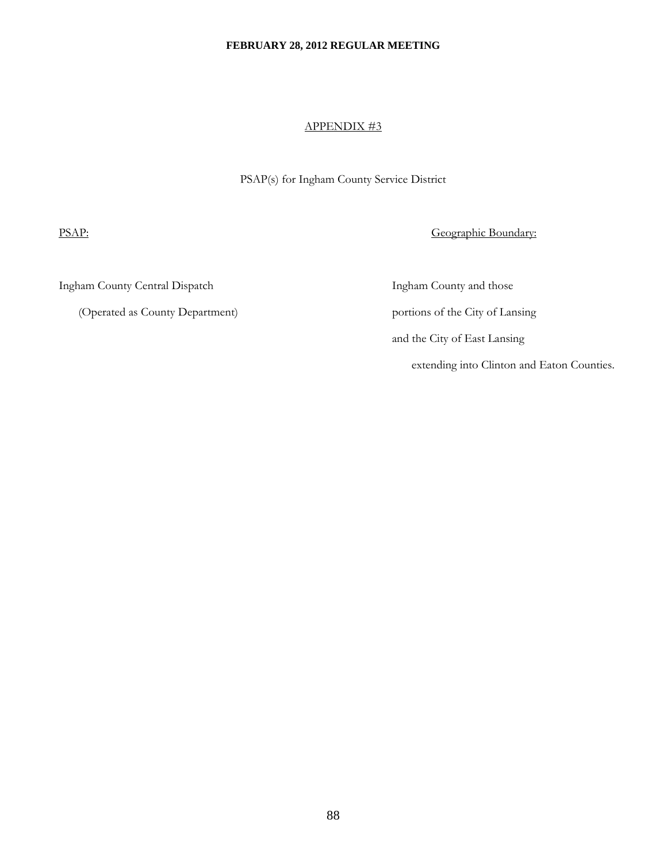#### APPENDIX #3

PSAP(s) for Ingham County Service District

PSAP: Geographic Boundary:

Ingham County Central Dispatch Ingham County and those

(Operated as County Department) portions of the City of Lansing

 and the City of East Lansing extending into Clinton and Eaton Counties.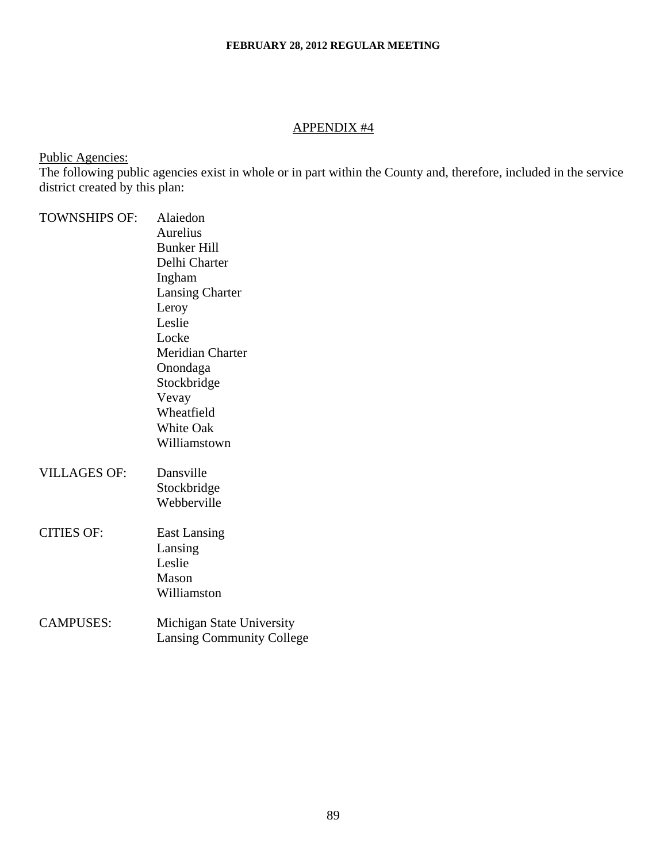# APPENDIX #4

Public Agencies:

The following public agencies exist in whole or in part within the County and, therefore, included in the service district created by this plan:

| <b>TOWNSHIPS OF:</b> | Alaiedon                         |
|----------------------|----------------------------------|
|                      | <b>Aurelius</b>                  |
|                      | <b>Bunker Hill</b>               |
|                      | Delhi Charter                    |
|                      | Ingham                           |
|                      | <b>Lansing Charter</b>           |
|                      | Leroy                            |
|                      | Leslie                           |
|                      | Locke                            |
|                      | <b>Meridian Charter</b>          |
|                      | Onondaga                         |
|                      | Stockbridge                      |
|                      | Vevay                            |
|                      | Wheatfield                       |
|                      | <b>White Oak</b>                 |
|                      | Williamstown                     |
| <b>VILLAGES OF:</b>  | Dansville                        |
|                      | Stockbridge                      |
|                      | Webberville                      |
| <b>CITIES OF:</b>    | <b>East Lansing</b>              |
|                      | Lansing                          |
|                      | Leslie                           |
|                      | Mason                            |
|                      | Williamston                      |
| <b>CAMPUSES:</b>     | Michigan State University        |
|                      | <b>Lansing Community College</b> |
|                      |                                  |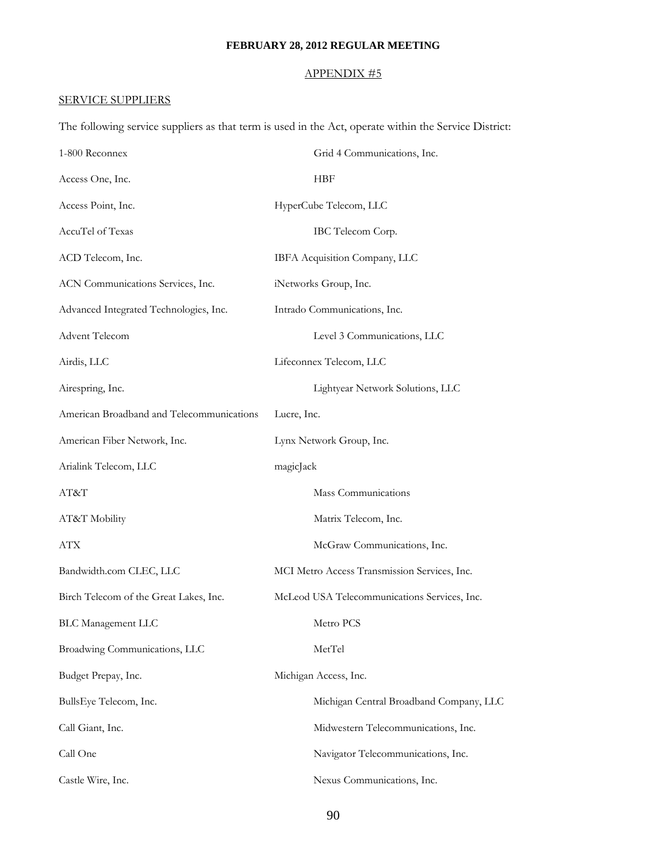# APPENDIX #5

# SERVICE SUPPLIERS

The following service suppliers as that term is used in the Act, operate within the Service District:

| 1-800 Reconnex                            | Grid 4 Communications, Inc.                  |
|-------------------------------------------|----------------------------------------------|
| Access One, Inc.                          | HBF                                          |
| Access Point, Inc.                        | HyperCube Telecom, LLC                       |
| AccuTel of Texas                          | IBC Telecom Corp.                            |
| ACD Telecom, Inc.                         | IBFA Acquisition Company, LLC                |
| ACN Communications Services, Inc.         | iNetworks Group, Inc.                        |
| Advanced Integrated Technologies, Inc.    | Intrado Communications, Inc.                 |
| Advent Telecom                            | Level 3 Communications, LLC                  |
| Airdis, LLC                               | Lifeconnex Telecom, LLC                      |
| Airespring, Inc.                          | Lightyear Network Solutions, LLC             |
| American Broadband and Telecommunications | Lucre, Inc.                                  |
| American Fiber Network, Inc.              | Lynx Network Group, Inc.                     |
| Arialink Telecom, LLC                     | magicJack                                    |
| AT&T                                      | Mass Communications                          |
| AT&T Mobility                             | Matrix Telecom, Inc.                         |
| ATX                                       | McGraw Communications, Inc.                  |
| Bandwidth.com CLEC, LLC                   | MCI Metro Access Transmission Services, Inc. |
| Birch Telecom of the Great Lakes, Inc.    | McLeod USA Telecommunications Services, Inc. |
| <b>BLC Management LLC</b>                 | Metro PCS                                    |
| Broadwing Communications, LLC             | MetTel                                       |
| Budget Prepay, Inc.                       | Michigan Access, Inc.                        |
| BullsEye Telecom, Inc.                    | Michigan Central Broadband Company, LLC      |
| Call Giant, Inc.                          | Midwestern Telecommunications, Inc.          |
| Call One                                  | Navigator Telecommunications, Inc.           |
| Castle Wire, Inc.                         | Nexus Communications, Inc.                   |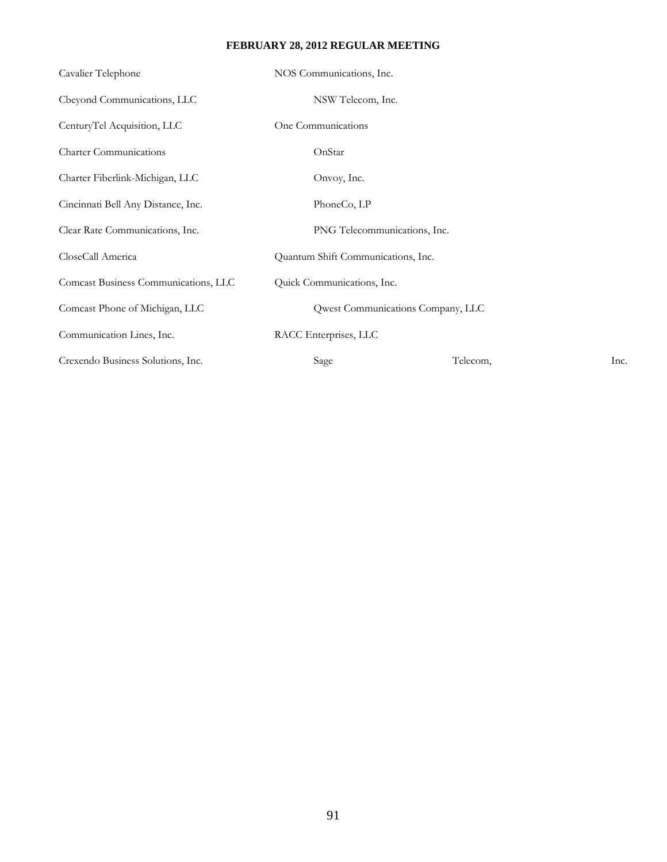| Cavalier Telephone                   | NOS Communications, Inc.           |                                   |      |
|--------------------------------------|------------------------------------|-----------------------------------|------|
| Cbeyond Communications, LLC          | NSW Telecom, Inc.                  |                                   |      |
| CenturyTel Acquisition, LLC          | One Communications                 |                                   |      |
| <b>Charter Communications</b>        | OnStar                             |                                   |      |
| Charter Fiberlink-Michigan, LLC      | Onvoy, Inc.                        |                                   |      |
| Cincinnati Bell Any Distance, Inc.   | PhoneCo, LP                        |                                   |      |
| Clear Rate Communications, Inc.      | PNG Telecommunications, Inc.       |                                   |      |
| CloseCall America                    | Quantum Shift Communications, Inc. |                                   |      |
| Comcast Business Communications, LLC | Quick Communications, Inc.         |                                   |      |
| Comcast Phone of Michigan, LLC       |                                    | Qwest Communications Company, LLC |      |
| Communication Lines, Inc.            | RACC Enterprises, LLC              |                                   |      |
| Crexendo Business Solutions, Inc.    | Sage                               | Telecom,                          | Inc. |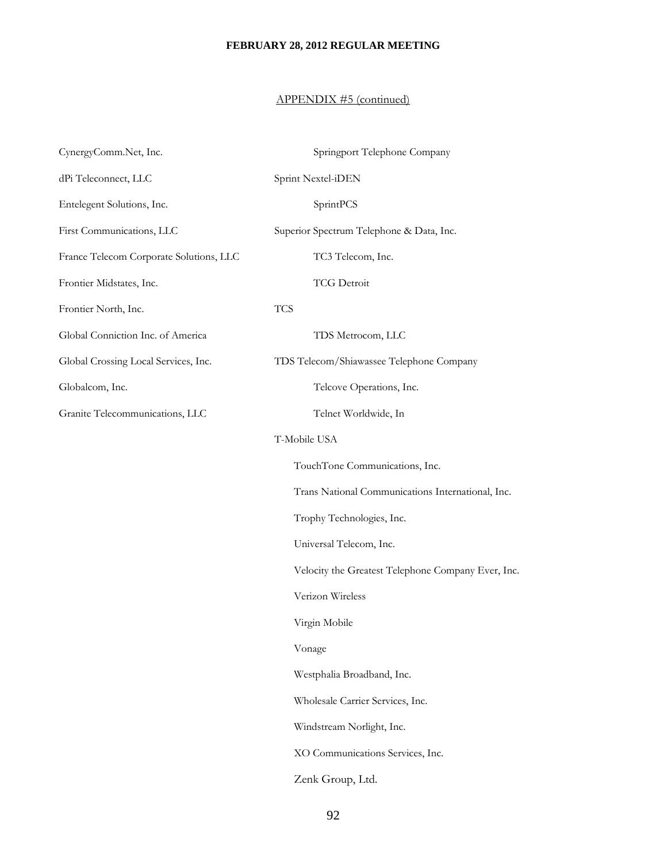# APPENDIX #5 (continued)

| CynergyComm.Net, Inc.                   | Springport Telephone Company                       |
|-----------------------------------------|----------------------------------------------------|
| dPi Teleconnect, LLC                    | Sprint Nextel-iDEN                                 |
| Entelegent Solutions, Inc.              | SprintPCS                                          |
| First Communications, LLC               | Superior Spectrum Telephone & Data, Inc.           |
| France Telecom Corporate Solutions, LLC | TC3 Telecom, Inc.                                  |
| Frontier Midstates, Inc.                | <b>TCG Detroit</b>                                 |
| Frontier North, Inc.                    | <b>TCS</b>                                         |
| Global Conniction Inc. of America       | TDS Metrocom, LLC                                  |
| Global Crossing Local Services, Inc.    | TDS Telecom/Shiawassee Telephone Company           |
| Globalcom, Inc.                         | Telcove Operations, Inc.                           |
| Granite Telecommunications, LLC         | Telnet Worldwide, In                               |
|                                         | T-Mobile USA                                       |
|                                         | TouchTone Communications, Inc.                     |
|                                         | Trans National Communications International, Inc.  |
|                                         | Trophy Technologies, Inc.                          |
|                                         | Universal Telecom, Inc.                            |
|                                         | Velocity the Greatest Telephone Company Ever, Inc. |
|                                         | Verizon Wireless                                   |
|                                         | Virgin Mobile                                      |
|                                         | Vonage                                             |
|                                         | Westphalia Broadband, Inc.                         |
|                                         | Wholesale Carrier Services, Inc.                   |
|                                         | Windstream Norlight, Inc.                          |
|                                         | XO Communications Services, Inc.                   |
|                                         | Zenk Group, Ltd.                                   |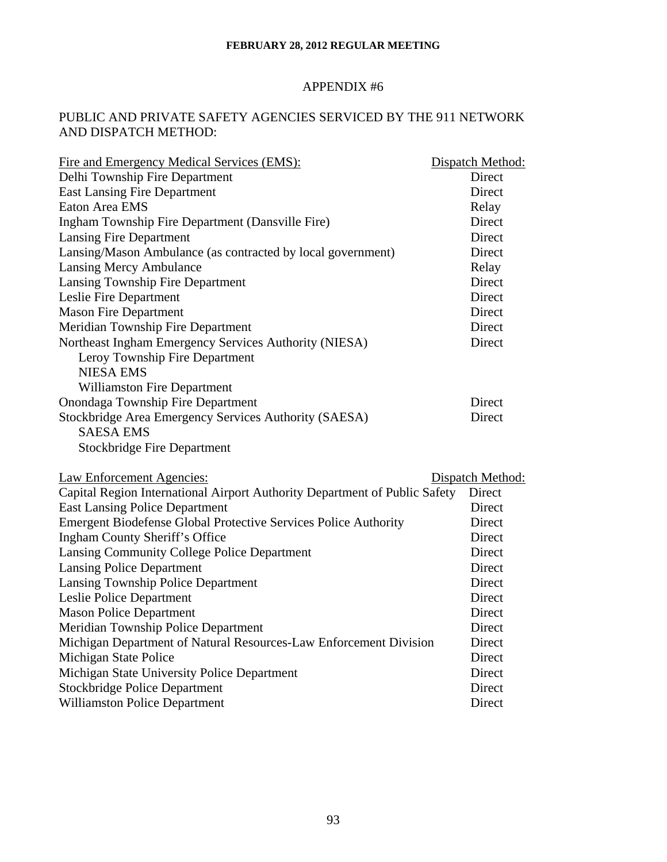# APPENDIX #6

# PUBLIC AND PRIVATE SAFETY AGENCIES SERVICED BY THE 911 NETWORK AND DISPATCH METHOD:

| Fire and Emergency Medical Services (EMS):                                 | Dispatch Method: |
|----------------------------------------------------------------------------|------------------|
| Delhi Township Fire Department                                             | Direct           |
| <b>East Lansing Fire Department</b>                                        | Direct           |
| Eaton Area EMS                                                             | Relay            |
| Ingham Township Fire Department (Dansville Fire)                           | Direct           |
| <b>Lansing Fire Department</b>                                             | Direct           |
| Lansing/Mason Ambulance (as contracted by local government)                | Direct           |
| <b>Lansing Mercy Ambulance</b>                                             | Relay            |
| Lansing Township Fire Department                                           | Direct           |
| Leslie Fire Department                                                     | Direct           |
| <b>Mason Fire Department</b>                                               | Direct           |
| Meridian Township Fire Department                                          | Direct           |
| Northeast Ingham Emergency Services Authority (NIESA)                      | Direct           |
| Leroy Township Fire Department                                             |                  |
| <b>NIESA EMS</b>                                                           |                  |
| <b>Williamston Fire Department</b>                                         |                  |
| Onondaga Township Fire Department                                          | Direct           |
| Stockbridge Area Emergency Services Authority (SAESA)                      | Direct           |
| <b>SAESA EMS</b>                                                           |                  |
| <b>Stockbridge Fire Department</b>                                         |                  |
| <b>Law Enforcement Agencies:</b>                                           | Dispatch Method: |
| Capital Region International Airport Authority Department of Public Safety | Direct           |
| <b>East Lansing Police Department</b>                                      | Direct           |
| <b>Emergent Biodefense Global Protective Services Police Authority</b>     | Direct           |
| <b>Ingham County Sheriff's Office</b>                                      | Direct           |
| Lansing Community College Police Department                                | Direct           |
| <b>Lansing Police Department</b>                                           | Direct           |
| Lansing Township Police Department                                         | Direct           |
| Leslie Police Department                                                   | Direct           |
| <b>Mason Police Department</b>                                             | Direct           |
| Meridian Township Police Department                                        | Direct           |
| Michigan Department of Natural Resources-Law Enforcement Division          | Direct           |
| Michigan State Police                                                      | Direct           |
| Michigan State University Police Department                                | Direct           |
| <b>Stockbridge Police Department</b>                                       | Direct           |
| <b>Williamston Police Department</b>                                       | Direct           |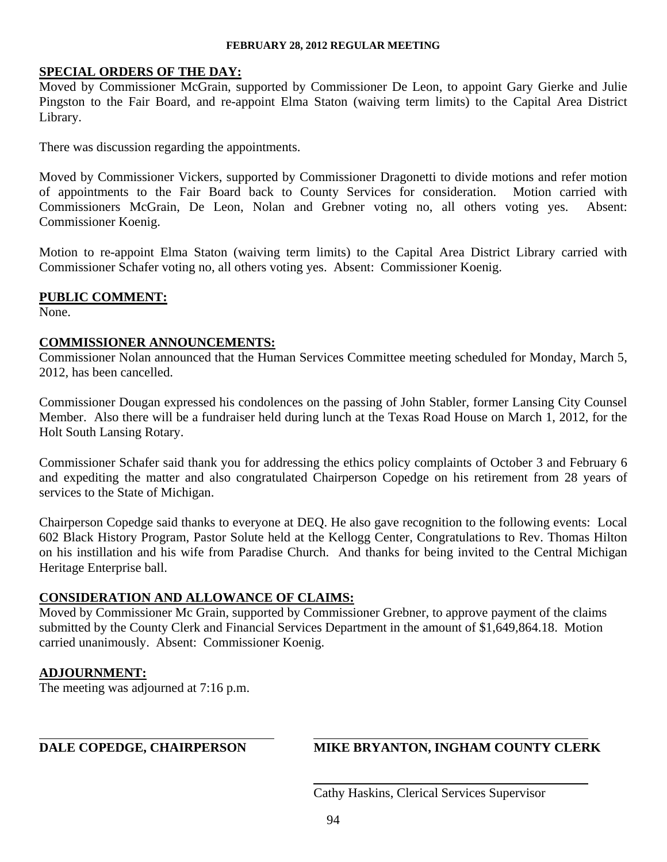### **SPECIAL ORDERS OF THE DAY:**

Moved by Commissioner McGrain, supported by Commissioner De Leon, to appoint Gary Gierke and Julie Pingston to the Fair Board, and re-appoint Elma Staton (waiving term limits) to the Capital Area District Library.

There was discussion regarding the appointments.

Moved by Commissioner Vickers, supported by Commissioner Dragonetti to divide motions and refer motion of appointments to the Fair Board back to County Services for consideration. Motion carried with Commissioners McGrain, De Leon, Nolan and Grebner voting no, all others voting yes. Absent: Commissioner Koenig.

Motion to re-appoint Elma Staton (waiving term limits) to the Capital Area District Library carried with Commissioner Schafer voting no, all others voting yes. Absent: Commissioner Koenig.

#### **PUBLIC COMMENT:**

None.

#### **COMMISSIONER ANNOUNCEMENTS:**

Commissioner Nolan announced that the Human Services Committee meeting scheduled for Monday, March 5, 2012, has been cancelled.

Commissioner Dougan expressed his condolences on the passing of John Stabler, former Lansing City Counsel Member. Also there will be a fundraiser held during lunch at the Texas Road House on March 1, 2012, for the Holt South Lansing Rotary.

Commissioner Schafer said thank you for addressing the ethics policy complaints of October 3 and February 6 and expediting the matter and also congratulated Chairperson Copedge on his retirement from 28 years of services to the State of Michigan.

Chairperson Copedge said thanks to everyone at DEQ. He also gave recognition to the following events: Local 602 Black History Program, Pastor Solute held at the Kellogg Center, Congratulations to Rev. Thomas Hilton on his instillation and his wife from Paradise Church. And thanks for being invited to the Central Michigan Heritage Enterprise ball.

#### **CONSIDERATION AND ALLOWANCE OF CLAIMS:**

Moved by Commissioner Mc Grain, supported by Commissioner Grebner, to approve payment of the claims submitted by the County Clerk and Financial Services Department in the amount of \$1,649,864.18. Motion carried unanimously. Absent: Commissioner Koenig.

#### **ADJOURNMENT:**

 $\overline{a}$ 

The meeting was adjourned at 7:16 p.m.

# **DALE COPEDGE, CHAIRPERSON MIKE BRYANTON, INGHAM COUNTY CLERK**

Cathy Haskins, Clerical Services Supervisor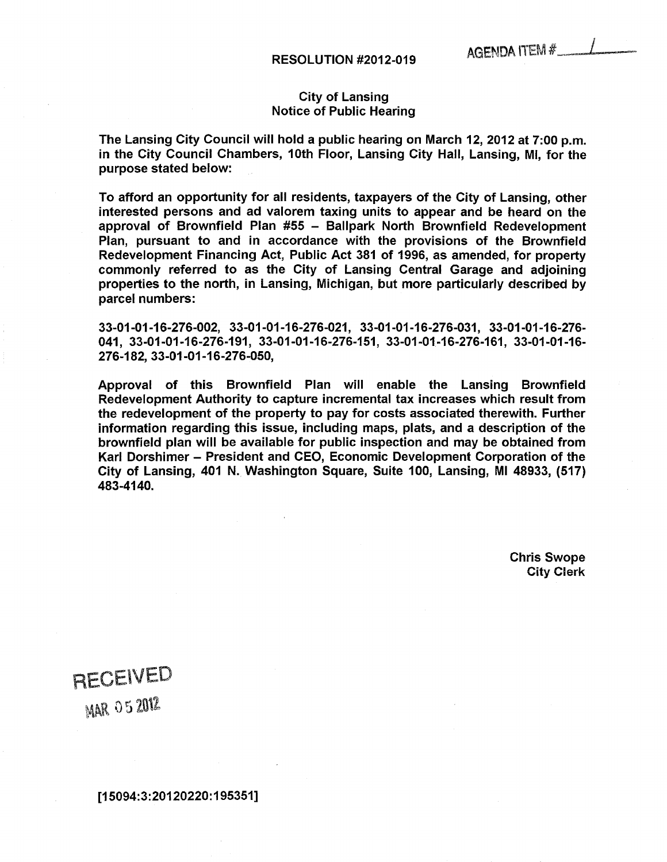#### City of Lansing Notice of Public Hearing

The Lansing City Council will hold a public hearing on March 12, 2012 at 7:00 p.m. in the City Council Chambers, 10th Floor, Lansing City Hall, Lansing, Ml, for the purpose stated below:

To afford an opportunity for all residents, taxpayers of the City of Lansing, other interested persons and ad valorem taxing units to appear and be heard on the approval of Brownfield Plan  $#55$  - Ballpark North Brownfield Redevelopment Plan, pursuant to and in accordance with the provisions of the Brownfield Redevelopment Financing Act, Public Act 381 of 1996, as amended, for property commonly referred to as the City of Lansing Central Garage and adjoining properties to the north, in Lansing, Michigan, but more particularly described by parcel numbers:

33-01-01-16-276-002, 33-01-01-16-276-021, 33-01-01-16-276-031, 33-01-01-16-276- 041, 33-01-01-16-276-191, 33-01-01-16-276-151, 33-01-01-16-276-161, 33-01-01-16- 276-182, 33-01-01-16-276-050,

Approval of this Brownfield Plan will enable the Lansing Brownfield Redevelopment Authority to capture incremental tax increases which result from the redevelopment of the property to pay for costs associated therewith. Further information regarding this issue, including maps, plats, and a description of the brownfield plan will be available for public inspection and may be obtained from Karl Dorshimer – President and CEO, Economic Development Corporation of the City of Lansing, 401 N. Washington Square, Suite 100, Lansing, Ml 48933, (517) 483-4140.

> Chris Swope City Clerk

RECEIVED

**MAR 05 2012**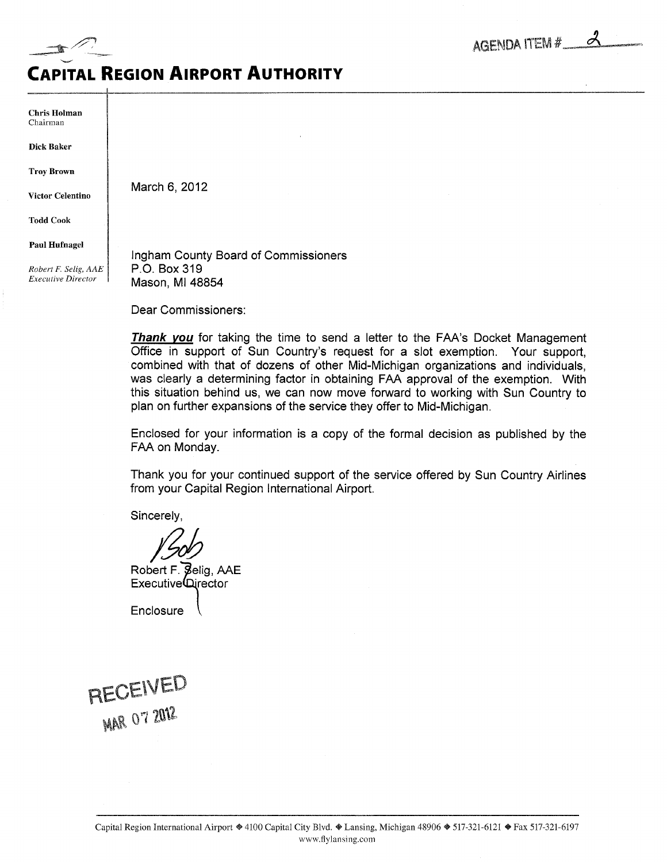

# Capital Region Airport Authority

Chris Holman Chairman

Dick Baker

Troy Brown

Victor Celentino

March 6, 2012

Todd Cook

Paul Hufnagel

Robert F. Selig, AAE Executive Director

Ingham County Board of Commissioners P.O. Box 319 Mason, Ml 48854

Dear Commissioners:

**Thank you** for taking the time to send a letter to the FAA's Docket Management Office in support of Sun Country's request for a slot exemption. Your support, combined with that of dozens of other Mid-Michigan organizations and individuals, was clearly a determining factor in obtaining FAA approval of the exemption. With this situation behind us, we can now move forward to working with Sun Country to plan on further expansions of the service they offer to Mid-Michigan.

Enclosed for your information is copy of the formal decision as published by the FAA on Monday.

Thank you for your continued support of the service offered by Sun Country Airlines from your Capital Region International Airport.

Sincerely,

Robert F. Selia. AAE Executive⊾urector

**Enclosure** 

RECEIVED **MAR O7 2012**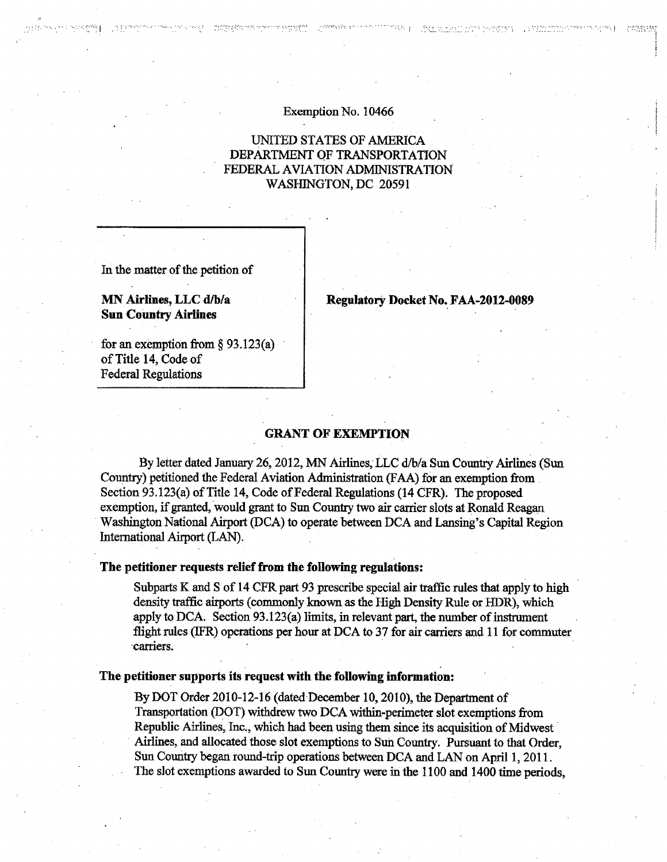#### Exemption No. 10466

 $\frac{1}{2} \frac{1}{2} \frac{1}{2} \frac{1}{2} \frac{1}{2} \frac{1}{2} \frac{1}{2} \frac{1}{2} \frac{1}{2} \frac{1}{2} \frac{1}{2} \frac{1}{2} \frac{1}{2} \frac{1}{2} \frac{1}{2} \frac{1}{2} \frac{1}{2} \frac{1}{2} \frac{1}{2} \frac{1}{2} \frac{1}{2} \frac{1}{2} \frac{1}{2} \frac{1}{2} \frac{1}{2} \frac{1}{2} \frac{1}{2} \frac{1}{2} \frac{1}{2} \frac{1}{2} \frac{1}{2} \frac{$ 

# UNITED STATES OF AMERICA DEPARTMENT OF TRANSPORTATION FEDERAL AVIATION ADMINISTRATION WASHINGTON, DC <sup>20591</sup>

In the matter of the petition of

MN Airlines, LLC d/b/a Sun Country Airlines

Regulatory Docket No. FAA-2012-0089

The proposed to signs to prepare

for an exemption from  $\S$  93.123(a) of Title 14, Code of Federal Regulations

#### GRANT OF EXEMPTION

By letter dated January 26,2012, MN Airlines, LLC d/b/a Sun Country Airlines (Sun Country) petitioned the Federal Aviation Administration (FAA) for an exemption from Section 93.123(a) of Title 14, Code of Federal Regulations (14 CFR). The proposed exemption, if granted, would grant to Sun Country two air carrier slots at Ronald Reagan Washington National Airport (DCA) to operate between DCA and Lansing's Capital Region International Airport (LAN).

#### The petitioner requests relief from the following regulations:

Subparts K and S of 14 CFR part 93 prescribe special air traffic rules that apply to high density traffic airports (commonly known as the High Density Rule or HDR), which apply to DCA. Section  $93.123(a)$  limits, in relevant part, the number of instrument flight rules (IFR) operations per hour at DCA to <sup>37</sup> for air carriers and <sup>11</sup> for commuter carriers.

#### The petitioner supports its request with the following information:

By DOT Order 2010-12-16 (dated December 10,2010), the Department of Transportation (DOT) withdrew two DCA within-perimeter slot exemptions from Republic Airlines, Inc., which had been using them since its acquisition of Midwest Airlines, and allocated those slot exemptions to Sun Country. Pursuant to that Order, Sun Country began round-trip operations between DCA and LAN on April 1, 2011. The slot exemptions awarded to Sun Country were in the 1100 and 1400 time periods,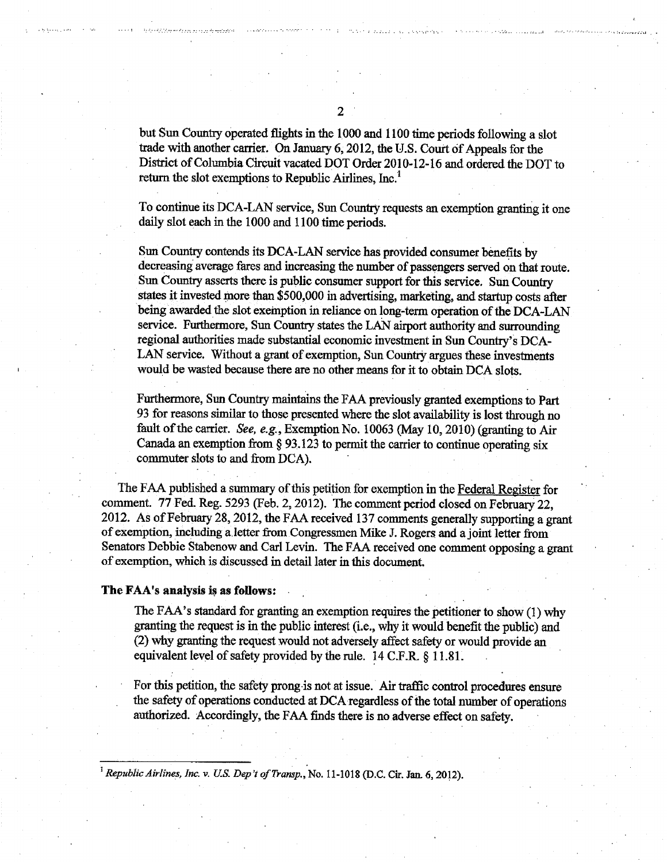but Sun Country operated flights in the 1000 and 1100 time periods following a slot trade with another carrier. On January 6,2012, the U.S. Court of Appeals for the District of Columbia Circuit vacated DOT Order 2010-12-16 and ordered the DOT to return the slot exemptions to Republic Airlines, Inc.<sup>1</sup>

To continue its DCA-LAN service, Sun Country requests an exemption granting it one daily slot each in the 1000 and 1100 time periods.

Sun Country contends its DCA-LAN service has provided consumer benefits by decreasing average fares and increasing the number of passengers served on that route. Sun Country asserts there is public consumer support for this service. Sun Country states it invested more than \$500,000 in advertising, marketing, and startup costs after being awarded the slot exemption in reliance on long-term operation of the DCA-LAN service. Furthermore, Sun Country states the LAN airport authority and surrounding regional authorities made substantial economic investment in Sun Country's DCA-LAN service. Without a grant of exemption, Sun Country argues these investments would be wasted because there are no other means for it to obtain DCA slots.

Furthermore, Sun Country maintains the FAA previously granted exemptions to Part 93 for reasons similar to those presented where the slot availability is lost through no fault of the carrier. See, e.g., Exemption No. 10063 (May 10,2010) (granting to Air Canada an exemption from  $\S 93.123$  to permit the carrier to continue operating six commuter slots to and from DCA).

The FAA published a summary of this petition for exemption in the Federal Register for comment. 77 Fed. Reg. 5293 (Feb. 2,2012). The comment period closed on February 22, 2012. As of February 28, 2012, the FAA received 137 comments generally supporting a grant of exemption, including a letter from Congressmen Mike J. Rogers and a joint letter from Senators Debbie Stabenow and Carl Levin. The FAA received one comment opposing a grant of exemption, which is discussed in detail later in this document

#### The FAA's analysis is as follows:

The FAA's standard for granting an exemption requires the petitioner to show (1) why granting the request is in the public interest (i.e., why it would benefit the public) and (2) why granting the request would not adversely affect safety or would provide an equivalent level of safety provided by the rule.  $14$  C.F.R. § 11.81.

For this petition, the safety prong is not at issue. Air traffic control procedures ensure the safety of operations conducted at DCA regardless of the total number of operations authorized. Accordingly, the FAA finds there is no adverse effect on safety.

<sup>1</sup> Republic Airlines, Inc. v. U.S. Dep't of Transp., No. 11-1018 (D.C. Cir. Jan. 6, 2012).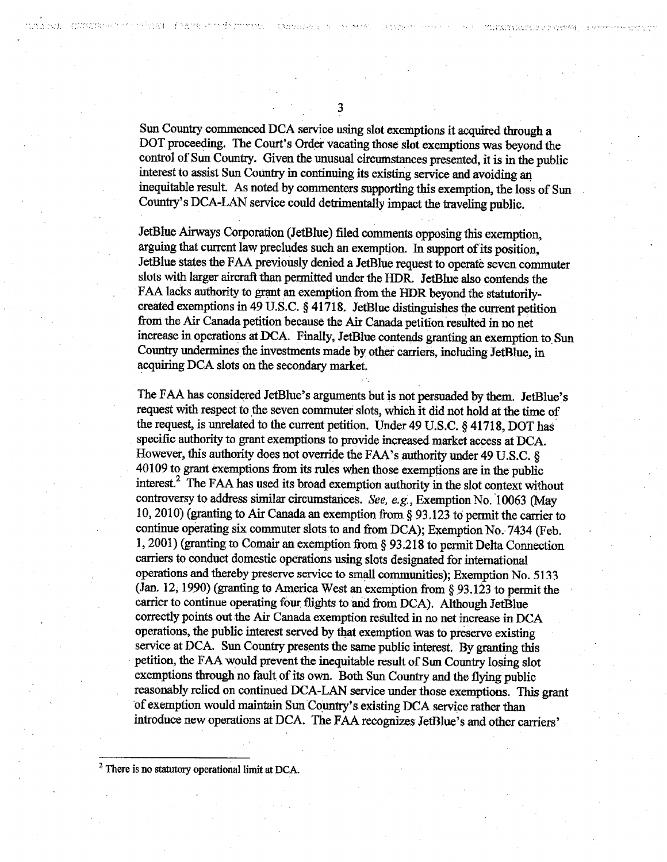TAX NA STORYMOUTH

diametricity of

3

Sun Country commenced DCA service using slot exemptions it acquired through a DOT proceeding. The Court's Order vacating those slot exemptions was beyond the control of Sun Country. Given the unusual circumstances presented, it is in the public interest to assist Sun Country in continuing its existing service and avoiding an inequitable result. As noted by commenters supporting this exemption, the loss of Sun Country's DCA-LAN service could detrimentally impact the traveling public.

JetBlue Airways Corporation (JetBlue) filed comments opposing this exemption, arguing that current law precludes such an exemption. In support of its position, JetBlue states the FAA previously denied a JetBlue request to operate seven commuter slots with larger aircraft than permitted under the HDR. JetBlue also contends the FAA lacks authority to grant an exemption from the HDR beyond the statutorilycreated exemptions in 49 U.S.C. § 41718. JetBlue distinguishes the current petition from the Air Canada petition because the Air Canada petition resulted in no net increase in operations at DCA. Finally, JetBlue contends granting an exemption to Sun Country undermines the investments made by other carriers, including JetBlue, in acquiring DCA slots on the secondary market.

The FAA has considered JetBlue's arguments but is not persuaded by them. JetBlue's request with respect to the seven commuter slots, which it did not hold at the time of the request, is unrelated to the current petition. Under 49 U.S.C. § 41718, DOT has specific authority to grant exemptions to provide increased market access at DCA. However, this authority does not override the FAA's authority under 49 U.S.C. § 40109 to grant exemptions from its rules when those exemptions are in the public interest.2 The FAA has used its broad exemption authority in the slot context without controversy to address similar circumstances. See, e.g., Exemption No. 10063 (May 10,2010) (granting to Air Canada an exemption from 93.123 to permit the carrier to continue operating six commuter slots to and from DCA); Exemption No. 7434 (Feb. 1,2001) (granting to Comair an exemption from 93.218 to permit Delta Connection carriers to conduct domestic operations using slots designated for international operations and thereby preserve service to small communities); Exemption No. 5133 (Jan. 12, 1990) (granting to America West an exemption from  $\S$  93.123 to permit the carrier to continue operating four flights to and from DCA). Although JetBlue correctly points out the Air Canada exemption resulted in no net increase in DCA operations, the public interest served by that exemption was to preserve existing service at DCA. Sun Country presents the same public interest. By granting this petition, the FAA would prevent the inequitable result of Sun Country losing slot exemptions through no fault of its own. Both Sun Country and the flying public reasonably relied on continued DCA-LAN service under those exemptions. This grant of exemption would maintain Sun Country's existing DCA service rather than introduce new operations at DCA. The FAA recognizes JetBlue's and other carriers'

 $<sup>2</sup>$  There is no statutory operational limit at DCA.</sup>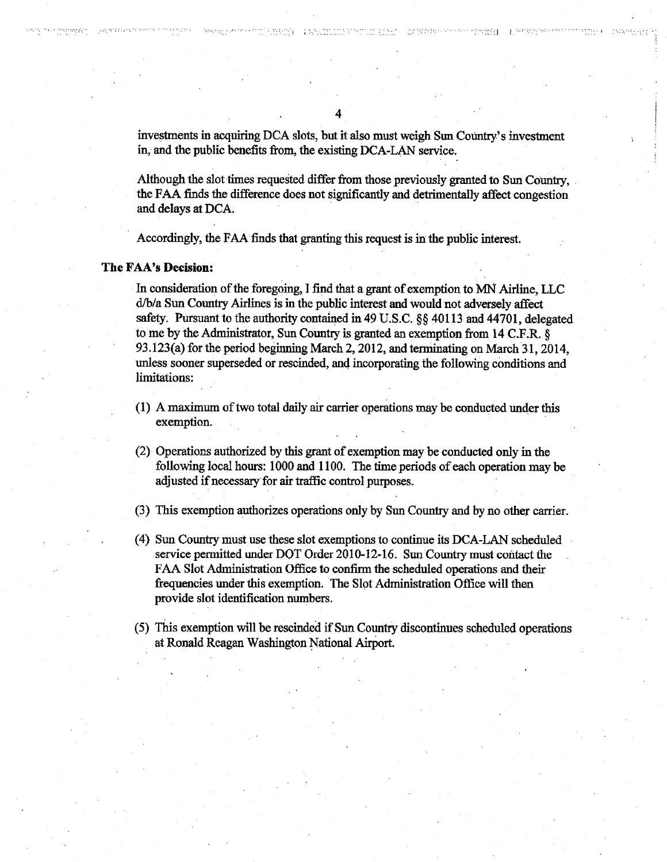investments in acquiring DCA slots, but it also must weigh Sun Country's investment in, and the public benefits from, the existing DCA-LAN service.

**TANGEMENT PRODUCT** 

••-.I I.

Although the slot times requested differ from those previously granted to Sun Country, the FAA finds the difference does not significantly and detrimentally affect congestion and delays at DCA.

Accordingly, the FAA finds that granting this request is in the public interest.

#### The FAA's Decision:

In consideration of the foregoing, find that grant of exemption to MN Airline, LLC d/b/a Sun Country Airlines is in the public interest and would not adversely affect safety. Pursuant to the authority contained in 49 U.S.C. §§ 40113 and 44701, delegated to me by the Administrator, Sun Country is granted an exemption from 14 C.F.R. 93.123(a) for the period beginning March 2,2012, and terminating on March 31,2014, unless sooner superseded or rescinded, and incorporating the following conditions and limitations:

- $(1)$  A maximum of two total daily air carrier operations may be conducted under this exemption.
- (2) Operations authorized by this grant of exemption may be conducted only in the following local hours: 1000 and 1100. The time periods of each operation may be adjusted if necessary for air traffic control purposes.
- (3) This exemption authorizes operations only by Sun Country and by no other carrier.
- (4) Sun Country must use these slot exemptions to continue its DCA-LAN scheduled service permitted under DOT Order 2010-12-16. Sun Country must contact the FAA Slot Administration Office to confirm the scheduled operations and their frequencies under this exemption. The Slot Administration Office will then provide slot identification numbers.
- (5) This exemption will be rescinded if Sun Country discontinues scheduled operations at Ronald Reagan Washington National Airport.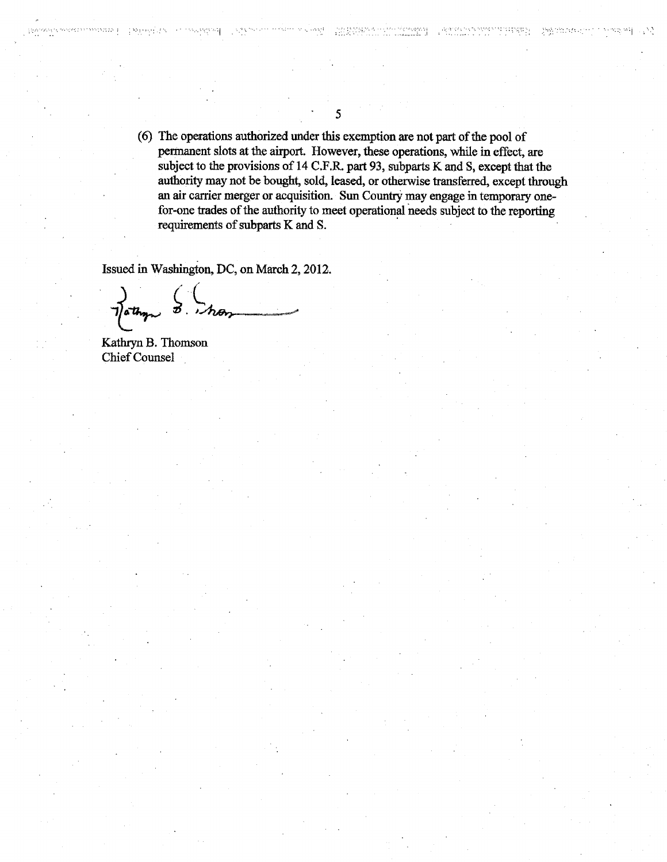(6) The operations authorized under this exemption are not part of the pool of permanent slots at the airport. However, these operations, while in effect, are subject to the provisions of 14 C.F.R. part 93, subparts K and S, except that the authority may not be bought, sold, leased, or otherwise transferred, except through an air carrier merger or acquisition. Sun Country may engage in temporary onefor-one trades of the authority to meet operational needs subject to the reporting requirements of subparts K and S.

转换 网络香椿科

사 학생 연락.

- 22

Issued in Washington, DC, on March 2,2012.

Kathryn B. Thomson Chief Counsel

issonneso a

1985 February 20

552332551

5

waji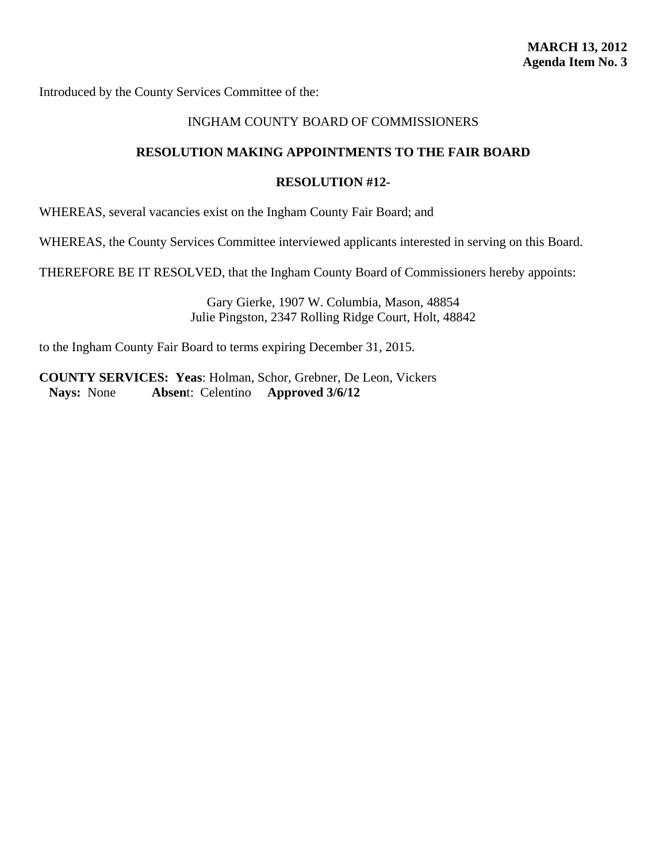### INGHAM COUNTY BOARD OF COMMISSIONERS

### **RESOLUTION MAKING APPOINTMENTS TO THE FAIR BOARD**

#### **RESOLUTION #12-**

WHEREAS, several vacancies exist on the Ingham County Fair Board; and

WHEREAS, the County Services Committee interviewed applicants interested in serving on this Board.

THEREFORE BE IT RESOLVED, that the Ingham County Board of Commissioners hereby appoints:

Gary Gierke, 1907 W. Columbia, Mason, 48854 Julie Pingston, 2347 Rolling Ridge Court, Holt, 48842

to the Ingham County Fair Board to terms expiring December 31, 2015.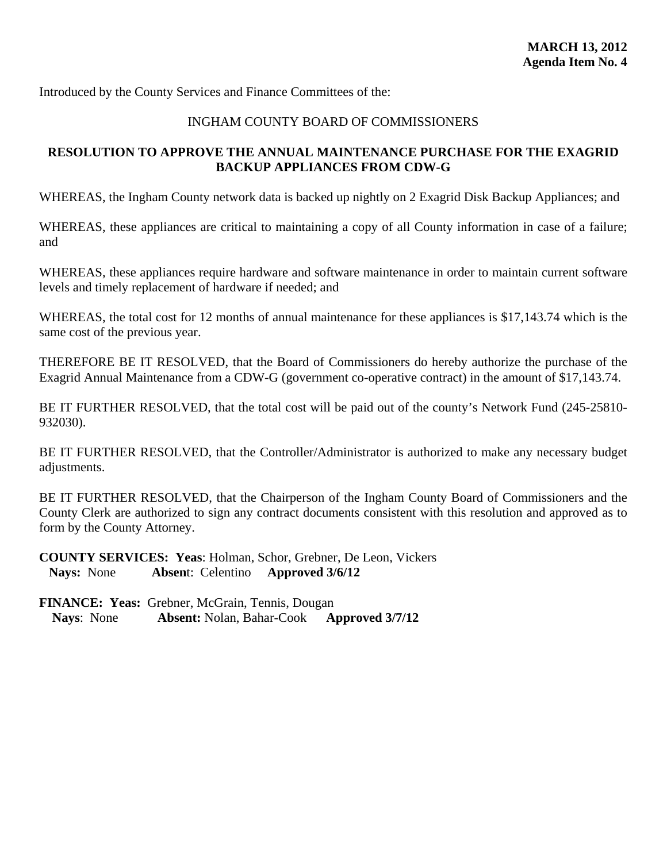# INGHAM COUNTY BOARD OF COMMISSIONERS

# **RESOLUTION TO APPROVE THE ANNUAL MAINTENANCE PURCHASE FOR THE EXAGRID BACKUP APPLIANCES FROM CDW-G**

WHEREAS, the Ingham County network data is backed up nightly on 2 Exagrid Disk Backup Appliances; and

WHEREAS, these appliances are critical to maintaining a copy of all County information in case of a failure; and

WHEREAS, these appliances require hardware and software maintenance in order to maintain current software levels and timely replacement of hardware if needed; and

WHEREAS, the total cost for 12 months of annual maintenance for these appliances is \$17,143.74 which is the same cost of the previous year.

THEREFORE BE IT RESOLVED, that the Board of Commissioners do hereby authorize the purchase of the Exagrid Annual Maintenance from a CDW-G (government co-operative contract) in the amount of \$17,143.74.

BE IT FURTHER RESOLVED, that the total cost will be paid out of the county's Network Fund (245-25810-932030).

BE IT FURTHER RESOLVED, that the Controller/Administrator is authorized to make any necessary budget adjustments.

BE IT FURTHER RESOLVED, that the Chairperson of the Ingham County Board of Commissioners and the County Clerk are authorized to sign any contract documents consistent with this resolution and approved as to form by the County Attorney.

**COUNTY SERVICES: Yeas**: Holman, Schor, Grebner, De Leon, Vickers **Nays:** None **Absen**t: Celentino **Approved 3/6/12**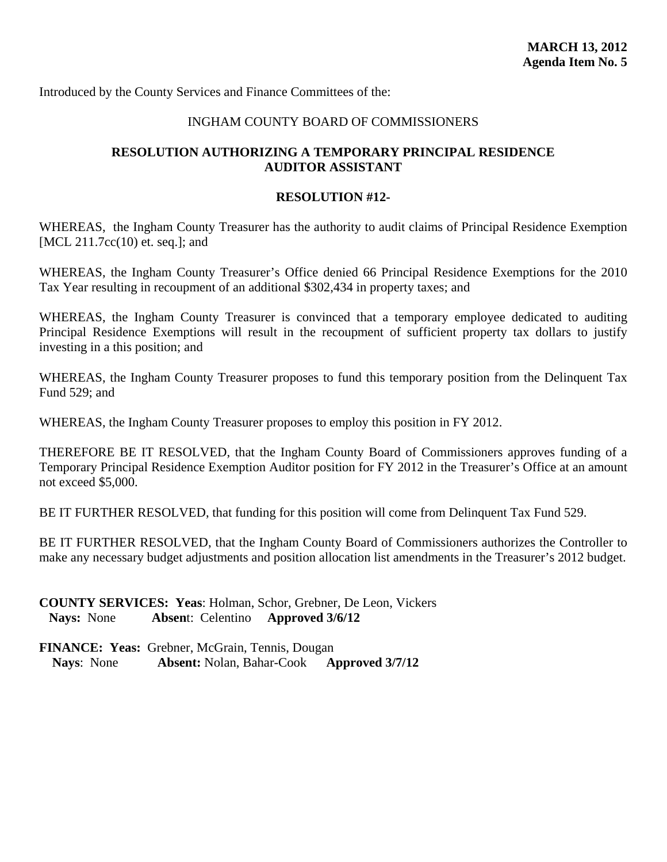#### INGHAM COUNTY BOARD OF COMMISSIONERS

# **RESOLUTION AUTHORIZING A TEMPORARY PRINCIPAL RESIDENCE AUDITOR ASSISTANT**

#### **RESOLUTION #12-**

WHEREAS, the Ingham County Treasurer has the authority to audit claims of Principal Residence Exemption [MCL 211.7cc(10) et. seq.]; and

WHEREAS, the Ingham County Treasurer's Office denied 66 Principal Residence Exemptions for the 2010 Tax Year resulting in recoupment of an additional \$302,434 in property taxes; and

WHEREAS, the Ingham County Treasurer is convinced that a temporary employee dedicated to auditing Principal Residence Exemptions will result in the recoupment of sufficient property tax dollars to justify investing in a this position; and

WHEREAS, the Ingham County Treasurer proposes to fund this temporary position from the Delinquent Tax Fund 529; and

WHEREAS, the Ingham County Treasurer proposes to employ this position in FY 2012.

THEREFORE BE IT RESOLVED, that the Ingham County Board of Commissioners approves funding of a Temporary Principal Residence Exemption Auditor position for FY 2012 in the Treasurer's Office at an amount not exceed \$5,000.

BE IT FURTHER RESOLVED, that funding for this position will come from Delinquent Tax Fund 529.

BE IT FURTHER RESOLVED, that the Ingham County Board of Commissioners authorizes the Controller to make any necessary budget adjustments and position allocation list amendments in the Treasurer's 2012 budget.

**COUNTY SERVICES: Yeas**: Holman, Schor, Grebner, De Leon, Vickers **Nays:** None **Absen**t: Celentino **Approved 3/6/12**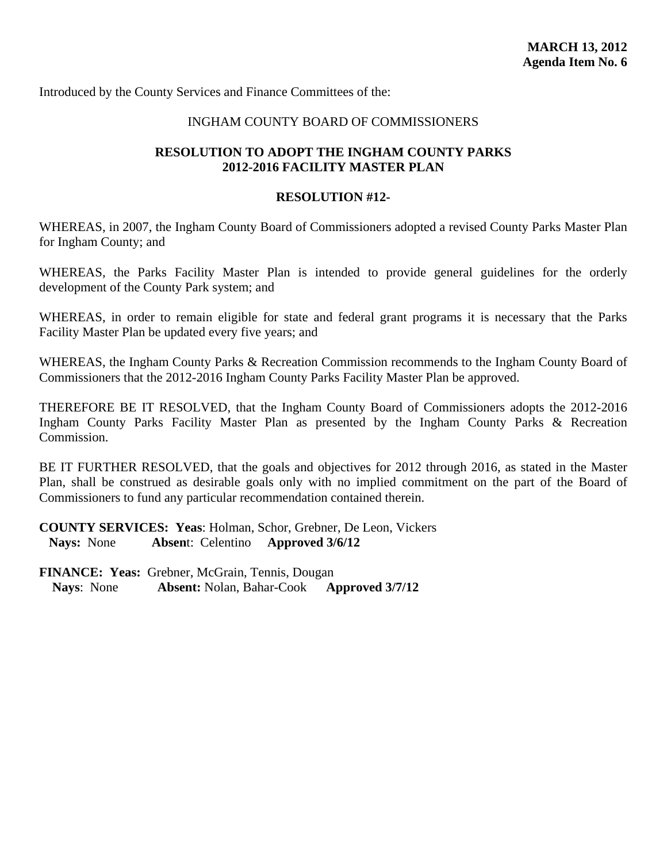#### INGHAM COUNTY BOARD OF COMMISSIONERS

# **RESOLUTION TO ADOPT THE INGHAM COUNTY PARKS 2012-2016 FACILITY MASTER PLAN**

#### **RESOLUTION #12-**

WHEREAS, in 2007, the Ingham County Board of Commissioners adopted a revised County Parks Master Plan for Ingham County; and

WHEREAS, the Parks Facility Master Plan is intended to provide general guidelines for the orderly development of the County Park system; and

WHEREAS, in order to remain eligible for state and federal grant programs it is necessary that the Parks Facility Master Plan be updated every five years; and

WHEREAS, the Ingham County Parks & Recreation Commission recommends to the Ingham County Board of Commissioners that the 2012-2016 Ingham County Parks Facility Master Plan be approved.

THEREFORE BE IT RESOLVED, that the Ingham County Board of Commissioners adopts the 2012-2016 Ingham County Parks Facility Master Plan as presented by the Ingham County Parks & Recreation Commission.

BE IT FURTHER RESOLVED, that the goals and objectives for 2012 through 2016, as stated in the Master Plan, shall be construed as desirable goals only with no implied commitment on the part of the Board of Commissioners to fund any particular recommendation contained therein.

**COUNTY SERVICES: Yeas**: Holman, Schor, Grebner, De Leon, Vickers **Nays:** None **Absen**t: Celentino **Approved 3/6/12**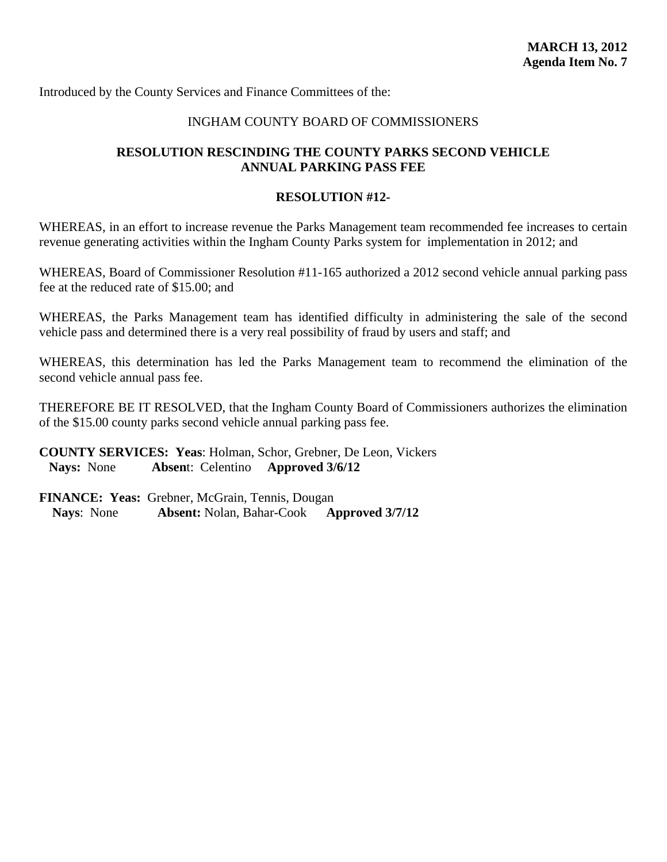#### INGHAM COUNTY BOARD OF COMMISSIONERS

# **RESOLUTION RESCINDING THE COUNTY PARKS SECOND VEHICLE ANNUAL PARKING PASS FEE**

#### **RESOLUTION #12-**

WHEREAS, in an effort to increase revenue the Parks Management team recommended fee increases to certain revenue generating activities within the Ingham County Parks system for implementation in 2012; and

WHEREAS, Board of Commissioner Resolution #11-165 authorized a 2012 second vehicle annual parking pass fee at the reduced rate of \$15.00; and

WHEREAS, the Parks Management team has identified difficulty in administering the sale of the second vehicle pass and determined there is a very real possibility of fraud by users and staff; and

WHEREAS, this determination has led the Parks Management team to recommend the elimination of the second vehicle annual pass fee.

THEREFORE BE IT RESOLVED, that the Ingham County Board of Commissioners authorizes the elimination of the \$15.00 county parks second vehicle annual parking pass fee.

**COUNTY SERVICES: Yeas**: Holman, Schor, Grebner, De Leon, Vickers **Nays:** None **Absen**t: Celentino **Approved 3/6/12**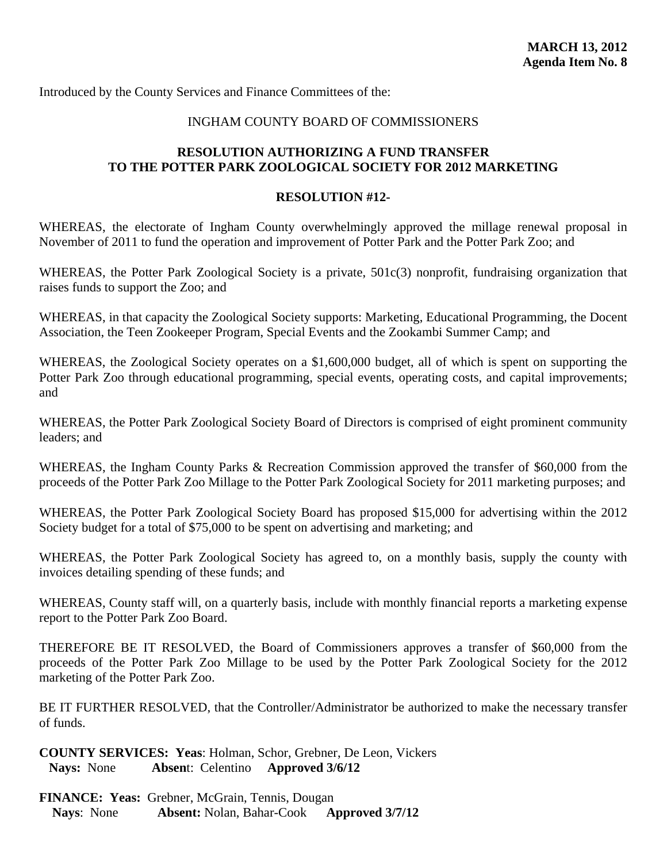# INGHAM COUNTY BOARD OF COMMISSIONERS

# **RESOLUTION AUTHORIZING A FUND TRANSFER TO THE POTTER PARK ZOOLOGICAL SOCIETY FOR 2012 MARKETING**

#### **RESOLUTION #12-**

WHEREAS, the electorate of Ingham County overwhelmingly approved the millage renewal proposal in November of 2011 to fund the operation and improvement of Potter Park and the Potter Park Zoo; and

WHEREAS, the Potter Park Zoological Society is a private,  $501c(3)$  nonprofit, fundraising organization that raises funds to support the Zoo; and

WHEREAS, in that capacity the Zoological Society supports: Marketing, Educational Programming, the Docent Association, the Teen Zookeeper Program, Special Events and the Zookambi Summer Camp; and

WHEREAS, the Zoological Society operates on a \$1,600,000 budget, all of which is spent on supporting the Potter Park Zoo through educational programming, special events, operating costs, and capital improvements; and

WHEREAS, the Potter Park Zoological Society Board of Directors is comprised of eight prominent community leaders; and

WHEREAS, the Ingham County Parks & Recreation Commission approved the transfer of \$60,000 from the proceeds of the Potter Park Zoo Millage to the Potter Park Zoological Society for 2011 marketing purposes; and

WHEREAS, the Potter Park Zoological Society Board has proposed \$15,000 for advertising within the 2012 Society budget for a total of \$75,000 to be spent on advertising and marketing; and

WHEREAS, the Potter Park Zoological Society has agreed to, on a monthly basis, supply the county with invoices detailing spending of these funds; and

WHEREAS, County staff will, on a quarterly basis, include with monthly financial reports a marketing expense report to the Potter Park Zoo Board.

THEREFORE BE IT RESOLVED, the Board of Commissioners approves a transfer of \$60,000 from the proceeds of the Potter Park Zoo Millage to be used by the Potter Park Zoological Society for the 2012 marketing of the Potter Park Zoo.

BE IT FURTHER RESOLVED, that the Controller/Administrator be authorized to make the necessary transfer of funds.

**COUNTY SERVICES: Yeas**: Holman, Schor, Grebner, De Leon, Vickers **Nays:** None **Absen**t: Celentino **Approved 3/6/12**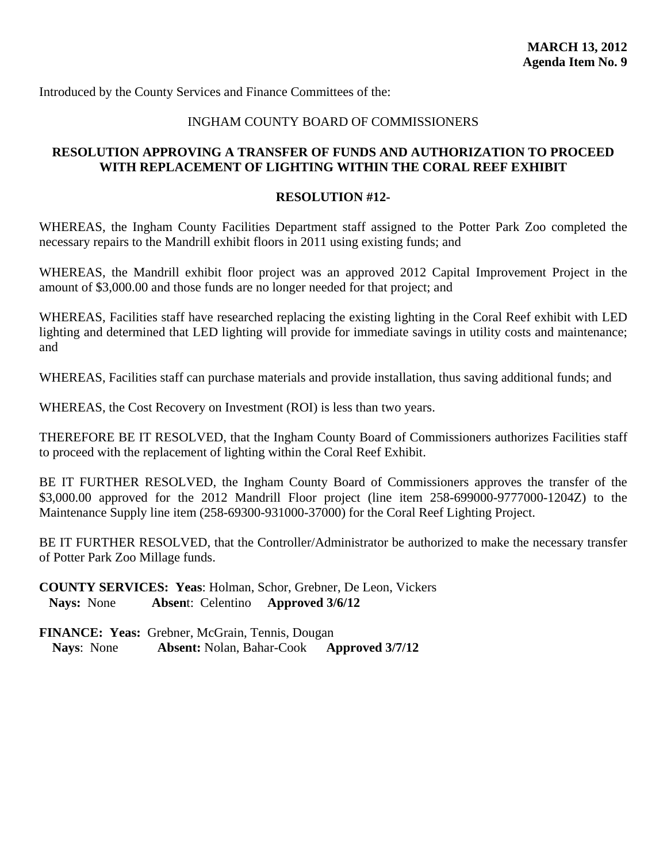#### INGHAM COUNTY BOARD OF COMMISSIONERS

# **RESOLUTION APPROVING A TRANSFER OF FUNDS AND AUTHORIZATION TO PROCEED WITH REPLACEMENT OF LIGHTING WITHIN THE CORAL REEF EXHIBIT**

#### **RESOLUTION #12-**

WHEREAS, the Ingham County Facilities Department staff assigned to the Potter Park Zoo completed the necessary repairs to the Mandrill exhibit floors in 2011 using existing funds; and

WHEREAS, the Mandrill exhibit floor project was an approved 2012 Capital Improvement Project in the amount of \$3,000.00 and those funds are no longer needed for that project; and

WHEREAS, Facilities staff have researched replacing the existing lighting in the Coral Reef exhibit with LED lighting and determined that LED lighting will provide for immediate savings in utility costs and maintenance; and

WHEREAS, Facilities staff can purchase materials and provide installation, thus saving additional funds; and

WHEREAS, the Cost Recovery on Investment (ROI) is less than two years.

THEREFORE BE IT RESOLVED, that the Ingham County Board of Commissioners authorizes Facilities staff to proceed with the replacement of lighting within the Coral Reef Exhibit.

BE IT FURTHER RESOLVED, the Ingham County Board of Commissioners approves the transfer of the \$3,000.00 approved for the 2012 Mandrill Floor project (line item 258-699000-9777000-1204Z) to the Maintenance Supply line item (258-69300-931000-37000) for the Coral Reef Lighting Project.

BE IT FURTHER RESOLVED, that the Controller/Administrator be authorized to make the necessary transfer of Potter Park Zoo Millage funds.

**COUNTY SERVICES: Yeas**: Holman, Schor, Grebner, De Leon, Vickers **Nays:** None **Absen**t: Celentino **Approved 3/6/12**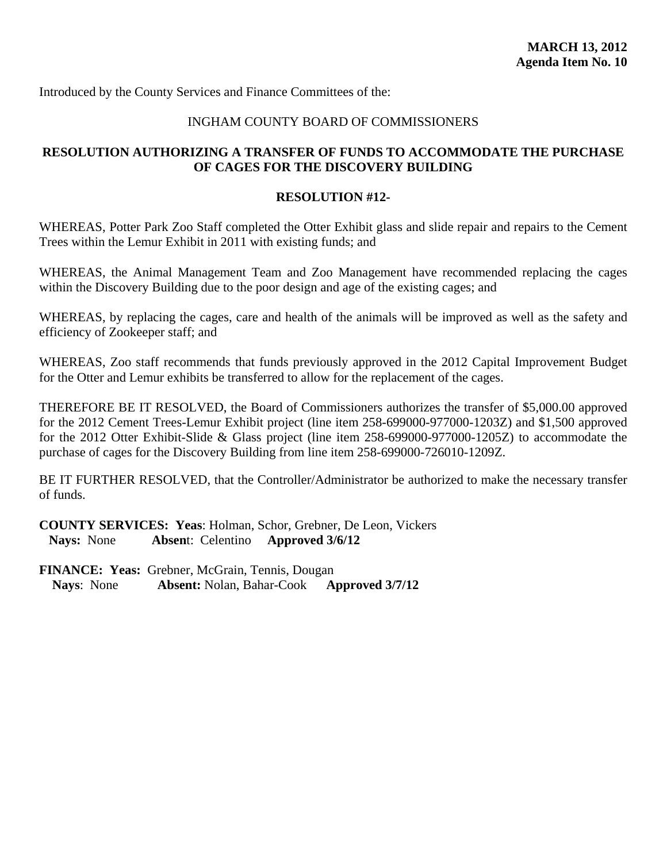### INGHAM COUNTY BOARD OF COMMISSIONERS

# **RESOLUTION AUTHORIZING A TRANSFER OF FUNDS TO ACCOMMODATE THE PURCHASE OF CAGES FOR THE DISCOVERY BUILDING**

#### **RESOLUTION #12-**

WHEREAS, Potter Park Zoo Staff completed the Otter Exhibit glass and slide repair and repairs to the Cement Trees within the Lemur Exhibit in 2011 with existing funds; and

WHEREAS, the Animal Management Team and Zoo Management have recommended replacing the cages within the Discovery Building due to the poor design and age of the existing cages; and

WHEREAS, by replacing the cages, care and health of the animals will be improved as well as the safety and efficiency of Zookeeper staff; and

WHEREAS, Zoo staff recommends that funds previously approved in the 2012 Capital Improvement Budget for the Otter and Lemur exhibits be transferred to allow for the replacement of the cages.

THEREFORE BE IT RESOLVED, the Board of Commissioners authorizes the transfer of \$5,000.00 approved for the 2012 Cement Trees-Lemur Exhibit project (line item 258-699000-977000-1203Z) and \$1,500 approved for the 2012 Otter Exhibit-Slide & Glass project (line item 258-699000-977000-1205Z) to accommodate the purchase of cages for the Discovery Building from line item 258-699000-726010-1209Z.

BE IT FURTHER RESOLVED, that the Controller/Administrator be authorized to make the necessary transfer of funds.

**COUNTY SERVICES: Yeas**: Holman, Schor, Grebner, De Leon, Vickers **Nays:** None **Absen**t: Celentino **Approved 3/6/12**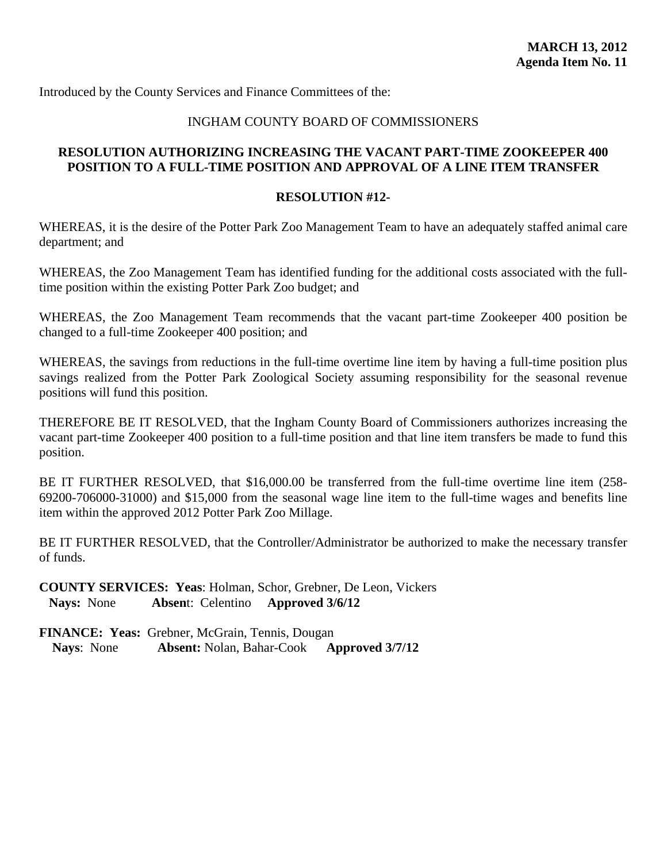#### INGHAM COUNTY BOARD OF COMMISSIONERS

# **RESOLUTION AUTHORIZING INCREASING THE VACANT PART-TIME ZOOKEEPER 400 POSITION TO A FULL-TIME POSITION AND APPROVAL OF A LINE ITEM TRANSFER**

#### **RESOLUTION #12-**

WHEREAS, it is the desire of the Potter Park Zoo Management Team to have an adequately staffed animal care department; and

WHEREAS, the Zoo Management Team has identified funding for the additional costs associated with the fulltime position within the existing Potter Park Zoo budget; and

WHEREAS, the Zoo Management Team recommends that the vacant part-time Zookeeper 400 position be changed to a full-time Zookeeper 400 position; and

WHEREAS, the savings from reductions in the full-time overtime line item by having a full-time position plus savings realized from the Potter Park Zoological Society assuming responsibility for the seasonal revenue positions will fund this position.

THEREFORE BE IT RESOLVED, that the Ingham County Board of Commissioners authorizes increasing the vacant part-time Zookeeper 400 position to a full-time position and that line item transfers be made to fund this position.

BE IT FURTHER RESOLVED, that \$16,000.00 be transferred from the full-time overtime line item (258-69200-706000-31000) and \$15,000 from the seasonal wage line item to the full-time wages and benefits line item within the approved 2012 Potter Park Zoo Millage.

BE IT FURTHER RESOLVED, that the Controller/Administrator be authorized to make the necessary transfer of funds.

**COUNTY SERVICES: Yeas**: Holman, Schor, Grebner, De Leon, Vickers **Nays:** None **Absen**t: Celentino **Approved 3/6/12**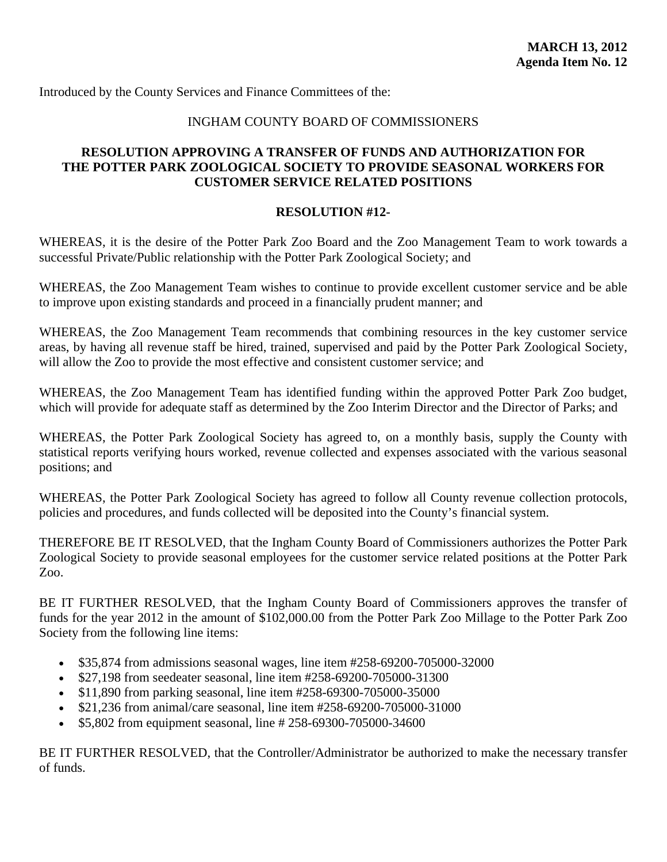#### INGHAM COUNTY BOARD OF COMMISSIONERS

# **RESOLUTION APPROVING A TRANSFER OF FUNDS AND AUTHORIZATION FOR THE POTTER PARK ZOOLOGICAL SOCIETY TO PROVIDE SEASONAL WORKERS FOR CUSTOMER SERVICE RELATED POSITIONS**

#### **RESOLUTION #12-**

WHEREAS, it is the desire of the Potter Park Zoo Board and the Zoo Management Team to work towards a successful Private/Public relationship with the Potter Park Zoological Society; and

WHEREAS, the Zoo Management Team wishes to continue to provide excellent customer service and be able to improve upon existing standards and proceed in a financially prudent manner; and

WHEREAS, the Zoo Management Team recommends that combining resources in the key customer service areas, by having all revenue staff be hired, trained, supervised and paid by the Potter Park Zoological Society, will allow the Zoo to provide the most effective and consistent customer service; and

WHEREAS, the Zoo Management Team has identified funding within the approved Potter Park Zoo budget, which will provide for adequate staff as determined by the Zoo Interim Director and the Director of Parks; and

WHEREAS, the Potter Park Zoological Society has agreed to, on a monthly basis, supply the County with statistical reports verifying hours worked, revenue collected and expenses associated with the various seasonal positions; and

WHEREAS, the Potter Park Zoological Society has agreed to follow all County revenue collection protocols, policies and procedures, and funds collected will be deposited into the County's financial system.

THEREFORE BE IT RESOLVED, that the Ingham County Board of Commissioners authorizes the Potter Park Zoological Society to provide seasonal employees for the customer service related positions at the Potter Park Zoo.

BE IT FURTHER RESOLVED, that the Ingham County Board of Commissioners approves the transfer of funds for the year 2012 in the amount of \$102,000.00 from the Potter Park Zoo Millage to the Potter Park Zoo Society from the following line items:

- \$35,874 from admissions seasonal wages, line item #258-69200-705000-32000
- \$27,198 from seedeater seasonal, line item #258-69200-705000-31300
- \$11,890 from parking seasonal, line item #258-69300-705000-35000
- \$21,236 from animal/care seasonal, line item #258-69200-705000-31000
- \$5,802 from equipment seasonal, line # 258-69300-705000-34600

BE IT FURTHER RESOLVED, that the Controller/Administrator be authorized to make the necessary transfer of funds.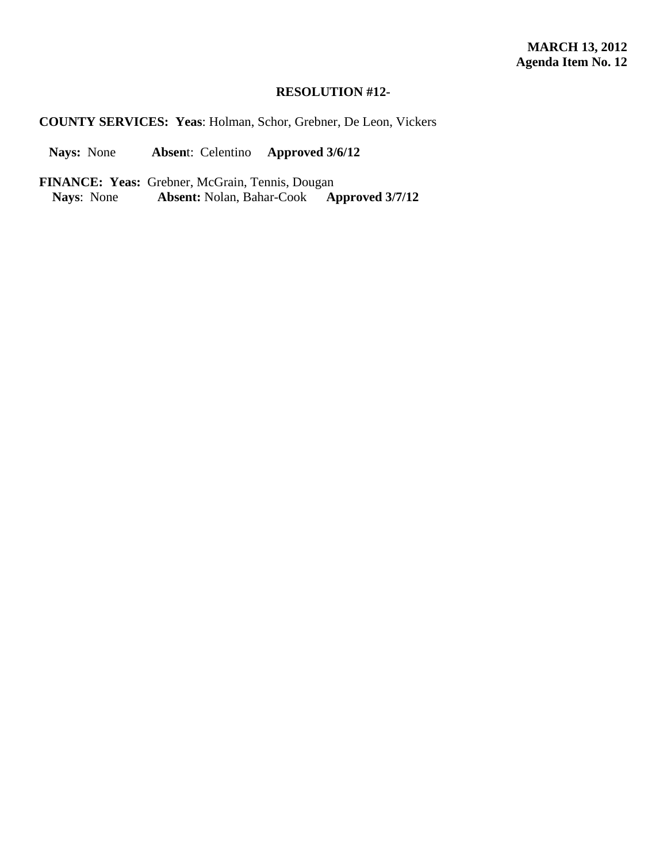# **RESOLUTION #12-**

**COUNTY SERVICES: Yeas**: Holman, Schor, Grebner, De Leon, Vickers

**Nays:** None **Absen**t: Celentino **Approved 3/6/12**

**FINANCE: Yeas:** Grebner, McGrain, Tennis, Dougan<br>Nays: None Absent: Nolan, Bahar-Cook Approved 3/7/12

**Nays:** None **Absent:** Nolan, Bahar-Cook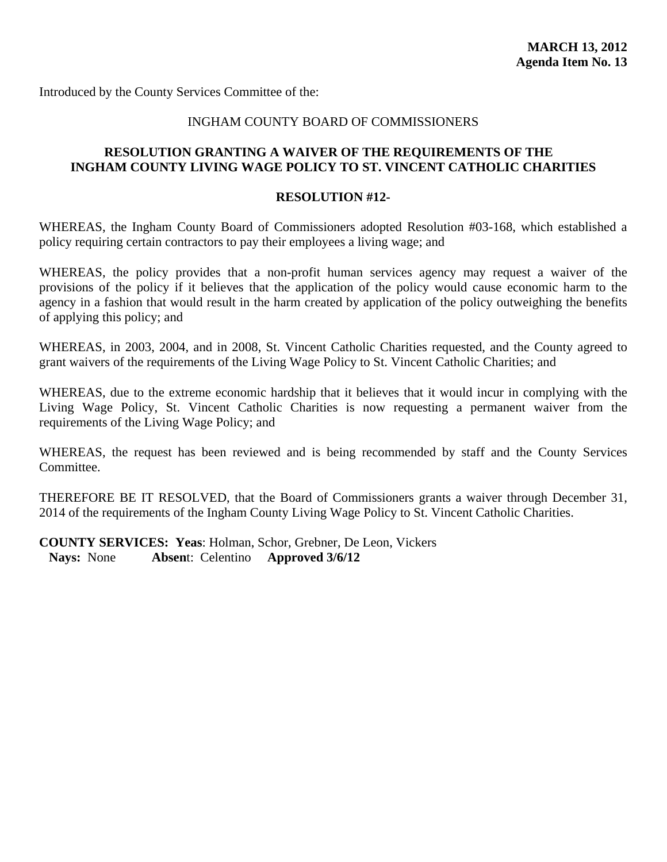# INGHAM COUNTY BOARD OF COMMISSIONERS

# **RESOLUTION GRANTING A WAIVER OF THE REQUIREMENTS OF THE INGHAM COUNTY LIVING WAGE POLICY TO ST. VINCENT CATHOLIC CHARITIES**

#### **RESOLUTION #12-**

WHEREAS, the Ingham County Board of Commissioners adopted Resolution #03-168, which established a policy requiring certain contractors to pay their employees a living wage; and

WHEREAS, the policy provides that a non-profit human services agency may request a waiver of the provisions of the policy if it believes that the application of the policy would cause economic harm to the agency in a fashion that would result in the harm created by application of the policy outweighing the benefits of applying this policy; and

WHEREAS, in 2003, 2004, and in 2008, St. Vincent Catholic Charities requested, and the County agreed to grant waivers of the requirements of the Living Wage Policy to St. Vincent Catholic Charities; and

WHEREAS, due to the extreme economic hardship that it believes that it would incur in complying with the Living Wage Policy, St. Vincent Catholic Charities is now requesting a permanent waiver from the requirements of the Living Wage Policy; and

WHEREAS, the request has been reviewed and is being recommended by staff and the County Services Committee.

THEREFORE BE IT RESOLVED, that the Board of Commissioners grants a waiver through December 31, 2014 of the requirements of the Ingham County Living Wage Policy to St. Vincent Catholic Charities.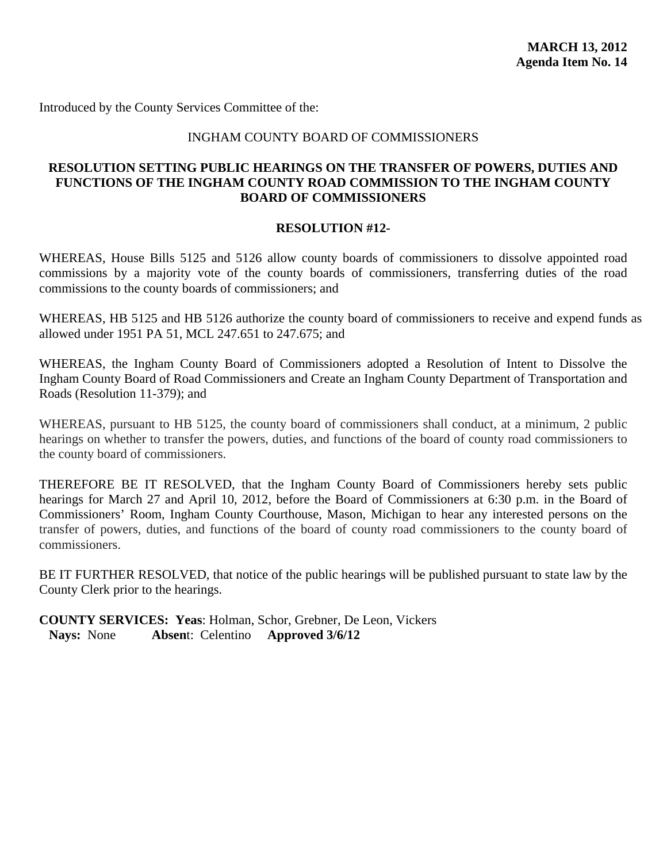#### INGHAM COUNTY BOARD OF COMMISSIONERS

# **RESOLUTION SETTING PUBLIC HEARINGS ON THE TRANSFER OF POWERS, DUTIES AND FUNCTIONS OF THE INGHAM COUNTY ROAD COMMISSION TO THE INGHAM COUNTY BOARD OF COMMISSIONERS**

#### **RESOLUTION #12-**

WHEREAS, House Bills 5125 and 5126 allow county boards of commissioners to dissolve appointed road commissions by a majority vote of the county boards of commissioners, transferring duties of the road commissions to the county boards of commissioners; and

WHEREAS, HB 5125 and HB 5126 authorize the county board of commissioners to receive and expend funds as allowed under 1951 PA 51, MCL 247.651 to 247.675; and

WHEREAS, the Ingham County Board of Commissioners adopted a Resolution of Intent to Dissolve the Ingham County Board of Road Commissioners and Create an Ingham County Department of Transportation and Roads (Resolution 11-379); and

WHEREAS, pursuant to HB 5125, the county board of commissioners shall conduct, at a minimum, 2 public hearings on whether to transfer the powers, duties, and functions of the board of county road commissioners to the county board of commissioners.

THEREFORE BE IT RESOLVED, that the Ingham County Board of Commissioners hereby sets public hearings for March 27 and April 10, 2012, before the Board of Commissioners at 6:30 p.m. in the Board of Commissioners' Room, Ingham County Courthouse, Mason, Michigan to hear any interested persons on the transfer of powers, duties, and functions of the board of county road commissioners to the county board of commissioners.

BE IT FURTHER RESOLVED, that notice of the public hearings will be published pursuant to state law by the County Clerk prior to the hearings.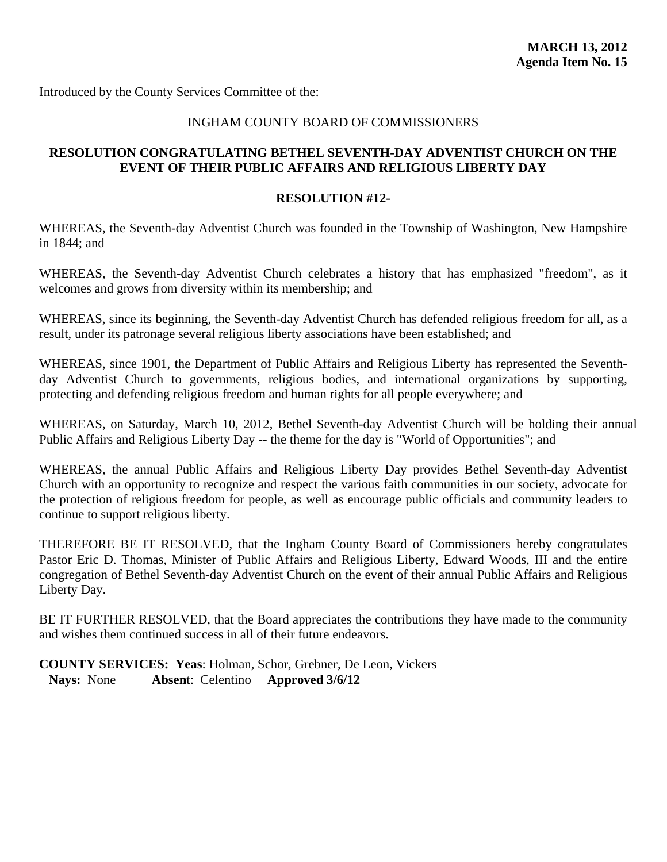#### INGHAM COUNTY BOARD OF COMMISSIONERS

# **RESOLUTION CONGRATULATING BETHEL SEVENTH-DAY ADVENTIST CHURCH ON THE EVENT OF THEIR PUBLIC AFFAIRS AND RELIGIOUS LIBERTY DAY**

#### **RESOLUTION #12-**

WHEREAS, the Seventh-day Adventist Church was founded in the Township of Washington, New Hampshire in 1844; and

WHEREAS, the Seventh-day Adventist Church celebrates a history that has emphasized "freedom", as it welcomes and grows from diversity within its membership; and

WHEREAS, since its beginning, the Seventh-day Adventist Church has defended religious freedom for all, as a result, under its patronage several religious liberty associations have been established; and

WHEREAS, since 1901, the Department of Public Affairs and Religious Liberty has represented the Seventhday Adventist Church to governments, religious bodies, and international organizations by supporting, protecting and defending religious freedom and human rights for all people everywhere; and

WHEREAS, on Saturday, March 10, 2012, Bethel Seventh-day Adventist Church will be holding their annual Public Affairs and Religious Liberty Day -- the theme for the day is "World of Opportunities"; and

WHEREAS, the annual Public Affairs and Religious Liberty Day provides Bethel Seventh-day Adventist Church with an opportunity to recognize and respect the various faith communities in our society, advocate for the protection of religious freedom for people, as well as encourage public officials and community leaders to continue to support religious liberty.

THEREFORE BE IT RESOLVED, that the Ingham County Board of Commissioners hereby congratulates Pastor Eric D. Thomas, Minister of Public Affairs and Religious Liberty, Edward Woods, III and the entire congregation of Bethel Seventh-day Adventist Church on the event of their annual Public Affairs and Religious Liberty Day.

BE IT FURTHER RESOLVED, that the Board appreciates the contributions they have made to the community and wishes them continued success in all of their future endeavors.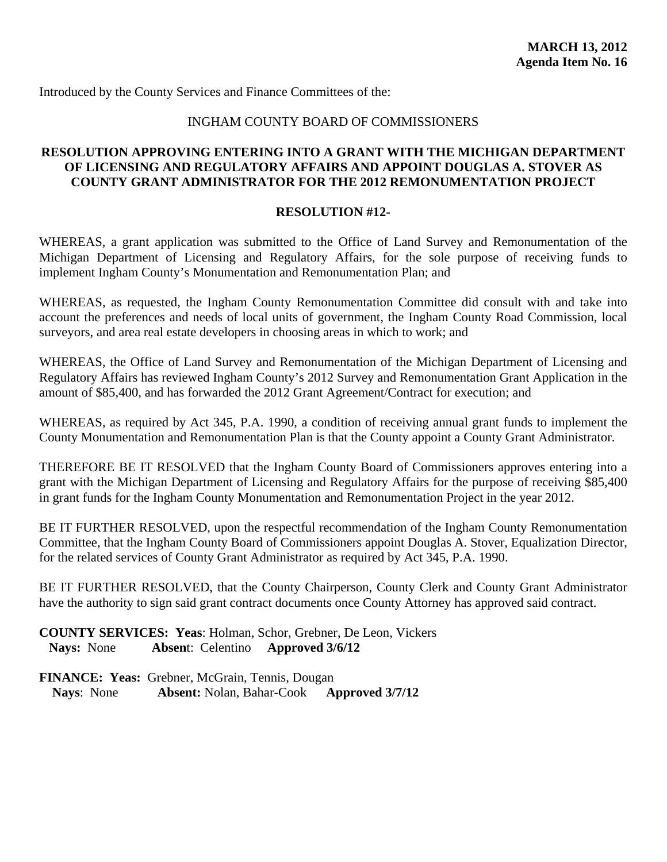### INGHAM COUNTY BOARD OF COMMISSIONERS

# **RESOLUTION APPROVING ENTERING INTO A GRANT WITH THE MICHIGAN DEPARTMENT OF LICENSING AND REGULATORY AFFAIRS AND APPOINT DOUGLAS A. STOVER AS COUNTY GRANT ADMINISTRATOR FOR THE 2012 REMONUMENTATION PROJECT**

#### **RESOLUTION #12-**

WHEREAS, a grant application was submitted to the Office of Land Survey and Remonumentation of the Michigan Department of Licensing and Regulatory Affairs, for the sole purpose of receiving funds to implement Ingham County's Monumentation and Remonumentation Plan; and

WHEREAS, as requested, the Ingham County Remonumentation Committee did consult with and take into account the preferences and needs of local units of government, the Ingham County Road Commission, local surveyors, and area real estate developers in choosing areas in which to work; and

WHEREAS, the Office of Land Survey and Remonumentation of the Michigan Department of Licensing and Regulatory Affairs has reviewed Ingham County's 2012 Survey and Remonumentation Grant Application in the amount of \$85,400, and has forwarded the 2012 Grant Agreement/Contract for execution; and

WHEREAS, as required by Act 345, P.A. 1990, a condition of receiving annual grant funds to implement the County Monumentation and Remonumentation Plan is that the County appoint a County Grant Administrator.

THEREFORE BE IT RESOLVED that the Ingham County Board of Commissioners approves entering into a grant with the Michigan Department of Licensing and Regulatory Affairs for the purpose of receiving \$85,400 in grant funds for the Ingham County Monumentation and Remonumentation Project in the year 2012.

BE IT FURTHER RESOLVED, upon the respectful recommendation of the Ingham County Remonumentation Committee, that the Ingham County Board of Commissioners appoint Douglas A. Stover, Equalization Director, for the related services of County Grant Administrator as required by Act 345, P.A. 1990.

BE IT FURTHER RESOLVED, that the County Chairperson, County Clerk and County Grant Administrator have the authority to sign said grant contract documents once County Attorney has approved said contract.

**COUNTY SERVICES: Yeas**: Holman, Schor, Grebner, De Leon, Vickers **Nays:** None **Absen**t: Celentino **Approved 3/6/12**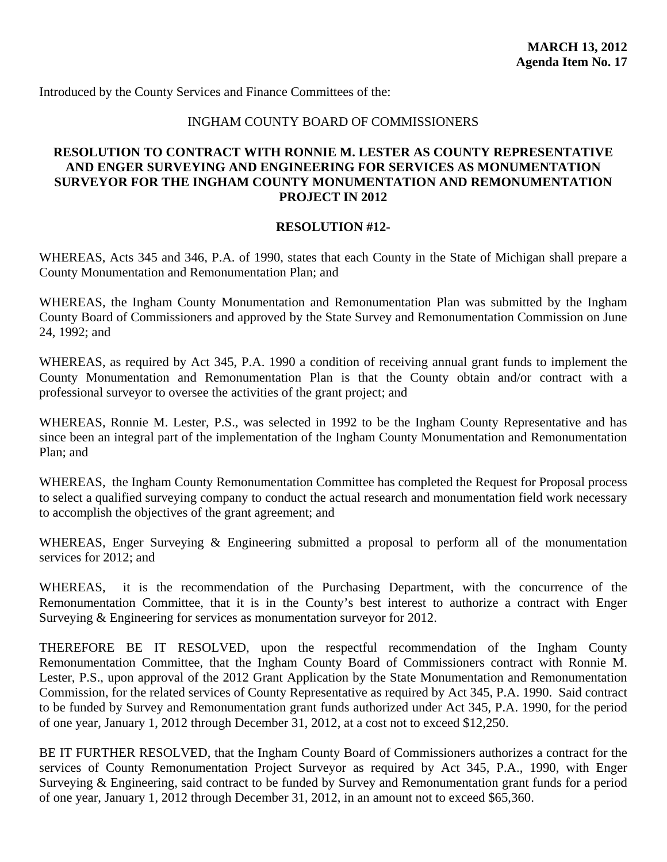#### INGHAM COUNTY BOARD OF COMMISSIONERS

# **RESOLUTION TO CONTRACT WITH RONNIE M. LESTER AS COUNTY REPRESENTATIVE AND ENGER SURVEYING AND ENGINEERING FOR SERVICES AS MONUMENTATION SURVEYOR FOR THE INGHAM COUNTY MONUMENTATION AND REMONUMENTATION PROJECT IN 2012**

#### **RESOLUTION #12-**

WHEREAS, Acts 345 and 346, P.A. of 1990, states that each County in the State of Michigan shall prepare a County Monumentation and Remonumentation Plan; and

WHEREAS, the Ingham County Monumentation and Remonumentation Plan was submitted by the Ingham County Board of Commissioners and approved by the State Survey and Remonumentation Commission on June 24, 1992; and

WHEREAS, as required by Act 345, P.A. 1990 a condition of receiving annual grant funds to implement the County Monumentation and Remonumentation Plan is that the County obtain and/or contract with a professional surveyor to oversee the activities of the grant project; and

WHEREAS, Ronnie M. Lester, P.S., was selected in 1992 to be the Ingham County Representative and has since been an integral part of the implementation of the Ingham County Monumentation and Remonumentation Plan; and

WHEREAS, the Ingham County Remonumentation Committee has completed the Request for Proposal process to select a qualified surveying company to conduct the actual research and monumentation field work necessary to accomplish the objectives of the grant agreement; and

WHEREAS, Enger Surveying & Engineering submitted a proposal to perform all of the monumentation services for 2012; and

WHEREAS, it is the recommendation of the Purchasing Department, with the concurrence of the Remonumentation Committee, that it is in the County's best interest to authorize a contract with Enger Surveying & Engineering for services as monumentation surveyor for 2012.

THEREFORE BE IT RESOLVED, upon the respectful recommendation of the Ingham County Remonumentation Committee, that the Ingham County Board of Commissioners contract with Ronnie M. Lester, P.S., upon approval of the 2012 Grant Application by the State Monumentation and Remonumentation Commission, for the related services of County Representative as required by Act 345, P.A. 1990. Said contract to be funded by Survey and Remonumentation grant funds authorized under Act 345, P.A. 1990, for the period of one year, January 1, 2012 through December 31, 2012, at a cost not to exceed \$12,250.

BE IT FURTHER RESOLVED, that the Ingham County Board of Commissioners authorizes a contract for the services of County Remonumentation Project Surveyor as required by Act 345, P.A., 1990, with Enger Surveying & Engineering, said contract to be funded by Survey and Remonumentation grant funds for a period of one year, January 1, 2012 through December 31, 2012, in an amount not to exceed \$65,360.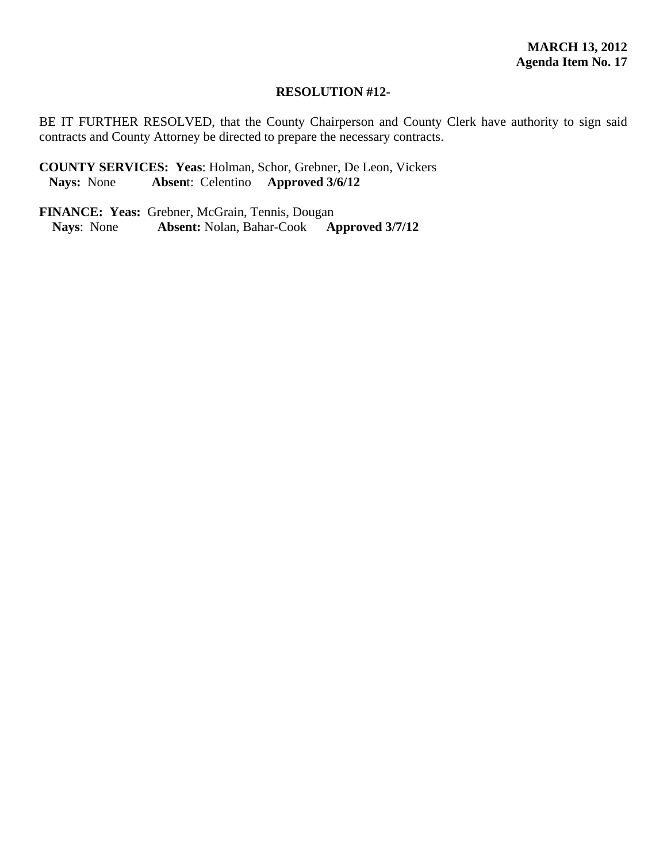#### **RESOLUTION #12-**

BE IT FURTHER RESOLVED, that the County Chairperson and County Clerk have authority to sign said contracts and County Attorney be directed to prepare the necessary contracts.

**COUNTY SERVICES: Yeas**: Holman, Schor, Grebner, De Leon, Vickers **Nays:** None **Absen**t: Celentino **Approved 3/6/12**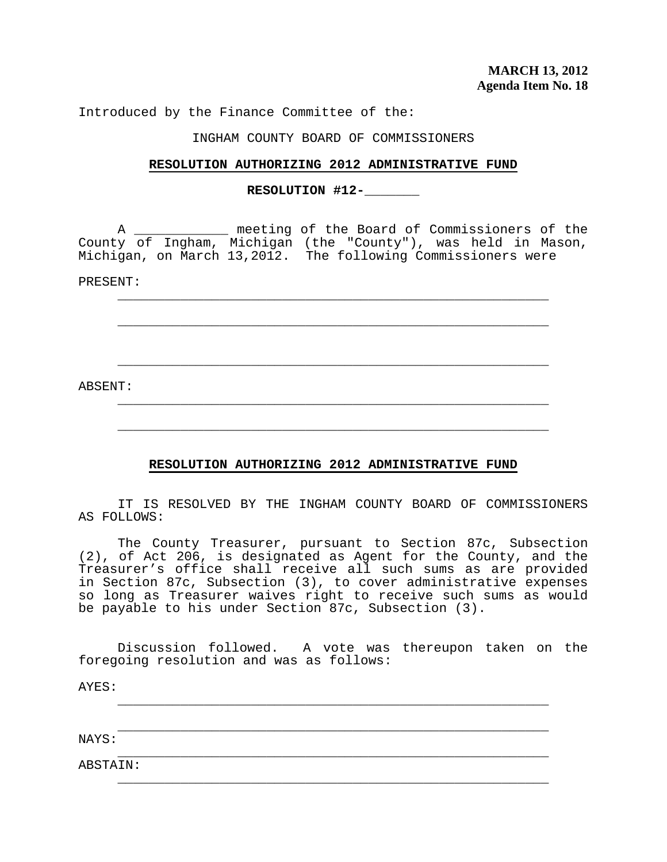Introduced by the Finance Committee of the:

#### INGHAM COUNTY BOARD OF COMMISSIONERS

#### **RESOLUTION AUTHORIZING 2012 ADMINISTRATIVE FUND**

### **RESOLUTION #12-\_\_\_\_\_\_\_**

 $\overline{\phantom{a}}$  ,  $\overline{\phantom{a}}$  ,  $\overline{\phantom{a}}$  ,  $\overline{\phantom{a}}$  ,  $\overline{\phantom{a}}$  ,  $\overline{\phantom{a}}$  ,  $\overline{\phantom{a}}$  ,  $\overline{\phantom{a}}$  ,  $\overline{\phantom{a}}$  ,  $\overline{\phantom{a}}$  ,  $\overline{\phantom{a}}$  ,  $\overline{\phantom{a}}$  ,  $\overline{\phantom{a}}$  ,  $\overline{\phantom{a}}$  ,  $\overline{\phantom{a}}$  ,  $\overline{\phantom{a}}$ 

 $\overline{\phantom{a}}$  ,  $\overline{\phantom{a}}$  ,  $\overline{\phantom{a}}$  ,  $\overline{\phantom{a}}$  ,  $\overline{\phantom{a}}$  ,  $\overline{\phantom{a}}$  ,  $\overline{\phantom{a}}$  ,  $\overline{\phantom{a}}$  ,  $\overline{\phantom{a}}$  ,  $\overline{\phantom{a}}$  ,  $\overline{\phantom{a}}$  ,  $\overline{\phantom{a}}$  ,  $\overline{\phantom{a}}$  ,  $\overline{\phantom{a}}$  ,  $\overline{\phantom{a}}$  ,  $\overline{\phantom{a}}$ 

 $\overline{\phantom{a}}$  ,  $\overline{\phantom{a}}$  ,  $\overline{\phantom{a}}$  ,  $\overline{\phantom{a}}$  ,  $\overline{\phantom{a}}$  ,  $\overline{\phantom{a}}$  ,  $\overline{\phantom{a}}$  ,  $\overline{\phantom{a}}$  ,  $\overline{\phantom{a}}$  ,  $\overline{\phantom{a}}$  ,  $\overline{\phantom{a}}$  ,  $\overline{\phantom{a}}$  ,  $\overline{\phantom{a}}$  ,  $\overline{\phantom{a}}$  ,  $\overline{\phantom{a}}$  ,  $\overline{\phantom{a}}$ 

 $\overline{\phantom{a}}$  ,  $\overline{\phantom{a}}$  ,  $\overline{\phantom{a}}$  ,  $\overline{\phantom{a}}$  ,  $\overline{\phantom{a}}$  ,  $\overline{\phantom{a}}$  ,  $\overline{\phantom{a}}$  ,  $\overline{\phantom{a}}$  ,  $\overline{\phantom{a}}$  ,  $\overline{\phantom{a}}$  ,  $\overline{\phantom{a}}$  ,  $\overline{\phantom{a}}$  ,  $\overline{\phantom{a}}$  ,  $\overline{\phantom{a}}$  ,  $\overline{\phantom{a}}$  ,  $\overline{\phantom{a}}$ 

 $\overline{\phantom{a}}$  ,  $\overline{\phantom{a}}$  ,  $\overline{\phantom{a}}$  ,  $\overline{\phantom{a}}$  ,  $\overline{\phantom{a}}$  ,  $\overline{\phantom{a}}$  ,  $\overline{\phantom{a}}$  ,  $\overline{\phantom{a}}$  ,  $\overline{\phantom{a}}$  ,  $\overline{\phantom{a}}$  ,  $\overline{\phantom{a}}$  ,  $\overline{\phantom{a}}$  ,  $\overline{\phantom{a}}$  ,  $\overline{\phantom{a}}$  ,  $\overline{\phantom{a}}$  ,  $\overline{\phantom{a}}$ 

 A \_\_\_\_\_\_\_\_\_\_\_\_ meeting of the Board of Commissioners of the County of Ingham, Michigan (the "County"), was held in Mason, Michigan, on March 13,2012. The following Commissioners were

PRESENT:

ABSENT:

### **RESOLUTION AUTHORIZING 2012 ADMINISTRATIVE FUND**

 IT IS RESOLVED BY THE INGHAM COUNTY BOARD OF COMMISSIONERS AS FOLLOWS:

 The County Treasurer, pursuant to Section 87c, Subsection (2), of Act 206, is designated as Agent for the County, and the Treasurer's office shall receive all such sums as are provided in Section 87c, Subsection (3), to cover administrative expenses so long as Treasurer waives right to receive such sums as would be payable to his under Section 87c, Subsection (3).

 Discussion followed. A vote was thereupon taken on the foregoing resolution and was as follows:

 $\overline{\phantom{a}}$  ,  $\overline{\phantom{a}}$  ,  $\overline{\phantom{a}}$  ,  $\overline{\phantom{a}}$  ,  $\overline{\phantom{a}}$  ,  $\overline{\phantom{a}}$  ,  $\overline{\phantom{a}}$  ,  $\overline{\phantom{a}}$  ,  $\overline{\phantom{a}}$  ,  $\overline{\phantom{a}}$  ,  $\overline{\phantom{a}}$  ,  $\overline{\phantom{a}}$  ,  $\overline{\phantom{a}}$  ,  $\overline{\phantom{a}}$  ,  $\overline{\phantom{a}}$  ,  $\overline{\phantom{a}}$ 

 $\overline{\phantom{a}}$  ,  $\overline{\phantom{a}}$  ,  $\overline{\phantom{a}}$  ,  $\overline{\phantom{a}}$  ,  $\overline{\phantom{a}}$  ,  $\overline{\phantom{a}}$  ,  $\overline{\phantom{a}}$  ,  $\overline{\phantom{a}}$  ,  $\overline{\phantom{a}}$  ,  $\overline{\phantom{a}}$  ,  $\overline{\phantom{a}}$  ,  $\overline{\phantom{a}}$  ,  $\overline{\phantom{a}}$  ,  $\overline{\phantom{a}}$  ,  $\overline{\phantom{a}}$  ,  $\overline{\phantom{a}}$ 

AYES:

 $\overline{\phantom{a}}$  ,  $\overline{\phantom{a}}$  ,  $\overline{\phantom{a}}$  ,  $\overline{\phantom{a}}$  ,  $\overline{\phantom{a}}$  ,  $\overline{\phantom{a}}$  ,  $\overline{\phantom{a}}$  ,  $\overline{\phantom{a}}$  ,  $\overline{\phantom{a}}$  ,  $\overline{\phantom{a}}$  ,  $\overline{\phantom{a}}$  ,  $\overline{\phantom{a}}$  ,  $\overline{\phantom{a}}$  ,  $\overline{\phantom{a}}$  ,  $\overline{\phantom{a}}$  ,  $\overline{\phantom{a}}$ NAYS:

 $\overline{\phantom{a}}$  ,  $\overline{\phantom{a}}$  ,  $\overline{\phantom{a}}$  ,  $\overline{\phantom{a}}$  ,  $\overline{\phantom{a}}$  ,  $\overline{\phantom{a}}$  ,  $\overline{\phantom{a}}$  ,  $\overline{\phantom{a}}$  ,  $\overline{\phantom{a}}$  ,  $\overline{\phantom{a}}$  ,  $\overline{\phantom{a}}$  ,  $\overline{\phantom{a}}$  ,  $\overline{\phantom{a}}$  ,  $\overline{\phantom{a}}$  ,  $\overline{\phantom{a}}$  ,  $\overline{\phantom{a}}$ ABSTAIN: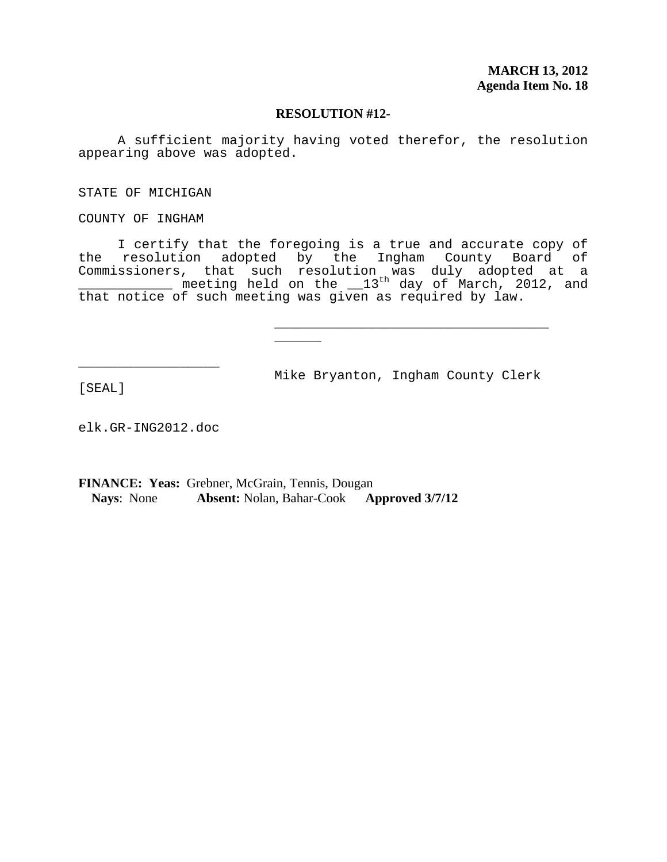A sufficient majority having voted therefor, the resolution appearing above was adopted.

STATE OF MICHIGAN

COUNTY OF INGHAM

 I certify that the foregoing is a true and accurate copy of the resolution adopted by the Ingham County Board of Commissioners, that such resolution was duly adopted at a \_\_\_\_\_\_\_\_\_\_\_\_\_\_ meeting held on the  $\_13^{\text{th}}$  day of March, 2012, and that notice of such meeting was given as required by law.

Mike Bryanton, Ingham County Clerk

\_\_\_\_\_\_\_\_\_\_\_\_\_\_\_\_\_\_\_\_\_\_\_\_\_\_\_\_\_\_\_\_\_\_\_ \_\_\_\_\_\_

[SEAL]

elk.GR-ING2012.doc

\_\_\_\_\_\_\_\_\_\_\_\_\_\_\_\_\_\_

**FINANCE: Yeas:** Grebner, McGrain, Tennis, Dougan **Nays**: None **Absent:** Nolan, Bahar-Cook **Approved 3/7/12**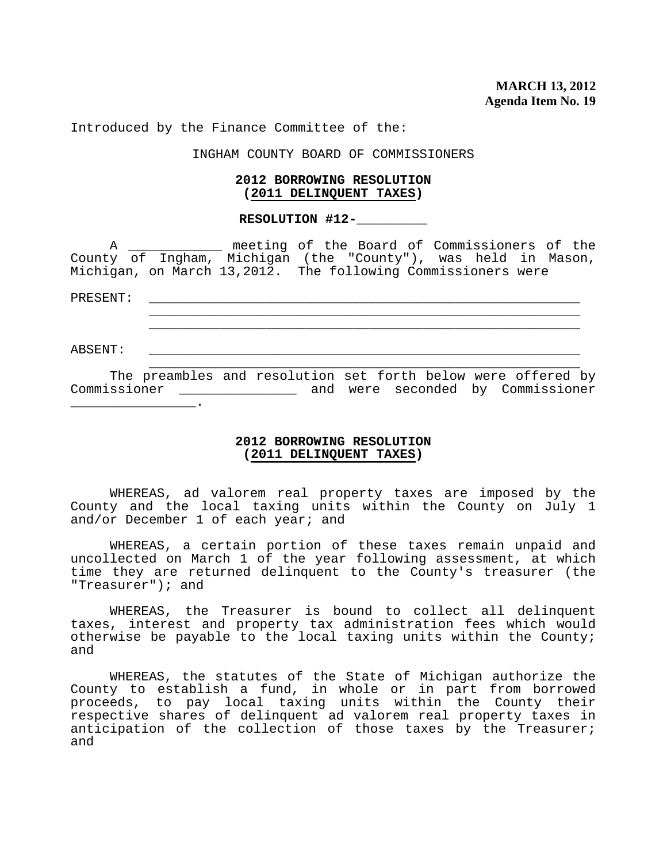Introduced by the Finance Committee of the:

INGHAM COUNTY BOARD OF COMMISSIONERS

#### **2012 BORROWING RESOLUTION (2011 DELINQUENT TAXES)**

#### **RESOLUTION #12-\_\_\_\_\_\_\_\_\_**

 A \_\_\_\_\_\_\_\_\_\_\_\_ meeting of the Board of Commissioners of the County of Ingham, Michigan (the "County"), was held in Mason, Michigan, on March 13,2012. The following Commissioners were

PRESENT: \_\_\_\_\_\_\_\_\_\_\_\_\_\_\_\_\_\_\_\_\_\_\_\_\_\_\_\_\_\_\_\_\_\_\_\_\_\_\_\_\_\_\_\_\_\_\_\_\_\_\_\_\_\_\_ \_\_\_\_\_\_\_\_\_\_\_\_\_\_\_\_\_\_\_\_\_\_\_\_\_\_\_\_\_\_\_\_\_\_\_\_\_\_\_\_\_\_\_\_\_\_\_\_\_\_\_\_\_\_\_  $\overline{\phantom{a}}$  ,  $\overline{\phantom{a}}$  ,  $\overline{\phantom{a}}$  ,  $\overline{\phantom{a}}$  ,  $\overline{\phantom{a}}$  ,  $\overline{\phantom{a}}$  ,  $\overline{\phantom{a}}$  ,  $\overline{\phantom{a}}$  ,  $\overline{\phantom{a}}$  ,  $\overline{\phantom{a}}$  ,  $\overline{\phantom{a}}$  ,  $\overline{\phantom{a}}$  ,  $\overline{\phantom{a}}$  ,  $\overline{\phantom{a}}$  ,  $\overline{\phantom{a}}$  ,  $\overline{\phantom{a}}$ ABSENT: \_\_\_\_\_\_\_\_\_\_\_\_\_\_\_\_\_\_\_\_\_\_\_\_\_\_\_\_\_\_\_\_\_\_\_\_\_\_\_\_\_\_\_\_\_\_\_\_\_\_\_\_\_\_\_

 The preambles and resolution set forth below were offered by Commissioner \_\_\_\_\_\_\_\_\_\_\_\_\_\_\_ and were seconded by Commissioner  $\overline{\phantom{a}}$  . The set of the set of the set of the set of the set of the set of the set of the set of the set of the set of the set of the set of the set of the set of the set of the set of the set of the set of the set o

 $\overline{\phantom{a}}$  ,  $\overline{\phantom{a}}$  ,  $\overline{\phantom{a}}$  ,  $\overline{\phantom{a}}$  ,  $\overline{\phantom{a}}$  ,  $\overline{\phantom{a}}$  ,  $\overline{\phantom{a}}$  ,  $\overline{\phantom{a}}$  ,  $\overline{\phantom{a}}$  ,  $\overline{\phantom{a}}$  ,  $\overline{\phantom{a}}$  ,  $\overline{\phantom{a}}$  ,  $\overline{\phantom{a}}$  ,  $\overline{\phantom{a}}$  ,  $\overline{\phantom{a}}$  ,  $\overline{\phantom{a}}$ 

### **2012 BORROWING RESOLUTION (2011 DELINQUENT TAXES)**

 WHEREAS, ad valorem real property taxes are imposed by the County and the local taxing units within the County on July 1 and/or December 1 of each year; and

 WHEREAS, a certain portion of these taxes remain unpaid and uncollected on March 1 of the year following assessment, at which time they are returned delinquent to the County's treasurer (the "Treasurer"); and

 WHEREAS, the Treasurer is bound to collect all delinquent taxes, interest and property tax administration fees which would otherwise be payable to the local taxing units within the County; and

 WHEREAS, the statutes of the State of Michigan authorize the County to establish a fund, in whole or in part from borrowed proceeds, to pay local taxing units within the County their respective shares of delinquent ad valorem real property taxes in anticipation of the collection of those taxes by the Treasurer; and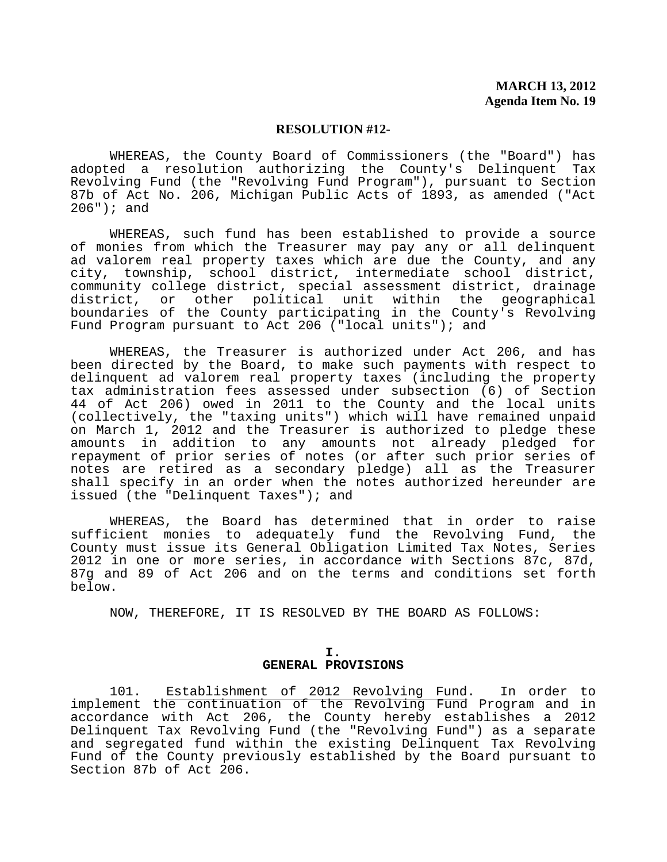WHEREAS, the County Board of Commissioners (the "Board") has adopted a resolution authorizing the County's Delinquent Tax Revolving Fund (the "Revolving Fund Program"), pursuant to Section 87b of Act No. 206, Michigan Public Acts of 1893, as amended ("Act 206"); and

 WHEREAS, such fund has been established to provide a source of monies from which the Treasurer may pay any or all delinquent ad valorem real property taxes which are due the County, and any city, township, school district, intermediate school district, community college district, special assessment district, drainage district, or other political unit within the geographical boundaries of the County participating in the County's Revolving Fund Program pursuant to Act 206 ("local units"); and

 WHEREAS, the Treasurer is authorized under Act 206, and has been directed by the Board, to make such payments with respect to delinquent ad valorem real property taxes (including the property tax administration fees assessed under subsection (6) of Section 44 of Act 206) owed in 2011 to the County and the local units (collectively, the "taxing units") which will have remained unpaid on March 1, 2012 and the Treasurer is authorized to pledge these amounts in addition to any amounts not already pledged for repayment of prior series of notes (or after such prior series of notes are retired as a secondary pledge) all as the Treasurer shall specify in an order when the notes authorized hereunder are issued (the "Delinquent Taxes"); and

 WHEREAS, the Board has determined that in order to raise sufficient monies to adequately fund the Revolving Fund, the County must issue its General Obligation Limited Tax Notes, Series 2012 in one or more series, in accordance with Sections 87c, 87d, 87g and 89 of Act 206 and on the terms and conditions set forth below.

NOW, THEREFORE, IT IS RESOLVED BY THE BOARD AS FOLLOWS:

#### **I. GENERAL PROVISIONS**

 101. Establishment of 2012 Revolving Fund. In order to implement the continuation of the Revolving Fund Program and in accordance with Act 206, the County hereby establishes a 2012 Delinquent Tax Revolving Fund (the "Revolving Fund") as a separate and segregated fund within the existing Delinquent Tax Revolving Fund of the County previously established by the Board pursuant to Section 87b of Act 206.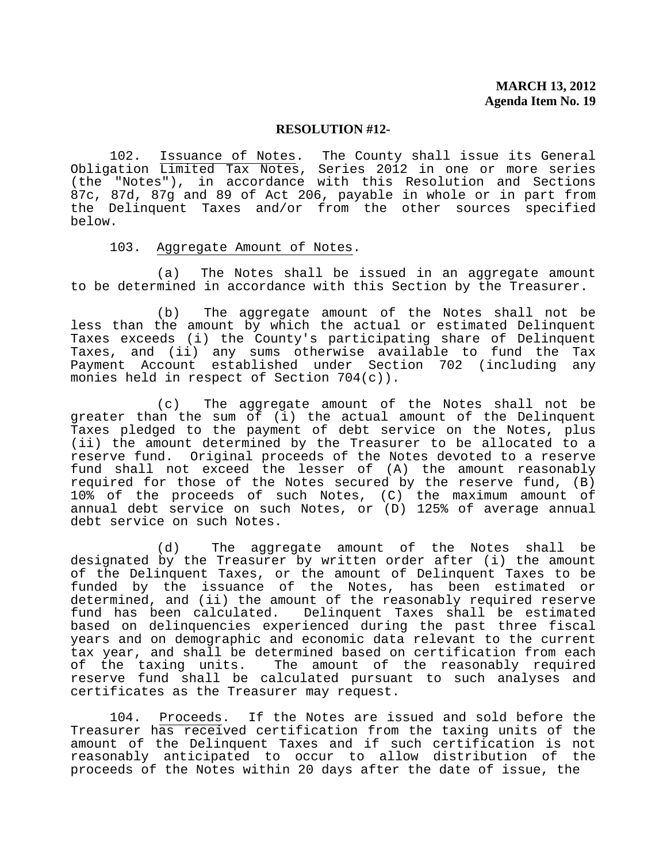102. Issuance of Notes. The County shall issue its General Obligation Limited Tax Notes, Series 2012 in one or more series (the "Notes"), in accordance with this Resolution and Sections 87c, 87d, 87g and 89 of Act 206, payable in whole or in part from the Delinquent Taxes and/or from the other sources specified below.

#### 103. Aggregate Amount of Notes.

 (a) The Notes shall be issued in an aggregate amount to be determined in accordance with this Section by the Treasurer.

 (b) The aggregate amount of the Notes shall not be less than the amount by which the actual or estimated Delinquent Taxes exceeds (i) the County's participating share of Delinquent Taxes, and (ii) any sums otherwise available to fund the Tax Payment Account established under Section 702 (including any monies held in respect of Section 704(c)).

 (c) The aggregate amount of the Notes shall not be greater than the sum of (i) the actual amount of the Delinquent Taxes pledged to the payment of debt service on the Notes, plus (ii) the amount determined by the Treasurer to be allocated to a reserve fund. Original proceeds of the Notes devoted to a reserve fund shall not exceed the lesser of (A) the amount reasonably required for those of the Notes secured by the reserve fund,  $(B)$ 10% of the proceeds of such Notes, (C) the maximum amount of annual debt service on such Notes, or (D) 125% of average annual debt service on such Notes.

 (d) The aggregate amount of the Notes shall be designated by the Treasurer by written order after (i) the amount of the Delinquent Taxes, or the amount of Delinquent Taxes to be funded by the issuance of the Notes, has been estimated or determined, and (ii) the amount of the reasonably required reserve<br>fund has been calculated. Delinquent Taxes shall be estimated Delinquent Taxes shall be estimated based on delinquencies experienced during the past three fiscal years and on demographic and economic data relevant to the current tax year, and shall be determined based on certification from each of the taxing units. The amount of the reasonably required reserve fund shall be calculated pursuant to such analyses and certificates as the Treasurer may request.

 104. Proceeds. If the Notes are issued and sold before the Treasurer has received certification from the taxing units of the amount of the Delinquent Taxes and if such certification is not reasonably anticipated to occur to allow distribution of the proceeds of the Notes within 20 days after the date of issue, the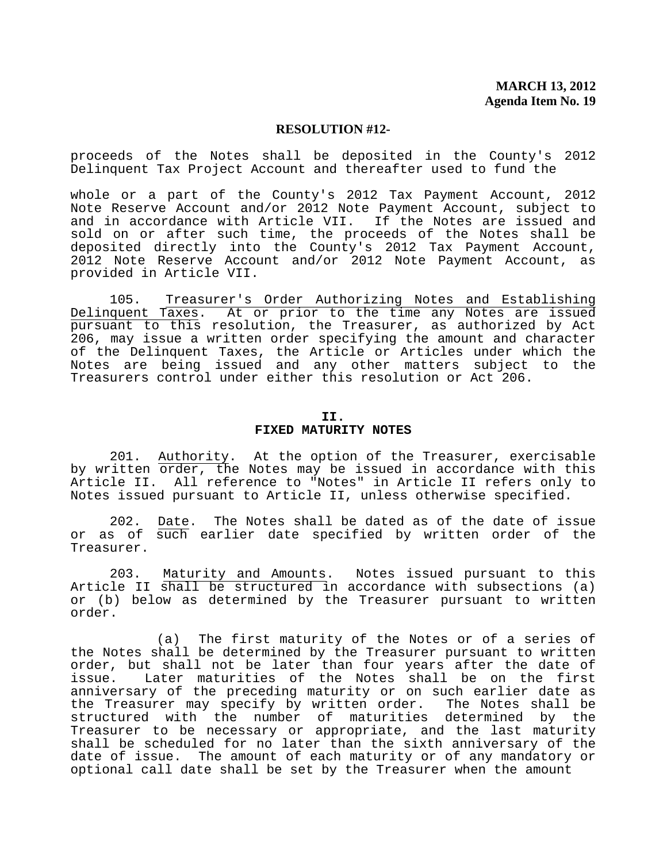proceeds of the Notes shall be deposited in the County's 2012 Delinquent Tax Project Account and thereafter used to fund the

whole or a part of the County's 2012 Tax Payment Account, 2012 Note Reserve Account and/or 2012 Note Payment Account, subject to and in accordance with Article VII. If the Notes are issued and sold on or after such time, the proceeds of the Notes shall be deposited directly into the County's 2012 Tax Payment Account, 2012 Note Reserve Account and/or 2012 Note Payment Account, as provided in Article VII.

 105. Treasurer's Order Authorizing Notes and Establishing Delinquent Taxes. At or prior to the time any Notes are issued pursuant to this resolution, the Treasurer, as authorized by Act 206, may issue a written order specifying the amount and character of the Delinquent Taxes, the Article or Articles under which the Notes are being issued and any other matters subject to the Treasurers control under either this resolution or Act 206.

#### **II. FIXED MATURITY NOTES**

 201. Authority. At the option of the Treasurer, exercisable by written order, the Notes may be issued in accordance with this Article II. All reference to "Notes" in Article II refers only to Notes issued pursuant to Article II, unless otherwise specified.

 202. Date. The Notes shall be dated as of the date of issue or as of such earlier date specified by written order of the Treasurer.

203. Maturity and Amounts. Notes issued pursuant to this Article II shall be structured in accordance with subsections (a) or (b) below as determined by the Treasurer pursuant to written order.

 (a) The first maturity of the Notes or of a series of the Notes shall be determined by the Treasurer pursuant to written order, but shall not be later than four years after the date of issue. Later maturities of the Notes shall be on the first anniversary of the preceding maturity or on such earlier date as the Treasurer may specify by written order. The Notes shall be structured with the number of maturities determined by the Treasurer to be necessary or appropriate, and the last maturity shall be scheduled for no later than the sixth anniversary of the date of issue. The amount of each maturity or of any mandatory or optional call date shall be set by the Treasurer when the amount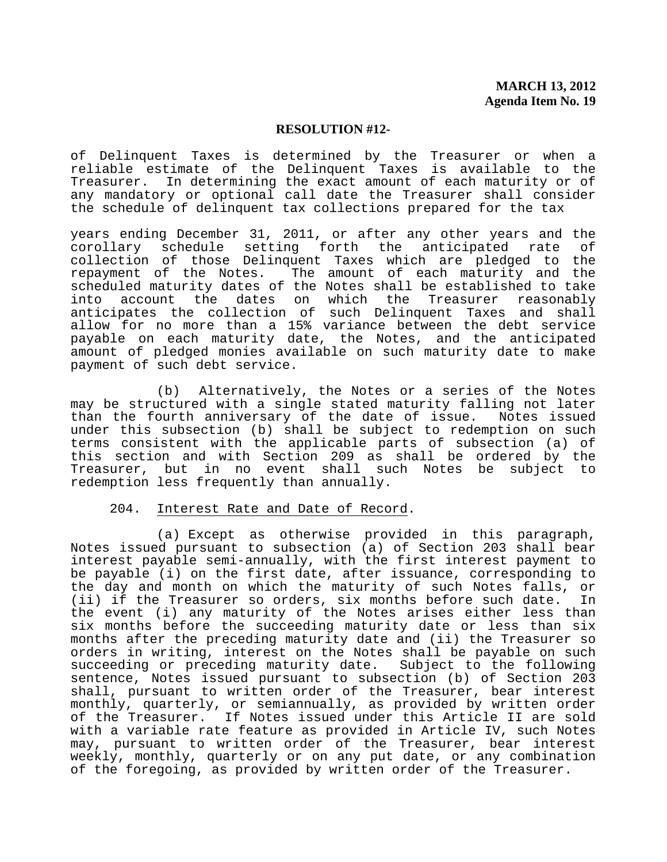of Delinquent Taxes is determined by the Treasurer or when a reliable estimate of the Delinquent Taxes is available to the Treasurer. In determining the exact amount of each maturity or of any mandatory or optional call date the Treasurer shall consider the schedule of delinquent tax collections prepared for the tax

years ending December 31, 2011, or after any other years and the corollary schedule setting forth the anticipated rate of collection of those Delinquent Taxes which are pledged to the repayment of the Notes. The amount of each maturity and the scheduled maturity dates of the Notes shall be established to take<br>into account the dates on which the Treasurer reasonably the dates on which the anticipates the collection of such Delinquent Taxes and shall allow for no more than a 15% variance between the debt service payable on each maturity date, the Notes, and the anticipated amount of pledged monies available on such maturity date to make payment of such debt service.

 (b) Alternatively, the Notes or a series of the Notes may be structured with a single stated maturity falling not later than the fourth anniversary of the date of issue. Notes issued under this subsection (b) shall be subject to redemption on such terms consistent with the applicable parts of subsection (a) of this section and with Section 209 as shall be ordered by the Treasurer, but in no event shall such Notes be subject to redemption less frequently than annually.

### 204. Interest Rate and Date of Record.

 (a) Except as otherwise provided in this paragraph, Notes issued pursuant to subsection (a) of Section 203 shall bear interest payable semi-annually, with the first interest payment to be payable (i) on the first date, after issuance, corresponding to the day and month on which the maturity of such Notes falls, or (ii) if the Treasurer so orders, six months before such date. In the event (i) any maturity of the Notes arises either less than six months before the succeeding maturity date or less than six months after the preceding maturity date and (ii) the Treasurer so orders in writing, interest on the Notes shall be payable on such succeeding or preceding maturity date. Subject to the following sentence, Notes issued pursuant to subsection (b) of Section 203 shall, pursuant to written order of the Treasurer, bear interest monthly, quarterly, or semiannually, as provided by written order of the Treasurer. If Notes issued under this Article II are sold with a variable rate feature as provided in Article IV, such Notes may, pursuant to written order of the Treasurer, bear interest weekly, monthly, quarterly or on any put date, or any combination of the foregoing, as provided by written order of the Treasurer.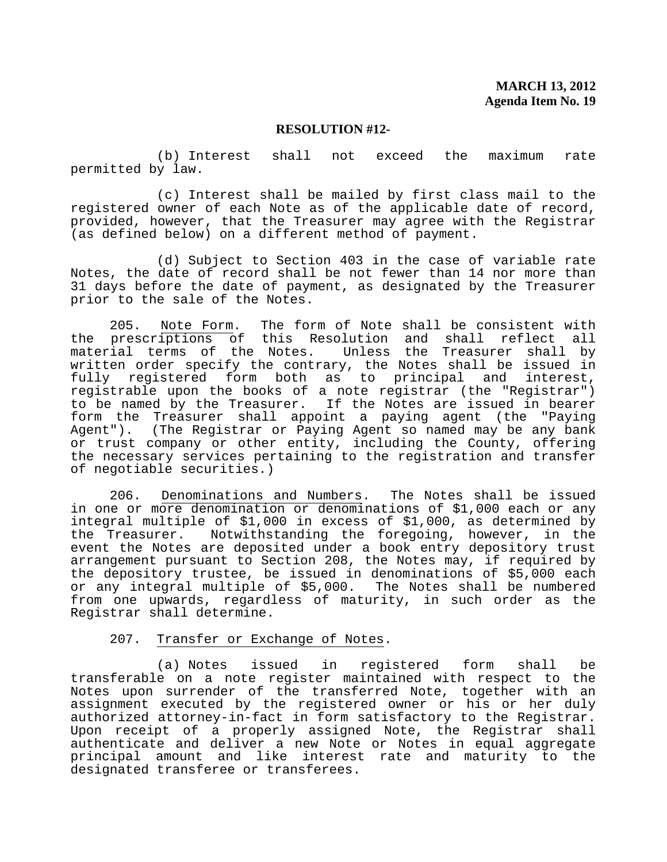(b) Interest shall not exceed the maximum rate permitted by law.

 (c) Interest shall be mailed by first class mail to the registered owner of each Note as of the applicable date of record, provided, however, that the Treasurer may agree with the Registrar (as defined below) on a different method of payment.

 (d) Subject to Section 403 in the case of variable rate Notes, the date of record shall be not fewer than 14 nor more than 31 days before the date of payment, as designated by the Treasurer prior to the sale of the Notes.

 205. Note Form. The form of Note shall be consistent with the prescriptions of this Resolution and shall reflect all material terms of the Notes. Unless the Treasurer shall by written order specify the contrary, the Notes shall be issued in fully registered form both as to principal and interest, registrable upon the books of a note registrar (the "Registrar") to be named by the Treasurer. If the Notes are issued in bearer form the Treasurer shall appoint a paying agent (the "Paying Agent"). (The Registrar or Paying Agent so named may be any bank or trust company or other entity, including the County, offering the necessary services pertaining to the registration and transfer of negotiable securities.)

 206. Denominations and Numbers. The Notes shall be issued in one or more denomination or denominations of \$1,000 each or any integral multiple of \$1,000 in excess of \$1,000, as determined by the Treasurer. Notwithstanding the foregoing, however, in the event the Notes are deposited under a book entry depository trust arrangement pursuant to Section 208, the Notes may, if required by the depository trustee, be issued in denominations of \$5,000 each or any integral multiple of \$5,000. The Notes shall be numbered from one upwards, regardless of maturity, in such order as the Registrar shall determine.

#### 207. Transfer or Exchange of Notes.

 (a) Notes issued in registered form shall be transferable on a note register maintained with respect to the Notes upon surrender of the transferred Note, together with an assignment executed by the registered owner or his or her duly authorized attorney-in-fact in form satisfactory to the Registrar. Upon receipt of a properly assigned Note, the Registrar shall authenticate and deliver a new Note or Notes in equal aggregate principal amount and like interest rate and maturity to the designated transferee or transferees.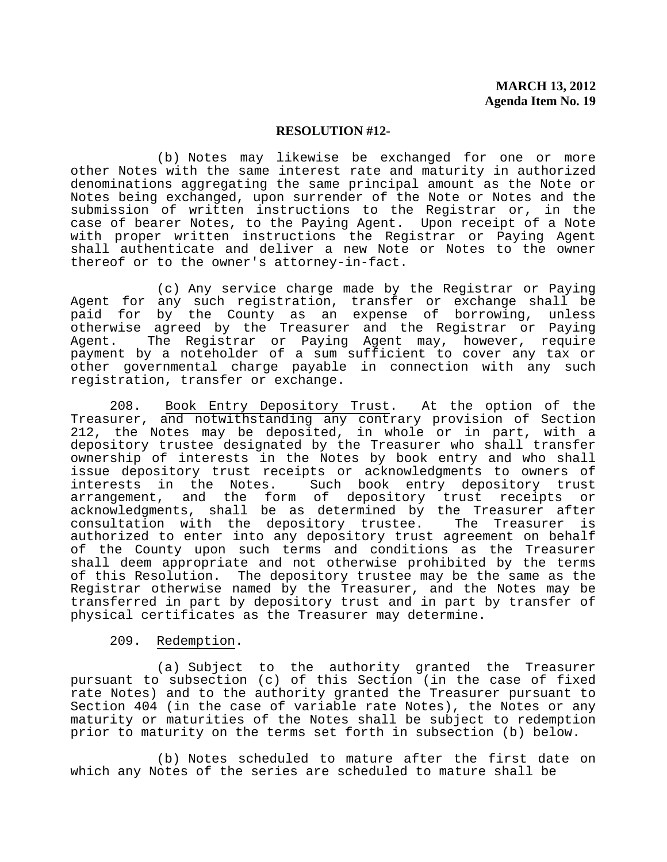(b) Notes may likewise be exchanged for one or more other Notes with the same interest rate and maturity in authorized denominations aggregating the same principal amount as the Note or Notes being exchanged, upon surrender of the Note or Notes and the submission of written instructions to the Registrar or, in the case of bearer Notes, to the Paying Agent. Upon receipt of a Note with proper written instructions the Registrar or Paying Agent shall authenticate and deliver a new Note or Notes to the owner thereof or to the owner's attorney-in-fact.

 (c) Any service charge made by the Registrar or Paying Agent for any such registration, transfer or exchange shall be paid for by the County as an expense of borrowing, unless otherwise agreed by the Treasurer and the Registrar or Paying Agent. The Registrar or Paying Agent may, however, require payment by a noteholder of a sum sufficient to cover any tax or other governmental charge payable in connection with any such registration, transfer or exchange.

 208. Book Entry Depository Trust. At the option of the Treasurer, and notwithstanding any contrary provision of Section 212, the Notes may be deposited, in whole or in part, with a depository trustee designated by the Treasurer who shall transfer ownership of interests in the Notes by book entry and who shall issue depository trust receipts or acknowledgments to owners of<br>interests in the Notes. Such book entry depository trust Such book entry depository trust arrangement, and the form of depository trust receipts or acknowledgments, shall be as determined by the Treasurer after<br>consultation with the depository trustee. The Treasurer is consultation with the depository trustee. The Treasurer is authorized to enter into any depository trust agreement on behalf of the County upon such terms and conditions as the Treasurer shall deem appropriate and not otherwise prohibited by the terms of this Resolution. The depository trustee may be the same as the Registrar otherwise named by the Treasurer, and the Notes may be transferred in part by depository trust and in part by transfer of physical certificates as the Treasurer may determine.

### 209. Redemption.

 (a) Subject to the authority granted the Treasurer pursuant to subsection (c) of this Section (in the case of fixed rate Notes) and to the authority granted the Treasurer pursuant to Section 404 (in the case of variable rate Notes), the Notes or any maturity or maturities of the Notes shall be subject to redemption prior to maturity on the terms set forth in subsection (b) below.

 (b) Notes scheduled to mature after the first date on which any Notes of the series are scheduled to mature shall be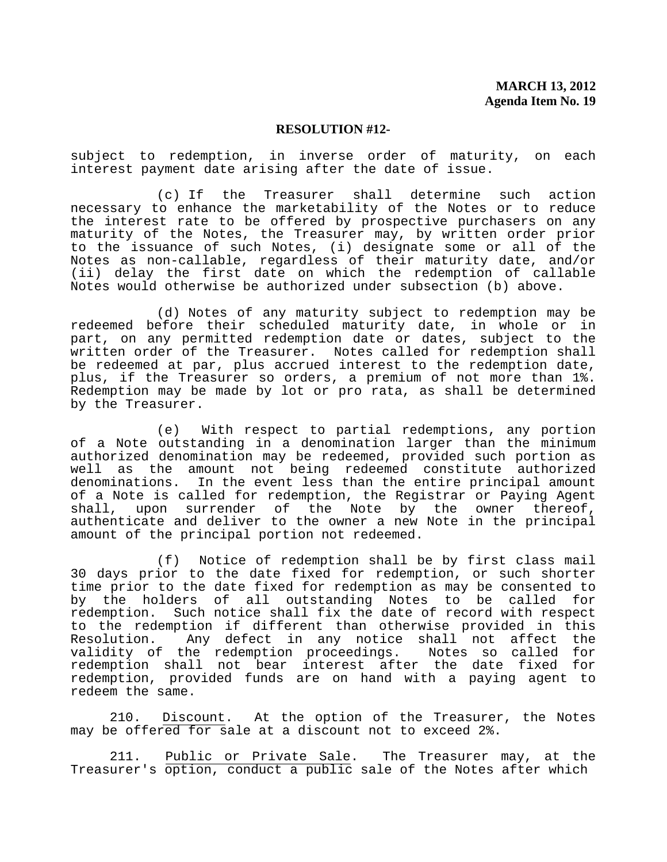subject to redemption, in inverse order of maturity, on each interest payment date arising after the date of issue.

 (c) If the Treasurer shall determine such action necessary to enhance the marketability of the Notes or to reduce the interest rate to be offered by prospective purchasers on any maturity of the Notes, the Treasurer may, by written order prior to the issuance of such Notes, (i) designate some or all of the Notes as non-callable, regardless of their maturity date, and/or (ii) delay the first date on which the redemption of callable Notes would otherwise be authorized under subsection (b) above.

 (d) Notes of any maturity subject to redemption may be redeemed before their scheduled maturity date, in whole or in part, on any permitted redemption date or dates, subject to the written order of the Treasurer. Notes called for redemption shall be redeemed at par, plus accrued interest to the redemption date, plus, if the Treasurer so orders, a premium of not more than 1%. Redemption may be made by lot or pro rata, as shall be determined by the Treasurer.

 (e) With respect to partial redemptions, any portion of a Note outstanding in a denomination larger than the minimum authorized denomination may be redeemed, provided such portion as well as the amount not being redeemed constitute authorized denominations. In the event less than the entire principal amount of a Note is called for redemption, the Registrar or Paying Agent shall, upon surrender of the Note by the owner thereof, authenticate and deliver to the owner a new Note in the principal amount of the principal portion not redeemed.

 (f) Notice of redemption shall be by first class mail 30 days prior to the date fixed for redemption, or such shorter time prior to the date fixed for redemption as may be consented to by the holders of all outstanding Notes to be called for redemption. Such notice shall fix the date of record with respect to the redemption if different than otherwise provided in this Resolution. Any defect in any notice shall not affect the validity of the redemption proceedings. Notes so called for redemption shall not bear interest after the date fixed for redemption, provided funds are on hand with a paying agent to redeem the same.

 210. Discount. At the option of the Treasurer, the Notes may be offered for sale at a discount not to exceed 2%.

 211. Public or Private Sale. The Treasurer may, at the Treasurer's option, conduct a public sale of the Notes after which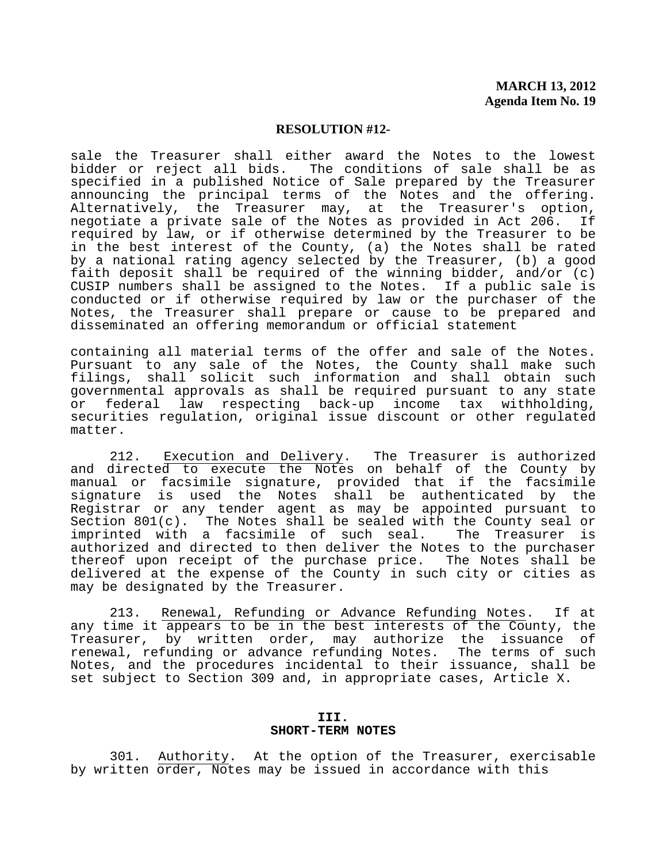sale the Treasurer shall either award the Notes to the lowest bidder or reject all bids. The conditions of sale shall be as specified in a published Notice of Sale prepared by the Treasurer announcing the principal terms of the Notes and the offering. Alternatively, the Treasurer may, at the Treasurer's option, negotiate a private sale of the Notes as provided in Act 206. If required by law, or if otherwise determined by the Treasurer to be in the best interest of the County, (a) the Notes shall be rated by a national rating agency selected by the Treasurer, (b) a good faith deposit shall be required of the winning bidder, and/or (c) CUSIP numbers shall be assigned to the Notes. If a public sale is conducted or if otherwise required by law or the purchaser of the Notes, the Treasurer shall prepare or cause to be prepared and disseminated an offering memorandum or official statement

containing all material terms of the offer and sale of the Notes. Pursuant to any sale of the Notes, the County shall make such filings, shall solicit such information and shall obtain such governmental approvals as shall be required pursuant to any state or federal law respecting back-up income tax withholding, securities regulation, original issue discount or other regulated matter.

 212. Execution and Delivery. The Treasurer is authorized and directed to execute the Notes on behalf of the County by manual or facsimile signature, provided that if the facsimile signature is used the Notes shall be authenticated by the Registrar or any tender agent as may be appointed pursuant to Section 801(c). The Notes shall be sealed with the County seal or<br>imprinted with a facsimile of such seal. The Treasurer is imprinted with a facsimile of such seal. authorized and directed to then deliver the Notes to the purchaser thereof upon receipt of the purchase price. The Notes shall be delivered at the expense of the County in such city or cities as may be designated by the Treasurer.

 213. Renewal, Refunding or Advance Refunding Notes. If at any time it appears to be in the best interests of the County, the Treasurer, by written order, may authorize the issuance of renewal, refunding or advance refunding Notes. The terms of such Notes, and the procedures incidental to their issuance, shall be set subject to Section 309 and, in appropriate cases, Article X.

#### **III. SHORT-TERM NOTES**

 301. Authority. At the option of the Treasurer, exercisable by written order, Notes may be issued in accordance with this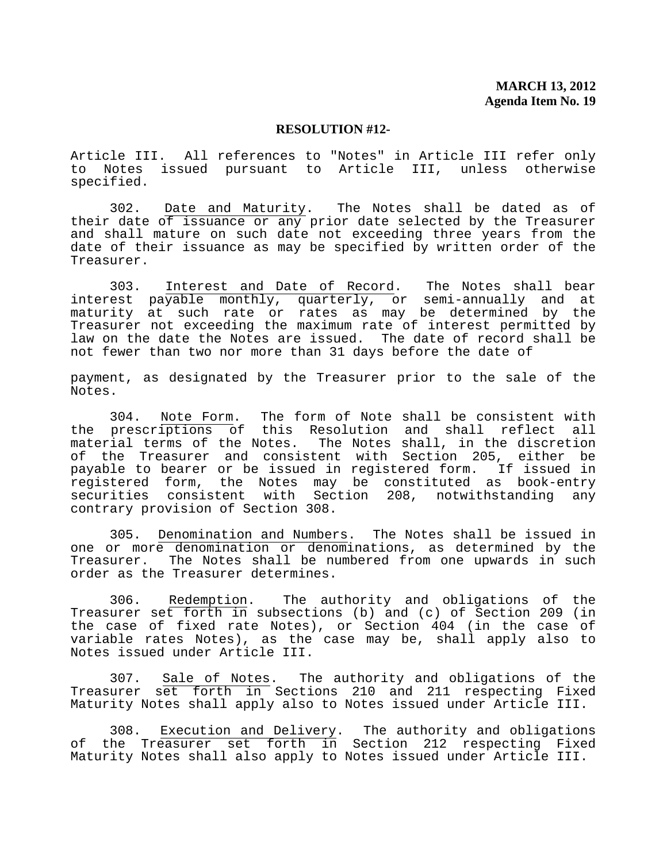Article III. All references to "Notes" in Article III refer only to Notes issued pursuant to Article III, unless otherwise specified.

 302. Date and Maturity. The Notes shall be dated as of their date of issuance or any prior date selected by the Treasurer and shall mature on such date not exceeding three years from the date of their issuance as may be specified by written order of the Treasurer.

 303. Interest and Date of Record. The Notes shall bear interest payable monthly, quarterly, or semi-annually and at maturity at such rate or rates as may be determined by the Treasurer not exceeding the maximum rate of interest permitted by law on the date the Notes are issued. The date of record shall be not fewer than two nor more than 31 days before the date of

payment, as designated by the Treasurer prior to the sale of the Notes.

 304. Note Form. The form of Note shall be consistent with the prescriptions of this Resolution and shall reflect all material terms of the Notes. The Notes shall, in the discretion of the Treasurer and consistent with Section 205, either be payable to bearer or be issued in registered form. If issued in registered form, the Notes may be constituted as book-entry securities consistent with Section 208, notwithstanding any contrary provision of Section 308.

 305. Denomination and Numbers. The Notes shall be issued in one or more denomination or denominations, as determined by the Treasurer. The Notes shall be numbered from one upwards in such order as the Treasurer determines.

 306. Redemption. The authority and obligations of the Treasurer set forth in subsections (b) and (c) of Section 209 (in the case of fixed rate Notes), or Section 404 (in the case of variable rates Notes), as the case may be, shall apply also to Notes issued under Article III.

 307. Sale of Notes. The authority and obligations of the Treasurer set forth in Sections 210 and 211 respecting Fixed Maturity Notes shall apply also to Notes issued under Article III.

 308. Execution and Delivery. The authority and obligations of the Treasurer set forth in Section 212 respecting Fixed Maturity Notes shall also apply to Notes issued under Article III.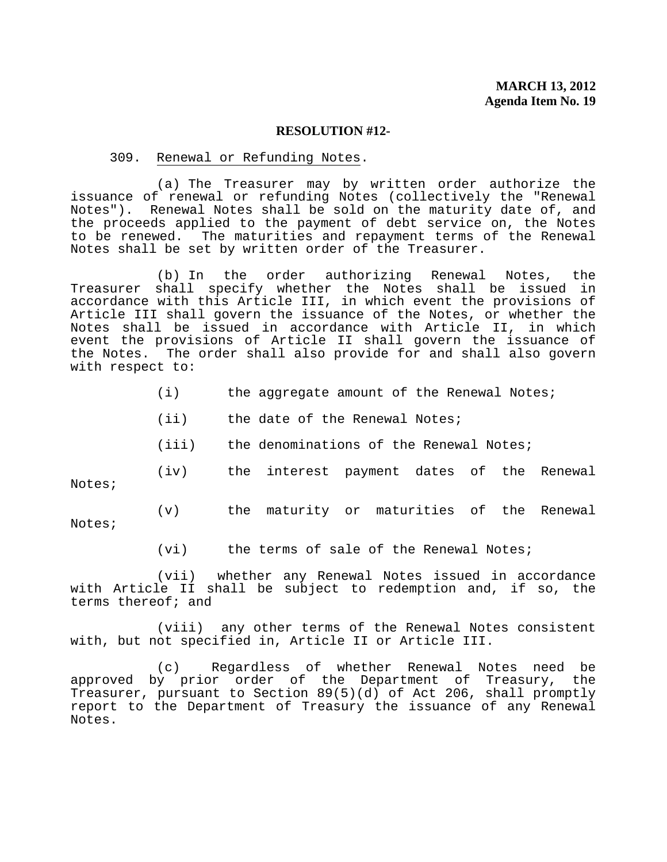#### 309. Renewal or Refunding Notes.

 (a) The Treasurer may by written order authorize the issuance of renewal or refunding Notes (collectively the "Renewal Notes"). Renewal Notes shall be sold on the maturity date of, and the proceeds applied to the payment of debt service on, the Notes to be renewed. The maturities and repayment terms of the Renewal Notes shall be set by written order of the Treasurer.

 (b) In the order authorizing Renewal Notes, the Treasurer shall specify whether the Notes shall be issued in accordance with this Article III, in which event the provisions of Article III shall govern the issuance of the Notes, or whether the Notes shall be issued in accordance with Article II, in which event the provisions of Article II shall govern the issuance of the Notes. The order shall also provide for and shall also govern with respect to:

- (i) the aggregate amount of the Renewal Notes;
- (ii) the date of the Renewal Notes;
- (iii) the denominations of the Renewal Notes;

 (iv) the interest payment dates of the Renewal Notes;

 (v) the maturity or maturities of the Renewal Notes;

(vi) the terms of sale of the Renewal Notes;

 (vii) whether any Renewal Notes issued in accordance with Article II shall be subject to redemption and, if so, the terms thereof; and

 (viii) any other terms of the Renewal Notes consistent with, but not specified in, Article II or Article III.

 (c) Regardless of whether Renewal Notes need be approved by prior order of the Department of Treasury, the Treasurer, pursuant to Section 89(5)(d) of Act 206, shall promptly report to the Department of Treasury the issuance of any Renewal Notes.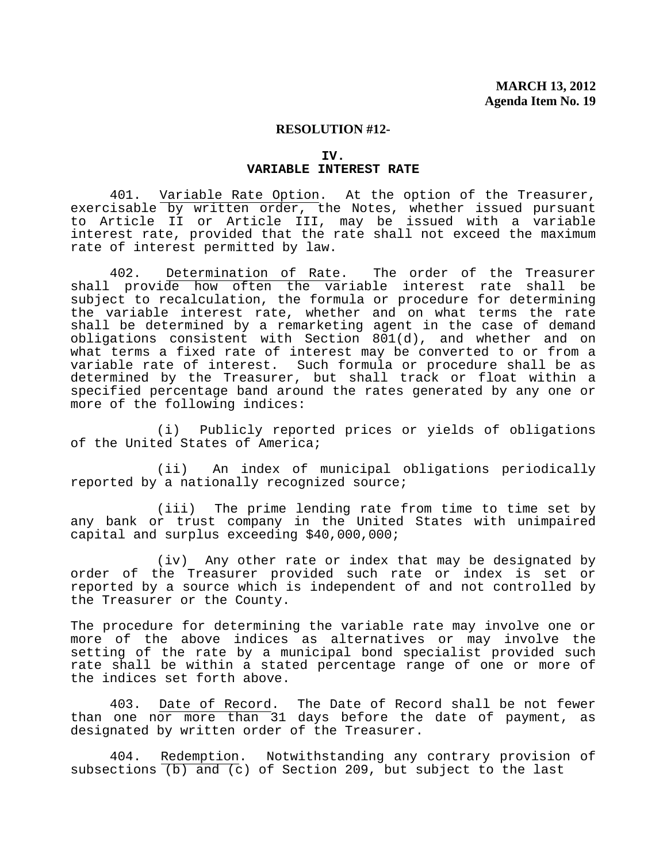### **IV. VARIABLE INTEREST RATE**

 401. Variable Rate Option. At the option of the Treasurer, exercisable by written order, the Notes, whether issued pursuant to Article II or Article III, may be issued with a variable interest rate, provided that the rate shall not exceed the maximum rate of interest permitted by law.

 402. Determination of Rate. The order of the Treasurer shall provide how often the variable interest rate shall be subject to recalculation, the formula or procedure for determining the variable interest rate, whether and on what terms the rate shall be determined by a remarketing agent in the case of demand obligations consistent with Section 801(d), and whether and on what terms a fixed rate of interest may be converted to or from a variable rate of interest. Such formula or procedure shall be as determined by the Treasurer, but shall track or float within a specified percentage band around the rates generated by any one or more of the following indices:

 (i) Publicly reported prices or yields of obligations of the United States of America;

 (ii) An index of municipal obligations periodically reported by a nationally recognized source;

 (iii) The prime lending rate from time to time set by any bank or trust company in the United States with unimpaired capital and surplus exceeding \$40,000,000;

 (iv) Any other rate or index that may be designated by order of the Treasurer provided such rate or index is set or reported by a source which is independent of and not controlled by the Treasurer or the County.

The procedure for determining the variable rate may involve one or more of the above indices as alternatives or may involve the setting of the rate by a municipal bond specialist provided such rate shall be within a stated percentage range of one or more of the indices set forth above.

 403. Date of Record. The Date of Record shall be not fewer than one nor more than 31 days before the date of payment, as designated by written order of the Treasurer.

 404. Redemption. Notwithstanding any contrary provision of subsections  $(b)$  and  $(c)$  of Section 209, but subject to the last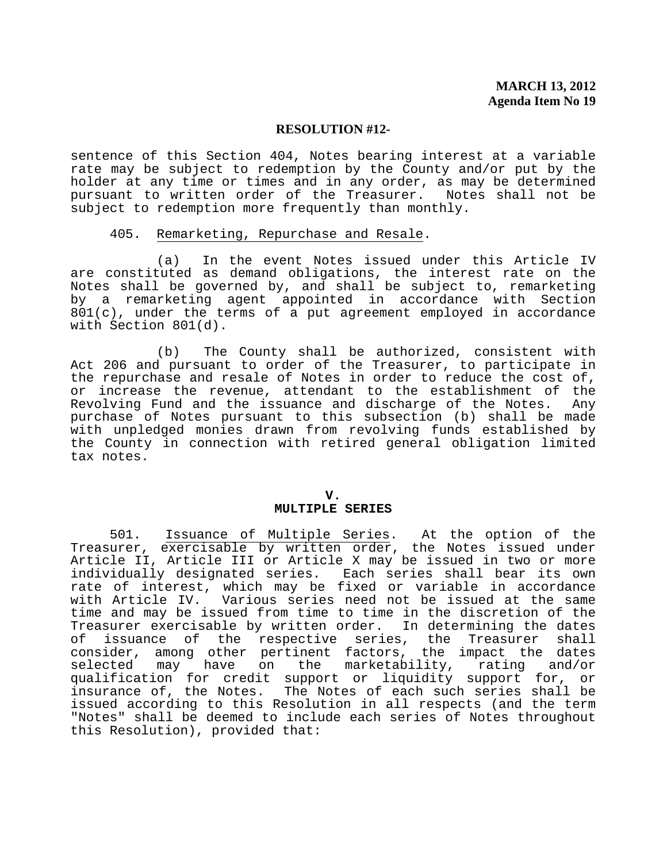sentence of this Section 404, Notes bearing interest at a variable rate may be subject to redemption by the County and/or put by the holder at any time or times and in any order, as may be determined pursuant to written order of the Treasurer. Notes shall not be subject to redemption more frequently than monthly.

## 405. Remarketing, Repurchase and Resale.

 (a) In the event Notes issued under this Article IV are constituted as demand obligations, the interest rate on the Notes shall be governed by, and shall be subject to, remarketing by a remarketing agent appointed in accordance with Section  $801(c)$ , under the terms of a put agreement employed in accordance with Section 801(d).

 (b) The County shall be authorized, consistent with Act 206 and pursuant to order of the Treasurer, to participate in the repurchase and resale of Notes in order to reduce the cost of, or increase the revenue, attendant to the establishment of the Revolving Fund and the issuance and discharge of the Notes. Any purchase of Notes pursuant to this subsection (b) shall be made with unpledged monies drawn from revolving funds established by the County in connection with retired general obligation limited tax notes.

#### **V. MULTIPLE SERIES**

 501. Issuance of Multiple Series. At the option of the Treasurer, exercisable by written order, the Notes issued under Article II, Article III or Article X may be issued in two or more individually designated series. Each series shall bear its own rate of interest, which may be fixed or variable in accordance with Article IV. Various series need not be issued at the same time and may be issued from time to time in the discretion of the Treasurer exercisable by written order. In determining the dates<br>of issuance of the respective series, the Treasurer shall issuance of the respective series, the Treasurer shall consider, among other pertinent factors, the impact the dates<br>selected may have on the marketability, rating and/or selected may have on the marketability, rating and/or qualification for credit support or liquidity support for, or insurance of, the Notes. The Notes of each such series shall be issued according to this Resolution in all respects (and the term "Notes" shall be deemed to include each series of Notes throughout this Resolution), provided that: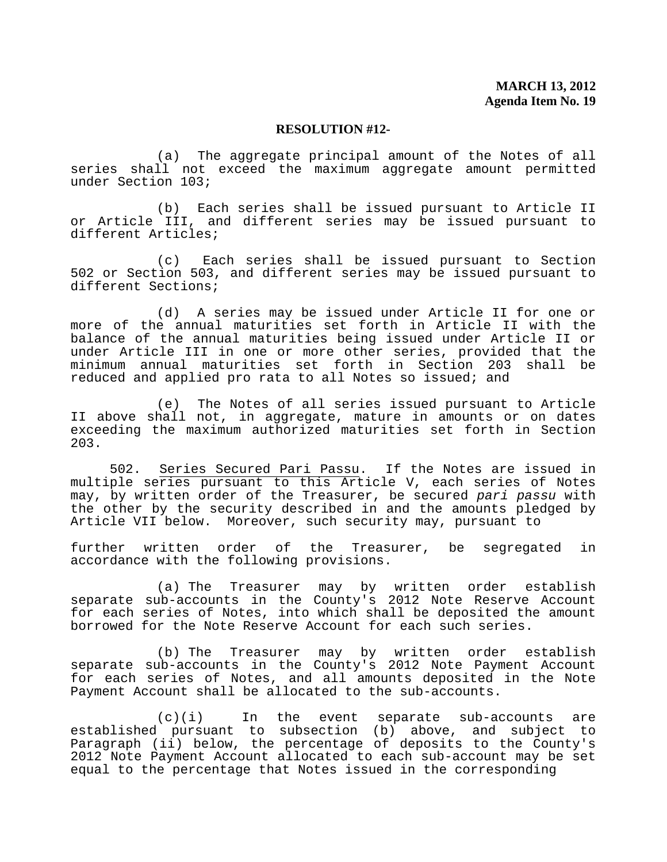(a) The aggregate principal amount of the Notes of all series shall not exceed the maximum aggregate amount permitted under Section 103;

 (b) Each series shall be issued pursuant to Article II or Article III, and different series may be issued pursuant to different Articles;

 (c) Each series shall be issued pursuant to Section 502 or Section 503, and different series may be issued pursuant to different Sections;

 (d) A series may be issued under Article II for one or more of the annual maturities set forth in Article II with the balance of the annual maturities being issued under Article II or under Article III in one or more other series, provided that the minimum annual maturities set forth in Section 203 shall be reduced and applied pro rata to all Notes so issued; and

 (e) The Notes of all series issued pursuant to Article II above shall not, in aggregate, mature in amounts or on dates exceeding the maximum authorized maturities set forth in Section 203.

 502. Series Secured Pari Passu. If the Notes are issued in multiple series pursuant to this Article V, each series of Notes may, by written order of the Treasurer, be secured *pari passu* with the other by the security described in and the amounts pledged by Article VII below. Moreover, such security may, pursuant to

further written order of the Treasurer, be segregated in accordance with the following provisions.

 (a) The Treasurer may by written order establish separate sub-accounts in the County's 2012 Note Reserve Account for each series of Notes, into which shall be deposited the amount borrowed for the Note Reserve Account for each such series.

 (b) The Treasurer may by written order establish separate sub-accounts in the County's 2012 Note Payment Account for each series of Notes, and all amounts deposited in the Note Payment Account shall be allocated to the sub-accounts.

 (c)(i) In the event separate sub-accounts are established pursuant to subsection (b) above, and subject to Paragraph (ii) below, the percentage of deposits to the County's 2012 Note Payment Account allocated to each sub-account may be set equal to the percentage that Notes issued in the corresponding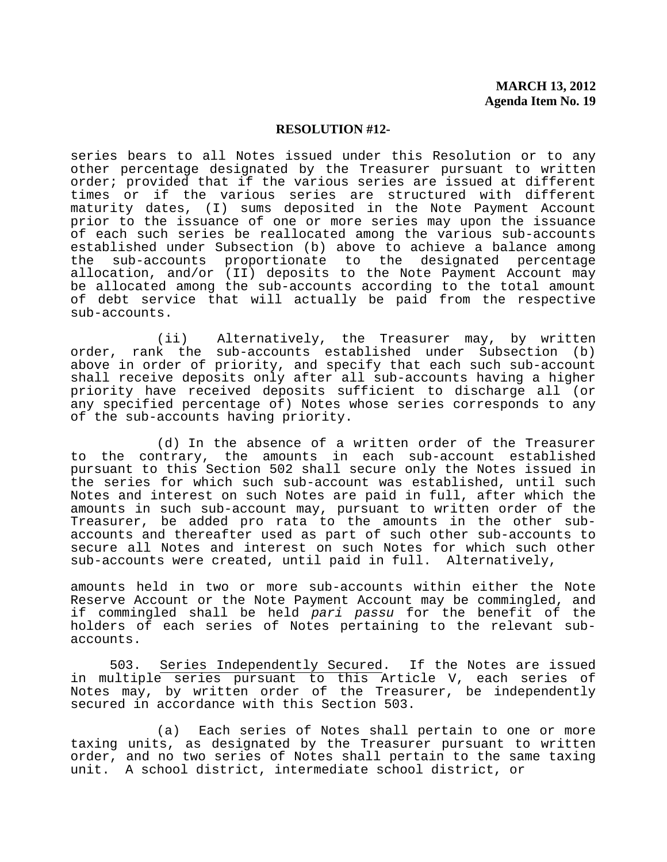series bears to all Notes issued under this Resolution or to any other percentage designated by the Treasurer pursuant to written order; provided that if the various series are issued at different times or if the various series are structured with different maturity dates, (I) sums deposited in the Note Payment Account prior to the issuance of one or more series may upon the issuance of each such series be reallocated among the various sub-accounts established under Subsection (b) above to achieve a balance among the sub-accounts proportionate to the designated percentage allocation, and/or (II) deposits to the Note Payment Account may be allocated among the sub-accounts according to the total amount of debt service that will actually be paid from the respective sub-accounts.

 (ii) Alternatively, the Treasurer may, by written order, rank the sub-accounts established under Subsection (b) above in order of priority, and specify that each such sub-account shall receive deposits only after all sub-accounts having a higher priority have received deposits sufficient to discharge all (or any specified percentage of) Notes whose series corresponds to any of the sub-accounts having priority.

 (d) In the absence of a written order of the Treasurer to the contrary, the amounts in each sub-account established pursuant to this Section 502 shall secure only the Notes issued in the series for which such sub-account was established, until such Notes and interest on such Notes are paid in full, after which the amounts in such sub-account may, pursuant to written order of the Treasurer, be added pro rata to the amounts in the other subaccounts and thereafter used as part of such other sub-accounts to secure all Notes and interest on such Notes for which such other sub-accounts were created, until paid in full. Alternatively,

amounts held in two or more sub-accounts within either the Note Reserve Account or the Note Payment Account may be commingled, and if commingled shall be held *pari passu* for the benefit of the holders of each series of Notes pertaining to the relevant subaccounts.

 503. Series Independently Secured. If the Notes are issued in multiple series pursuant to this Article V, each series of Notes may, by written order of the Treasurer, be independently secured in accordance with this Section 503.

 (a) Each series of Notes shall pertain to one or more taxing units, as designated by the Treasurer pursuant to written order, and no two series of Notes shall pertain to the same taxing unit. A school district, intermediate school district, or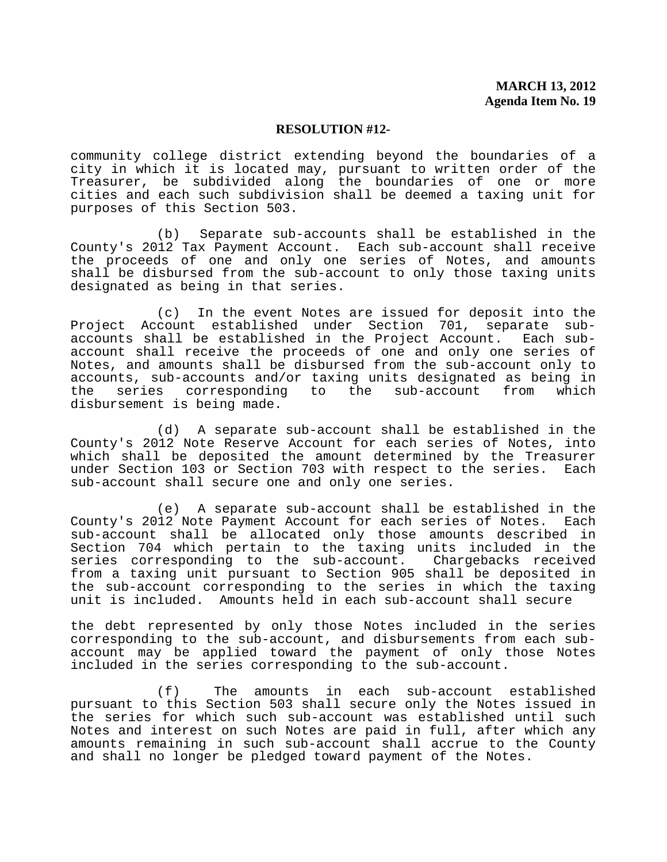community college district extending beyond the boundaries of a city in which it is located may, pursuant to written order of the Treasurer, be subdivided along the boundaries of one or more cities and each such subdivision shall be deemed a taxing unit for purposes of this Section 503.

 (b) Separate sub-accounts shall be established in the County's 2012 Tax Payment Account. Each sub-account shall receive the proceeds of one and only one series of Notes, and amounts shall be disbursed from the sub-account to only those taxing units designated as being in that series.

 (c) In the event Notes are issued for deposit into the Project Account established under Section 701, separate subaccounts shall be established in the Project Account. Each subaccount shall receive the proceeds of one and only one series of Notes, and amounts shall be disbursed from the sub-account only to accounts, sub-accounts and/or taxing units designated as being in the series corresponding to the sub-account from which disbursement is being made.

 (d) A separate sub-account shall be established in the County's 2012 Note Reserve Account for each series of Notes, into which shall be deposited the amount determined by the Treasurer under Section 103 or Section 703 with respect to the series. Each sub-account shall secure one and only one series.

 (e) A separate sub-account shall be established in the County's 2012 Note Payment Account for each series of Notes. Each sub-account shall be allocated only those amounts described in Section 704 which pertain to the taxing units included in the<br>series corresponding to the sub-account. Chargebacks received series corresponding to the sub-account. from a taxing unit pursuant to Section 905 shall be deposited in the sub-account corresponding to the series in which the taxing unit is included. Amounts held in each sub-account shall secure

the debt represented by only those Notes included in the series corresponding to the sub-account, and disbursements from each subaccount may be applied toward the payment of only those Notes included in the series corresponding to the sub-account.

 (f) The amounts in each sub-account established pursuant to this Section 503 shall secure only the Notes issued in the series for which such sub-account was established until such Notes and interest on such Notes are paid in full, after which any amounts remaining in such sub-account shall accrue to the County and shall no longer be pledged toward payment of the Notes.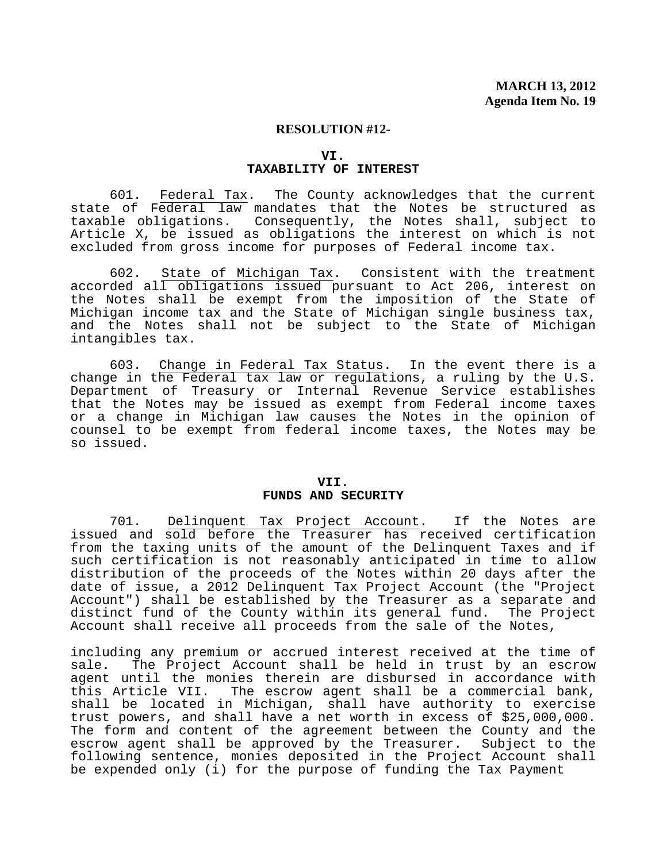### **VI. TAXABILITY OF INTEREST**

 601. Federal Tax. The County acknowledges that the current state of Federal law mandates that the Notes be structured as taxable obligations. Consequently, the Notes shall, subject to Article X, be issued as obligations the interest on which is not excluded from gross income for purposes of Federal income tax.

 602. State of Michigan Tax. Consistent with the treatment accorded all obligations issued pursuant to Act 206, interest on the Notes shall be exempt from the imposition of the State of Michigan income tax and the State of Michigan single business tax, and the Notes shall not be subject to the State of Michigan intangibles tax.

 603. Change in Federal Tax Status. In the event there is a change in the Federal tax law or regulations, a ruling by the U.S. Department of Treasury or Internal Revenue Service establishes that the Notes may be issued as exempt from Federal income taxes or a change in Michigan law causes the Notes in the opinion of counsel to be exempt from federal income taxes, the Notes may be so issued.

#### **VII. FUNDS AND SECURITY**

 701. Delinquent Tax Project Account. If the Notes are issued and sold before the Treasurer has received certification from the taxing units of the amount of the Delinquent Taxes and if such certification is not reasonably anticipated in time to allow distribution of the proceeds of the Notes within 20 days after the date of issue, a 2012 Delinquent Tax Project Account (the "Project Account") shall be established by the Treasurer as a separate and<br>distinct fund of the County within its general fund. The Project distinct fund of the County within its general fund. Account shall receive all proceeds from the sale of the Notes,

including any premium or accrued interest received at the time of sale. The Project Account shall be held in trust by an escrow agent until the monies therein are disbursed in accordance with this Article VII. The escrow agent shall be a commercial bank, shall be located in Michigan, shall have authority to exercise trust powers, and shall have a net worth in excess of \$25,000,000. The form and content of the agreement between the County and the escrow agent shall be approved by the Treasurer. Subject to the following sentence, monies deposited in the Project Account shall be expended only (i) for the purpose of funding the Tax Payment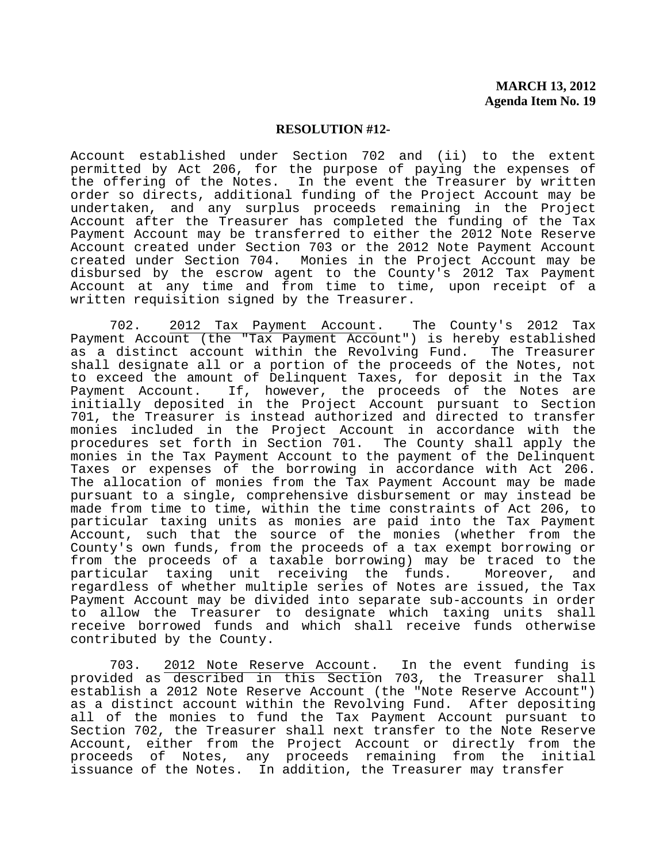Account established under Section 702 and (ii) to the extent permitted by Act 206, for the purpose of paying the expenses of the offering of the Notes. In the event the Treasurer by written order so directs, additional funding of the Project Account may be undertaken, and any surplus proceeds remaining in the Project Account after the Treasurer has completed the funding of the Tax Payment Account may be transferred to either the 2012 Note Reserve Account created under Section 703 or the 2012 Note Payment Account created under Section 704. Monies in the Project Account may be disbursed by the escrow agent to the County's 2012 Tax Payment Account at any time and from time to time, upon receipt of a written requisition signed by the Treasurer.

 702. 2012 Tax Payment Account. The County's 2012 Tax Payment Account (the "Tax Payment Account") is hereby established as a distinct account within the Revolving Fund. The Treasurer shall designate all or a portion of the proceeds of the Notes, not to exceed the amount of Delinquent Taxes, for deposit in the Tax<br>Payment Account. If, however, the proceeds of the Notes are If, however, the proceeds of the Notes are initially deposited in the Project Account pursuant to Section 701, the Treasurer is instead authorized and directed to transfer monies included in the Project Account in accordance with the procedures set forth in Section 701. The County shall apply the monies in the Tax Payment Account to the payment of the Delinquent Taxes or expenses of the borrowing in accordance with Act 206. The allocation of monies from the Tax Payment Account may be made pursuant to a single, comprehensive disbursement or may instead be made from time to time, within the time constraints of Act 206, to particular taxing units as monies are paid into the Tax Payment Account, such that the source of the monies (whether from the County's own funds, from the proceeds of a tax exempt borrowing or from the proceeds of a taxable borrowing) may be traced to the<br>particular taxing unit receiving the funds. Moreover, and particular taxing unit receiving the funds. regardless of whether multiple series of Notes are issued, the Tax Payment Account may be divided into separate sub-accounts in order to allow the Treasurer to designate which taxing units shall receive borrowed funds and which shall receive funds otherwise contributed by the County.

 703. 2012 Note Reserve Account. In the event funding is provided as described in this Section 703, the Treasurer shall establish a 2012 Note Reserve Account (the "Note Reserve Account") as a distinct account within the Revolving Fund. After depositing all of the monies to fund the Tax Payment Account pursuant to Section 702, the Treasurer shall next transfer to the Note Reserve Account, either from the Project Account or directly from the proceeds of Notes, any proceeds remaining from the initial issuance of the Notes. In addition, the Treasurer may transfer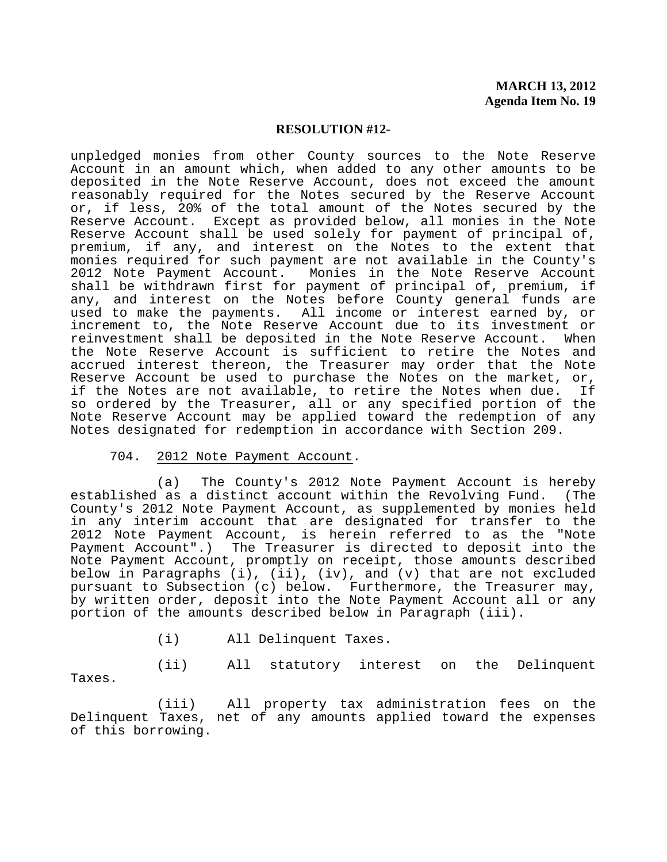unpledged monies from other County sources to the Note Reserve Account in an amount which, when added to any other amounts to be deposited in the Note Reserve Account, does not exceed the amount reasonably required for the Notes secured by the Reserve Account or, if less, 20% of the total amount of the Notes secured by the Reserve Account. Except as provided below, all monies in the Note Reserve Account shall be used solely for payment of principal of, premium, if any, and interest on the Notes to the extent that monies required for such payment are not available in the County's 2012 Note Payment Account. Monies in the Note Reserve Account shall be withdrawn first for payment of principal of, premium, if any, and interest on the Notes before County general funds are used to make the payments. All income or interest earned by, or increment to, the Note Reserve Account due to its investment or reinvestment shall be deposited in the Note Reserve Account. When the Note Reserve Account is sufficient to retire the Notes and accrued interest thereon, the Treasurer may order that the Note Reserve Account be used to purchase the Notes on the market, or,<br>if the Notes are not available, to retire the Notes when due. If if the Notes are not available, to retire the Notes when due. so ordered by the Treasurer, all or any specified portion of the Note Reserve Account may be applied toward the redemption of any Notes designated for redemption in accordance with Section 209.

### 704. 2012 Note Payment Account.

 (a) The County's 2012 Note Payment Account is hereby established as a distinct account within the Revolving Fund. (The County's 2012 Note Payment Account, as supplemented by monies held in any interim account that are designated for transfer to the 2012 Note Payment Account, is herein referred to as the "Note Payment Account".) The Treasurer is directed to deposit into the Note Payment Account, promptly on receipt, those amounts described below in Paragraphs (i), (ii), (iv), and (v) that are not excluded pursuant to Subsection (c) below. Furthermore, the Treasurer may, by written order, deposit into the Note Payment Account all or any portion of the amounts described below in Paragraph (iii).

(i) All Delinquent Taxes.

 (ii) All statutory interest on the Delinquent Taxes.

 (iii) All property tax administration fees on the Delinquent Taxes, net of any amounts applied toward the expenses of this borrowing.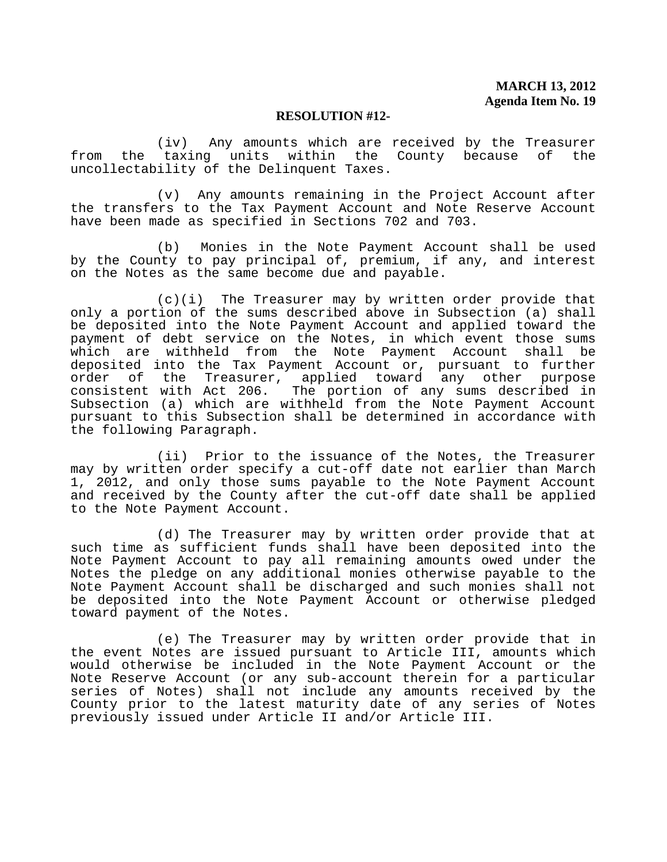(iv) Any amounts which are received by the Treasurer<br>taxing units within the County because of the from the taxing units within the County because of uncollectability of the Delinquent Taxes.

 (v) Any amounts remaining in the Project Account after the transfers to the Tax Payment Account and Note Reserve Account have been made as specified in Sections 702 and 703.

 (b) Monies in the Note Payment Account shall be used by the County to pay principal of, premium, if any, and interest on the Notes as the same become due and payable.

 (c)(i) The Treasurer may by written order provide that only a portion of the sums described above in Subsection (a) shall be deposited into the Note Payment Account and applied toward the payment of debt service on the Notes, in which event those sums which are withheld from the Note Payment Account shall be deposited into the Tax Payment Account or, pursuant to further order of the Treasurer, applied toward any other purpose consistent with Act 206. The portion of any sums described in Subsection (a) which are withheld from the Note Payment Account pursuant to this Subsection shall be determined in accordance with the following Paragraph.

 (ii) Prior to the issuance of the Notes, the Treasurer may by written order specify a cut-off date not earlier than March 1, 2012, and only those sums payable to the Note Payment Account and received by the County after the cut-off date shall be applied to the Note Payment Account.

 (d) The Treasurer may by written order provide that at such time as sufficient funds shall have been deposited into the Note Payment Account to pay all remaining amounts owed under the Notes the pledge on any additional monies otherwise payable to the Note Payment Account shall be discharged and such monies shall not be deposited into the Note Payment Account or otherwise pledged toward payment of the Notes.

 (e) The Treasurer may by written order provide that in the event Notes are issued pursuant to Article III, amounts which would otherwise be included in the Note Payment Account or the Note Reserve Account (or any sub-account therein for a particular series of Notes) shall not include any amounts received by the County prior to the latest maturity date of any series of Notes previously issued under Article II and/or Article III.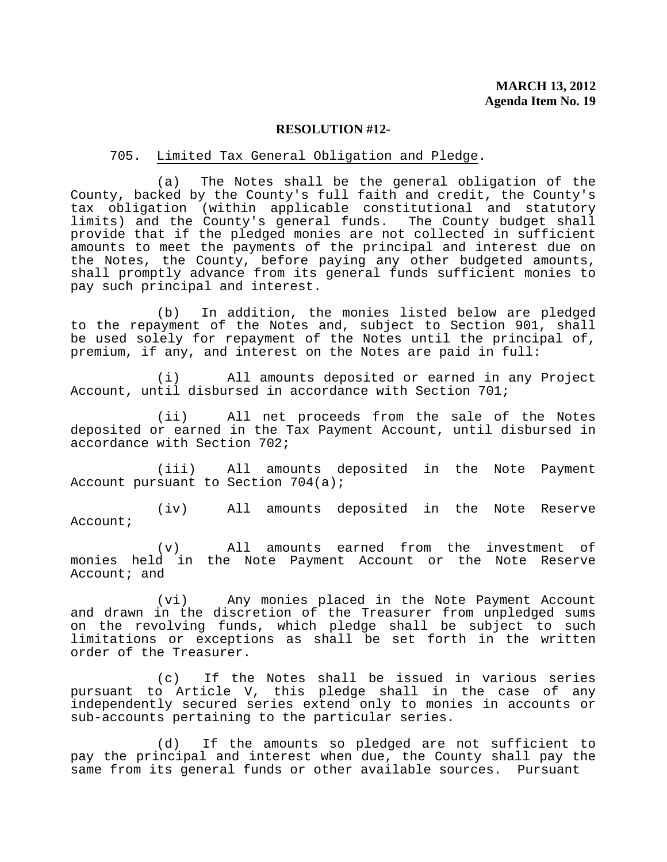#### 705. Limited Tax General Obligation and Pledge.

 (a) The Notes shall be the general obligation of the County, backed by the County's full faith and credit, the County's tax obligation (within applicable constitutional and statutory<br>limits) and the County's general funds. The County budget shall limits) and the County's general funds. provide that if the pledged monies are not collected in sufficient amounts to meet the payments of the principal and interest due on the Notes, the County, before paying any other budgeted amounts, shall promptly advance from its general funds sufficient monies to pay such principal and interest.

 (b) In addition, the monies listed below are pledged to the repayment of the Notes and, subject to Section 901, shall be used solely for repayment of the Notes until the principal of, premium, if any, and interest on the Notes are paid in full:

 (i) All amounts deposited or earned in any Project Account, until disbursed in accordance with Section 701;

 (ii) All net proceeds from the sale of the Notes deposited or earned in the Tax Payment Account, until disbursed in accordance with Section 702;

 (iii) All amounts deposited in the Note Payment Account pursuant to Section 704(a);

 (iv) All amounts deposited in the Note Reserve Account;

 (v) All amounts earned from the investment of monies held in the Note Payment Account or the Note Reserve Account; and

 (vi) Any monies placed in the Note Payment Account and drawn in the discretion of the Treasurer from unpledged sums on the revolving funds, which pledge shall be subject to such limitations or exceptions as shall be set forth in the written order of the Treasurer.

 (c) If the Notes shall be issued in various series pursuant to Article V, this pledge shall in the case of any independently secured series extend only to monies in accounts or sub-accounts pertaining to the particular series.

 (d) If the amounts so pledged are not sufficient to pay the principal and interest when due, the County shall pay the same from its general funds or other available sources. Pursuant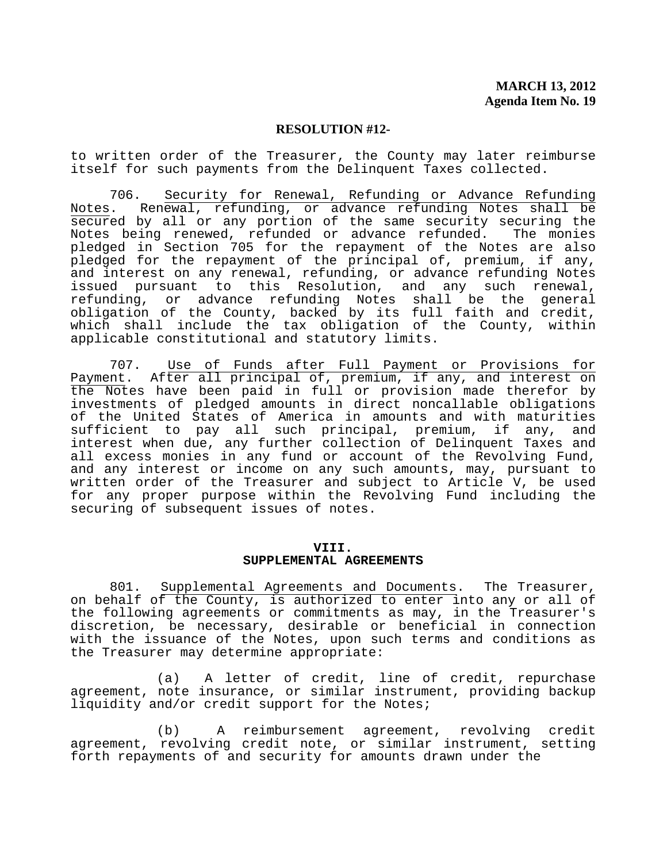to written order of the Treasurer, the County may later reimburse itself for such payments from the Delinquent Taxes collected.

706. Security for Renewal, Refunding or Advance Refunding<br>Notes. Renewal, refunding, or advance refunding Notes shall be Renewal, refunding, or advance refunding Notes shall be secured by all or any portion of the same security securing the Notes being renewed, refunded or advance refunded. The monies pledged in Section 705 for the repayment of the Notes are also pledged for the repayment of the principal of, premium, if any, and interest on any renewal, refunding, or advance refunding Notes issued pursuant to this Resolution, and any such renewal, refunding, or advance refunding Notes shall be the general obligation of the County, backed by its full faith and credit, which shall include the tax obligation of the County, within applicable constitutional and statutory limits.

 707. Use of Funds after Full Payment or Provisions for Payment. After all principal of, premium, if any, and interest on the Notes have been paid in full or provision made therefor by investments of pledged amounts in direct noncallable obligations of the United States of America in amounts and with maturities sufficient to pay all such principal, premium, if any, and interest when due, any further collection of Delinquent Taxes and all excess monies in any fund or account of the Revolving Fund, and any interest or income on any such amounts, may, pursuant to written order of the Treasurer and subject to Article V, be used for any proper purpose within the Revolving Fund including the securing of subsequent issues of notes.

#### **VIII. SUPPLEMENTAL AGREEMENTS**

 801. Supplemental Agreements and Documents. The Treasurer, on behalf of the County, is authorized to enter into any or all of the following agreements or commitments as may, in the Treasurer's discretion, be necessary, desirable or beneficial in connection with the issuance of the Notes, upon such terms and conditions as the Treasurer may determine appropriate:

 (a) A letter of credit, line of credit, repurchase agreement, note insurance, or similar instrument, providing backup liquidity and/or credit support for the Notes;

 (b) A reimbursement agreement, revolving credit agreement, revolving credit note, or similar instrument, setting forth repayments of and security for amounts drawn under the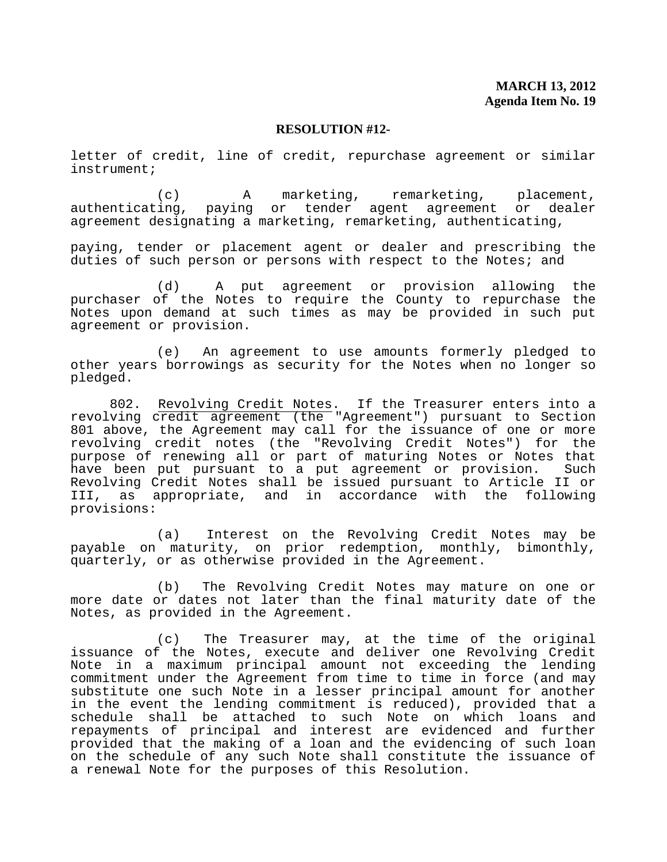letter of credit, line of credit, repurchase agreement or similar instrument;

 (c) A marketing, remarketing, placement, authenticating, paying or tender agent agreement or agreement designating a marketing, remarketing, authenticating,

paying, tender or placement agent or dealer and prescribing the duties of such person or persons with respect to the Notes; and

 (d) A put agreement or provision allowing the purchaser of the Notes to require the County to repurchase the Notes upon demand at such times as may be provided in such put agreement or provision.

 (e) An agreement to use amounts formerly pledged to other years borrowings as security for the Notes when no longer so pledged.

 802. Revolving Credit Notes. If the Treasurer enters into a revolving credit agreement (the "Agreement") pursuant to Section 801 above, the Agreement may call for the issuance of one or more revolving credit notes (the "Revolving Credit Notes") for the purpose of renewing all or part of maturing Notes or Notes that have been put pursuant to a put agreement or provision. Such Revolving Credit Notes shall be issued pursuant to Article II or III, as appropriate, and in accordance with the following provisions:

 (a) Interest on the Revolving Credit Notes may be payable on maturity, on prior redemption, monthly, bimonthly, quarterly, or as otherwise provided in the Agreement.

 (b) The Revolving Credit Notes may mature on one or more date or dates not later than the final maturity date of the Notes, as provided in the Agreement.

 (c) The Treasurer may, at the time of the original issuance of the Notes, execute and deliver one Revolving Credit Note in a maximum principal amount not exceeding the lending commitment under the Agreement from time to time in force (and may substitute one such Note in a lesser principal amount for another in the event the lending commitment is reduced), provided that a schedule shall be attached to such Note on which loans and repayments of principal and interest are evidenced and further provided that the making of a loan and the evidencing of such loan on the schedule of any such Note shall constitute the issuance of a renewal Note for the purposes of this Resolution.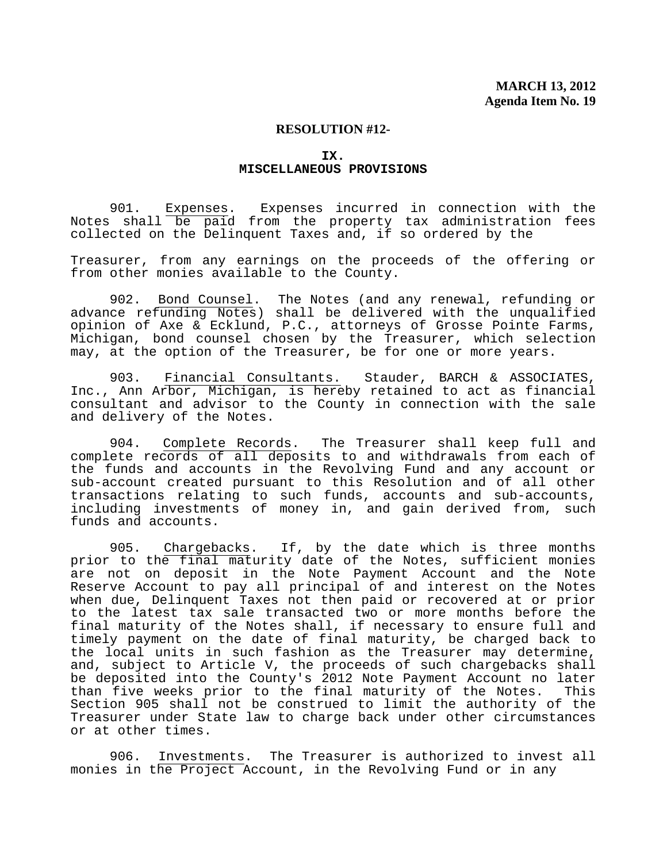### **IX. MISCELLANEOUS PROVISIONS**

 901. Expenses. Expenses incurred in connection with the Notes shall be paid from the property tax administration fees collected on the Delinquent Taxes and, if so ordered by the

Treasurer, from any earnings on the proceeds of the offering or from other monies available to the County.

 902. Bond Counsel. The Notes (and any renewal, refunding or advance refunding Notes) shall be delivered with the unqualified opinion of Axe & Ecklund, P.C., attorneys of Grosse Pointe Farms, Michigan, bond counsel chosen by the Treasurer, which selection may, at the option of the Treasurer, be for one or more years.

 903. Financial Consultants. Stauder, BARCH & ASSOCIATES, Inc., Ann Arbor, Michigan, is hereby retained to act as financial consultant and advisor to the County in connection with the sale and delivery of the Notes.

 904. Complete Records. The Treasurer shall keep full and complete records of all deposits to and withdrawals from each of the funds and accounts in the Revolving Fund and any account or sub-account created pursuant to this Resolution and of all other transactions relating to such funds, accounts and sub-accounts, including investments of money in, and gain derived from, such funds and accounts.

 905. Chargebacks. If, by the date which is three months prior to the final maturity date of the Notes, sufficient monies are not on deposit in the Note Payment Account and the Note Reserve Account to pay all principal of and interest on the Notes when due, Delinquent Taxes not then paid or recovered at or prior to the latest tax sale transacted two or more months before the final maturity of the Notes shall, if necessary to ensure full and timely payment on the date of final maturity, be charged back to the local units in such fashion as the Treasurer may determine, and, subject to Article V, the proceeds of such chargebacks shall be deposited into the County's 2012 Note Payment Account no later than five weeks prior to the final maturity of the Notes. This Section 905 shall not be construed to limit the authority of the Treasurer under State law to charge back under other circumstances or at other times.

 906. Investments. The Treasurer is authorized to invest all monies in the Project Account, in the Revolving Fund or in any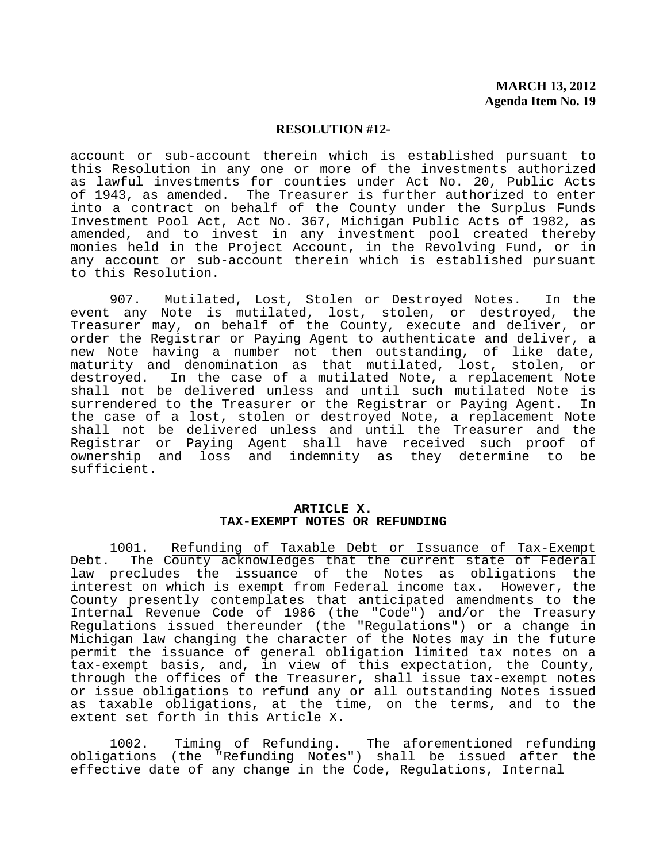account or sub-account therein which is established pursuant to this Resolution in any one or more of the investments authorized as lawful investments for counties under Act No. 20, Public Acts of 1943, as amended. The Treasurer is further authorized to enter into a contract on behalf of the County under the Surplus Funds Investment Pool Act, Act No. 367, Michigan Public Acts of 1982, as amended, and to invest in any investment pool created thereby monies held in the Project Account, in the Revolving Fund, or in any account or sub-account therein which is established pursuant to this Resolution.

 907. Mutilated, Lost, Stolen or Destroyed Notes. In the event any Note is mutilated, lost, stolen, or destroyed, the Treasurer may, on behalf of the County, execute and deliver, or order the Registrar or Paying Agent to authenticate and deliver, a new Note having a number not then outstanding, of like date, maturity and denomination as that mutilated, lost, stolen, or destroyed. In the case of a mutilated Note, a replacement Note shall not be delivered unless and until such mutilated Note is surrendered to the Treasurer or the Registrar or Paying Agent. In the case of a lost, stolen or destroyed Note, a replacement Note shall not be delivered unless and until the Treasurer and the Registrar or Paying Agent shall have received such proof of ownership and loss and indemnity as they determine to be sufficient.

#### **ARTICLE X. TAX-EXEMPT NOTES OR REFUNDING**

 1001. Refunding of Taxable Debt or Issuance of Tax-Exempt Debt. The County acknowledges that the current state of Federal law precludes the issuance of the Notes as obligations the interest on which is exempt from Federal income tax. However, the County presently contemplates that anticipated amendments to the Internal Revenue Code of 1986 (the "Code") and/or the Treasury Regulations issued thereunder (the "Regulations") or a change in Michigan law changing the character of the Notes may in the future permit the issuance of general obligation limited tax notes on a tax-exempt basis, and, in view of this expectation, the County, through the offices of the Treasurer, shall issue tax-exempt notes or issue obligations to refund any or all outstanding Notes issued as taxable obligations, at the time, on the terms, and to the extent set forth in this Article X.

 1002. Timing of Refunding. The aforementioned refunding obligations (the "Refunding Notes") shall be issued after the effective date of any change in the Code, Regulations, Internal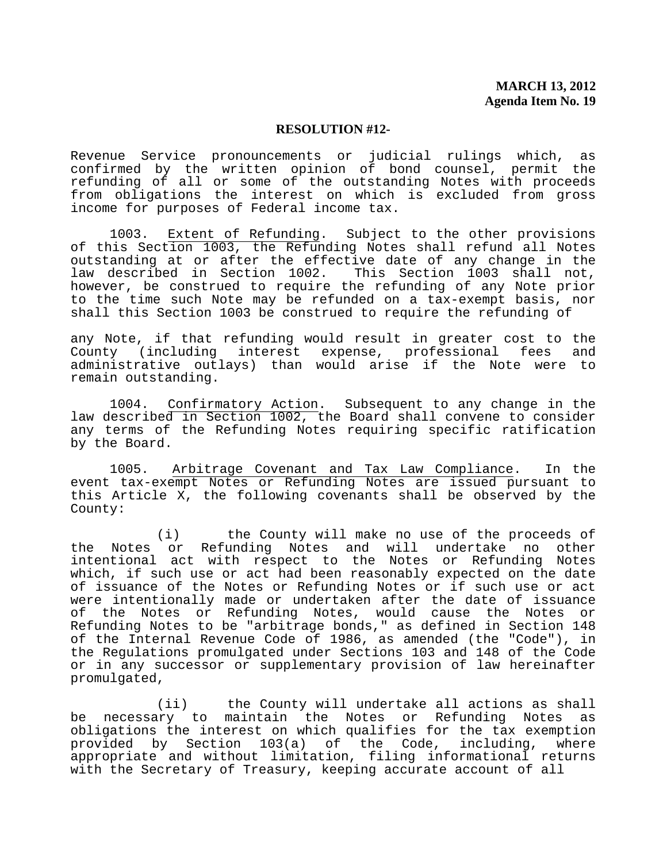Revenue Service pronouncements or judicial rulings which, as confirmed by the written opinion of bond counsel, permit the refunding of all or some of the outstanding Notes with proceeds from obligations the interest on which is excluded from gross income for purposes of Federal income tax.

1003. Extent of Refunding. Subject to the other provisions of this Section 1003, the Refunding Notes shall refund all Notes outstanding at or after the effective date of any change in the law described in Section 1002. This Section 1003 shall not, however, be construed to require the refunding of any Note prior to the time such Note may be refunded on a tax-exempt basis, nor shall this Section 1003 be construed to require the refunding of

any Note, if that refunding would result in greater cost to the County (including interest expense, professional fees and administrative outlays) than would arise if the Note were to remain outstanding.

 1004. Confirmatory Action. Subsequent to any change in the law described in Section 1002, the Board shall convene to consider any terms of the Refunding Notes requiring specific ratification by the Board.

 1005. Arbitrage Covenant and Tax Law Compliance. In the event tax-exempt Notes or Refunding Notes are issued pursuant to this Article X, the following covenants shall be observed by the County:

 (i) the County will make no use of the proceeds of the Notes or Refunding Notes and will undertake no other intentional act with respect to the Notes or Refunding Notes which, if such use or act had been reasonably expected on the date of issuance of the Notes or Refunding Notes or if such use or act were intentionally made or undertaken after the date of issuance of the Notes or Refunding Notes, would cause the Notes or Refunding Notes to be "arbitrage bonds," as defined in Section 148 of the Internal Revenue Code of 1986, as amended (the "Code"), in the Regulations promulgated under Sections 103 and 148 of the Code or in any successor or supplementary provision of law hereinafter promulgated,

 (ii) the County will undertake all actions as shall be necessary to maintain the Notes or Refunding Notes as obligations the interest on which qualifies for the tax exemption provided by Section 103(a) of the Code, including, where appropriate and without limitation, filing informational returns with the Secretary of Treasury, keeping accurate account of all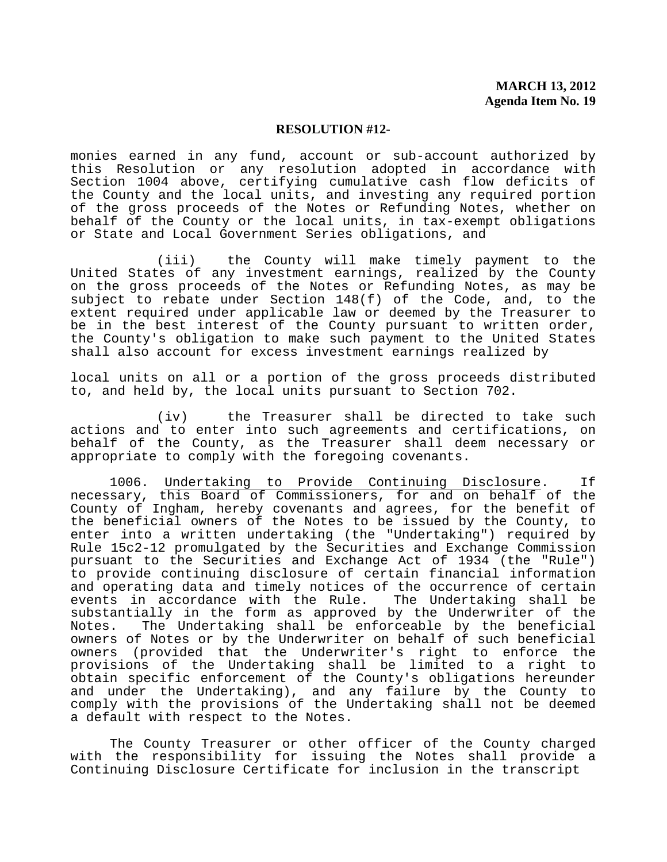monies earned in any fund, account or sub-account authorized by this Resolution or any resolution adopted in accordance with Section 1004 above, certifying cumulative cash flow deficits of the County and the local units, and investing any required portion of the gross proceeds of the Notes or Refunding Notes, whether on behalf of the County or the local units, in tax-exempt obligations or State and Local Government Series obligations, and

 (iii) the County will make timely payment to the United States of any investment earnings, realized by the County on the gross proceeds of the Notes or Refunding Notes, as may be subject to rebate under Section 148(f) of the Code, and, to the extent required under applicable law or deemed by the Treasurer to be in the best interest of the County pursuant to written order, the County's obligation to make such payment to the United States shall also account for excess investment earnings realized by

local units on all or a portion of the gross proceeds distributed to, and held by, the local units pursuant to Section 702.

 (iv) the Treasurer shall be directed to take such actions and to enter into such agreements and certifications, on behalf of the County, as the Treasurer shall deem necessary or appropriate to comply with the foregoing covenants.

1006. Undertaking to Provide Continuing Disclosure. If necessary, this Board of Commissioners, for and on behalf of the County of Ingham, hereby covenants and agrees, for the benefit of the beneficial owners of the Notes to be issued by the County, to enter into a written undertaking (the "Undertaking") required by Rule 15c2-12 promulgated by the Securities and Exchange Commission pursuant to the Securities and Exchange Act of 1934 (the "Rule") to provide continuing disclosure of certain financial information and operating data and timely notices of the occurrence of certain events in accordance with the Rule. The Undertaking shall be substantially in the form as approved by the Underwriter of the Notes. The Undertaking shall be enforceable by the beneficial owners of Notes or by the Underwriter on behalf of such beneficial owners (provided that the Underwriter's right to enforce the provisions of the Undertaking shall be limited to a right to obtain specific enforcement of the County's obligations hereunder and under the Undertaking), and any failure by the County to comply with the provisions of the Undertaking shall not be deemed a default with respect to the Notes.

 The County Treasurer or other officer of the County charged with the responsibility for issuing the Notes shall provide a Continuing Disclosure Certificate for inclusion in the transcript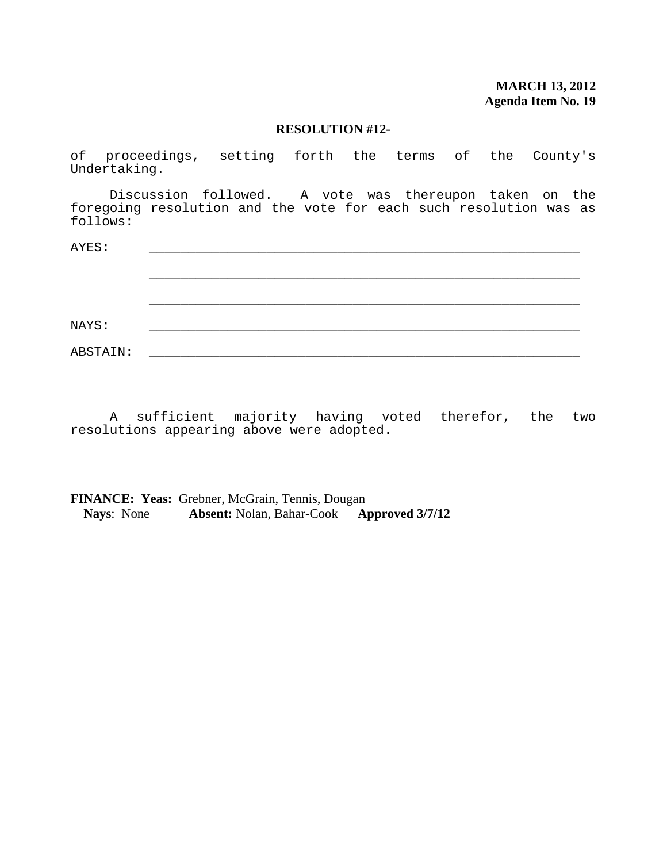of proceedings, setting forth the terms of the County's Undertaking.

 Discussion followed. A vote was thereupon taken on the foregoing resolution and the vote for each such resolution was as follows:

| AYES:    |  |  |
|----------|--|--|
|          |  |  |
|          |  |  |
|          |  |  |
|          |  |  |
| NAYS:    |  |  |
| ABSTAIN: |  |  |

 A sufficient majority having voted therefor, the two resolutions appearing above were adopted.

**FINANCE: Yeas:** Grebner, McGrain, Tennis, Dougan **Nays**: None **Absent:** Nolan, Bahar-Cook **Approved 3/7/12**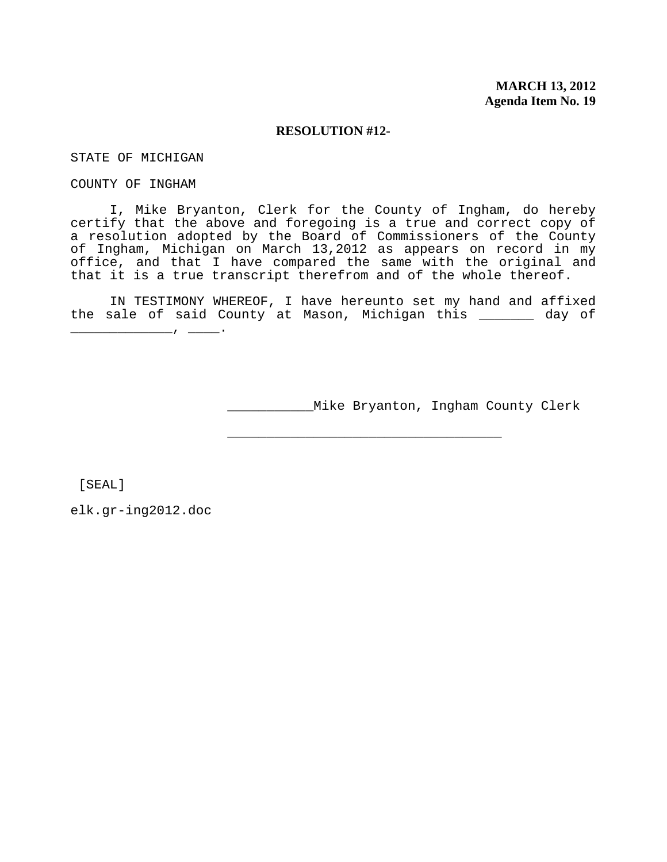STATE OF MICHIGAN

COUNTY OF INGHAM

 I, Mike Bryanton, Clerk for the County of Ingham, do hereby certify that the above and foregoing is a true and correct copy of a resolution adopted by the Board of Commissioners of the County of Ingham, Michigan on March 13,2012 as appears on record in my office, and that I have compared the same with the original and that it is a true transcript therefrom and of the whole thereof.

IN TESTIMONY WHEREOF, I have hereunto set my hand and affixed the sale of said County at Mason, Michigan this \_\_\_\_\_\_\_ day of

\_\_\_\_\_\_\_\_\_\_\_Mike Bryanton, Ingham County Clerk

\_\_\_\_\_\_\_\_\_\_\_\_\_\_\_\_\_\_\_\_\_\_\_\_\_\_\_\_\_\_\_\_\_\_\_

[SEAL]

elk.gr-ing2012.doc

\_\_\_\_\_\_\_\_\_\_\_\_\_, \_\_\_\_.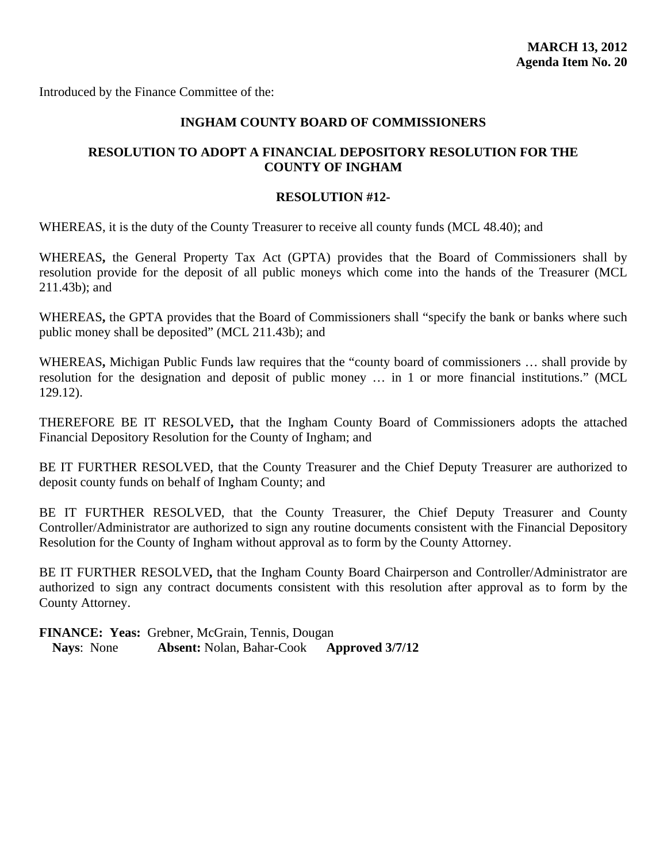Introduced by the Finance Committee of the:

## **INGHAM COUNTY BOARD OF COMMISSIONERS**

## **RESOLUTION TO ADOPT A FINANCIAL DEPOSITORY RESOLUTION FOR THE COUNTY OF INGHAM**

## **RESOLUTION #12-**

WHEREAS, it is the duty of the County Treasurer to receive all county funds (MCL 48.40); and

WHEREAS**,** the General Property Tax Act (GPTA) provides that the Board of Commissioners shall by resolution provide for the deposit of all public moneys which come into the hands of the Treasurer (MCL 211.43b); and

WHEREAS**,** the GPTA provides that the Board of Commissioners shall "specify the bank or banks where such public money shall be deposited" (MCL 211.43b); and

WHEREAS**,** Michigan Public Funds law requires that the "county board of commissioners … shall provide by resolution for the designation and deposit of public money … in 1 or more financial institutions." (MCL 129.12).

THEREFORE BE IT RESOLVED**,** that the Ingham County Board of Commissioners adopts the attached Financial Depository Resolution for the County of Ingham; and

BE IT FURTHER RESOLVED, that the County Treasurer and the Chief Deputy Treasurer are authorized to deposit county funds on behalf of Ingham County; and

BE IT FURTHER RESOLVED, that the County Treasurer, the Chief Deputy Treasurer and County Controller/Administrator are authorized to sign any routine documents consistent with the Financial Depository Resolution for the County of Ingham without approval as to form by the County Attorney.

BE IT FURTHER RESOLVED**,** that the Ingham County Board Chairperson and Controller/Administrator are authorized to sign any contract documents consistent with this resolution after approval as to form by the County Attorney.

**FINANCE: Yeas:** Grebner, McGrain, Tennis, Dougan **Nays**: None **Absent:** Nolan, Bahar-Cook **Approved 3/7/12**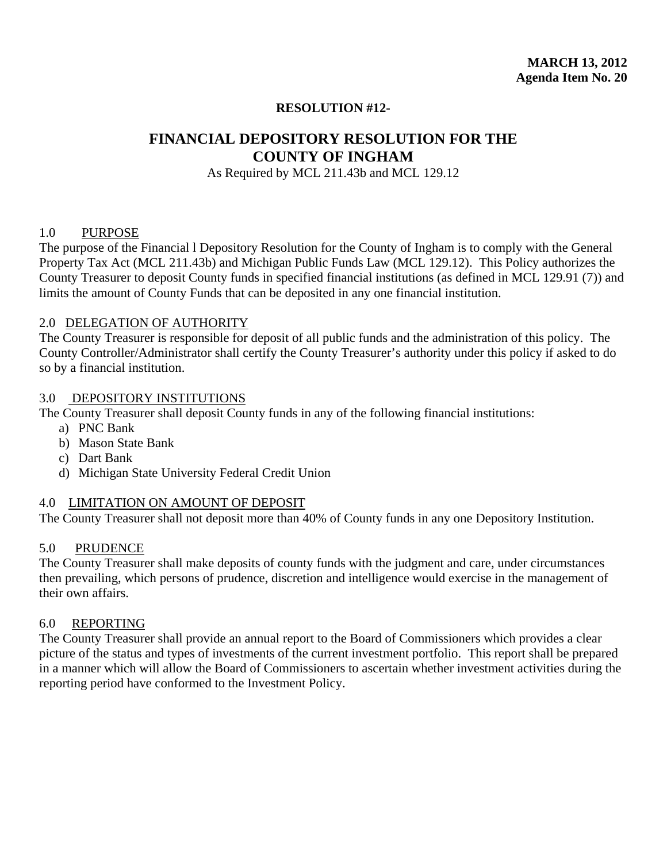# **FINANCIAL DEPOSITORY RESOLUTION FOR THE COUNTY OF INGHAM**

As Required by MCL 211.43b and MCL 129.12

## 1.0 PURPOSE

The purpose of the Financial l Depository Resolution for the County of Ingham is to comply with the General Property Tax Act (MCL 211.43b) and Michigan Public Funds Law (MCL 129.12). This Policy authorizes the County Treasurer to deposit County funds in specified financial institutions (as defined in MCL 129.91 (7)) and limits the amount of County Funds that can be deposited in any one financial institution.

## 2.0 DELEGATION OF AUTHORITY

The County Treasurer is responsible for deposit of all public funds and the administration of this policy. The County Controller/Administrator shall certify the County Treasurer's authority under this policy if asked to do so by a financial institution.

## 3.0 DEPOSITORY INSTITUTIONS

The County Treasurer shall deposit County funds in any of the following financial institutions:

- a) PNC Bank
- b) Mason State Bank
- c) Dart Bank
- d) Michigan State University Federal Credit Union

## 4.0 LIMITATION ON AMOUNT OF DEPOSIT

The County Treasurer shall not deposit more than 40% of County funds in any one Depository Institution.

## 5.0 PRUDENCE

The County Treasurer shall make deposits of county funds with the judgment and care, under circumstances then prevailing, which persons of prudence, discretion and intelligence would exercise in the management of their own affairs.

## 6.0 REPORTING

The County Treasurer shall provide an annual report to the Board of Commissioners which provides a clear picture of the status and types of investments of the current investment portfolio. This report shall be prepared in a manner which will allow the Board of Commissioners to ascertain whether investment activities during the reporting period have conformed to the Investment Policy.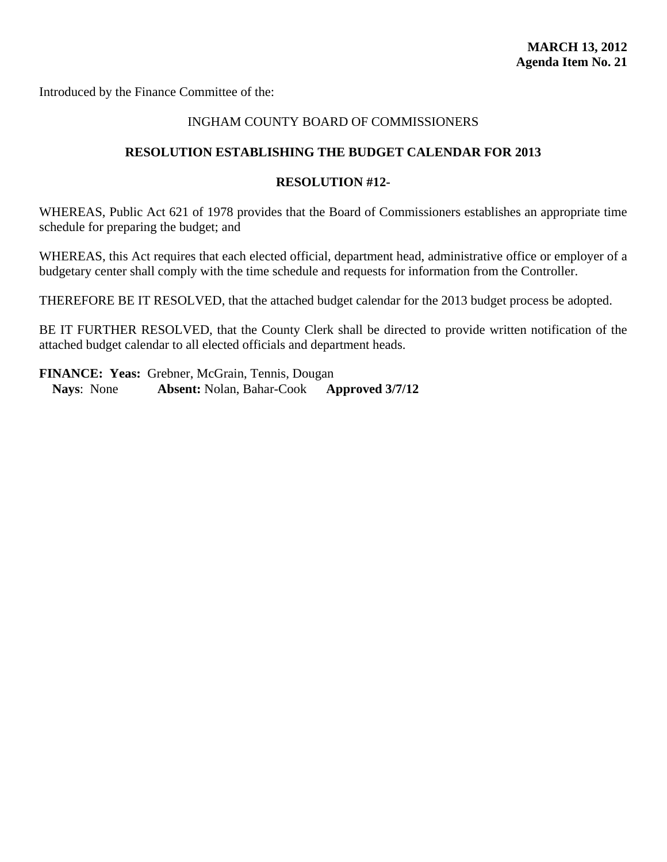Introduced by the Finance Committee of the:

## INGHAM COUNTY BOARD OF COMMISSIONERS

## **RESOLUTION ESTABLISHING THE BUDGET CALENDAR FOR 2013**

## **RESOLUTION #12-**

WHEREAS, Public Act 621 of 1978 provides that the Board of Commissioners establishes an appropriate time schedule for preparing the budget; and

WHEREAS, this Act requires that each elected official, department head, administrative office or employer of a budgetary center shall comply with the time schedule and requests for information from the Controller.

THEREFORE BE IT RESOLVED, that the attached budget calendar for the 2013 budget process be adopted.

BE IT FURTHER RESOLVED, that the County Clerk shall be directed to provide written notification of the attached budget calendar to all elected officials and department heads.

**FINANCE: Yeas:** Grebner, McGrain, Tennis, Dougan **Nays**: None **Absent:** Nolan, Bahar-Cook **Approved 3/7/12**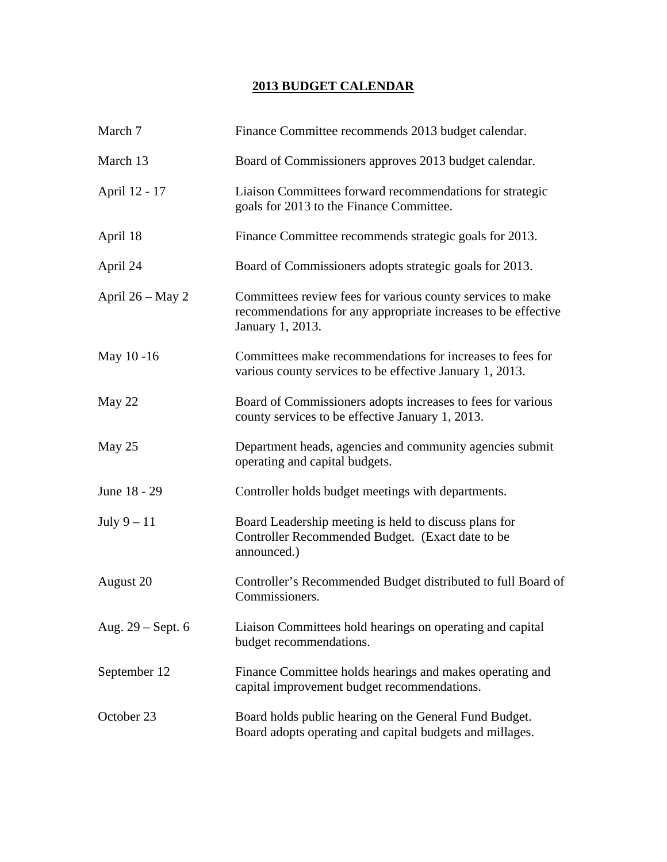# **2013 BUDGET CALENDAR**

| March 7                                                                                                                                                               | Finance Committee recommends 2013 budget calendar.                                                                       |  |
|-----------------------------------------------------------------------------------------------------------------------------------------------------------------------|--------------------------------------------------------------------------------------------------------------------------|--|
| March 13                                                                                                                                                              | Board of Commissioners approves 2013 budget calendar.                                                                    |  |
| April 12 - 17                                                                                                                                                         | Liaison Committees forward recommendations for strategic<br>goals for 2013 to the Finance Committee.                     |  |
| April 18                                                                                                                                                              | Finance Committee recommends strategic goals for 2013.                                                                   |  |
| April 24                                                                                                                                                              | Board of Commissioners adopts strategic goals for 2013.                                                                  |  |
| April $26 - May 2$<br>Committees review fees for various county services to make<br>recommendations for any appropriate increases to be effective<br>January 1, 2013. |                                                                                                                          |  |
| May 10-16                                                                                                                                                             | Committees make recommendations for increases to fees for<br>various county services to be effective January 1, 2013.    |  |
| May 22                                                                                                                                                                | Board of Commissioners adopts increases to fees for various<br>county services to be effective January 1, 2013.          |  |
| May 25                                                                                                                                                                | Department heads, agencies and community agencies submit<br>operating and capital budgets.                               |  |
| June 18 - 29                                                                                                                                                          | Controller holds budget meetings with departments.                                                                       |  |
| July $9-11$                                                                                                                                                           | Board Leadership meeting is held to discuss plans for<br>Controller Recommended Budget. (Exact date to be<br>announced.) |  |
| August 20                                                                                                                                                             | Controller's Recommended Budget distributed to full Board of<br>Commissioners.                                           |  |
| Aug. $29$ – Sept. 6                                                                                                                                                   | Liaison Committees hold hearings on operating and capital<br>budget recommendations.                                     |  |
| September 12                                                                                                                                                          | Finance Committee holds hearings and makes operating and<br>capital improvement budget recommendations.                  |  |
| October 23                                                                                                                                                            | Board holds public hearing on the General Fund Budget.<br>Board adopts operating and capital budgets and millages.       |  |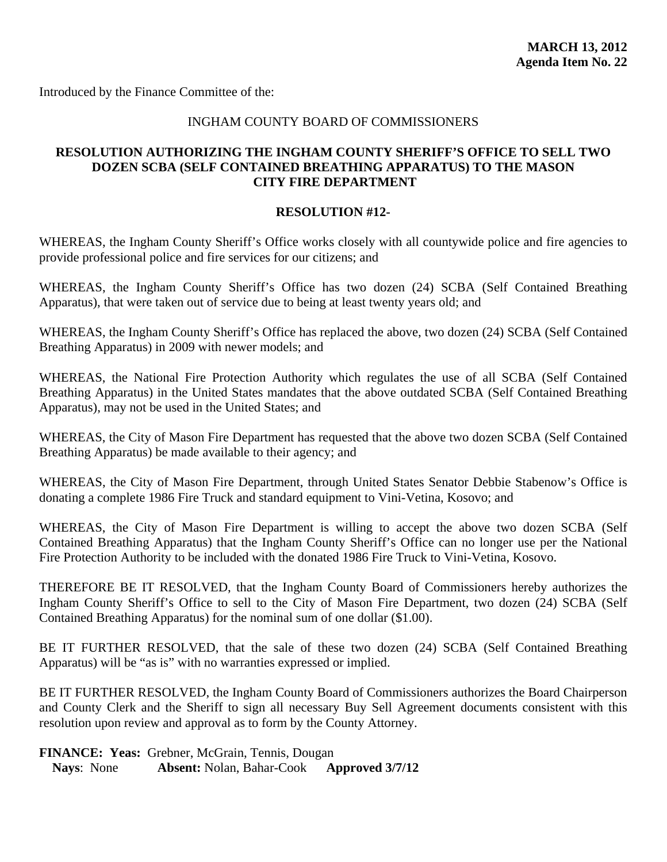Introduced by the Finance Committee of the:

## INGHAM COUNTY BOARD OF COMMISSIONERS

## **RESOLUTION AUTHORIZING THE INGHAM COUNTY SHERIFF'S OFFICE TO SELL TWO DOZEN SCBA (SELF CONTAINED BREATHING APPARATUS) TO THE MASON CITY FIRE DEPARTMENT**

## **RESOLUTION #12-**

WHEREAS, the Ingham County Sheriff's Office works closely with all countywide police and fire agencies to provide professional police and fire services for our citizens; and

WHEREAS, the Ingham County Sheriff's Office has two dozen (24) SCBA (Self Contained Breathing Apparatus), that were taken out of service due to being at least twenty years old; and

WHEREAS, the Ingham County Sheriff's Office has replaced the above, two dozen (24) SCBA (Self Contained Breathing Apparatus) in 2009 with newer models; and

WHEREAS, the National Fire Protection Authority which regulates the use of all SCBA (Self Contained Breathing Apparatus) in the United States mandates that the above outdated SCBA (Self Contained Breathing Apparatus), may not be used in the United States; and

WHEREAS, the City of Mason Fire Department has requested that the above two dozen SCBA (Self Contained Breathing Apparatus) be made available to their agency; and

WHEREAS, the City of Mason Fire Department, through United States Senator Debbie Stabenow's Office is donating a complete 1986 Fire Truck and standard equipment to Vini-Vetina, Kosovo; and

WHEREAS, the City of Mason Fire Department is willing to accept the above two dozen SCBA (Self Contained Breathing Apparatus) that the Ingham County Sheriff's Office can no longer use per the National Fire Protection Authority to be included with the donated 1986 Fire Truck to Vini-Vetina, Kosovo.

THEREFORE BE IT RESOLVED, that the Ingham County Board of Commissioners hereby authorizes the Ingham County Sheriff's Office to sell to the City of Mason Fire Department, two dozen (24) SCBA (Self Contained Breathing Apparatus) for the nominal sum of one dollar (\$1.00).

BE IT FURTHER RESOLVED, that the sale of these two dozen (24) SCBA (Self Contained Breathing Apparatus) will be "as is" with no warranties expressed or implied.

BE IT FURTHER RESOLVED, the Ingham County Board of Commissioners authorizes the Board Chairperson and County Clerk and the Sheriff to sign all necessary Buy Sell Agreement documents consistent with this resolution upon review and approval as to form by the County Attorney.

**FINANCE: Yeas:** Grebner, McGrain, Tennis, Dougan **Nays**: None **Absent:** Nolan, Bahar-Cook **Approved 3/7/12**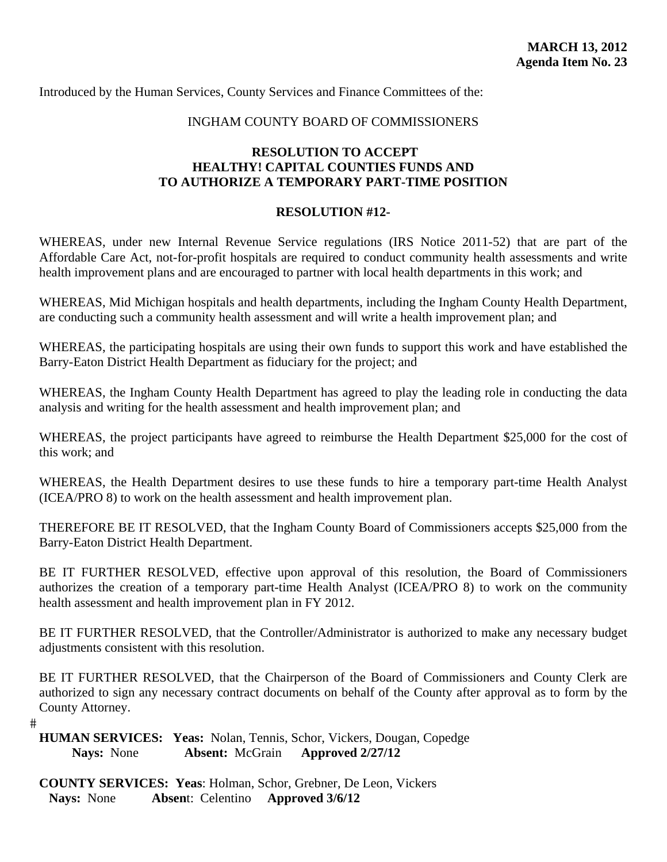Introduced by the Human Services, County Services and Finance Committees of the:

### INGHAM COUNTY BOARD OF COMMISSIONERS

# **RESOLUTION TO ACCEPT HEALTHY! CAPITAL COUNTIES FUNDS AND TO AUTHORIZE A TEMPORARY PART-TIME POSITION**

# **RESOLUTION #12-**

WHEREAS, under new Internal Revenue Service regulations (IRS Notice 2011-52) that are part of the Affordable Care Act, not-for-profit hospitals are required to conduct community health assessments and write health improvement plans and are encouraged to partner with local health departments in this work; and

WHEREAS, Mid Michigan hospitals and health departments, including the Ingham County Health Department, are conducting such a community health assessment and will write a health improvement plan; and

WHEREAS, the participating hospitals are using their own funds to support this work and have established the Barry-Eaton District Health Department as fiduciary for the project; and

WHEREAS, the Ingham County Health Department has agreed to play the leading role in conducting the data analysis and writing for the health assessment and health improvement plan; and

WHEREAS, the project participants have agreed to reimburse the Health Department \$25,000 for the cost of this work; and

WHEREAS, the Health Department desires to use these funds to hire a temporary part-time Health Analyst (ICEA/PRO 8) to work on the health assessment and health improvement plan.

THEREFORE BE IT RESOLVED, that the Ingham County Board of Commissioners accepts \$25,000 from the Barry-Eaton District Health Department.

BE IT FURTHER RESOLVED, effective upon approval of this resolution, the Board of Commissioners authorizes the creation of a temporary part-time Health Analyst (ICEA/PRO 8) to work on the community health assessment and health improvement plan in FY 2012.

BE IT FURTHER RESOLVED, that the Controller/Administrator is authorized to make any necessary budget adjustments consistent with this resolution.

BE IT FURTHER RESOLVED, that the Chairperson of the Board of Commissioners and County Clerk are authorized to sign any necessary contract documents on behalf of the County after approval as to form by the County Attorney.

 $#$ 

**HUMAN SERVICES: Yeas:** Nolan, Tennis, Schor, Vickers, Dougan, Copedge  **Nays:** None **Absent:** McGrain **Approved 2/27/12** 

**COUNTY SERVICES: Yeas**: Holman, Schor, Grebner, De Leon, Vickers **Nays:** None **Absen**t: Celentino **Approved 3/6/12**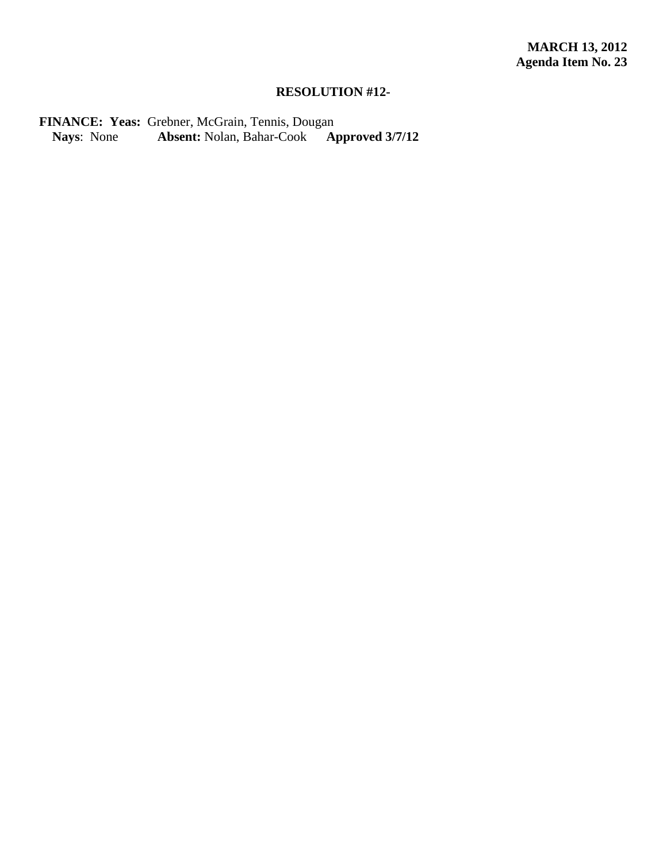# **RESOLUTION #12-**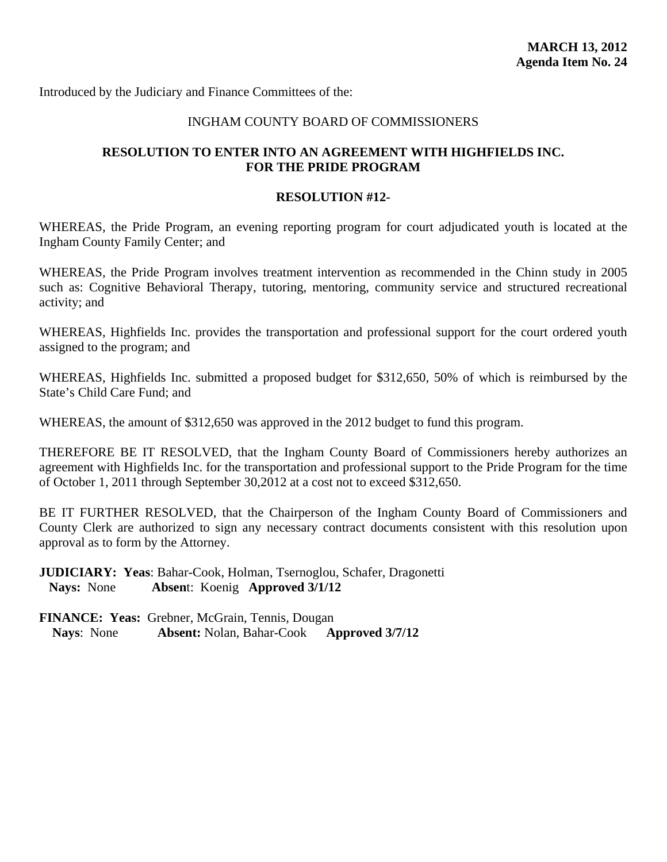### INGHAM COUNTY BOARD OF COMMISSIONERS

# **RESOLUTION TO ENTER INTO AN AGREEMENT WITH HIGHFIELDS INC. FOR THE PRIDE PROGRAM**

#### **RESOLUTION #12-**

WHEREAS, the Pride Program, an evening reporting program for court adjudicated youth is located at the Ingham County Family Center; and

WHEREAS, the Pride Program involves treatment intervention as recommended in the Chinn study in 2005 such as: Cognitive Behavioral Therapy, tutoring, mentoring, community service and structured recreational activity; and

WHEREAS, Highfields Inc. provides the transportation and professional support for the court ordered youth assigned to the program; and

WHEREAS, Highfields Inc. submitted a proposed budget for \$312,650, 50% of which is reimbursed by the State's Child Care Fund; and

WHEREAS, the amount of \$312,650 was approved in the 2012 budget to fund this program.

THEREFORE BE IT RESOLVED, that the Ingham County Board of Commissioners hereby authorizes an agreement with Highfields Inc. for the transportation and professional support to the Pride Program for the time of October 1, 2011 through September 30,2012 at a cost not to exceed \$312,650.

BE IT FURTHER RESOLVED, that the Chairperson of the Ingham County Board of Commissioners and County Clerk are authorized to sign any necessary contract documents consistent with this resolution upon approval as to form by the Attorney.

**JUDICIARY: Yeas**: Bahar-Cook, Holman, Tsernoglou, Schafer, Dragonetti **Nays:** None **Absen**t: Koenig **Approved 3/1/12**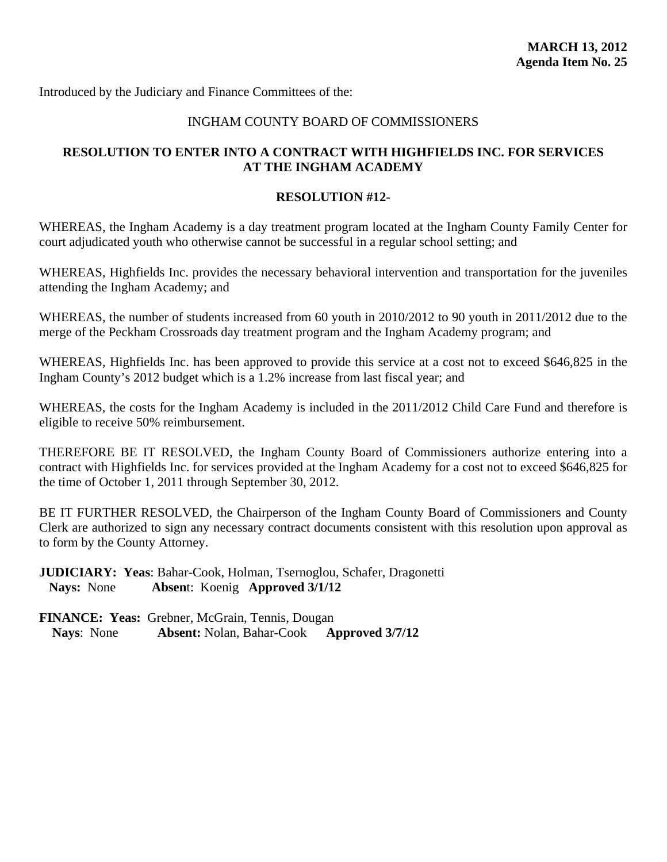# INGHAM COUNTY BOARD OF COMMISSIONERS

# **RESOLUTION TO ENTER INTO A CONTRACT WITH HIGHFIELDS INC. FOR SERVICES AT THE INGHAM ACADEMY**

### **RESOLUTION #12-**

WHEREAS, the Ingham Academy is a day treatment program located at the Ingham County Family Center for court adjudicated youth who otherwise cannot be successful in a regular school setting; and

WHEREAS, Highfields Inc. provides the necessary behavioral intervention and transportation for the juveniles attending the Ingham Academy; and

WHEREAS, the number of students increased from 60 youth in 2010/2012 to 90 youth in 2011/2012 due to the merge of the Peckham Crossroads day treatment program and the Ingham Academy program; and

WHEREAS, Highfields Inc. has been approved to provide this service at a cost not to exceed \$646,825 in the Ingham County's 2012 budget which is a 1.2% increase from last fiscal year; and

WHEREAS, the costs for the Ingham Academy is included in the 2011/2012 Child Care Fund and therefore is eligible to receive 50% reimbursement.

THEREFORE BE IT RESOLVED, the Ingham County Board of Commissioners authorize entering into a contract with Highfields Inc. for services provided at the Ingham Academy for a cost not to exceed \$646,825 for the time of October 1, 2011 through September 30, 2012.

BE IT FURTHER RESOLVED, the Chairperson of the Ingham County Board of Commissioners and County Clerk are authorized to sign any necessary contract documents consistent with this resolution upon approval as to form by the County Attorney.

**JUDICIARY: Yeas**: Bahar-Cook, Holman, Tsernoglou, Schafer, Dragonetti **Nays:** None **Absen**t: Koenig **Approved 3/1/12**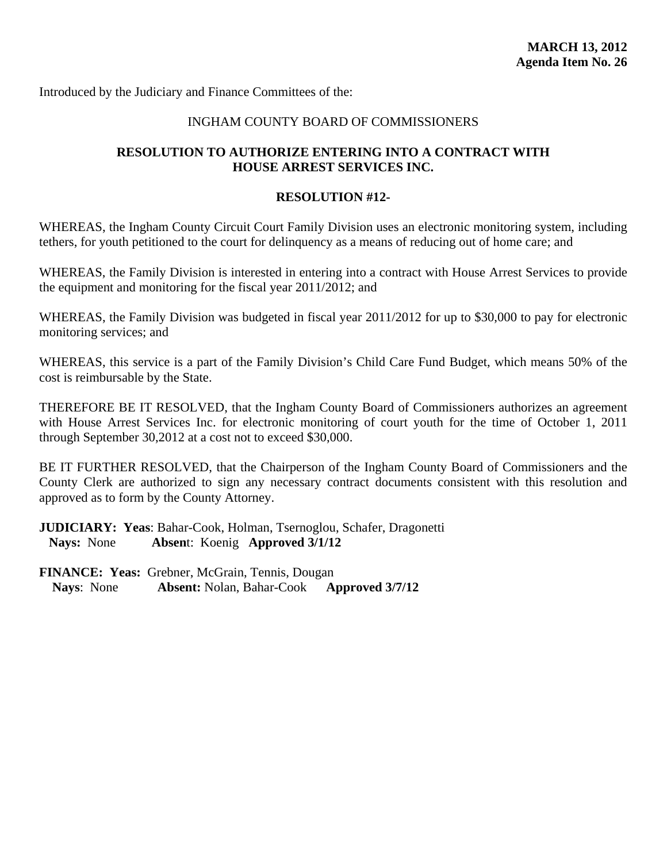### INGHAM COUNTY BOARD OF COMMISSIONERS

# **RESOLUTION TO AUTHORIZE ENTERING INTO A CONTRACT WITH HOUSE ARREST SERVICES INC.**

#### **RESOLUTION #12-**

WHEREAS, the Ingham County Circuit Court Family Division uses an electronic monitoring system, including tethers, for youth petitioned to the court for delinquency as a means of reducing out of home care; and

WHEREAS, the Family Division is interested in entering into a contract with House Arrest Services to provide the equipment and monitoring for the fiscal year 2011/2012; and

WHEREAS, the Family Division was budgeted in fiscal year 2011/2012 for up to \$30,000 to pay for electronic monitoring services; and

WHEREAS, this service is a part of the Family Division's Child Care Fund Budget, which means 50% of the cost is reimbursable by the State.

THEREFORE BE IT RESOLVED, that the Ingham County Board of Commissioners authorizes an agreement with House Arrest Services Inc. for electronic monitoring of court youth for the time of October 1, 2011 through September 30,2012 at a cost not to exceed \$30,000.

BE IT FURTHER RESOLVED, that the Chairperson of the Ingham County Board of Commissioners and the County Clerk are authorized to sign any necessary contract documents consistent with this resolution and approved as to form by the County Attorney.

**JUDICIARY: Yeas**: Bahar-Cook, Holman, Tsernoglou, Schafer, Dragonetti **Nays:** None **Absen**t: Koenig **Approved 3/1/12**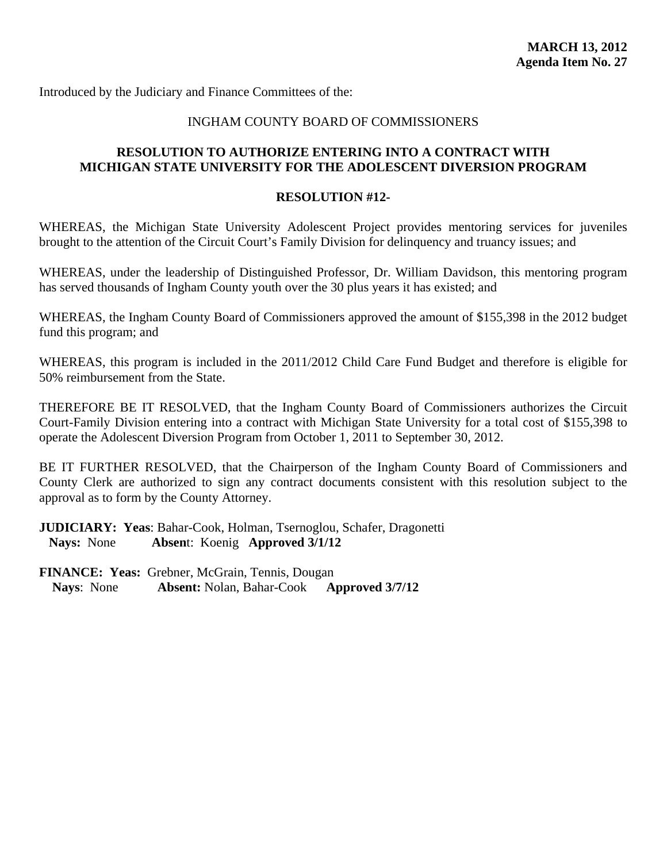### INGHAM COUNTY BOARD OF COMMISSIONERS

# **RESOLUTION TO AUTHORIZE ENTERING INTO A CONTRACT WITH MICHIGAN STATE UNIVERSITY FOR THE ADOLESCENT DIVERSION PROGRAM**

#### **RESOLUTION #12-**

WHEREAS, the Michigan State University Adolescent Project provides mentoring services for juveniles brought to the attention of the Circuit Court's Family Division for delinquency and truancy issues; and

WHEREAS, under the leadership of Distinguished Professor, Dr. William Davidson, this mentoring program has served thousands of Ingham County youth over the 30 plus years it has existed; and

WHEREAS, the Ingham County Board of Commissioners approved the amount of \$155,398 in the 2012 budget fund this program; and

WHEREAS, this program is included in the 2011/2012 Child Care Fund Budget and therefore is eligible for 50% reimbursement from the State.

THEREFORE BE IT RESOLVED, that the Ingham County Board of Commissioners authorizes the Circuit Court-Family Division entering into a contract with Michigan State University for a total cost of \$155,398 to operate the Adolescent Diversion Program from October 1, 2011 to September 30, 2012.

BE IT FURTHER RESOLVED, that the Chairperson of the Ingham County Board of Commissioners and County Clerk are authorized to sign any contract documents consistent with this resolution subject to the approval as to form by the County Attorney.

**JUDICIARY: Yeas**: Bahar-Cook, Holman, Tsernoglou, Schafer, Dragonetti **Nays:** None **Absen**t: Koenig **Approved 3/1/12**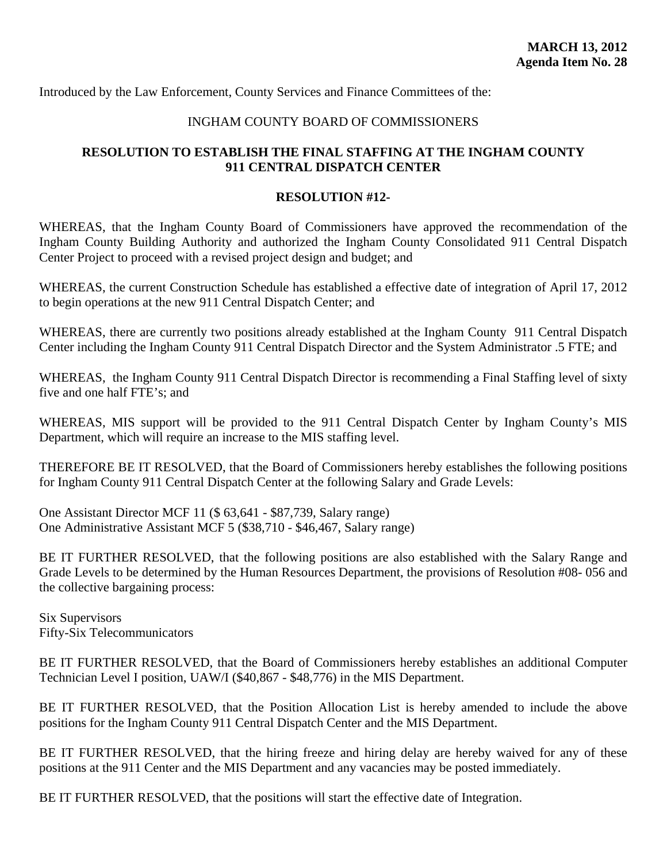Introduced by the Law Enforcement, County Services and Finance Committees of the:

### INGHAM COUNTY BOARD OF COMMISSIONERS

# **RESOLUTION TO ESTABLISH THE FINAL STAFFING AT THE INGHAM COUNTY 911 CENTRAL DISPATCH CENTER**

### **RESOLUTION #12-**

WHEREAS, that the Ingham County Board of Commissioners have approved the recommendation of the Ingham County Building Authority and authorized the Ingham County Consolidated 911 Central Dispatch Center Project to proceed with a revised project design and budget; and

WHEREAS, the current Construction Schedule has established a effective date of integration of April 17, 2012 to begin operations at the new 911 Central Dispatch Center; and

WHEREAS, there are currently two positions already established at the Ingham County 911 Central Dispatch Center including the Ingham County 911 Central Dispatch Director and the System Administrator .5 FTE; and

WHEREAS, the Ingham County 911 Central Dispatch Director is recommending a Final Staffing level of sixty five and one half FTE's; and

WHEREAS, MIS support will be provided to the 911 Central Dispatch Center by Ingham County's MIS Department, which will require an increase to the MIS staffing level.

THEREFORE BE IT RESOLVED, that the Board of Commissioners hereby establishes the following positions for Ingham County 911 Central Dispatch Center at the following Salary and Grade Levels:

One Assistant Director MCF 11 (\$ 63,641 - \$87,739, Salary range) One Administrative Assistant MCF 5 (\$38,710 - \$46,467, Salary range)

BE IT FURTHER RESOLVED, that the following positions are also established with the Salary Range and Grade Levels to be determined by the Human Resources Department, the provisions of Resolution #08- 056 and the collective bargaining process:

Six Supervisors Fifty-Six Telecommunicators

BE IT FURTHER RESOLVED, that the Board of Commissioners hereby establishes an additional Computer Technician Level I position, UAW/I (\$40,867 - \$48,776) in the MIS Department.

BE IT FURTHER RESOLVED, that the Position Allocation List is hereby amended to include the above positions for the Ingham County 911 Central Dispatch Center and the MIS Department.

BE IT FURTHER RESOLVED, that the hiring freeze and hiring delay are hereby waived for any of these positions at the 911 Center and the MIS Department and any vacancies may be posted immediately.

BE IT FURTHER RESOLVED, that the positions will start the effective date of Integration.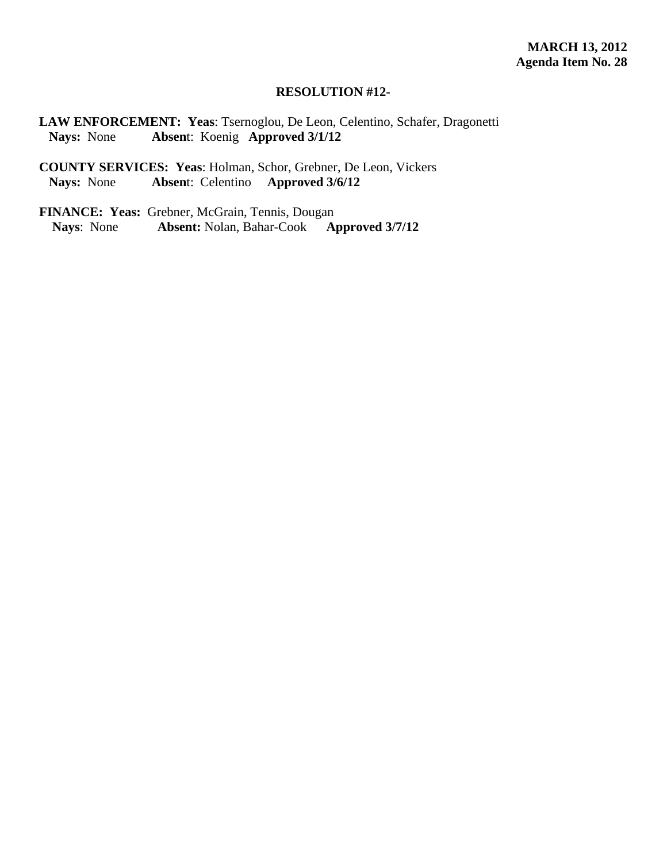#### **RESOLUTION #12-**

**LAW ENFORCEMENT: Yeas**: Tsernoglou, De Leon, Celentino, Schafer, Dragonetti **Nays:** None **Absen**t: Koenig **Approved 3/1/12**

**COUNTY SERVICES: Yeas**: Holman, Schor, Grebner, De Leon, Vickers **Nays:** None **Absen**t: Celentino **Approved 3/6/12**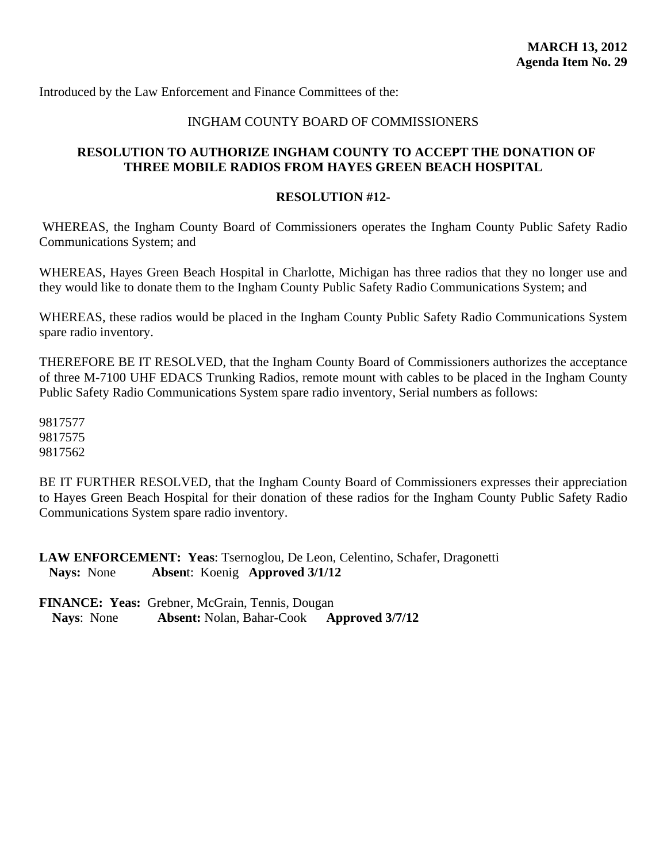Introduced by the Law Enforcement and Finance Committees of the:

# INGHAM COUNTY BOARD OF COMMISSIONERS

# **RESOLUTION TO AUTHORIZE INGHAM COUNTY TO ACCEPT THE DONATION OF THREE MOBILE RADIOS FROM HAYES GREEN BEACH HOSPITAL**

#### **RESOLUTION #12-**

 WHEREAS, the Ingham County Board of Commissioners operates the Ingham County Public Safety Radio Communications System; and

WHEREAS, Hayes Green Beach Hospital in Charlotte, Michigan has three radios that they no longer use and they would like to donate them to the Ingham County Public Safety Radio Communications System; and

WHEREAS, these radios would be placed in the Ingham County Public Safety Radio Communications System spare radio inventory.

THEREFORE BE IT RESOLVED, that the Ingham County Board of Commissioners authorizes the acceptance of three M-7100 UHF EDACS Trunking Radios, remote mount with cables to be placed in the Ingham County Public Safety Radio Communications System spare radio inventory, Serial numbers as follows:

9817577 9817575 9817562

BE IT FURTHER RESOLVED, that the Ingham County Board of Commissioners expresses their appreciation to Hayes Green Beach Hospital for their donation of these radios for the Ingham County Public Safety Radio Communications System spare radio inventory.

**LAW ENFORCEMENT: Yeas**: Tsernoglou, De Leon, Celentino, Schafer, Dragonetti **Nays:** None **Absen**t: Koenig **Approved 3/1/12**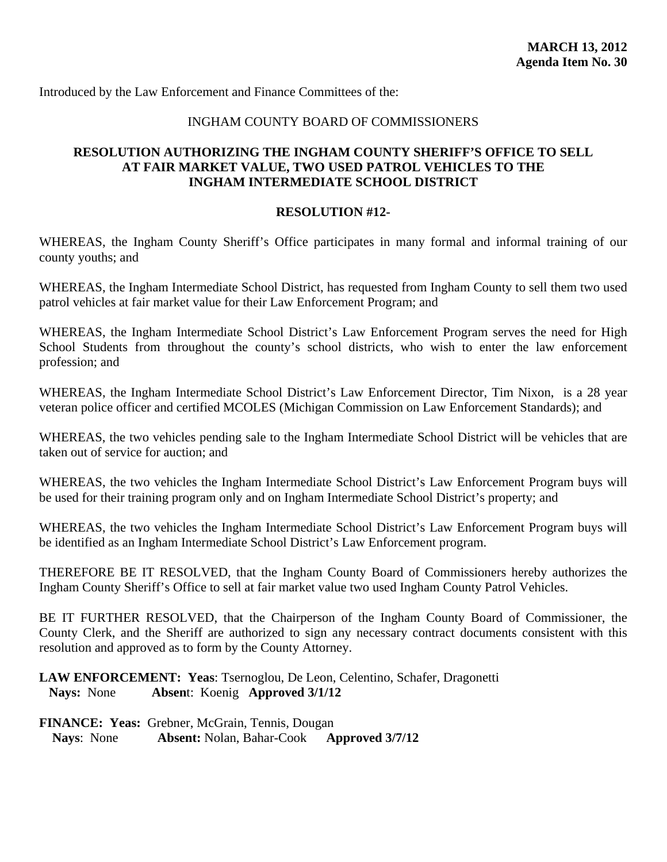Introduced by the Law Enforcement and Finance Committees of the:

# INGHAM COUNTY BOARD OF COMMISSIONERS

# **RESOLUTION AUTHORIZING THE INGHAM COUNTY SHERIFF'S OFFICE TO SELL AT FAIR MARKET VALUE, TWO USED PATROL VEHICLES TO THE INGHAM INTERMEDIATE SCHOOL DISTRICT**

### **RESOLUTION #12-**

WHEREAS, the Ingham County Sheriff's Office participates in many formal and informal training of our county youths; and

WHEREAS, the Ingham Intermediate School District, has requested from Ingham County to sell them two used patrol vehicles at fair market value for their Law Enforcement Program; and

WHEREAS, the Ingham Intermediate School District's Law Enforcement Program serves the need for High School Students from throughout the county's school districts, who wish to enter the law enforcement profession; and

WHEREAS, the Ingham Intermediate School District's Law Enforcement Director, Tim Nixon, is a 28 year veteran police officer and certified MCOLES (Michigan Commission on Law Enforcement Standards); and

WHEREAS, the two vehicles pending sale to the Ingham Intermediate School District will be vehicles that are taken out of service for auction; and

WHEREAS, the two vehicles the Ingham Intermediate School District's Law Enforcement Program buys will be used for their training program only and on Ingham Intermediate School District's property; and

WHEREAS, the two vehicles the Ingham Intermediate School District's Law Enforcement Program buys will be identified as an Ingham Intermediate School District's Law Enforcement program.

THEREFORE BE IT RESOLVED, that the Ingham County Board of Commissioners hereby authorizes the Ingham County Sheriff's Office to sell at fair market value two used Ingham County Patrol Vehicles.

BE IT FURTHER RESOLVED, that the Chairperson of the Ingham County Board of Commissioner, the County Clerk, and the Sheriff are authorized to sign any necessary contract documents consistent with this resolution and approved as to form by the County Attorney.

**LAW ENFORCEMENT: Yeas**: Tsernoglou, De Leon, Celentino, Schafer, Dragonetti **Nays:** None **Absen**t: Koenig **Approved 3/1/12**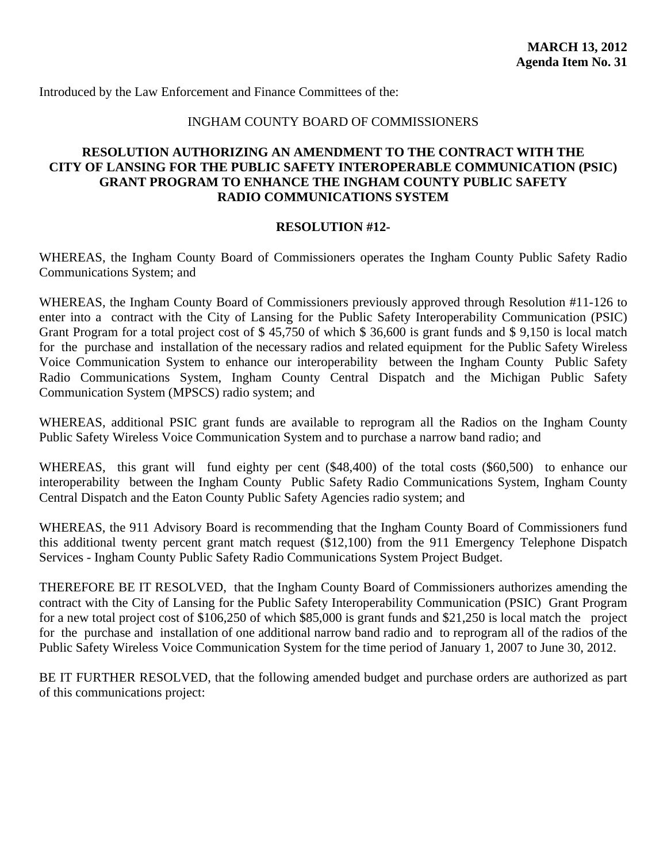Introduced by the Law Enforcement and Finance Committees of the:

# INGHAM COUNTY BOARD OF COMMISSIONERS

# **RESOLUTION AUTHORIZING AN AMENDMENT TO THE CONTRACT WITH THE CITY OF LANSING FOR THE PUBLIC SAFETY INTEROPERABLE COMMUNICATION (PSIC) GRANT PROGRAM TO ENHANCE THE INGHAM COUNTY PUBLIC SAFETY RADIO COMMUNICATIONS SYSTEM**

#### **RESOLUTION #12-**

WHEREAS, the Ingham County Board of Commissioners operates the Ingham County Public Safety Radio Communications System; and

WHEREAS, the Ingham County Board of Commissioners previously approved through Resolution #11-126 to enter into a contract with the City of Lansing for the Public Safety Interoperability Communication (PSIC) Grant Program for a total project cost of \$ 45,750 of which \$ 36,600 is grant funds and \$ 9,150 is local match for the purchase and installation of the necessary radios and related equipment for the Public Safety Wireless Voice Communication System to enhance our interoperability between the Ingham County Public Safety Radio Communications System, Ingham County Central Dispatch and the Michigan Public Safety Communication System (MPSCS) radio system; and

WHEREAS, additional PSIC grant funds are available to reprogram all the Radios on the Ingham County Public Safety Wireless Voice Communication System and to purchase a narrow band radio; and

WHEREAS, this grant will fund eighty per cent (\$48,400) of the total costs (\$60,500) to enhance our interoperability between the Ingham County Public Safety Radio Communications System, Ingham County Central Dispatch and the Eaton County Public Safety Agencies radio system; and

WHEREAS, the 911 Advisory Board is recommending that the Ingham County Board of Commissioners fund this additional twenty percent grant match request (\$12,100) from the 911 Emergency Telephone Dispatch Services - Ingham County Public Safety Radio Communications System Project Budget.

THEREFORE BE IT RESOLVED, that the Ingham County Board of Commissioners authorizes amending the contract with the City of Lansing for the Public Safety Interoperability Communication (PSIC) Grant Program for a new total project cost of \$106,250 of which \$85,000 is grant funds and \$21,250 is local match the project for the purchase and installation of one additional narrow band radio and to reprogram all of the radios of the Public Safety Wireless Voice Communication System for the time period of January 1, 2007 to June 30, 2012.

BE IT FURTHER RESOLVED, that the following amended budget and purchase orders are authorized as part of this communications project: